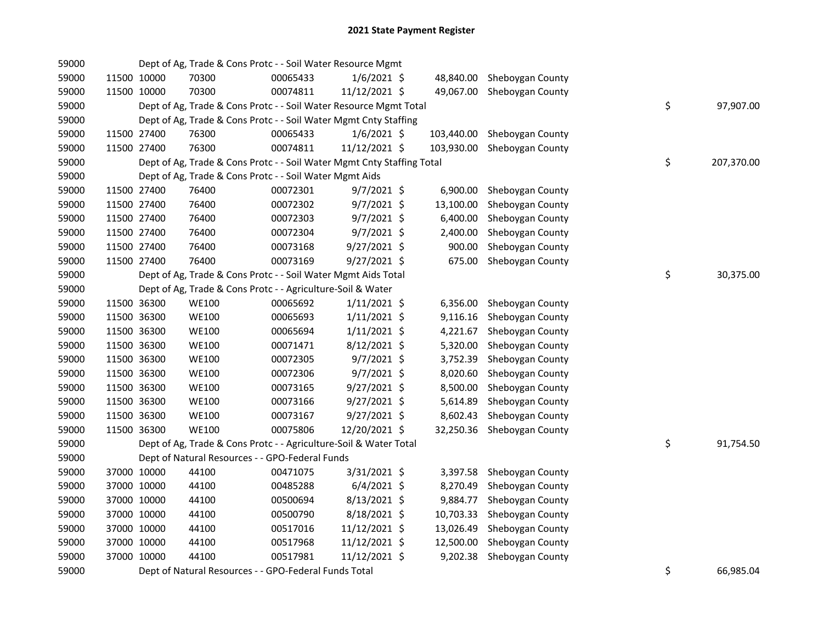| 59000 |             |             | Dept of Ag, Trade & Cons Protc - - Soil Water Resource Mgmt            |          |                |            |                            |    |            |
|-------|-------------|-------------|------------------------------------------------------------------------|----------|----------------|------------|----------------------------|----|------------|
| 59000 | 11500 10000 |             | 70300                                                                  | 00065433 | $1/6/2021$ \$  | 48,840.00  | Sheboygan County           |    |            |
| 59000 | 11500 10000 |             | 70300                                                                  | 00074811 | 11/12/2021 \$  |            | 49,067.00 Sheboygan County |    |            |
| 59000 |             |             | Dept of Ag, Trade & Cons Protc - - Soil Water Resource Mgmt Total      |          |                |            |                            | \$ | 97,907.00  |
| 59000 |             |             | Dept of Ag, Trade & Cons Protc - - Soil Water Mgmt Cnty Staffing       |          |                |            |                            |    |            |
| 59000 | 11500 27400 |             | 76300                                                                  | 00065433 | $1/6/2021$ \$  | 103,440.00 | Sheboygan County           |    |            |
| 59000 | 11500 27400 |             | 76300                                                                  | 00074811 | 11/12/2021 \$  | 103,930.00 | Sheboygan County           |    |            |
| 59000 |             |             | Dept of Ag, Trade & Cons Protc - - Soil Water Mgmt Cnty Staffing Total |          |                |            |                            | \$ | 207,370.00 |
| 59000 |             |             | Dept of Ag, Trade & Cons Protc - - Soil Water Mgmt Aids                |          |                |            |                            |    |            |
| 59000 | 11500 27400 |             | 76400                                                                  | 00072301 | $9/7/2021$ \$  | 6,900.00   | Sheboygan County           |    |            |
| 59000 | 11500 27400 |             | 76400                                                                  | 00072302 | $9/7/2021$ \$  | 13,100.00  | Sheboygan County           |    |            |
| 59000 | 11500 27400 |             | 76400                                                                  | 00072303 | $9/7/2021$ \$  | 6,400.00   | Sheboygan County           |    |            |
| 59000 | 11500 27400 |             | 76400                                                                  | 00072304 | $9/7/2021$ \$  | 2,400.00   | Sheboygan County           |    |            |
| 59000 | 11500 27400 |             | 76400                                                                  | 00073168 | $9/27/2021$ \$ | 900.00     | Sheboygan County           |    |            |
| 59000 | 11500 27400 |             | 76400                                                                  | 00073169 | $9/27/2021$ \$ | 675.00     | Sheboygan County           |    |            |
| 59000 |             |             | Dept of Ag, Trade & Cons Protc - - Soil Water Mgmt Aids Total          |          |                |            |                            | \$ | 30,375.00  |
| 59000 |             |             | Dept of Ag, Trade & Cons Protc - - Agriculture-Soil & Water            |          |                |            |                            |    |            |
| 59000 | 11500 36300 |             | <b>WE100</b>                                                           | 00065692 | $1/11/2021$ \$ | 6,356.00   | Sheboygan County           |    |            |
| 59000 | 11500 36300 |             | <b>WE100</b>                                                           | 00065693 | $1/11/2021$ \$ | 9,116.16   | Sheboygan County           |    |            |
| 59000 | 11500 36300 |             | WE100                                                                  | 00065694 | $1/11/2021$ \$ | 4,221.67   | Sheboygan County           |    |            |
| 59000 | 11500 36300 |             | WE100                                                                  | 00071471 | $8/12/2021$ \$ | 5,320.00   | Sheboygan County           |    |            |
| 59000 | 11500 36300 |             | WE100                                                                  | 00072305 | $9/7/2021$ \$  | 3,752.39   | Sheboygan County           |    |            |
| 59000 | 11500 36300 |             | <b>WE100</b>                                                           | 00072306 | 9/7/2021 \$    | 8,020.60   | Sheboygan County           |    |            |
| 59000 | 11500 36300 |             | <b>WE100</b>                                                           | 00073165 | 9/27/2021 \$   | 8,500.00   | Sheboygan County           |    |            |
| 59000 | 11500 36300 |             | WE100                                                                  | 00073166 | $9/27/2021$ \$ | 5,614.89   | Sheboygan County           |    |            |
| 59000 | 11500 36300 |             | <b>WE100</b>                                                           | 00073167 | $9/27/2021$ \$ | 8,602.43   | Sheboygan County           |    |            |
| 59000 | 11500 36300 |             | <b>WE100</b>                                                           | 00075806 | 12/20/2021 \$  | 32,250.36  | Sheboygan County           |    |            |
| 59000 |             |             | Dept of Ag, Trade & Cons Protc - - Agriculture-Soil & Water Total      |          |                |            |                            | \$ | 91,754.50  |
| 59000 |             |             | Dept of Natural Resources - - GPO-Federal Funds                        |          |                |            |                            |    |            |
| 59000 |             | 37000 10000 | 44100                                                                  | 00471075 | 3/31/2021 \$   | 3,397.58   | Sheboygan County           |    |            |
| 59000 | 37000 10000 |             | 44100                                                                  | 00485288 | $6/4/2021$ \$  | 8,270.49   | Sheboygan County           |    |            |
| 59000 | 37000 10000 |             | 44100                                                                  | 00500694 | 8/13/2021 \$   | 9,884.77   | Sheboygan County           |    |            |
| 59000 | 37000 10000 |             | 44100                                                                  | 00500790 | 8/18/2021 \$   |            | 10,703.33 Sheboygan County |    |            |
| 59000 | 37000 10000 |             | 44100                                                                  | 00517016 | 11/12/2021 \$  | 13,026.49  | Sheboygan County           |    |            |
| 59000 | 37000 10000 |             | 44100                                                                  | 00517968 | 11/12/2021 \$  | 12,500.00  | Sheboygan County           |    |            |
| 59000 | 37000 10000 |             | 44100                                                                  | 00517981 | 11/12/2021 \$  | 9,202.38   | Sheboygan County           |    |            |
| 59000 |             |             | Dept of Natural Resources - - GPO-Federal Funds Total                  |          |                |            |                            | \$ | 66,985.04  |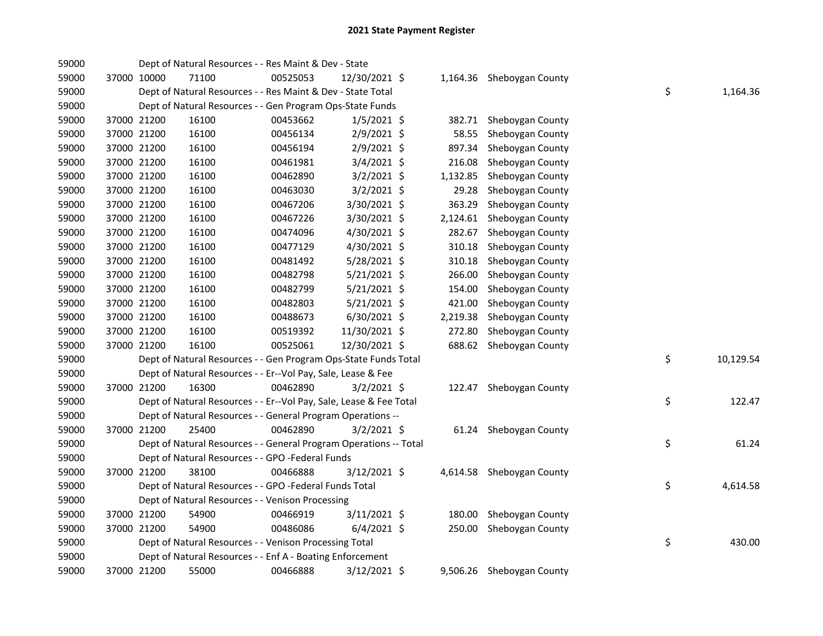| 59000 |             | Dept of Natural Resources - - Res Maint & Dev - State              |          |                |          |                           |    |           |
|-------|-------------|--------------------------------------------------------------------|----------|----------------|----------|---------------------------|----|-----------|
| 59000 | 37000 10000 | 71100                                                              | 00525053 | 12/30/2021 \$  |          | 1,164.36 Sheboygan County |    |           |
| 59000 |             | Dept of Natural Resources - - Res Maint & Dev - State Total        |          |                |          |                           | \$ | 1,164.36  |
| 59000 |             | Dept of Natural Resources - - Gen Program Ops-State Funds          |          |                |          |                           |    |           |
| 59000 | 37000 21200 | 16100                                                              | 00453662 | $1/5/2021$ \$  | 382.71   | Sheboygan County          |    |           |
| 59000 | 37000 21200 | 16100                                                              | 00456134 | 2/9/2021 \$    | 58.55    | Sheboygan County          |    |           |
| 59000 | 37000 21200 | 16100                                                              | 00456194 | 2/9/2021 \$    | 897.34   | Sheboygan County          |    |           |
| 59000 | 37000 21200 | 16100                                                              | 00461981 | $3/4/2021$ \$  | 216.08   | Sheboygan County          |    |           |
| 59000 | 37000 21200 | 16100                                                              | 00462890 | $3/2/2021$ \$  | 1,132.85 | Sheboygan County          |    |           |
| 59000 | 37000 21200 | 16100                                                              | 00463030 | $3/2/2021$ \$  | 29.28    | Sheboygan County          |    |           |
| 59000 | 37000 21200 | 16100                                                              | 00467206 | $3/30/2021$ \$ | 363.29   | Sheboygan County          |    |           |
| 59000 | 37000 21200 | 16100                                                              | 00467226 | 3/30/2021 \$   | 2,124.61 | Sheboygan County          |    |           |
| 59000 | 37000 21200 | 16100                                                              | 00474096 | 4/30/2021 \$   | 282.67   | Sheboygan County          |    |           |
| 59000 | 37000 21200 | 16100                                                              | 00477129 | 4/30/2021 \$   | 310.18   | Sheboygan County          |    |           |
| 59000 | 37000 21200 | 16100                                                              | 00481492 | 5/28/2021 \$   | 310.18   | Sheboygan County          |    |           |
| 59000 | 37000 21200 | 16100                                                              | 00482798 | 5/21/2021 \$   | 266.00   | Sheboygan County          |    |           |
| 59000 | 37000 21200 | 16100                                                              | 00482799 | $5/21/2021$ \$ | 154.00   | Sheboygan County          |    |           |
| 59000 | 37000 21200 | 16100                                                              | 00482803 | 5/21/2021 \$   | 421.00   | Sheboygan County          |    |           |
| 59000 | 37000 21200 | 16100                                                              | 00488673 | $6/30/2021$ \$ | 2,219.38 | Sheboygan County          |    |           |
| 59000 | 37000 21200 | 16100                                                              | 00519392 | 11/30/2021 \$  | 272.80   | Sheboygan County          |    |           |
| 59000 | 37000 21200 | 16100                                                              | 00525061 | 12/30/2021 \$  | 688.62   | Sheboygan County          |    |           |
| 59000 |             | Dept of Natural Resources - - Gen Program Ops-State Funds Total    |          |                |          |                           | \$ | 10,129.54 |
| 59000 |             | Dept of Natural Resources - - Er--Vol Pay, Sale, Lease & Fee       |          |                |          |                           |    |           |
| 59000 | 37000 21200 | 16300                                                              | 00462890 | $3/2/2021$ \$  |          | 122.47 Sheboygan County   |    |           |
| 59000 |             | Dept of Natural Resources - - Er--Vol Pay, Sale, Lease & Fee Total |          |                |          |                           | \$ | 122.47    |
| 59000 |             | Dept of Natural Resources - - General Program Operations --        |          |                |          |                           |    |           |
| 59000 | 37000 21200 | 25400                                                              | 00462890 | $3/2/2021$ \$  |          | 61.24 Sheboygan County    |    |           |
| 59000 |             | Dept of Natural Resources - - General Program Operations -- Total  |          |                |          |                           | \$ | 61.24     |
| 59000 |             | Dept of Natural Resources - - GPO -Federal Funds                   |          |                |          |                           |    |           |
| 59000 | 37000 21200 | 38100                                                              | 00466888 | $3/12/2021$ \$ |          | 4,614.58 Sheboygan County |    |           |
| 59000 |             | Dept of Natural Resources - - GPO -Federal Funds Total             |          |                |          |                           | \$ | 4,614.58  |
| 59000 |             | Dept of Natural Resources - - Venison Processing                   |          |                |          |                           |    |           |
| 59000 | 37000 21200 | 54900                                                              | 00466919 | $3/11/2021$ \$ | 180.00   | Sheboygan County          |    |           |
| 59000 | 37000 21200 | 54900                                                              | 00486086 | $6/4/2021$ \$  | 250.00   | Sheboygan County          |    |           |
| 59000 |             | Dept of Natural Resources - - Venison Processing Total             |          |                |          |                           | \$ | 430.00    |
| 59000 |             | Dept of Natural Resources - - Enf A - Boating Enforcement          |          |                |          |                           |    |           |
| 59000 | 37000 21200 | 55000                                                              | 00466888 | $3/12/2021$ \$ |          | 9,506.26 Sheboygan County |    |           |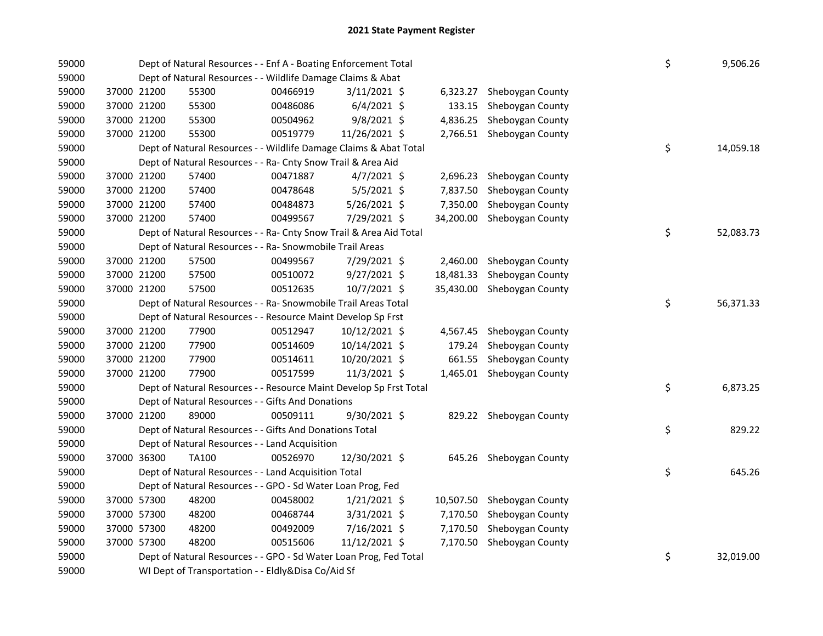| 59000 |             |             | Dept of Natural Resources - - Enf A - Boating Enforcement Total    |          |                |  |           |                           |  |    | 9,506.26  |
|-------|-------------|-------------|--------------------------------------------------------------------|----------|----------------|--|-----------|---------------------------|--|----|-----------|
| 59000 |             |             | Dept of Natural Resources - - Wildlife Damage Claims & Abat        |          |                |  |           |                           |  |    |           |
| 59000 |             | 37000 21200 | 55300                                                              | 00466919 | $3/11/2021$ \$ |  | 6,323.27  | Sheboygan County          |  |    |           |
| 59000 |             | 37000 21200 | 55300                                                              | 00486086 | $6/4/2021$ \$  |  | 133.15    | Sheboygan County          |  |    |           |
| 59000 |             | 37000 21200 | 55300                                                              | 00504962 | $9/8/2021$ \$  |  | 4,836.25  | Sheboygan County          |  |    |           |
| 59000 |             | 37000 21200 | 55300                                                              | 00519779 | 11/26/2021 \$  |  |           | 2,766.51 Sheboygan County |  |    |           |
| 59000 |             |             | Dept of Natural Resources - - Wildlife Damage Claims & Abat Total  |          |                |  |           |                           |  | \$ | 14,059.18 |
| 59000 |             |             | Dept of Natural Resources - - Ra- Cnty Snow Trail & Area Aid       |          |                |  |           |                           |  |    |           |
| 59000 |             | 37000 21200 | 57400                                                              | 00471887 | $4/7/2021$ \$  |  | 2,696.23  | Sheboygan County          |  |    |           |
| 59000 | 37000 21200 |             | 57400                                                              | 00478648 | $5/5/2021$ \$  |  | 7,837.50  | Sheboygan County          |  |    |           |
| 59000 |             | 37000 21200 | 57400                                                              | 00484873 | 5/26/2021 \$   |  | 7,350.00  | Sheboygan County          |  |    |           |
| 59000 |             | 37000 21200 | 57400                                                              | 00499567 | 7/29/2021 \$   |  | 34,200.00 | Sheboygan County          |  |    |           |
| 59000 |             |             | Dept of Natural Resources - - Ra- Cnty Snow Trail & Area Aid Total |          |                |  |           |                           |  | \$ | 52,083.73 |
| 59000 |             |             | Dept of Natural Resources - - Ra- Snowmobile Trail Areas           |          |                |  |           |                           |  |    |           |
| 59000 | 37000 21200 |             | 57500                                                              | 00499567 | 7/29/2021 \$   |  | 2,460.00  | Sheboygan County          |  |    |           |
| 59000 |             | 37000 21200 | 57500                                                              | 00510072 | $9/27/2021$ \$ |  | 18,481.33 | Sheboygan County          |  |    |           |
| 59000 |             | 37000 21200 | 57500                                                              | 00512635 | 10/7/2021 \$   |  | 35,430.00 | Sheboygan County          |  |    |           |
| 59000 |             |             | Dept of Natural Resources - - Ra- Snowmobile Trail Areas Total     |          |                |  |           |                           |  | \$ | 56,371.33 |
| 59000 |             |             | Dept of Natural Resources - - Resource Maint Develop Sp Frst       |          |                |  |           |                           |  |    |           |
| 59000 |             | 37000 21200 | 77900                                                              | 00512947 | 10/12/2021 \$  |  |           | 4,567.45 Sheboygan County |  |    |           |
| 59000 |             | 37000 21200 | 77900                                                              | 00514609 | 10/14/2021 \$  |  | 179.24    | Sheboygan County          |  |    |           |
| 59000 |             | 37000 21200 | 77900                                                              | 00514611 | 10/20/2021 \$  |  | 661.55    | Sheboygan County          |  |    |           |
| 59000 |             | 37000 21200 | 77900                                                              | 00517599 | 11/3/2021 \$   |  |           | 1,465.01 Sheboygan County |  |    |           |
| 59000 |             |             | Dept of Natural Resources - - Resource Maint Develop Sp Frst Total |          |                |  |           |                           |  | \$ | 6,873.25  |
| 59000 |             |             | Dept of Natural Resources - - Gifts And Donations                  |          |                |  |           |                           |  |    |           |
| 59000 |             | 37000 21200 | 89000                                                              | 00509111 | 9/30/2021 \$   |  |           | 829.22 Sheboygan County   |  |    |           |
| 59000 |             |             | Dept of Natural Resources - - Gifts And Donations Total            |          |                |  |           |                           |  | \$ | 829.22    |
| 59000 |             |             | Dept of Natural Resources - - Land Acquisition                     |          |                |  |           |                           |  |    |           |
| 59000 |             | 37000 36300 | TA100                                                              | 00526970 | 12/30/2021 \$  |  |           | 645.26 Sheboygan County   |  |    |           |
| 59000 |             |             | Dept of Natural Resources - - Land Acquisition Total               |          |                |  |           |                           |  | \$ | 645.26    |
| 59000 |             |             | Dept of Natural Resources - - GPO - Sd Water Loan Prog, Fed        |          |                |  |           |                           |  |    |           |
| 59000 |             | 37000 57300 | 48200                                                              | 00458002 | $1/21/2021$ \$ |  | 10,507.50 | Sheboygan County          |  |    |           |
| 59000 |             | 37000 57300 | 48200                                                              | 00468744 | 3/31/2021 \$   |  | 7,170.50  | Sheboygan County          |  |    |           |
| 59000 |             | 37000 57300 | 48200                                                              | 00492009 | 7/16/2021 \$   |  | 7,170.50  | Sheboygan County          |  |    |           |
| 59000 |             | 37000 57300 | 48200                                                              | 00515606 | 11/12/2021 \$  |  | 7,170.50  | Sheboygan County          |  |    |           |
| 59000 |             |             | Dept of Natural Resources - - GPO - Sd Water Loan Prog, Fed Total  |          |                |  |           |                           |  | \$ | 32,019.00 |
| 59000 |             |             | WI Dept of Transportation - - Eldly&Disa Co/Aid Sf                 |          |                |  |           |                           |  |    |           |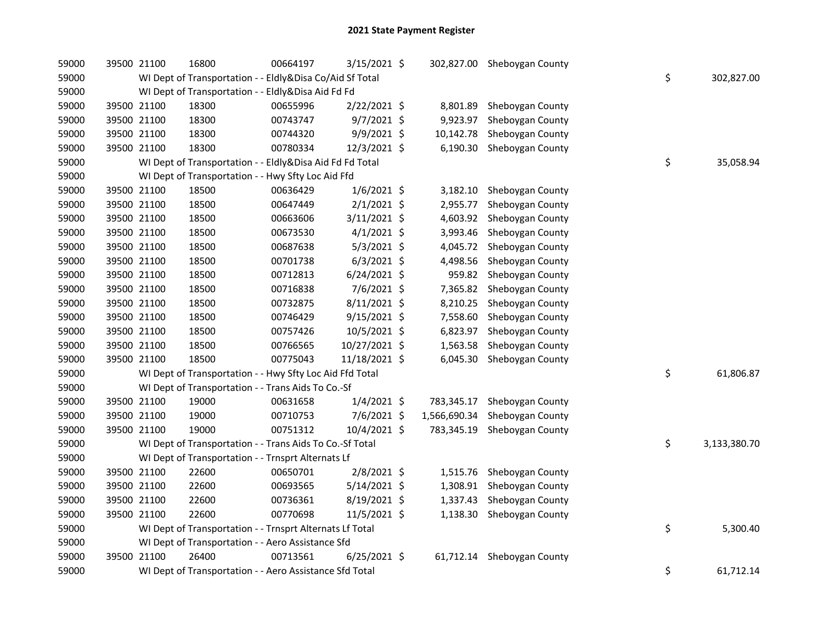| 59000 | 39500 21100 | 16800                                                    | 00664197 | 3/15/2021 \$   |              | 302,827.00 Sheboygan County |    |              |
|-------|-------------|----------------------------------------------------------|----------|----------------|--------------|-----------------------------|----|--------------|
| 59000 |             | WI Dept of Transportation - - Eldly&Disa Co/Aid Sf Total |          |                | \$           | 302,827.00                  |    |              |
| 59000 |             | WI Dept of Transportation - - Eldly&Disa Aid Fd Fd       |          |                |              |                             |    |              |
| 59000 | 39500 21100 | 18300                                                    | 00655996 | 2/22/2021 \$   |              | 8,801.89 Sheboygan County   |    |              |
| 59000 | 39500 21100 | 18300                                                    | 00743747 | 9/7/2021 \$    |              | 9,923.97 Sheboygan County   |    |              |
| 59000 | 39500 21100 | 18300                                                    | 00744320 | 9/9/2021 \$    | 10,142.78    | Sheboygan County            |    |              |
| 59000 | 39500 21100 | 18300                                                    | 00780334 | 12/3/2021 \$   |              | 6,190.30 Sheboygan County   |    |              |
| 59000 |             | WI Dept of Transportation - - Eldly&Disa Aid Fd Fd Total |          |                |              |                             | \$ | 35,058.94    |
| 59000 |             | WI Dept of Transportation - - Hwy Sfty Loc Aid Ffd       |          |                |              |                             |    |              |
| 59000 | 39500 21100 | 18500                                                    | 00636429 | $1/6/2021$ \$  |              | 3,182.10 Sheboygan County   |    |              |
| 59000 | 39500 21100 | 18500                                                    | 00647449 | $2/1/2021$ \$  | 2,955.77     | Sheboygan County            |    |              |
| 59000 | 39500 21100 | 18500                                                    | 00663606 | 3/11/2021 \$   | 4,603.92     | Sheboygan County            |    |              |
| 59000 | 39500 21100 | 18500                                                    | 00673530 | $4/1/2021$ \$  | 3,993.46     | Sheboygan County            |    |              |
| 59000 | 39500 21100 | 18500                                                    | 00687638 | 5/3/2021 \$    | 4,045.72     | Sheboygan County            |    |              |
| 59000 | 39500 21100 | 18500                                                    | 00701738 | $6/3/2021$ \$  | 4,498.56     | Sheboygan County            |    |              |
| 59000 | 39500 21100 | 18500                                                    | 00712813 | $6/24/2021$ \$ | 959.82       | Sheboygan County            |    |              |
| 59000 | 39500 21100 | 18500                                                    | 00716838 | 7/6/2021 \$    | 7,365.82     | Sheboygan County            |    |              |
| 59000 | 39500 21100 | 18500                                                    | 00732875 | 8/11/2021 \$   | 8,210.25     | Sheboygan County            |    |              |
| 59000 | 39500 21100 | 18500                                                    | 00746429 | $9/15/2021$ \$ | 7,558.60     | Sheboygan County            |    |              |
| 59000 | 39500 21100 | 18500                                                    | 00757426 | 10/5/2021 \$   | 6,823.97     | Sheboygan County            |    |              |
| 59000 | 39500 21100 | 18500                                                    | 00766565 | 10/27/2021 \$  | 1,563.58     | Sheboygan County            |    |              |
| 59000 | 39500 21100 | 18500                                                    | 00775043 | 11/18/2021 \$  |              | 6,045.30 Sheboygan County   |    |              |
| 59000 |             | WI Dept of Transportation - - Hwy Sfty Loc Aid Ffd Total |          |                |              |                             | \$ | 61,806.87    |
| 59000 |             | WI Dept of Transportation - - Trans Aids To Co.-Sf       |          |                |              |                             |    |              |
| 59000 | 39500 21100 | 19000                                                    | 00631658 | $1/4/2021$ \$  | 783,345.17   | Sheboygan County            |    |              |
| 59000 | 39500 21100 | 19000                                                    | 00710753 | 7/6/2021 \$    | 1,566,690.34 | Sheboygan County            |    |              |
| 59000 | 39500 21100 | 19000                                                    | 00751312 | 10/4/2021 \$   | 783,345.19   | Sheboygan County            |    |              |
| 59000 |             | WI Dept of Transportation - - Trans Aids To Co.-Sf Total |          |                |              |                             | \$ | 3,133,380.70 |
| 59000 |             | WI Dept of Transportation - - Trnsprt Alternats Lf       |          |                |              |                             |    |              |
| 59000 | 39500 21100 | 22600                                                    | 00650701 | 2/8/2021 \$    |              | 1,515.76 Sheboygan County   |    |              |
| 59000 | 39500 21100 | 22600                                                    | 00693565 | $5/14/2021$ \$ |              | 1,308.91 Sheboygan County   |    |              |
| 59000 | 39500 21100 | 22600                                                    | 00736361 | $8/19/2021$ \$ |              | 1,337.43 Sheboygan County   |    |              |
| 59000 | 39500 21100 | 22600                                                    | 00770698 | 11/5/2021 \$   |              | 1,138.30 Sheboygan County   |    |              |
| 59000 |             | WI Dept of Transportation - - Trnsprt Alternats Lf Total |          |                |              |                             | \$ | 5,300.40     |
| 59000 |             | WI Dept of Transportation - - Aero Assistance Sfd        |          |                |              |                             |    |              |
| 59000 | 39500 21100 | 26400                                                    | 00713561 | $6/25/2021$ \$ |              | 61,712.14 Sheboygan County  |    |              |
| 59000 |             | WI Dept of Transportation - - Aero Assistance Sfd Total  |          |                |              |                             | \$ | 61,712.14    |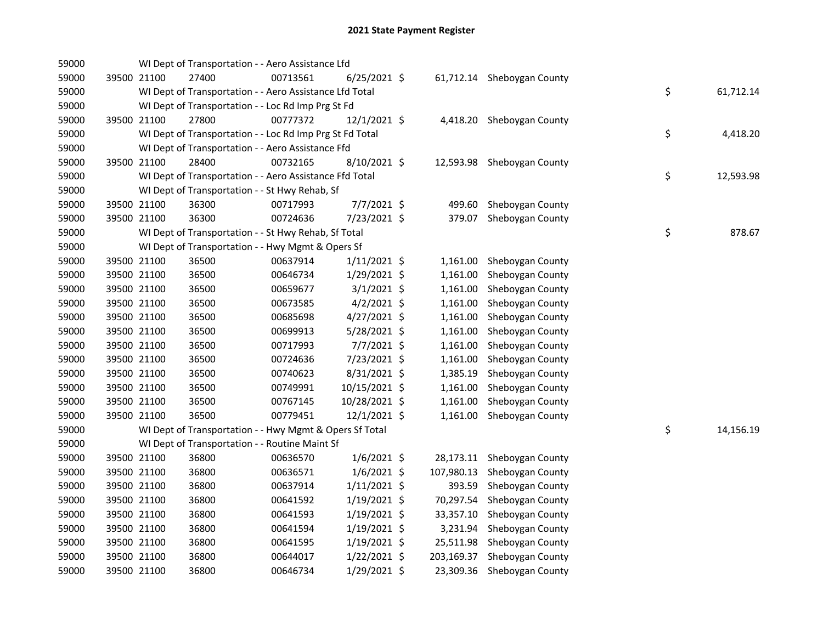| 59000 |             | WI Dept of Transportation - - Aero Assistance Lfd        |          |                |            |                            |    |           |
|-------|-------------|----------------------------------------------------------|----------|----------------|------------|----------------------------|----|-----------|
| 59000 | 39500 21100 | 27400                                                    | 00713561 | $6/25/2021$ \$ |            | 61,712.14 Sheboygan County |    |           |
| 59000 |             | WI Dept of Transportation - - Aero Assistance Lfd Total  |          |                |            |                            | \$ | 61,712.14 |
| 59000 |             | WI Dept of Transportation - - Loc Rd Imp Prg St Fd       |          |                |            |                            |    |           |
| 59000 | 39500 21100 | 27800                                                    | 00777372 | 12/1/2021 \$   |            | 4,418.20 Sheboygan County  |    |           |
| 59000 |             | WI Dept of Transportation - - Loc Rd Imp Prg St Fd Total |          |                |            |                            | \$ | 4,418.20  |
| 59000 |             | WI Dept of Transportation - - Aero Assistance Ffd        |          |                |            |                            |    |           |
| 59000 | 39500 21100 | 28400                                                    | 00732165 | 8/10/2021 \$   |            | 12,593.98 Sheboygan County |    |           |
| 59000 |             | WI Dept of Transportation - - Aero Assistance Ffd Total  |          |                |            |                            | \$ | 12,593.98 |
| 59000 |             | WI Dept of Transportation - - St Hwy Rehab, Sf           |          |                |            |                            |    |           |
| 59000 | 39500 21100 | 36300                                                    | 00717993 | 7/7/2021 \$    | 499.60     | Sheboygan County           |    |           |
| 59000 | 39500 21100 | 36300                                                    | 00724636 | 7/23/2021 \$   | 379.07     | Sheboygan County           |    |           |
| 59000 |             | WI Dept of Transportation - - St Hwy Rehab, Sf Total     |          |                |            |                            | \$ | 878.67    |
| 59000 |             | WI Dept of Transportation - - Hwy Mgmt & Opers Sf        |          |                |            |                            |    |           |
| 59000 | 39500 21100 | 36500                                                    | 00637914 | $1/11/2021$ \$ | 1,161.00   | Sheboygan County           |    |           |
| 59000 | 39500 21100 | 36500                                                    | 00646734 | 1/29/2021 \$   | 1,161.00   | Sheboygan County           |    |           |
| 59000 | 39500 21100 | 36500                                                    | 00659677 | $3/1/2021$ \$  | 1,161.00   | Sheboygan County           |    |           |
| 59000 | 39500 21100 | 36500                                                    | 00673585 | $4/2/2021$ \$  | 1,161.00   | Sheboygan County           |    |           |
| 59000 | 39500 21100 | 36500                                                    | 00685698 | 4/27/2021 \$   | 1,161.00   | Sheboygan County           |    |           |
| 59000 | 39500 21100 | 36500                                                    | 00699913 | 5/28/2021 \$   | 1,161.00   | Sheboygan County           |    |           |
| 59000 | 39500 21100 | 36500                                                    | 00717993 | 7/7/2021 \$    | 1,161.00   | Sheboygan County           |    |           |
| 59000 | 39500 21100 | 36500                                                    | 00724636 | 7/23/2021 \$   | 1,161.00   | Sheboygan County           |    |           |
| 59000 | 39500 21100 | 36500                                                    | 00740623 | 8/31/2021 \$   | 1,385.19   | Sheboygan County           |    |           |
| 59000 | 39500 21100 | 36500                                                    | 00749991 | 10/15/2021 \$  | 1,161.00   | Sheboygan County           |    |           |
| 59000 | 39500 21100 | 36500                                                    | 00767145 | 10/28/2021 \$  | 1,161.00   | Sheboygan County           |    |           |
| 59000 | 39500 21100 | 36500                                                    | 00779451 | 12/1/2021 \$   | 1,161.00   | Sheboygan County           |    |           |
| 59000 |             | WI Dept of Transportation - - Hwy Mgmt & Opers Sf Total  |          |                |            |                            | \$ | 14,156.19 |
| 59000 |             | WI Dept of Transportation - - Routine Maint Sf           |          |                |            |                            |    |           |
| 59000 | 39500 21100 | 36800                                                    | 00636570 | $1/6/2021$ \$  |            | 28,173.11 Sheboygan County |    |           |
| 59000 | 39500 21100 | 36800                                                    | 00636571 | $1/6/2021$ \$  | 107,980.13 | Sheboygan County           |    |           |
| 59000 | 39500 21100 | 36800                                                    | 00637914 | $1/11/2021$ \$ | 393.59     | Sheboygan County           |    |           |
| 59000 | 39500 21100 | 36800                                                    | 00641592 | $1/19/2021$ \$ |            | 70,297.54 Sheboygan County |    |           |
| 59000 | 39500 21100 | 36800                                                    | 00641593 | $1/19/2021$ \$ |            | 33,357.10 Sheboygan County |    |           |
| 59000 | 39500 21100 | 36800                                                    | 00641594 | $1/19/2021$ \$ |            | 3,231.94 Sheboygan County  |    |           |
| 59000 | 39500 21100 | 36800                                                    | 00641595 | $1/19/2021$ \$ | 25,511.98  | Sheboygan County           |    |           |
| 59000 | 39500 21100 | 36800                                                    | 00644017 | $1/22/2021$ \$ | 203,169.37 | Sheboygan County           |    |           |
| 59000 | 39500 21100 | 36800                                                    | 00646734 | 1/29/2021 \$   |            | 23,309.36 Sheboygan County |    |           |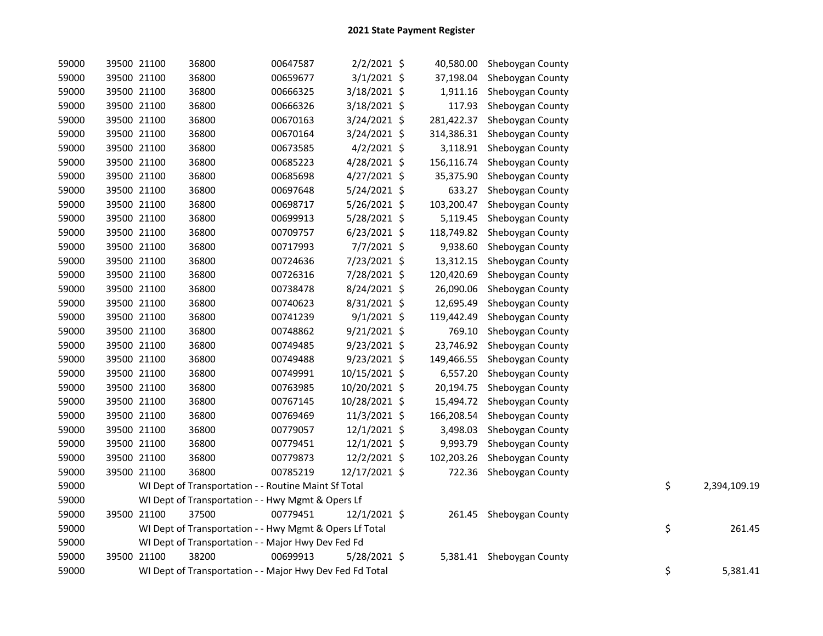| 59000 | 39500 21100 | 36800                                                    | 00647587 | $2/2/2021$ \$  | 40,580.00  | Sheboygan County        |    |              |
|-------|-------------|----------------------------------------------------------|----------|----------------|------------|-------------------------|----|--------------|
| 59000 | 39500 21100 | 36800                                                    | 00659677 | $3/1/2021$ \$  | 37,198.04  | Sheboygan County        |    |              |
| 59000 | 39500 21100 | 36800                                                    | 00666325 | 3/18/2021 \$   | 1,911.16   | Sheboygan County        |    |              |
| 59000 | 39500 21100 | 36800                                                    | 00666326 | 3/18/2021 \$   | 117.93     | Sheboygan County        |    |              |
| 59000 | 39500 21100 | 36800                                                    | 00670163 | 3/24/2021 \$   | 281,422.37 | Sheboygan County        |    |              |
| 59000 | 39500 21100 | 36800                                                    | 00670164 | $3/24/2021$ \$ | 314,386.31 | Sheboygan County        |    |              |
| 59000 | 39500 21100 | 36800                                                    | 00673585 | $4/2/2021$ \$  | 3,118.91   | Sheboygan County        |    |              |
| 59000 | 39500 21100 | 36800                                                    | 00685223 | 4/28/2021 \$   | 156,116.74 | Sheboygan County        |    |              |
| 59000 | 39500 21100 | 36800                                                    | 00685698 | $4/27/2021$ \$ | 35,375.90  | Sheboygan County        |    |              |
| 59000 | 39500 21100 | 36800                                                    | 00697648 | $5/24/2021$ \$ | 633.27     | Sheboygan County        |    |              |
| 59000 | 39500 21100 | 36800                                                    | 00698717 | $5/26/2021$ \$ | 103,200.47 | Sheboygan County        |    |              |
| 59000 | 39500 21100 | 36800                                                    | 00699913 | 5/28/2021 \$   | 5,119.45   | Sheboygan County        |    |              |
| 59000 | 39500 21100 | 36800                                                    | 00709757 | $6/23/2021$ \$ | 118,749.82 | Sheboygan County        |    |              |
| 59000 | 39500 21100 | 36800                                                    | 00717993 | 7/7/2021 \$    | 9,938.60   | Sheboygan County        |    |              |
| 59000 | 39500 21100 | 36800                                                    | 00724636 | 7/23/2021 \$   | 13,312.15  | Sheboygan County        |    |              |
| 59000 | 39500 21100 | 36800                                                    | 00726316 | 7/28/2021 \$   | 120,420.69 | Sheboygan County        |    |              |
| 59000 | 39500 21100 | 36800                                                    | 00738478 | 8/24/2021 \$   | 26,090.06  | Sheboygan County        |    |              |
| 59000 | 39500 21100 | 36800                                                    | 00740623 | 8/31/2021 \$   | 12,695.49  | Sheboygan County        |    |              |
| 59000 | 39500 21100 | 36800                                                    | 00741239 | $9/1/2021$ \$  | 119,442.49 | Sheboygan County        |    |              |
| 59000 | 39500 21100 | 36800                                                    | 00748862 | $9/21/2021$ \$ | 769.10     | Sheboygan County        |    |              |
| 59000 | 39500 21100 | 36800                                                    | 00749485 | $9/23/2021$ \$ | 23,746.92  | Sheboygan County        |    |              |
| 59000 | 39500 21100 | 36800                                                    | 00749488 | $9/23/2021$ \$ | 149,466.55 | Sheboygan County        |    |              |
| 59000 | 39500 21100 | 36800                                                    | 00749991 | 10/15/2021 \$  | 6,557.20   | Sheboygan County        |    |              |
| 59000 | 39500 21100 | 36800                                                    | 00763985 | 10/20/2021 \$  | 20,194.75  | Sheboygan County        |    |              |
| 59000 | 39500 21100 | 36800                                                    | 00767145 | 10/28/2021 \$  | 15,494.72  | Sheboygan County        |    |              |
| 59000 | 39500 21100 | 36800                                                    | 00769469 | 11/3/2021 \$   | 166,208.54 | Sheboygan County        |    |              |
| 59000 | 39500 21100 | 36800                                                    | 00779057 | 12/1/2021 \$   | 3,498.03   | Sheboygan County        |    |              |
| 59000 | 39500 21100 | 36800                                                    | 00779451 | 12/1/2021 \$   | 9,993.79   | Sheboygan County        |    |              |
| 59000 | 39500 21100 | 36800                                                    | 00779873 | 12/2/2021 \$   | 102,203.26 | Sheboygan County        |    |              |
| 59000 | 39500 21100 | 36800                                                    | 00785219 | 12/17/2021 \$  | 722.36     | Sheboygan County        |    |              |
| 59000 |             | WI Dept of Transportation - - Routine Maint Sf Total     |          |                |            |                         | \$ | 2,394,109.19 |
| 59000 |             | WI Dept of Transportation - - Hwy Mgmt & Opers Lf        |          |                |            |                         |    |              |
| 59000 | 39500 21100 | 37500                                                    | 00779451 | 12/1/2021 \$   |            | 261.45 Sheboygan County |    |              |
| 59000 |             | WI Dept of Transportation - - Hwy Mgmt & Opers Lf Total  |          |                |            |                         | \$ | 261.45       |
| 59000 |             | WI Dept of Transportation - - Major Hwy Dev Fed Fd       |          |                |            |                         |    |              |
| 59000 | 39500 21100 | 38200                                                    | 00699913 | 5/28/2021 \$   | 5,381.41   | Sheboygan County        |    |              |
| 59000 |             | WI Dept of Transportation - - Major Hwy Dev Fed Fd Total |          |                |            |                         | \$ | 5,381.41     |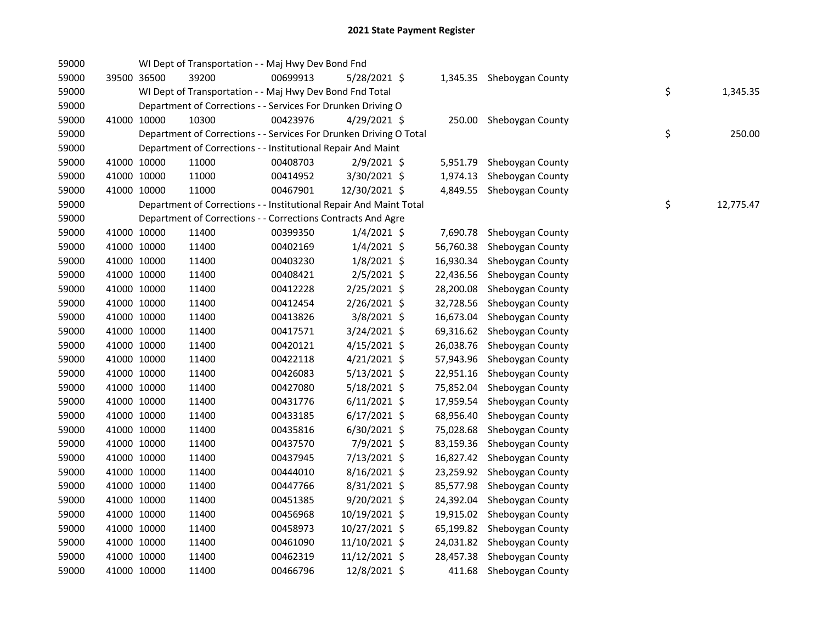| 59000 |             | WI Dept of Transportation - - Maj Hwy Dev Bond Fnd                 |          |                |           |                  |    |           |
|-------|-------------|--------------------------------------------------------------------|----------|----------------|-----------|------------------|----|-----------|
| 59000 | 39500 36500 | 39200                                                              | 00699913 | 5/28/2021 \$   | 1,345.35  | Sheboygan County |    |           |
| 59000 |             | WI Dept of Transportation - - Maj Hwy Dev Bond Fnd Total           |          |                |           |                  | \$ | 1,345.35  |
| 59000 |             | Department of Corrections - - Services For Drunken Driving O       |          |                |           |                  |    |           |
| 59000 | 41000 10000 | 10300                                                              | 00423976 | 4/29/2021 \$   | 250.00    | Sheboygan County |    |           |
| 59000 |             | Department of Corrections - - Services For Drunken Driving O Total |          |                |           |                  | \$ | 250.00    |
| 59000 |             | Department of Corrections - - Institutional Repair And Maint       |          |                |           |                  |    |           |
| 59000 | 41000 10000 | 11000                                                              | 00408703 | 2/9/2021 \$    | 5,951.79  | Sheboygan County |    |           |
| 59000 | 41000 10000 | 11000                                                              | 00414952 | 3/30/2021 \$   | 1,974.13  | Sheboygan County |    |           |
| 59000 | 41000 10000 | 11000                                                              | 00467901 | 12/30/2021 \$  | 4,849.55  | Sheboygan County |    |           |
| 59000 |             | Department of Corrections - - Institutional Repair And Maint Total |          |                |           |                  | \$ | 12,775.47 |
| 59000 |             | Department of Corrections - - Corrections Contracts And Agre       |          |                |           |                  |    |           |
| 59000 | 41000 10000 | 11400                                                              | 00399350 | $1/4/2021$ \$  | 7,690.78  | Sheboygan County |    |           |
| 59000 | 41000 10000 | 11400                                                              | 00402169 | $1/4/2021$ \$  | 56,760.38 | Sheboygan County |    |           |
| 59000 | 41000 10000 | 11400                                                              | 00403230 | $1/8/2021$ \$  | 16,930.34 | Sheboygan County |    |           |
| 59000 | 41000 10000 | 11400                                                              | 00408421 | 2/5/2021 \$    | 22,436.56 | Sheboygan County |    |           |
| 59000 | 41000 10000 | 11400                                                              | 00412228 | 2/25/2021 \$   | 28,200.08 | Sheboygan County |    |           |
| 59000 | 41000 10000 | 11400                                                              | 00412454 | 2/26/2021 \$   | 32,728.56 | Sheboygan County |    |           |
| 59000 | 41000 10000 | 11400                                                              | 00413826 | 3/8/2021 \$    | 16,673.04 | Sheboygan County |    |           |
| 59000 | 41000 10000 | 11400                                                              | 00417571 | 3/24/2021 \$   | 69,316.62 | Sheboygan County |    |           |
| 59000 | 41000 10000 | 11400                                                              | 00420121 | $4/15/2021$ \$ | 26,038.76 | Sheboygan County |    |           |
| 59000 | 41000 10000 | 11400                                                              | 00422118 | $4/21/2021$ \$ | 57,943.96 | Sheboygan County |    |           |
| 59000 | 41000 10000 | 11400                                                              | 00426083 | $5/13/2021$ \$ | 22,951.16 | Sheboygan County |    |           |
| 59000 | 41000 10000 | 11400                                                              | 00427080 | $5/18/2021$ \$ | 75,852.04 | Sheboygan County |    |           |
| 59000 | 41000 10000 | 11400                                                              | 00431776 | $6/11/2021$ \$ | 17,959.54 | Sheboygan County |    |           |
| 59000 | 41000 10000 | 11400                                                              | 00433185 | 6/17/2021 \$   | 68,956.40 | Sheboygan County |    |           |
| 59000 | 41000 10000 | 11400                                                              | 00435816 | $6/30/2021$ \$ | 75,028.68 | Sheboygan County |    |           |
| 59000 | 41000 10000 | 11400                                                              | 00437570 | 7/9/2021 \$    | 83,159.36 | Sheboygan County |    |           |
| 59000 | 41000 10000 | 11400                                                              | 00437945 | 7/13/2021 \$   | 16,827.42 | Sheboygan County |    |           |
| 59000 | 41000 10000 | 11400                                                              | 00444010 | 8/16/2021 \$   | 23,259.92 | Sheboygan County |    |           |
| 59000 | 41000 10000 | 11400                                                              | 00447766 | 8/31/2021 \$   | 85,577.98 | Sheboygan County |    |           |
| 59000 | 41000 10000 | 11400                                                              | 00451385 | $9/20/2021$ \$ | 24,392.04 | Sheboygan County |    |           |
| 59000 | 41000 10000 | 11400                                                              | 00456968 | 10/19/2021 \$  | 19,915.02 | Sheboygan County |    |           |
| 59000 | 41000 10000 | 11400                                                              | 00458973 | 10/27/2021 \$  | 65,199.82 | Sheboygan County |    |           |
| 59000 | 41000 10000 | 11400                                                              | 00461090 | 11/10/2021 \$  | 24,031.82 | Sheboygan County |    |           |
| 59000 | 41000 10000 | 11400                                                              | 00462319 | 11/12/2021 \$  | 28,457.38 | Sheboygan County |    |           |
| 59000 | 41000 10000 | 11400                                                              | 00466796 | 12/8/2021 \$   | 411.68    | Sheboygan County |    |           |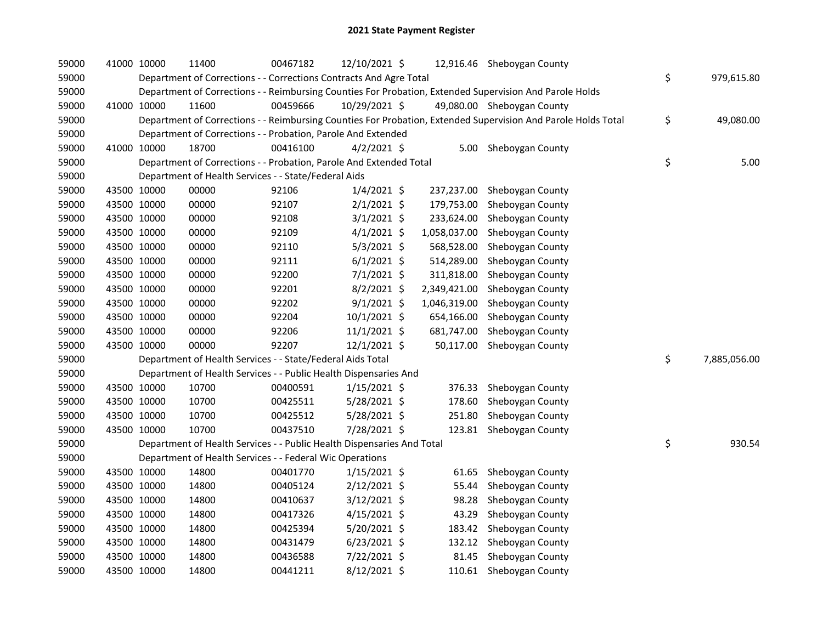| 59000 | 41000 10000 | 11400                                                                  | 00467182 | 12/10/2021 \$  |              | 12,916.46 Sheboygan County                                                                                    |                    |
|-------|-------------|------------------------------------------------------------------------|----------|----------------|--------------|---------------------------------------------------------------------------------------------------------------|--------------------|
| 59000 |             | Department of Corrections - - Corrections Contracts And Agre Total     |          |                |              |                                                                                                               | \$<br>979,615.80   |
| 59000 |             |                                                                        |          |                |              | Department of Corrections - - Reimbursing Counties For Probation, Extended Supervision And Parole Holds       |                    |
| 59000 | 41000 10000 | 11600                                                                  | 00459666 | 10/29/2021 \$  |              | 49,080.00 Sheboygan County                                                                                    |                    |
| 59000 |             |                                                                        |          |                |              | Department of Corrections - - Reimbursing Counties For Probation, Extended Supervision And Parole Holds Total | \$<br>49,080.00    |
| 59000 |             | Department of Corrections - - Probation, Parole And Extended           |          |                |              |                                                                                                               |                    |
| 59000 | 41000 10000 | 18700                                                                  | 00416100 | $4/2/2021$ \$  |              | 5.00 Sheboygan County                                                                                         |                    |
| 59000 |             | Department of Corrections - - Probation, Parole And Extended Total     |          |                |              |                                                                                                               | \$<br>5.00         |
| 59000 |             | Department of Health Services - - State/Federal Aids                   |          |                |              |                                                                                                               |                    |
| 59000 | 43500 10000 | 00000                                                                  | 92106    | $1/4/2021$ \$  | 237,237.00   | Sheboygan County                                                                                              |                    |
| 59000 | 43500 10000 | 00000                                                                  | 92107    | $2/1/2021$ \$  | 179,753.00   | Sheboygan County                                                                                              |                    |
| 59000 | 43500 10000 | 00000                                                                  | 92108    | $3/1/2021$ \$  | 233,624.00   | Sheboygan County                                                                                              |                    |
| 59000 | 43500 10000 | 00000                                                                  | 92109    | $4/1/2021$ \$  | 1,058,037.00 | Sheboygan County                                                                                              |                    |
| 59000 | 43500 10000 | 00000                                                                  | 92110    | $5/3/2021$ \$  | 568,528.00   | Sheboygan County                                                                                              |                    |
| 59000 | 43500 10000 | 00000                                                                  | 92111    | $6/1/2021$ \$  | 514,289.00   | Sheboygan County                                                                                              |                    |
| 59000 | 43500 10000 | 00000                                                                  | 92200    | 7/1/2021 \$    | 311,818.00   | Sheboygan County                                                                                              |                    |
| 59000 | 43500 10000 | 00000                                                                  | 92201    | $8/2/2021$ \$  | 2,349,421.00 | Sheboygan County                                                                                              |                    |
| 59000 | 43500 10000 | 00000                                                                  | 92202    | $9/1/2021$ \$  | 1,046,319.00 | Sheboygan County                                                                                              |                    |
| 59000 | 43500 10000 | 00000                                                                  | 92204    | 10/1/2021 \$   | 654,166.00   | Sheboygan County                                                                                              |                    |
| 59000 | 43500 10000 | 00000                                                                  | 92206    | $11/1/2021$ \$ | 681,747.00   | Sheboygan County                                                                                              |                    |
| 59000 | 43500 10000 | 00000                                                                  | 92207    | 12/1/2021 \$   | 50,117.00    | Sheboygan County                                                                                              |                    |
| 59000 |             | Department of Health Services - - State/Federal Aids Total             |          |                |              |                                                                                                               | \$<br>7,885,056.00 |
| 59000 |             | Department of Health Services - - Public Health Dispensaries And       |          |                |              |                                                                                                               |                    |
| 59000 | 43500 10000 | 10700                                                                  | 00400591 | $1/15/2021$ \$ | 376.33       | Sheboygan County                                                                                              |                    |
| 59000 | 43500 10000 | 10700                                                                  | 00425511 | 5/28/2021 \$   | 178.60       | Sheboygan County                                                                                              |                    |
| 59000 | 43500 10000 | 10700                                                                  | 00425512 | $5/28/2021$ \$ | 251.80       | Sheboygan County                                                                                              |                    |
| 59000 | 43500 10000 | 10700                                                                  | 00437510 | 7/28/2021 \$   | 123.81       | Sheboygan County                                                                                              |                    |
| 59000 |             | Department of Health Services - - Public Health Dispensaries And Total |          |                |              |                                                                                                               | \$<br>930.54       |
| 59000 |             | Department of Health Services - - Federal Wic Operations               |          |                |              |                                                                                                               |                    |
| 59000 | 43500 10000 | 14800                                                                  | 00401770 | $1/15/2021$ \$ | 61.65        | Sheboygan County                                                                                              |                    |
| 59000 | 43500 10000 | 14800                                                                  | 00405124 | $2/12/2021$ \$ | 55.44        | Sheboygan County                                                                                              |                    |
| 59000 | 43500 10000 | 14800                                                                  | 00410637 | $3/12/2021$ \$ | 98.28        | Sheboygan County                                                                                              |                    |
| 59000 | 43500 10000 | 14800                                                                  | 00417326 | $4/15/2021$ \$ | 43.29        | Sheboygan County                                                                                              |                    |
| 59000 | 43500 10000 | 14800                                                                  | 00425394 | 5/20/2021 \$   | 183.42       | Sheboygan County                                                                                              |                    |
| 59000 | 43500 10000 | 14800                                                                  | 00431479 | $6/23/2021$ \$ |              | 132.12 Sheboygan County                                                                                       |                    |
| 59000 | 43500 10000 | 14800                                                                  | 00436588 | 7/22/2021 \$   | 81.45        | Sheboygan County                                                                                              |                    |
| 59000 | 43500 10000 | 14800                                                                  | 00441211 | 8/12/2021 \$   |              | 110.61 Sheboygan County                                                                                       |                    |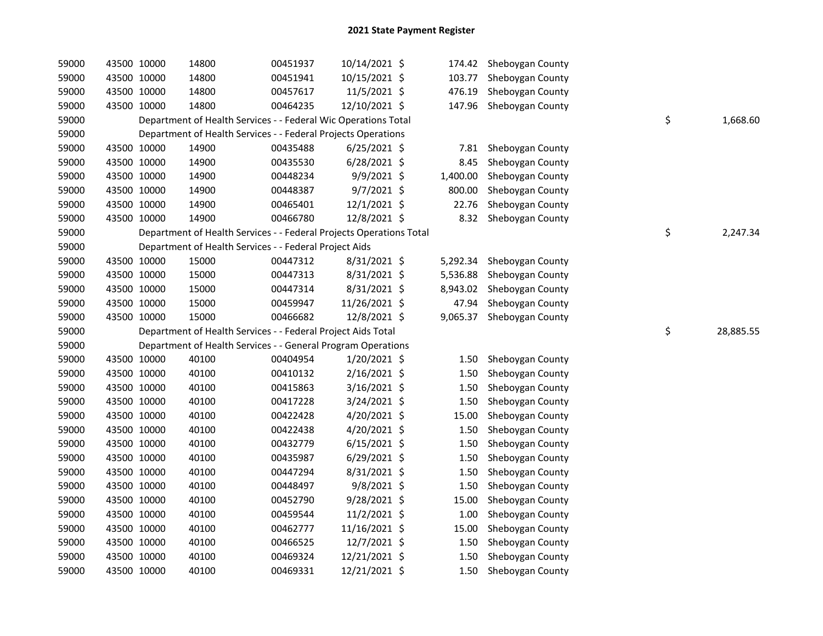| 59000 |             | 43500 10000 | 14800 | 00451937                                                            | 10/14/2021 \$  | 174.42   | Sheboygan County |    |           |
|-------|-------------|-------------|-------|---------------------------------------------------------------------|----------------|----------|------------------|----|-----------|
| 59000 |             | 43500 10000 | 14800 | 00451941                                                            | 10/15/2021 \$  | 103.77   | Sheboygan County |    |           |
| 59000 |             | 43500 10000 | 14800 | 00457617                                                            | 11/5/2021 \$   | 476.19   | Sheboygan County |    |           |
| 59000 |             | 43500 10000 | 14800 | 00464235                                                            | 12/10/2021 \$  | 147.96   | Sheboygan County |    |           |
| 59000 |             |             |       | Department of Health Services - - Federal Wic Operations Total      |                |          |                  | \$ | 1,668.60  |
| 59000 |             |             |       | Department of Health Services - - Federal Projects Operations       |                |          |                  |    |           |
| 59000 |             | 43500 10000 | 14900 | 00435488                                                            | $6/25/2021$ \$ | 7.81     | Sheboygan County |    |           |
| 59000 |             | 43500 10000 | 14900 | 00435530                                                            | $6/28/2021$ \$ | 8.45     | Sheboygan County |    |           |
| 59000 |             | 43500 10000 | 14900 | 00448234                                                            | 9/9/2021 \$    | 1,400.00 | Sheboygan County |    |           |
| 59000 |             | 43500 10000 | 14900 | 00448387                                                            | $9/7/2021$ \$  | 800.00   | Sheboygan County |    |           |
| 59000 |             | 43500 10000 | 14900 | 00465401                                                            | $12/1/2021$ \$ | 22.76    | Sheboygan County |    |           |
| 59000 |             | 43500 10000 | 14900 | 00466780                                                            | 12/8/2021 \$   | 8.32     | Sheboygan County |    |           |
| 59000 |             |             |       | Department of Health Services - - Federal Projects Operations Total |                |          |                  | \$ | 2,247.34  |
| 59000 |             |             |       | Department of Health Services - - Federal Project Aids              |                |          |                  |    |           |
| 59000 |             | 43500 10000 | 15000 | 00447312                                                            | $8/31/2021$ \$ | 5,292.34 | Sheboygan County |    |           |
| 59000 |             | 43500 10000 | 15000 | 00447313                                                            | 8/31/2021 \$   | 5,536.88 | Sheboygan County |    |           |
| 59000 |             | 43500 10000 | 15000 | 00447314                                                            | 8/31/2021 \$   | 8,943.02 | Sheboygan County |    |           |
| 59000 |             | 43500 10000 | 15000 | 00459947                                                            | 11/26/2021 \$  | 47.94    | Sheboygan County |    |           |
| 59000 |             | 43500 10000 | 15000 | 00466682                                                            | 12/8/2021 \$   | 9,065.37 | Sheboygan County |    |           |
| 59000 |             |             |       | Department of Health Services - - Federal Project Aids Total        |                |          |                  | \$ | 28,885.55 |
| 59000 |             |             |       | Department of Health Services - - General Program Operations        |                |          |                  |    |           |
| 59000 |             | 43500 10000 | 40100 | 00404954                                                            | 1/20/2021 \$   | 1.50     | Sheboygan County |    |           |
| 59000 |             | 43500 10000 | 40100 | 00410132                                                            | 2/16/2021 \$   | 1.50     | Sheboygan County |    |           |
| 59000 |             | 43500 10000 | 40100 | 00415863                                                            | $3/16/2021$ \$ | 1.50     | Sheboygan County |    |           |
| 59000 |             | 43500 10000 | 40100 | 00417228                                                            | 3/24/2021 \$   | 1.50     | Sheboygan County |    |           |
| 59000 |             | 43500 10000 | 40100 | 00422428                                                            | 4/20/2021 \$   | 15.00    | Sheboygan County |    |           |
| 59000 |             | 43500 10000 | 40100 | 00422438                                                            | 4/20/2021 \$   | 1.50     | Sheboygan County |    |           |
| 59000 |             | 43500 10000 | 40100 | 00432779                                                            | $6/15/2021$ \$ | 1.50     | Sheboygan County |    |           |
| 59000 |             | 43500 10000 | 40100 | 00435987                                                            | $6/29/2021$ \$ | 1.50     | Sheboygan County |    |           |
| 59000 |             | 43500 10000 | 40100 | 00447294                                                            | $8/31/2021$ \$ | 1.50     | Sheboygan County |    |           |
| 59000 |             | 43500 10000 | 40100 | 00448497                                                            | $9/8/2021$ \$  | 1.50     | Sheboygan County |    |           |
| 59000 |             | 43500 10000 | 40100 | 00452790                                                            | $9/28/2021$ \$ | 15.00    | Sheboygan County |    |           |
| 59000 |             | 43500 10000 | 40100 | 00459544                                                            | 11/2/2021 \$   | 1.00     | Sheboygan County |    |           |
| 59000 |             | 43500 10000 | 40100 | 00462777                                                            | 11/16/2021 \$  | 15.00    | Sheboygan County |    |           |
| 59000 |             | 43500 10000 | 40100 | 00466525                                                            | 12/7/2021 \$   | 1.50     | Sheboygan County |    |           |
| 59000 |             | 43500 10000 | 40100 | 00469324                                                            | 12/21/2021 \$  | 1.50     | Sheboygan County |    |           |
| 59000 | 43500 10000 |             | 40100 | 00469331                                                            | 12/21/2021 \$  | 1.50     | Sheboygan County |    |           |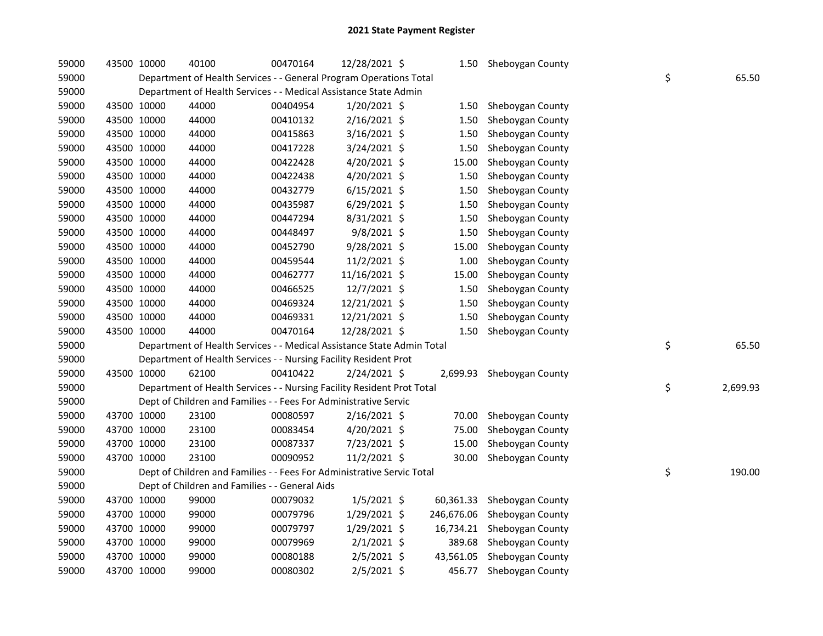| 59000 | 43500 10000 | 40100                                                                  | 00470164 | 12/28/2021 \$  |           | 1.50 Sheboygan County       |                |
|-------|-------------|------------------------------------------------------------------------|----------|----------------|-----------|-----------------------------|----------------|
| 59000 |             | Department of Health Services - - General Program Operations Total     |          |                |           |                             | \$<br>65.50    |
| 59000 |             | Department of Health Services - - Medical Assistance State Admin       |          |                |           |                             |                |
| 59000 | 43500 10000 | 44000                                                                  | 00404954 | 1/20/2021 \$   | 1.50      | Sheboygan County            |                |
| 59000 | 43500 10000 | 44000                                                                  | 00410132 | 2/16/2021 \$   | 1.50      | Sheboygan County            |                |
| 59000 | 43500 10000 | 44000                                                                  | 00415863 | 3/16/2021 \$   | 1.50      | Sheboygan County            |                |
| 59000 | 43500 10000 | 44000                                                                  | 00417228 | 3/24/2021 \$   | 1.50      | Sheboygan County            |                |
| 59000 | 43500 10000 | 44000                                                                  | 00422428 | 4/20/2021 \$   | 15.00     | Sheboygan County            |                |
| 59000 | 43500 10000 | 44000                                                                  | 00422438 | 4/20/2021 \$   | 1.50      | Sheboygan County            |                |
| 59000 | 43500 10000 | 44000                                                                  | 00432779 | $6/15/2021$ \$ | 1.50      | Sheboygan County            |                |
| 59000 | 43500 10000 | 44000                                                                  | 00435987 | 6/29/2021 \$   | 1.50      | Sheboygan County            |                |
| 59000 | 43500 10000 | 44000                                                                  | 00447294 | 8/31/2021 \$   | 1.50      | Sheboygan County            |                |
| 59000 | 43500 10000 | 44000                                                                  | 00448497 | $9/8/2021$ \$  | 1.50      | Sheboygan County            |                |
| 59000 | 43500 10000 | 44000                                                                  | 00452790 | 9/28/2021 \$   | 15.00     | Sheboygan County            |                |
| 59000 | 43500 10000 | 44000                                                                  | 00459544 | 11/2/2021 \$   | 1.00      | Sheboygan County            |                |
| 59000 | 43500 10000 | 44000                                                                  | 00462777 | 11/16/2021 \$  | 15.00     | Sheboygan County            |                |
| 59000 | 43500 10000 | 44000                                                                  | 00466525 | 12/7/2021 \$   | 1.50      | Sheboygan County            |                |
| 59000 | 43500 10000 | 44000                                                                  | 00469324 | 12/21/2021 \$  | 1.50      | Sheboygan County            |                |
| 59000 | 43500 10000 | 44000                                                                  | 00469331 | 12/21/2021 \$  | 1.50      | Sheboygan County            |                |
| 59000 | 43500 10000 | 44000                                                                  | 00470164 | 12/28/2021 \$  | 1.50      | Sheboygan County            |                |
| 59000 |             | Department of Health Services - - Medical Assistance State Admin Total |          |                |           |                             | \$<br>65.50    |
| 59000 |             | Department of Health Services - - Nursing Facility Resident Prot       |          |                |           |                             |                |
| 59000 | 43500 10000 | 62100                                                                  | 00410422 | 2/24/2021 \$   | 2,699.93  | Sheboygan County            |                |
| 59000 |             | Department of Health Services - - Nursing Facility Resident Prot Total |          |                |           |                             | \$<br>2,699.93 |
| 59000 |             | Dept of Children and Families - - Fees For Administrative Servic       |          |                |           |                             |                |
| 59000 | 43700 10000 | 23100                                                                  | 00080597 | $2/16/2021$ \$ | 70.00     | Sheboygan County            |                |
| 59000 | 43700 10000 | 23100                                                                  | 00083454 | 4/20/2021 \$   | 75.00     | Sheboygan County            |                |
| 59000 | 43700 10000 | 23100                                                                  | 00087337 | 7/23/2021 \$   | 15.00     | Sheboygan County            |                |
| 59000 | 43700 10000 | 23100                                                                  | 00090952 | 11/2/2021 \$   | 30.00     | Sheboygan County            |                |
| 59000 |             | Dept of Children and Families - - Fees For Administrative Servic Total |          |                |           |                             | \$<br>190.00   |
| 59000 |             | Dept of Children and Families - - General Aids                         |          |                |           |                             |                |
| 59000 | 43700 10000 | 99000                                                                  | 00079032 | $1/5/2021$ \$  | 60,361.33 | Sheboygan County            |                |
| 59000 | 43700 10000 | 99000                                                                  | 00079796 | $1/29/2021$ \$ |           | 246,676.06 Sheboygan County |                |
| 59000 | 43700 10000 | 99000                                                                  | 00079797 | 1/29/2021 \$   |           | 16,734.21 Sheboygan County  |                |
| 59000 | 43700 10000 | 99000                                                                  | 00079969 | $2/1/2021$ \$  | 389.68    | Sheboygan County            |                |
| 59000 | 43700 10000 | 99000                                                                  | 00080188 | 2/5/2021 \$    | 43,561.05 | Sheboygan County            |                |
| 59000 | 43700 10000 | 99000                                                                  | 00080302 | $2/5/2021$ \$  | 456.77    | Sheboygan County            |                |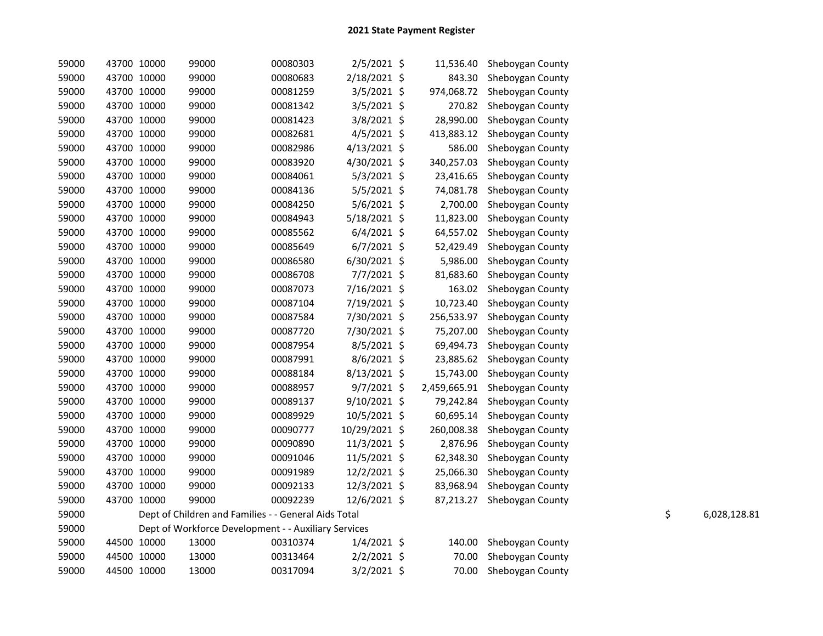| 59000 | 43700 10000 | 99000                                                | 00080303 | 2/5/2021 \$    | 11,536.40    | Sheboygan County |    |              |
|-------|-------------|------------------------------------------------------|----------|----------------|--------------|------------------|----|--------------|
| 59000 | 43700 10000 | 99000                                                | 00080683 | 2/18/2021 \$   | 843.30       | Sheboygan County |    |              |
| 59000 | 43700 10000 | 99000                                                | 00081259 | $3/5/2021$ \$  | 974,068.72   | Sheboygan County |    |              |
| 59000 | 43700 10000 | 99000                                                | 00081342 | 3/5/2021 \$    | 270.82       | Sheboygan County |    |              |
| 59000 | 43700 10000 | 99000                                                | 00081423 | 3/8/2021 \$    | 28,990.00    | Sheboygan County |    |              |
| 59000 | 43700 10000 | 99000                                                | 00082681 | $4/5/2021$ \$  | 413,883.12   | Sheboygan County |    |              |
| 59000 | 43700 10000 | 99000                                                | 00082986 | $4/13/2021$ \$ | 586.00       | Sheboygan County |    |              |
| 59000 | 43700 10000 | 99000                                                | 00083920 | 4/30/2021 \$   | 340,257.03   | Sheboygan County |    |              |
| 59000 | 43700 10000 | 99000                                                | 00084061 | $5/3/2021$ \$  | 23,416.65    | Sheboygan County |    |              |
| 59000 | 43700 10000 | 99000                                                | 00084136 | $5/5/2021$ \$  | 74,081.78    | Sheboygan County |    |              |
| 59000 | 43700 10000 | 99000                                                | 00084250 | 5/6/2021 \$    | 2,700.00     | Sheboygan County |    |              |
| 59000 | 43700 10000 | 99000                                                | 00084943 | 5/18/2021 \$   | 11,823.00    | Sheboygan County |    |              |
| 59000 | 43700 10000 | 99000                                                | 00085562 | $6/4/2021$ \$  | 64,557.02    | Sheboygan County |    |              |
| 59000 | 43700 10000 | 99000                                                | 00085649 | $6/7/2021$ \$  | 52,429.49    | Sheboygan County |    |              |
| 59000 | 43700 10000 | 99000                                                | 00086580 | $6/30/2021$ \$ | 5,986.00     | Sheboygan County |    |              |
| 59000 | 43700 10000 | 99000                                                | 00086708 | 7/7/2021 \$    | 81,683.60    | Sheboygan County |    |              |
| 59000 | 43700 10000 | 99000                                                | 00087073 | 7/16/2021 \$   | 163.02       | Sheboygan County |    |              |
| 59000 | 43700 10000 | 99000                                                | 00087104 | 7/19/2021 \$   | 10,723.40    | Sheboygan County |    |              |
| 59000 | 43700 10000 | 99000                                                | 00087584 | 7/30/2021 \$   | 256,533.97   | Sheboygan County |    |              |
| 59000 | 43700 10000 | 99000                                                | 00087720 | 7/30/2021 \$   | 75,207.00    | Sheboygan County |    |              |
| 59000 | 43700 10000 | 99000                                                | 00087954 | $8/5/2021$ \$  | 69,494.73    | Sheboygan County |    |              |
| 59000 | 43700 10000 | 99000                                                | 00087991 | 8/6/2021 \$    | 23,885.62    | Sheboygan County |    |              |
| 59000 | 43700 10000 | 99000                                                | 00088184 | 8/13/2021 \$   | 15,743.00    | Sheboygan County |    |              |
| 59000 | 43700 10000 | 99000                                                | 00088957 | $9/7/2021$ \$  | 2,459,665.91 | Sheboygan County |    |              |
| 59000 | 43700 10000 | 99000                                                | 00089137 | $9/10/2021$ \$ | 79,242.84    | Sheboygan County |    |              |
| 59000 | 43700 10000 | 99000                                                | 00089929 | 10/5/2021 \$   | 60,695.14    | Sheboygan County |    |              |
| 59000 | 43700 10000 | 99000                                                | 00090777 | 10/29/2021 \$  | 260,008.38   | Sheboygan County |    |              |
| 59000 | 43700 10000 | 99000                                                | 00090890 | 11/3/2021 \$   | 2,876.96     | Sheboygan County |    |              |
| 59000 | 43700 10000 | 99000                                                | 00091046 | 11/5/2021 \$   | 62,348.30    | Sheboygan County |    |              |
| 59000 | 43700 10000 | 99000                                                | 00091989 | 12/2/2021 \$   | 25,066.30    | Sheboygan County |    |              |
| 59000 | 43700 10000 | 99000                                                | 00092133 | 12/3/2021 \$   | 83,968.94    | Sheboygan County |    |              |
| 59000 | 43700 10000 | 99000                                                | 00092239 | 12/6/2021 \$   | 87,213.27    | Sheboygan County |    |              |
| 59000 |             | Dept of Children and Families - - General Aids Total |          |                |              |                  | \$ | 6,028,128.81 |
| 59000 |             | Dept of Workforce Development - - Auxiliary Services |          |                |              |                  |    |              |
| 59000 | 44500 10000 | 13000                                                | 00310374 | $1/4/2021$ \$  | 140.00       | Sheboygan County |    |              |
| 59000 | 44500 10000 | 13000                                                | 00313464 | $2/2/2021$ \$  | 70.00        | Sheboygan County |    |              |
| 59000 | 44500 10000 | 13000                                                | 00317094 | 3/2/2021 \$    | 70.00        | Sheboygan County |    |              |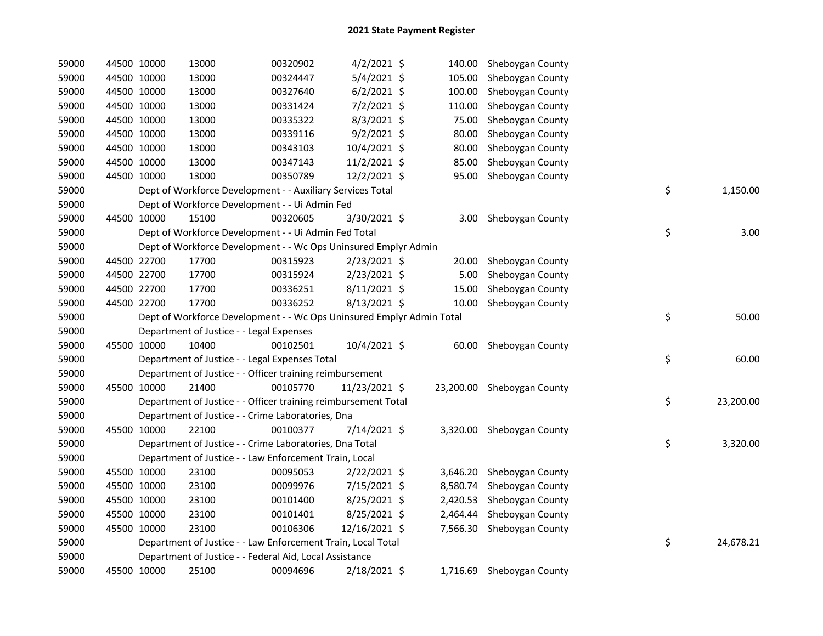| 59000 | 44500 10000 | 13000                                                                 | 00320902 | $4/2/2021$ \$  |          | 140.00 Sheboygan County    |    |           |
|-------|-------------|-----------------------------------------------------------------------|----------|----------------|----------|----------------------------|----|-----------|
| 59000 | 44500 10000 | 13000                                                                 | 00324447 | 5/4/2021 \$    | 105.00   | Sheboygan County           |    |           |
| 59000 | 44500 10000 | 13000                                                                 | 00327640 | $6/2/2021$ \$  | 100.00   | Sheboygan County           |    |           |
| 59000 | 44500 10000 | 13000                                                                 | 00331424 | $7/2/2021$ \$  | 110.00   | Sheboygan County           |    |           |
| 59000 | 44500 10000 | 13000                                                                 | 00335322 | 8/3/2021 \$    | 75.00    | Sheboygan County           |    |           |
| 59000 | 44500 10000 | 13000                                                                 | 00339116 | $9/2/2021$ \$  | 80.00    | Sheboygan County           |    |           |
| 59000 | 44500 10000 | 13000                                                                 | 00343103 | 10/4/2021 \$   | 80.00    | Sheboygan County           |    |           |
| 59000 | 44500 10000 | 13000                                                                 | 00347143 | 11/2/2021 \$   | 85.00    | Sheboygan County           |    |           |
| 59000 | 44500 10000 | 13000                                                                 | 00350789 | 12/2/2021 \$   | 95.00    | Sheboygan County           |    |           |
| 59000 |             | Dept of Workforce Development - - Auxiliary Services Total            |          |                |          |                            | \$ | 1,150.00  |
| 59000 |             | Dept of Workforce Development - - Ui Admin Fed                        |          |                |          |                            |    |           |
| 59000 | 44500 10000 | 15100                                                                 | 00320605 | 3/30/2021 \$   | 3.00     | Sheboygan County           |    |           |
| 59000 |             | Dept of Workforce Development - - Ui Admin Fed Total                  |          |                |          |                            | \$ | 3.00      |
| 59000 |             | Dept of Workforce Development - - Wc Ops Uninsured Emplyr Admin       |          |                |          |                            |    |           |
| 59000 | 44500 22700 | 17700                                                                 | 00315923 | $2/23/2021$ \$ | 20.00    | Sheboygan County           |    |           |
| 59000 | 44500 22700 | 17700                                                                 | 00315924 | 2/23/2021 \$   | 5.00     | Sheboygan County           |    |           |
| 59000 | 44500 22700 | 17700                                                                 | 00336251 | $8/11/2021$ \$ | 15.00    | Sheboygan County           |    |           |
| 59000 | 44500 22700 | 17700                                                                 | 00336252 | 8/13/2021 \$   | 10.00    | Sheboygan County           |    |           |
| 59000 |             | Dept of Workforce Development - - Wc Ops Uninsured Emplyr Admin Total |          |                |          |                            | \$ | 50.00     |
| 59000 |             | Department of Justice - - Legal Expenses                              |          |                |          |                            |    |           |
| 59000 | 45500 10000 | 10400                                                                 | 00102501 | 10/4/2021 \$   | 60.00    | Sheboygan County           |    |           |
| 59000 |             | Department of Justice - - Legal Expenses Total                        |          |                |          |                            | \$ | 60.00     |
| 59000 |             | Department of Justice - - Officer training reimbursement              |          |                |          |                            |    |           |
| 59000 | 45500 10000 | 21400                                                                 | 00105770 | 11/23/2021 \$  |          | 23,200.00 Sheboygan County |    |           |
| 59000 |             | Department of Justice - - Officer training reimbursement Total        |          |                |          |                            | \$ | 23,200.00 |
| 59000 |             | Department of Justice - - Crime Laboratories, Dna                     |          |                |          |                            |    |           |
| 59000 | 45500 10000 | 22100                                                                 | 00100377 | 7/14/2021 \$   |          | 3,320.00 Sheboygan County  |    |           |
| 59000 |             | Department of Justice - - Crime Laboratories, Dna Total               |          |                |          |                            | \$ | 3,320.00  |
| 59000 |             | Department of Justice - - Law Enforcement Train, Local                |          |                |          |                            |    |           |
| 59000 | 45500 10000 | 23100                                                                 | 00095053 | $2/22/2021$ \$ |          | 3,646.20 Sheboygan County  |    |           |
| 59000 | 45500 10000 | 23100                                                                 | 00099976 | 7/15/2021 \$   | 8,580.74 | Sheboygan County           |    |           |
| 59000 | 45500 10000 | 23100                                                                 | 00101400 | $8/25/2021$ \$ |          | 2,420.53 Sheboygan County  |    |           |
| 59000 | 45500 10000 | 23100                                                                 | 00101401 | 8/25/2021 \$   |          | 2,464.44 Sheboygan County  |    |           |
| 59000 | 45500 10000 | 23100                                                                 | 00106306 | 12/16/2021 \$  |          | 7,566.30 Sheboygan County  |    |           |
| 59000 |             | Department of Justice - - Law Enforcement Train, Local Total          |          |                |          |                            | \$ | 24,678.21 |
| 59000 |             | Department of Justice - - Federal Aid, Local Assistance               |          |                |          |                            |    |           |
| 59000 | 45500 10000 | 25100                                                                 | 00094696 | 2/18/2021 \$   |          | 1,716.69 Sheboygan County  |    |           |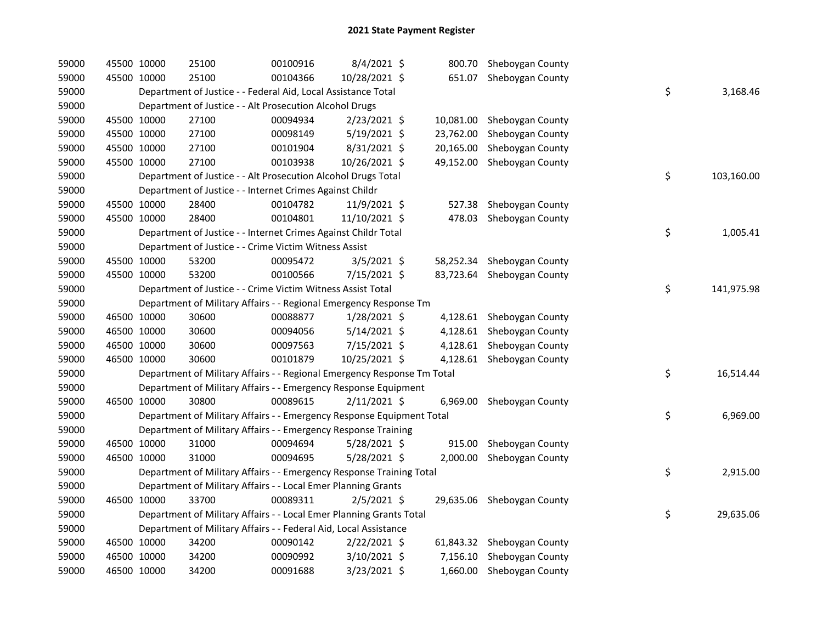| 59000 | 45500 10000 |             | 25100                                                                   | 00100916 | 8/4/2021 \$    |           | 800.70 Sheboygan County    |    |            |
|-------|-------------|-------------|-------------------------------------------------------------------------|----------|----------------|-----------|----------------------------|----|------------|
| 59000 | 45500 10000 |             | 25100                                                                   | 00104366 | 10/28/2021 \$  |           | 651.07 Sheboygan County    |    |            |
| 59000 |             |             | Department of Justice - - Federal Aid, Local Assistance Total           |          |                |           |                            | \$ | 3,168.46   |
| 59000 |             |             | Department of Justice - - Alt Prosecution Alcohol Drugs                 |          |                |           |                            |    |            |
| 59000 | 45500 10000 |             | 27100                                                                   | 00094934 | 2/23/2021 \$   | 10,081.00 | Sheboygan County           |    |            |
| 59000 |             | 45500 10000 | 27100                                                                   | 00098149 | $5/19/2021$ \$ | 23,762.00 | Sheboygan County           |    |            |
| 59000 |             | 45500 10000 | 27100                                                                   | 00101904 | 8/31/2021 \$   | 20,165.00 | Sheboygan County           |    |            |
| 59000 | 45500 10000 |             | 27100                                                                   | 00103938 | 10/26/2021 \$  | 49,152.00 | Sheboygan County           |    |            |
| 59000 |             |             | Department of Justice - - Alt Prosecution Alcohol Drugs Total           |          |                |           |                            | \$ | 103,160.00 |
| 59000 |             |             | Department of Justice - - Internet Crimes Against Childr                |          |                |           |                            |    |            |
| 59000 |             | 45500 10000 | 28400                                                                   | 00104782 | $11/9/2021$ \$ | 527.38    | Sheboygan County           |    |            |
| 59000 |             | 45500 10000 | 28400                                                                   | 00104801 | 11/10/2021 \$  | 478.03    | Sheboygan County           |    |            |
| 59000 |             |             | Department of Justice - - Internet Crimes Against Childr Total          |          |                |           |                            | \$ | 1,005.41   |
| 59000 |             |             | Department of Justice - - Crime Victim Witness Assist                   |          |                |           |                            |    |            |
| 59000 | 45500 10000 |             | 53200                                                                   | 00095472 | $3/5/2021$ \$  |           | 58,252.34 Sheboygan County |    |            |
| 59000 | 45500 10000 |             | 53200                                                                   | 00100566 | 7/15/2021 \$   | 83,723.64 | Sheboygan County           |    |            |
| 59000 |             |             | Department of Justice - - Crime Victim Witness Assist Total             |          |                |           |                            | \$ | 141,975.98 |
| 59000 |             |             | Department of Military Affairs - - Regional Emergency Response Tm       |          |                |           |                            |    |            |
| 59000 |             | 46500 10000 | 30600                                                                   | 00088877 | $1/28/2021$ \$ |           | 4,128.61 Sheboygan County  |    |            |
| 59000 |             | 46500 10000 | 30600                                                                   | 00094056 | 5/14/2021 \$   |           | 4,128.61 Sheboygan County  |    |            |
| 59000 |             | 46500 10000 | 30600                                                                   | 00097563 | 7/15/2021 \$   |           | 4,128.61 Sheboygan County  |    |            |
| 59000 | 46500 10000 |             | 30600                                                                   | 00101879 | 10/25/2021 \$  |           | 4,128.61 Sheboygan County  |    |            |
| 59000 |             |             | Department of Military Affairs - - Regional Emergency Response Tm Total |          |                |           |                            | \$ | 16,514.44  |
| 59000 |             |             | Department of Military Affairs - - Emergency Response Equipment         |          |                |           |                            |    |            |
| 59000 | 46500 10000 |             | 30800                                                                   | 00089615 | 2/11/2021 \$   | 6,969.00  | Sheboygan County           |    |            |
| 59000 |             |             | Department of Military Affairs - - Emergency Response Equipment Total   |          |                |           |                            | \$ | 6,969.00   |
| 59000 |             |             | Department of Military Affairs - - Emergency Response Training          |          |                |           |                            |    |            |
| 59000 |             | 46500 10000 | 31000                                                                   | 00094694 | 5/28/2021 \$   |           | 915.00 Sheboygan County    |    |            |
| 59000 |             | 46500 10000 | 31000                                                                   | 00094695 | 5/28/2021 \$   |           | 2,000.00 Sheboygan County  |    |            |
| 59000 |             |             | Department of Military Affairs - - Emergency Response Training Total    |          |                |           |                            | \$ | 2,915.00   |
| 59000 |             |             | Department of Military Affairs - - Local Emer Planning Grants           |          |                |           |                            |    |            |
| 59000 |             | 46500 10000 | 33700                                                                   | 00089311 | $2/5/2021$ \$  |           | 29,635.06 Sheboygan County |    |            |
| 59000 |             |             | Department of Military Affairs - - Local Emer Planning Grants Total     |          |                |           |                            | \$ | 29,635.06  |
| 59000 |             |             | Department of Military Affairs - - Federal Aid, Local Assistance        |          |                |           |                            |    |            |
| 59000 |             | 46500 10000 | 34200                                                                   | 00090142 | 2/22/2021 \$   |           | 61,843.32 Sheboygan County |    |            |
| 59000 |             | 46500 10000 | 34200                                                                   | 00090992 | 3/10/2021 \$   |           | 7,156.10 Sheboygan County  |    |            |
| 59000 | 46500 10000 |             | 34200                                                                   | 00091688 | 3/23/2021 \$   |           | 1,660.00 Sheboygan County  |    |            |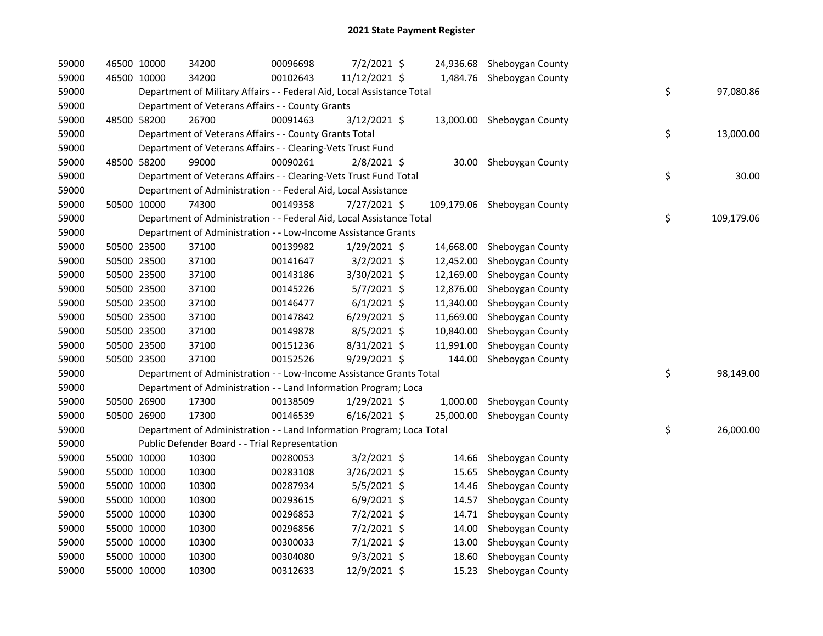| 59000 | 46500 10000 | 34200                                                                  | 00096698 | 7/2/2021 \$    |           | 24,936.68 Sheboygan County  |                  |
|-------|-------------|------------------------------------------------------------------------|----------|----------------|-----------|-----------------------------|------------------|
| 59000 | 46500 10000 | 34200                                                                  | 00102643 | 11/12/2021 \$  |           | 1,484.76 Sheboygan County   |                  |
| 59000 |             | Department of Military Affairs - - Federal Aid, Local Assistance Total |          |                |           |                             | \$<br>97,080.86  |
| 59000 |             | Department of Veterans Affairs - - County Grants                       |          |                |           |                             |                  |
| 59000 | 48500 58200 | 26700                                                                  | 00091463 | 3/12/2021 \$   |           | 13,000.00 Sheboygan County  |                  |
| 59000 |             | Department of Veterans Affairs - - County Grants Total                 |          |                |           |                             | \$<br>13,000.00  |
| 59000 |             | Department of Veterans Affairs - - Clearing-Vets Trust Fund            |          |                |           |                             |                  |
| 59000 | 48500 58200 | 99000                                                                  | 00090261 | $2/8/2021$ \$  | 30.00     | Sheboygan County            |                  |
| 59000 |             | Department of Veterans Affairs - - Clearing-Vets Trust Fund Total      |          |                |           |                             | \$<br>30.00      |
| 59000 |             | Department of Administration - - Federal Aid, Local Assistance         |          |                |           |                             |                  |
| 59000 | 50500 10000 | 74300                                                                  | 00149358 | $7/27/2021$ \$ |           | 109,179.06 Sheboygan County |                  |
| 59000 |             | Department of Administration - - Federal Aid, Local Assistance Total   |          |                |           |                             | \$<br>109,179.06 |
| 59000 |             | Department of Administration - - Low-Income Assistance Grants          |          |                |           |                             |                  |
| 59000 | 50500 23500 | 37100                                                                  | 00139982 | $1/29/2021$ \$ | 14,668.00 | Sheboygan County            |                  |
| 59000 | 50500 23500 | 37100                                                                  | 00141647 | $3/2/2021$ \$  | 12,452.00 | Sheboygan County            |                  |
| 59000 | 50500 23500 | 37100                                                                  | 00143186 | 3/30/2021 \$   | 12,169.00 | Sheboygan County            |                  |
| 59000 | 50500 23500 | 37100                                                                  | 00145226 | $5/7/2021$ \$  | 12,876.00 | Sheboygan County            |                  |
| 59000 | 50500 23500 | 37100                                                                  | 00146477 | $6/1/2021$ \$  | 11,340.00 | Sheboygan County            |                  |
| 59000 | 50500 23500 | 37100                                                                  | 00147842 | 6/29/2021 \$   | 11,669.00 | Sheboygan County            |                  |
| 59000 | 50500 23500 | 37100                                                                  | 00149878 | 8/5/2021 \$    | 10,840.00 | Sheboygan County            |                  |
| 59000 | 50500 23500 | 37100                                                                  | 00151236 | 8/31/2021 \$   | 11,991.00 | Sheboygan County            |                  |
| 59000 | 50500 23500 | 37100                                                                  | 00152526 | 9/29/2021 \$   | 144.00    | Sheboygan County            |                  |
| 59000 |             | Department of Administration - - Low-Income Assistance Grants Total    |          |                |           |                             | \$<br>98,149.00  |
| 59000 |             | Department of Administration - - Land Information Program; Loca        |          |                |           |                             |                  |
| 59000 | 50500 26900 | 17300                                                                  | 00138509 | 1/29/2021 \$   | 1,000.00  | Sheboygan County            |                  |
| 59000 | 50500 26900 | 17300                                                                  | 00146539 | $6/16/2021$ \$ | 25,000.00 | Sheboygan County            |                  |
| 59000 |             | Department of Administration - - Land Information Program; Loca Total  |          |                |           |                             | \$<br>26,000.00  |
| 59000 |             | Public Defender Board - - Trial Representation                         |          |                |           |                             |                  |
| 59000 | 55000 10000 | 10300                                                                  | 00280053 | $3/2/2021$ \$  | 14.66     | Sheboygan County            |                  |
| 59000 | 55000 10000 | 10300                                                                  | 00283108 | 3/26/2021 \$   | 15.65     | Sheboygan County            |                  |
| 59000 | 55000 10000 | 10300                                                                  | 00287934 | $5/5/2021$ \$  | 14.46     | Sheboygan County            |                  |
| 59000 | 55000 10000 | 10300                                                                  | 00293615 | $6/9/2021$ \$  | 14.57     | Sheboygan County            |                  |
| 59000 | 55000 10000 | 10300                                                                  | 00296853 | $7/2/2021$ \$  | 14.71     | Sheboygan County            |                  |
| 59000 | 55000 10000 | 10300                                                                  | 00296856 | 7/2/2021 \$    | 14.00     | Sheboygan County            |                  |
| 59000 | 55000 10000 | 10300                                                                  | 00300033 | 7/1/2021 \$    | 13.00     | Sheboygan County            |                  |
| 59000 | 55000 10000 | 10300                                                                  | 00304080 | $9/3/2021$ \$  | 18.60     | Sheboygan County            |                  |
| 59000 | 55000 10000 | 10300                                                                  | 00312633 | 12/9/2021 \$   | 15.23     | Sheboygan County            |                  |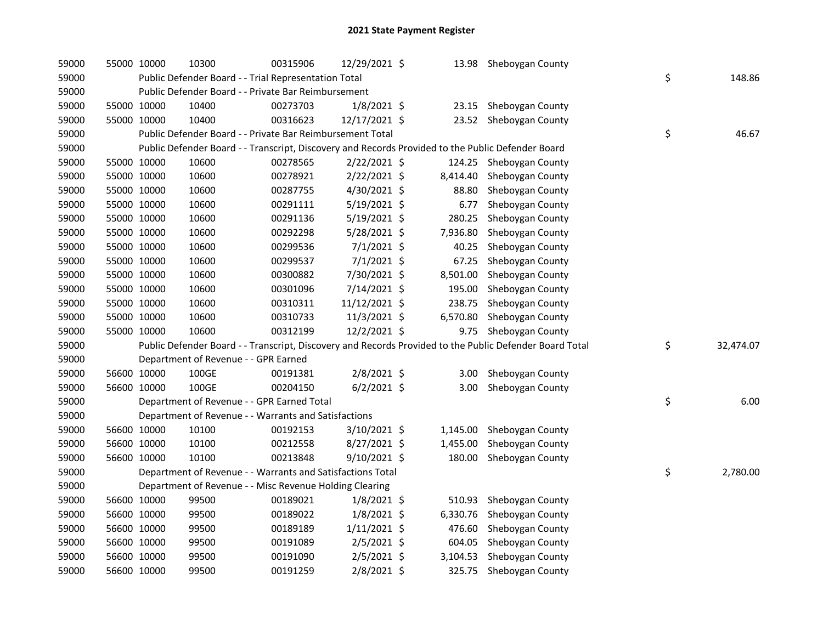| 59000 | 55000 10000 | 10300                                                      | 00315906 | 12/29/2021 \$  | 13.98    | Sheboygan County                                                                                        |                 |
|-------|-------------|------------------------------------------------------------|----------|----------------|----------|---------------------------------------------------------------------------------------------------------|-----------------|
| 59000 |             | Public Defender Board - - Trial Representation Total       |          |                |          |                                                                                                         | \$<br>148.86    |
| 59000 |             | Public Defender Board - - Private Bar Reimbursement        |          |                |          |                                                                                                         |                 |
| 59000 | 55000 10000 | 10400                                                      | 00273703 | 1/8/2021 \$    | 23.15    | Sheboygan County                                                                                        |                 |
| 59000 | 55000 10000 | 10400                                                      | 00316623 | 12/17/2021 \$  |          | 23.52 Sheboygan County                                                                                  |                 |
| 59000 |             | Public Defender Board - - Private Bar Reimbursement Total  |          |                |          |                                                                                                         | \$<br>46.67     |
| 59000 |             |                                                            |          |                |          | Public Defender Board - - Transcript, Discovery and Records Provided to the Public Defender Board       |                 |
| 59000 | 55000 10000 | 10600                                                      | 00278565 | 2/22/2021 \$   |          | 124.25 Sheboygan County                                                                                 |                 |
| 59000 | 55000 10000 | 10600                                                      | 00278921 | 2/22/2021 \$   | 8,414.40 | Sheboygan County                                                                                        |                 |
| 59000 | 55000 10000 | 10600                                                      | 00287755 | 4/30/2021 \$   | 88.80    | Sheboygan County                                                                                        |                 |
| 59000 | 55000 10000 | 10600                                                      | 00291111 | 5/19/2021 \$   | 6.77     | Sheboygan County                                                                                        |                 |
| 59000 | 55000 10000 | 10600                                                      | 00291136 | 5/19/2021 \$   | 280.25   | Sheboygan County                                                                                        |                 |
| 59000 | 55000 10000 | 10600                                                      | 00292298 | 5/28/2021 \$   | 7,936.80 | Sheboygan County                                                                                        |                 |
| 59000 | 55000 10000 | 10600                                                      | 00299536 | $7/1/2021$ \$  | 40.25    | Sheboygan County                                                                                        |                 |
| 59000 | 55000 10000 | 10600                                                      | 00299537 | $7/1/2021$ \$  | 67.25    | Sheboygan County                                                                                        |                 |
| 59000 | 55000 10000 | 10600                                                      | 00300882 | 7/30/2021 \$   | 8,501.00 | Sheboygan County                                                                                        |                 |
| 59000 | 55000 10000 | 10600                                                      | 00301096 | 7/14/2021 \$   | 195.00   | Sheboygan County                                                                                        |                 |
| 59000 | 55000 10000 | 10600                                                      | 00310311 | 11/12/2021 \$  | 238.75   | Sheboygan County                                                                                        |                 |
| 59000 | 55000 10000 | 10600                                                      | 00310733 | 11/3/2021 \$   | 6,570.80 | Sheboygan County                                                                                        |                 |
|       |             |                                                            |          |                |          |                                                                                                         |                 |
| 59000 | 55000 10000 | 10600                                                      | 00312199 | 12/2/2021 \$   | 9.75     | Sheboygan County                                                                                        |                 |
| 59000 |             |                                                            |          |                |          | Public Defender Board - - Transcript, Discovery and Records Provided to the Public Defender Board Total | \$<br>32,474.07 |
| 59000 |             | Department of Revenue - - GPR Earned                       |          |                |          |                                                                                                         |                 |
| 59000 | 56600 10000 | 100GE                                                      | 00191381 | 2/8/2021 \$    | 3.00     | Sheboygan County                                                                                        |                 |
| 59000 | 56600 10000 | 100GE                                                      | 00204150 | $6/2/2021$ \$  | 3.00     | Sheboygan County                                                                                        |                 |
| 59000 |             | Department of Revenue - - GPR Earned Total                 |          |                |          |                                                                                                         | \$<br>6.00      |
| 59000 |             | Department of Revenue - - Warrants and Satisfactions       |          |                |          |                                                                                                         |                 |
| 59000 | 56600 10000 | 10100                                                      | 00192153 | 3/10/2021 \$   | 1,145.00 | Sheboygan County                                                                                        |                 |
| 59000 | 56600 10000 | 10100                                                      | 00212558 | 8/27/2021 \$   | 1,455.00 | Sheboygan County                                                                                        |                 |
| 59000 | 56600 10000 | 10100                                                      | 00213848 | 9/10/2021 \$   | 180.00   | Sheboygan County                                                                                        |                 |
| 59000 |             | Department of Revenue - - Warrants and Satisfactions Total |          |                |          |                                                                                                         | \$<br>2,780.00  |
| 59000 |             | Department of Revenue - - Misc Revenue Holding Clearing    |          |                |          |                                                                                                         |                 |
| 59000 | 56600 10000 | 99500                                                      | 00189021 | $1/8/2021$ \$  |          | 510.93 Sheboygan County                                                                                 |                 |
| 59000 | 56600 10000 | 99500                                                      | 00189022 | $1/8/2021$ \$  | 6,330.76 | Sheboygan County                                                                                        |                 |
| 59000 | 56600 10000 | 99500                                                      | 00189189 | $1/11/2021$ \$ | 476.60   | Sheboygan County                                                                                        |                 |
| 59000 | 56600 10000 | 99500                                                      | 00191089 | 2/5/2021 \$    | 604.05   | Sheboygan County                                                                                        |                 |
| 59000 | 56600 10000 | 99500                                                      | 00191090 | $2/5/2021$ \$  | 3,104.53 | Sheboygan County                                                                                        |                 |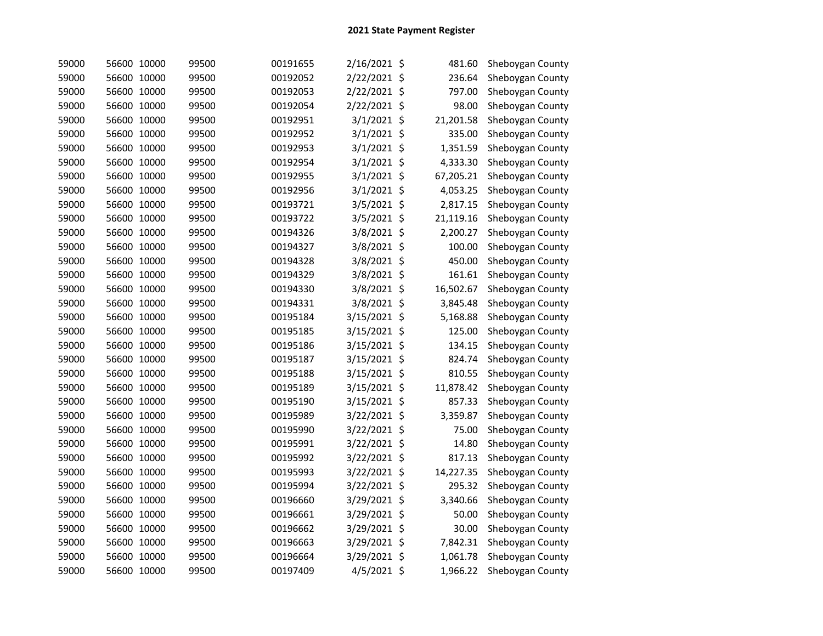| 59000 | 56600 10000 | 99500 | 00191655 | 2/16/2021 \$  | 481.60    | Sheboygan County |
|-------|-------------|-------|----------|---------------|-----------|------------------|
| 59000 | 56600 10000 | 99500 | 00192052 | 2/22/2021 \$  | 236.64    | Sheboygan County |
| 59000 | 56600 10000 | 99500 | 00192053 | 2/22/2021 \$  | 797.00    | Sheboygan County |
| 59000 | 56600 10000 | 99500 | 00192054 | 2/22/2021 \$  | 98.00     | Sheboygan County |
| 59000 | 56600 10000 | 99500 | 00192951 | 3/1/2021 \$   | 21,201.58 | Sheboygan County |
| 59000 | 56600 10000 | 99500 | 00192952 | 3/1/2021 \$   | 335.00    | Sheboygan County |
| 59000 | 56600 10000 | 99500 | 00192953 | $3/1/2021$ \$ | 1,351.59  | Sheboygan County |
| 59000 | 56600 10000 | 99500 | 00192954 | 3/1/2021 \$   | 4,333.30  | Sheboygan County |
| 59000 | 56600 10000 | 99500 | 00192955 | $3/1/2021$ \$ | 67,205.21 | Sheboygan County |
| 59000 | 56600 10000 | 99500 | 00192956 | $3/1/2021$ \$ | 4,053.25  | Sheboygan County |
| 59000 | 56600 10000 | 99500 | 00193721 | 3/5/2021 \$   | 2,817.15  | Sheboygan County |
| 59000 | 56600 10000 | 99500 | 00193722 | 3/5/2021 \$   | 21,119.16 | Sheboygan County |
| 59000 | 56600 10000 | 99500 | 00194326 | 3/8/2021 \$   | 2,200.27  | Sheboygan County |
| 59000 | 56600 10000 | 99500 | 00194327 | 3/8/2021 \$   | 100.00    | Sheboygan County |
| 59000 | 56600 10000 | 99500 | 00194328 | 3/8/2021 \$   | 450.00    | Sheboygan County |
| 59000 | 56600 10000 | 99500 | 00194329 | 3/8/2021 \$   | 161.61    | Sheboygan County |
| 59000 | 56600 10000 | 99500 | 00194330 | 3/8/2021 \$   | 16,502.67 | Sheboygan County |
| 59000 | 56600 10000 | 99500 | 00194331 | 3/8/2021 \$   | 3,845.48  | Sheboygan County |
| 59000 | 56600 10000 | 99500 | 00195184 | 3/15/2021 \$  | 5,168.88  | Sheboygan County |
| 59000 | 56600 10000 | 99500 | 00195185 | 3/15/2021 \$  | 125.00    | Sheboygan County |
| 59000 | 56600 10000 | 99500 | 00195186 | 3/15/2021 \$  | 134.15    | Sheboygan County |
| 59000 | 56600 10000 | 99500 | 00195187 | 3/15/2021 \$  | 824.74    | Sheboygan County |
| 59000 | 56600 10000 | 99500 | 00195188 | 3/15/2021 \$  | 810.55    | Sheboygan County |
| 59000 | 56600 10000 | 99500 | 00195189 | 3/15/2021 \$  | 11,878.42 | Sheboygan County |
| 59000 | 56600 10000 | 99500 | 00195190 | 3/15/2021 \$  | 857.33    | Sheboygan County |
| 59000 | 56600 10000 | 99500 | 00195989 | 3/22/2021 \$  | 3,359.87  | Sheboygan County |
| 59000 | 56600 10000 | 99500 | 00195990 | 3/22/2021 \$  | 75.00     | Sheboygan County |
| 59000 | 56600 10000 | 99500 | 00195991 | 3/22/2021 \$  | 14.80     | Sheboygan County |
| 59000 | 56600 10000 | 99500 | 00195992 | 3/22/2021 \$  | 817.13    | Sheboygan County |
| 59000 | 56600 10000 | 99500 | 00195993 | 3/22/2021 \$  | 14,227.35 | Sheboygan County |
| 59000 | 56600 10000 | 99500 | 00195994 | 3/22/2021 \$  | 295.32    | Sheboygan County |
| 59000 | 56600 10000 | 99500 | 00196660 | 3/29/2021 \$  | 3,340.66  | Sheboygan County |
| 59000 | 56600 10000 | 99500 | 00196661 | 3/29/2021 \$  | 50.00     | Sheboygan County |
| 59000 | 56600 10000 | 99500 | 00196662 | 3/29/2021 \$  | 30.00     | Sheboygan County |
| 59000 | 56600 10000 | 99500 | 00196663 | 3/29/2021 \$  | 7,842.31  | Sheboygan County |
| 59000 | 56600 10000 | 99500 | 00196664 | 3/29/2021 \$  | 1,061.78  | Sheboygan County |
| 59000 | 56600 10000 | 99500 | 00197409 | 4/5/2021 \$   | 1,966.22  | Sheboygan County |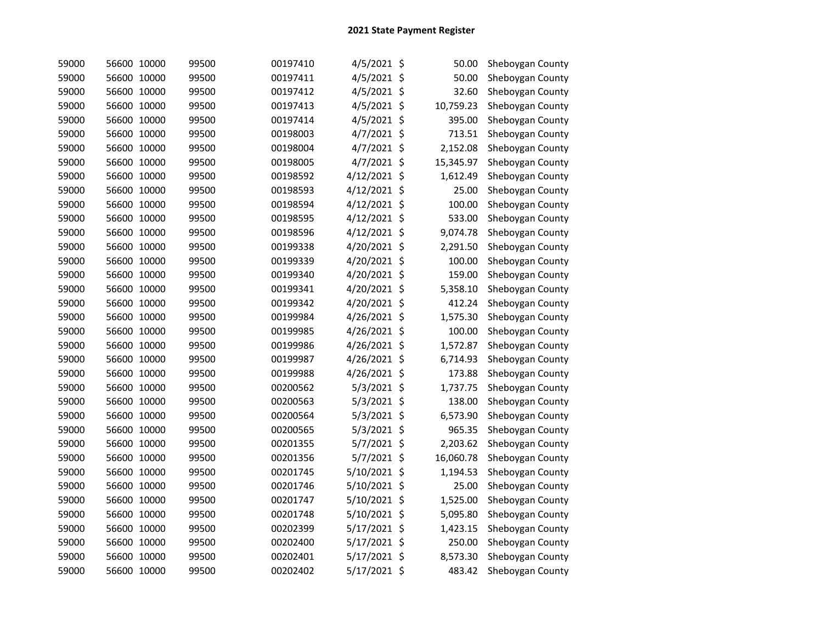| 59000 | 56600 10000 | 99500 | 00197410 | 4/5/2021 \$  | 50.00     | Sheboygan County |
|-------|-------------|-------|----------|--------------|-----------|------------------|
| 59000 | 56600 10000 | 99500 | 00197411 | 4/5/2021 \$  | 50.00     | Sheboygan County |
| 59000 | 56600 10000 | 99500 | 00197412 | 4/5/2021 \$  | 32.60     | Sheboygan County |
| 59000 | 56600 10000 | 99500 | 00197413 | 4/5/2021 \$  | 10,759.23 | Sheboygan County |
| 59000 | 56600 10000 | 99500 | 00197414 | 4/5/2021 \$  | 395.00    | Sheboygan County |
| 59000 | 56600 10000 | 99500 | 00198003 | 4/7/2021 \$  | 713.51    | Sheboygan County |
| 59000 | 56600 10000 | 99500 | 00198004 | 4/7/2021 \$  | 2,152.08  | Sheboygan County |
| 59000 | 56600 10000 | 99500 | 00198005 | 4/7/2021 \$  | 15,345.97 | Sheboygan County |
| 59000 | 56600 10000 | 99500 | 00198592 | 4/12/2021 \$ | 1,612.49  | Sheboygan County |
| 59000 | 56600 10000 | 99500 | 00198593 | 4/12/2021 \$ | 25.00     | Sheboygan County |
| 59000 | 56600 10000 | 99500 | 00198594 | 4/12/2021 \$ | 100.00    | Sheboygan County |
| 59000 | 56600 10000 | 99500 | 00198595 | 4/12/2021 \$ | 533.00    | Sheboygan County |
| 59000 | 56600 10000 | 99500 | 00198596 | 4/12/2021 \$ | 9,074.78  | Sheboygan County |
| 59000 | 56600 10000 | 99500 | 00199338 | 4/20/2021 \$ | 2,291.50  | Sheboygan County |
| 59000 | 56600 10000 | 99500 | 00199339 | 4/20/2021 \$ | 100.00    | Sheboygan County |
| 59000 | 56600 10000 | 99500 | 00199340 | 4/20/2021 \$ | 159.00    | Sheboygan County |
| 59000 | 56600 10000 | 99500 | 00199341 | 4/20/2021 \$ | 5,358.10  | Sheboygan County |
| 59000 | 56600 10000 | 99500 | 00199342 | 4/20/2021 \$ | 412.24    | Sheboygan County |
| 59000 | 56600 10000 | 99500 | 00199984 | 4/26/2021 \$ | 1,575.30  | Sheboygan County |
| 59000 | 56600 10000 | 99500 | 00199985 | 4/26/2021 \$ | 100.00    | Sheboygan County |
| 59000 | 56600 10000 | 99500 | 00199986 | 4/26/2021 \$ | 1,572.87  | Sheboygan County |
| 59000 | 56600 10000 | 99500 | 00199987 | 4/26/2021 \$ | 6,714.93  | Sheboygan County |
| 59000 | 56600 10000 | 99500 | 00199988 | 4/26/2021 \$ | 173.88    | Sheboygan County |
| 59000 | 56600 10000 | 99500 | 00200562 | 5/3/2021 \$  | 1,737.75  | Sheboygan County |
| 59000 | 56600 10000 | 99500 | 00200563 | 5/3/2021 \$  | 138.00    | Sheboygan County |
| 59000 | 56600 10000 | 99500 | 00200564 | 5/3/2021 \$  | 6,573.90  | Sheboygan County |
| 59000 | 56600 10000 | 99500 | 00200565 | 5/3/2021 \$  | 965.35    | Sheboygan County |
| 59000 | 56600 10000 | 99500 | 00201355 | 5/7/2021 \$  | 2,203.62  | Sheboygan County |
| 59000 | 56600 10000 | 99500 | 00201356 | 5/7/2021 \$  | 16,060.78 | Sheboygan County |
| 59000 | 56600 10000 | 99500 | 00201745 | 5/10/2021 \$ | 1,194.53  | Sheboygan County |
| 59000 | 56600 10000 | 99500 | 00201746 | 5/10/2021 \$ | 25.00     | Sheboygan County |
| 59000 | 56600 10000 | 99500 | 00201747 | 5/10/2021 \$ | 1,525.00  | Sheboygan County |
| 59000 | 56600 10000 | 99500 | 00201748 | 5/10/2021 \$ | 5,095.80  | Sheboygan County |
| 59000 | 56600 10000 | 99500 | 00202399 | 5/17/2021 \$ | 1,423.15  | Sheboygan County |
| 59000 | 56600 10000 | 99500 | 00202400 | 5/17/2021 \$ | 250.00    | Sheboygan County |
| 59000 | 56600 10000 | 99500 | 00202401 | 5/17/2021 \$ | 8,573.30  | Sheboygan County |
| 59000 | 56600 10000 | 99500 | 00202402 | 5/17/2021 \$ | 483.42    | Sheboygan County |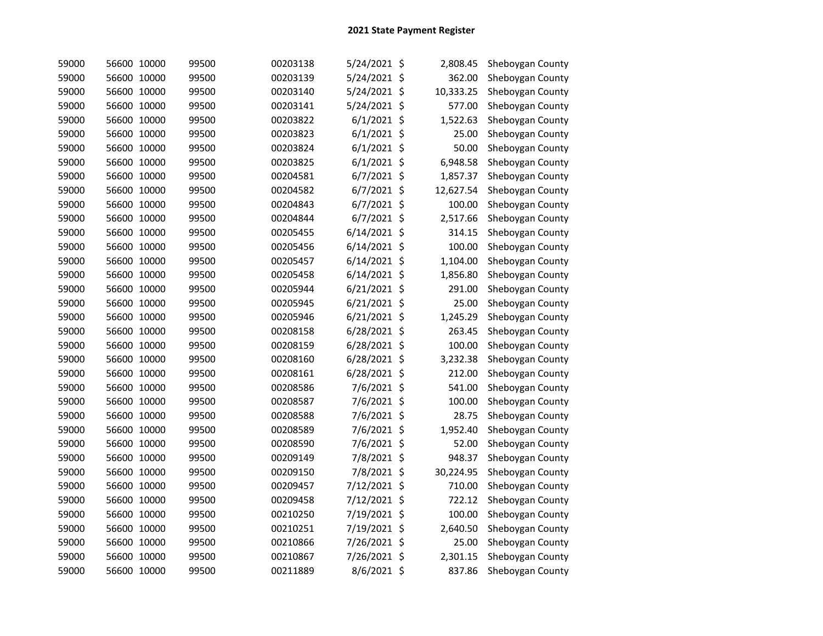| 59000 | 56600 10000 | 99500 | 00203138 | 5/24/2021 \$   | 2,808.45  | Sheboygan County |
|-------|-------------|-------|----------|----------------|-----------|------------------|
| 59000 | 56600 10000 | 99500 | 00203139 | 5/24/2021 \$   | 362.00    | Sheboygan County |
| 59000 | 56600 10000 | 99500 | 00203140 | 5/24/2021 \$   | 10,333.25 | Sheboygan County |
| 59000 | 56600 10000 | 99500 | 00203141 | 5/24/2021 \$   | 577.00    | Sheboygan County |
| 59000 | 56600 10000 | 99500 | 00203822 | $6/1/2021$ \$  | 1,522.63  | Sheboygan County |
| 59000 | 56600 10000 | 99500 | 00203823 | $6/1/2021$ \$  | 25.00     | Sheboygan County |
| 59000 | 56600 10000 | 99500 | 00203824 | $6/1/2021$ \$  | 50.00     | Sheboygan County |
| 59000 | 56600 10000 | 99500 | 00203825 | $6/1/2021$ \$  | 6,948.58  | Sheboygan County |
| 59000 | 56600 10000 | 99500 | 00204581 | $6/7/2021$ \$  | 1,857.37  | Sheboygan County |
| 59000 | 56600 10000 | 99500 | 00204582 | 6/7/2021 \$    | 12,627.54 | Sheboygan County |
| 59000 | 56600 10000 | 99500 | 00204843 | 6/7/2021 \$    | 100.00    | Sheboygan County |
| 59000 | 56600 10000 | 99500 | 00204844 | $6/7/2021$ \$  | 2,517.66  | Sheboygan County |
| 59000 | 56600 10000 | 99500 | 00205455 | 6/14/2021 \$   | 314.15    | Sheboygan County |
| 59000 | 56600 10000 | 99500 | 00205456 | 6/14/2021 \$   | 100.00    | Sheboygan County |
| 59000 | 56600 10000 | 99500 | 00205457 | $6/14/2021$ \$ | 1,104.00  | Sheboygan County |
| 59000 | 56600 10000 | 99500 | 00205458 | $6/14/2021$ \$ | 1,856.80  | Sheboygan County |
| 59000 | 56600 10000 | 99500 | 00205944 | 6/21/2021 \$   | 291.00    | Sheboygan County |
| 59000 | 56600 10000 | 99500 | 00205945 | 6/21/2021 \$   | 25.00     | Sheboygan County |
| 59000 | 56600 10000 | 99500 | 00205946 | $6/21/2021$ \$ | 1,245.29  | Sheboygan County |
| 59000 | 56600 10000 | 99500 | 00208158 | 6/28/2021 \$   | 263.45    | Sheboygan County |
| 59000 | 56600 10000 | 99500 | 00208159 | 6/28/2021 \$   | 100.00    | Sheboygan County |
| 59000 | 56600 10000 | 99500 | 00208160 | 6/28/2021 \$   | 3,232.38  | Sheboygan County |
| 59000 | 56600 10000 | 99500 | 00208161 | 6/28/2021 \$   | 212.00    | Sheboygan County |
| 59000 | 56600 10000 | 99500 | 00208586 | 7/6/2021 \$    | 541.00    | Sheboygan County |
| 59000 | 56600 10000 | 99500 | 00208587 | 7/6/2021 \$    | 100.00    | Sheboygan County |
| 59000 | 56600 10000 | 99500 | 00208588 | 7/6/2021 \$    | 28.75     | Sheboygan County |
| 59000 | 56600 10000 | 99500 | 00208589 | 7/6/2021 \$    | 1,952.40  | Sheboygan County |
| 59000 | 56600 10000 | 99500 | 00208590 | 7/6/2021 \$    | 52.00     | Sheboygan County |
| 59000 | 56600 10000 | 99500 | 00209149 | 7/8/2021 \$    | 948.37    | Sheboygan County |
| 59000 | 56600 10000 | 99500 | 00209150 | 7/8/2021 \$    | 30,224.95 | Sheboygan County |
| 59000 | 56600 10000 | 99500 | 00209457 | 7/12/2021 \$   | 710.00    | Sheboygan County |
| 59000 | 56600 10000 | 99500 | 00209458 | 7/12/2021 \$   | 722.12    | Sheboygan County |
| 59000 | 56600 10000 | 99500 | 00210250 | 7/19/2021 \$   | 100.00    | Sheboygan County |
| 59000 | 56600 10000 | 99500 | 00210251 | 7/19/2021 \$   | 2,640.50  | Sheboygan County |
| 59000 | 56600 10000 | 99500 | 00210866 | 7/26/2021 \$   | 25.00     | Sheboygan County |
| 59000 | 56600 10000 | 99500 | 00210867 | 7/26/2021 \$   | 2,301.15  | Sheboygan County |
| 59000 | 56600 10000 | 99500 | 00211889 | 8/6/2021 \$    | 837.86    | Sheboygan County |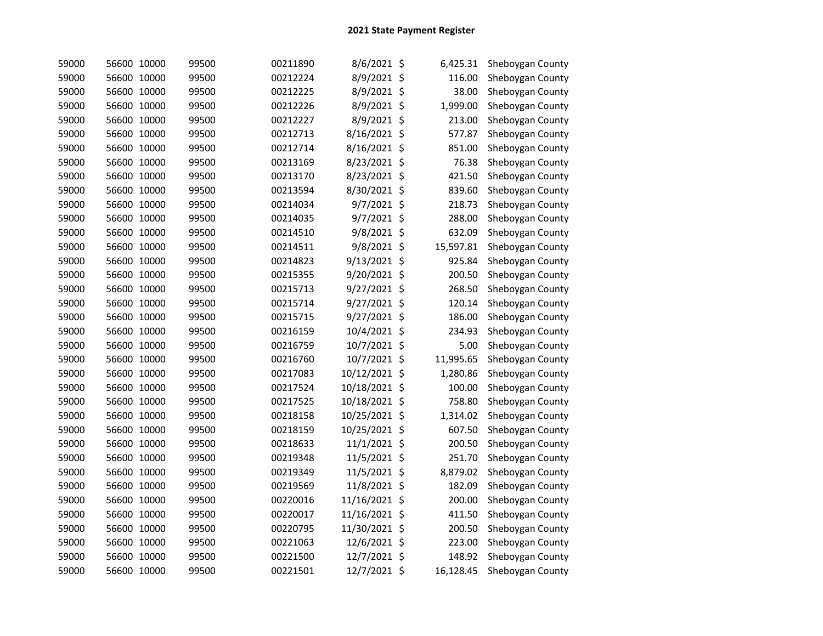| 59000 | 56600 10000 | 99500 | 00211890 | 8/6/2021 \$   | 6,425.31  | Sheboygan County |
|-------|-------------|-------|----------|---------------|-----------|------------------|
| 59000 | 56600 10000 | 99500 | 00212224 | 8/9/2021 \$   | 116.00    | Sheboygan County |
| 59000 | 56600 10000 | 99500 | 00212225 | 8/9/2021 \$   | 38.00     | Sheboygan County |
| 59000 | 56600 10000 | 99500 | 00212226 | 8/9/2021 \$   | 1,999.00  | Sheboygan County |
| 59000 | 56600 10000 | 99500 | 00212227 | 8/9/2021 \$   | 213.00    | Sheboygan County |
| 59000 | 56600 10000 | 99500 | 00212713 | 8/16/2021 \$  | 577.87    | Sheboygan County |
| 59000 | 56600 10000 | 99500 | 00212714 | 8/16/2021 \$  | 851.00    | Sheboygan County |
| 59000 | 56600 10000 | 99500 | 00213169 | 8/23/2021 \$  | 76.38     | Sheboygan County |
| 59000 | 56600 10000 | 99500 | 00213170 | 8/23/2021 \$  | 421.50    | Sheboygan County |
| 59000 | 56600 10000 | 99500 | 00213594 | 8/30/2021 \$  | 839.60    | Sheboygan County |
| 59000 | 56600 10000 | 99500 | 00214034 | 9/7/2021 \$   | 218.73    | Sheboygan County |
| 59000 | 56600 10000 | 99500 | 00214035 | 9/7/2021 \$   | 288.00    | Sheboygan County |
| 59000 | 56600 10000 | 99500 | 00214510 | 9/8/2021 \$   | 632.09    | Sheboygan County |
| 59000 | 56600 10000 | 99500 | 00214511 | 9/8/2021 \$   | 15,597.81 | Sheboygan County |
| 59000 | 56600 10000 | 99500 | 00214823 | 9/13/2021 \$  | 925.84    | Sheboygan County |
| 59000 | 56600 10000 | 99500 | 00215355 | 9/20/2021 \$  | 200.50    | Sheboygan County |
| 59000 | 56600 10000 | 99500 | 00215713 | 9/27/2021 \$  | 268.50    | Sheboygan County |
| 59000 | 56600 10000 | 99500 | 00215714 | 9/27/2021 \$  | 120.14    | Sheboygan County |
| 59000 | 56600 10000 | 99500 | 00215715 | 9/27/2021 \$  | 186.00    | Sheboygan County |
| 59000 | 56600 10000 | 99500 | 00216159 | 10/4/2021 \$  | 234.93    | Sheboygan County |
| 59000 | 56600 10000 | 99500 | 00216759 | 10/7/2021 \$  | 5.00      | Sheboygan County |
| 59000 | 56600 10000 | 99500 | 00216760 | 10/7/2021 \$  | 11,995.65 | Sheboygan County |
| 59000 | 56600 10000 | 99500 | 00217083 | 10/12/2021 \$ | 1,280.86  | Sheboygan County |
| 59000 | 56600 10000 | 99500 | 00217524 | 10/18/2021 \$ | 100.00    | Sheboygan County |
| 59000 | 56600 10000 | 99500 | 00217525 | 10/18/2021 \$ | 758.80    | Sheboygan County |
| 59000 | 56600 10000 | 99500 | 00218158 | 10/25/2021 \$ | 1,314.02  | Sheboygan County |
| 59000 | 56600 10000 | 99500 | 00218159 | 10/25/2021 \$ | 607.50    | Sheboygan County |
| 59000 | 56600 10000 | 99500 | 00218633 | 11/1/2021 \$  | 200.50    | Sheboygan County |
| 59000 | 56600 10000 | 99500 | 00219348 | 11/5/2021 \$  | 251.70    | Sheboygan County |
| 59000 | 56600 10000 | 99500 | 00219349 | 11/5/2021 \$  | 8,879.02  | Sheboygan County |
| 59000 | 56600 10000 | 99500 | 00219569 | 11/8/2021 \$  | 182.09    | Sheboygan County |
| 59000 | 56600 10000 | 99500 | 00220016 | 11/16/2021 \$ | 200.00    | Sheboygan County |
| 59000 | 56600 10000 | 99500 | 00220017 | 11/16/2021 \$ | 411.50    | Sheboygan County |
| 59000 | 56600 10000 | 99500 | 00220795 | 11/30/2021 \$ | 200.50    | Sheboygan County |
| 59000 | 56600 10000 | 99500 | 00221063 | 12/6/2021 \$  | 223.00    | Sheboygan County |
| 59000 | 56600 10000 | 99500 | 00221500 | 12/7/2021 \$  | 148.92    | Sheboygan County |
| 59000 | 56600 10000 | 99500 | 00221501 | 12/7/2021 \$  | 16,128.45 | Sheboygan County |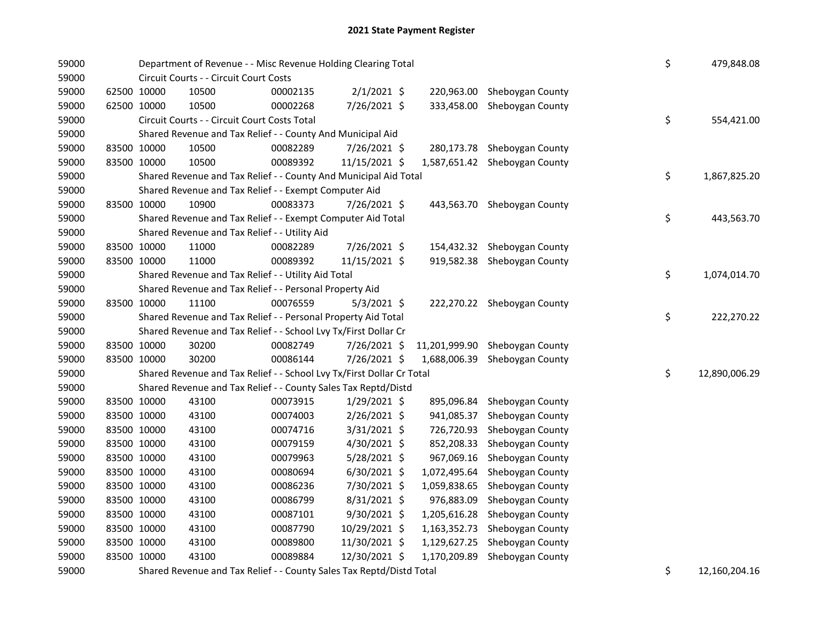| 59000 |             | Department of Revenue - - Misc Revenue Holding Clearing Total |                                                                       |          |                |  |               |                               |  | \$<br>479,848.08    |
|-------|-------------|---------------------------------------------------------------|-----------------------------------------------------------------------|----------|----------------|--|---------------|-------------------------------|--|---------------------|
| 59000 |             |                                                               | Circuit Courts - - Circuit Court Costs                                |          |                |  |               |                               |  |                     |
| 59000 |             | 62500 10000                                                   | 10500                                                                 | 00002135 | $2/1/2021$ \$  |  |               | 220,963.00 Sheboygan County   |  |                     |
| 59000 |             | 62500 10000                                                   | 10500                                                                 | 00002268 | 7/26/2021 \$   |  | 333,458.00    | Sheboygan County              |  |                     |
| 59000 |             |                                                               | Circuit Courts - - Circuit Court Costs Total                          |          |                |  |               |                               |  | \$<br>554,421.00    |
| 59000 |             |                                                               | Shared Revenue and Tax Relief - - County And Municipal Aid            |          |                |  |               |                               |  |                     |
| 59000 |             | 83500 10000                                                   | 10500                                                                 | 00082289 | 7/26/2021 \$   |  |               | 280,173.78 Sheboygan County   |  |                     |
| 59000 |             | 83500 10000                                                   | 10500                                                                 | 00089392 | 11/15/2021 \$  |  |               | 1,587,651.42 Sheboygan County |  |                     |
| 59000 |             |                                                               | Shared Revenue and Tax Relief - - County And Municipal Aid Total      |          |                |  |               |                               |  | \$<br>1,867,825.20  |
| 59000 |             |                                                               | Shared Revenue and Tax Relief - - Exempt Computer Aid                 |          |                |  |               |                               |  |                     |
| 59000 |             | 83500 10000                                                   | 10900                                                                 | 00083373 | 7/26/2021 \$   |  |               | 443,563.70 Sheboygan County   |  |                     |
| 59000 |             |                                                               | Shared Revenue and Tax Relief - - Exempt Computer Aid Total           |          |                |  |               |                               |  | \$<br>443,563.70    |
| 59000 |             |                                                               | Shared Revenue and Tax Relief - - Utility Aid                         |          |                |  |               |                               |  |                     |
| 59000 |             | 83500 10000                                                   | 11000                                                                 | 00082289 | 7/26/2021 \$   |  |               | 154,432.32 Sheboygan County   |  |                     |
| 59000 |             | 83500 10000                                                   | 11000                                                                 | 00089392 | 11/15/2021 \$  |  |               | 919,582.38 Sheboygan County   |  |                     |
| 59000 |             |                                                               | Shared Revenue and Tax Relief - - Utility Aid Total                   |          |                |  |               |                               |  | \$<br>1,074,014.70  |
| 59000 |             |                                                               | Shared Revenue and Tax Relief - - Personal Property Aid               |          |                |  |               |                               |  |                     |
| 59000 |             | 83500 10000                                                   | 11100                                                                 | 00076559 | $5/3/2021$ \$  |  |               | 222,270.22 Sheboygan County   |  |                     |
| 59000 |             |                                                               | Shared Revenue and Tax Relief - - Personal Property Aid Total         |          |                |  |               |                               |  | \$<br>222,270.22    |
| 59000 |             |                                                               | Shared Revenue and Tax Relief - - School Lvy Tx/First Dollar Cr       |          |                |  |               |                               |  |                     |
| 59000 |             | 83500 10000                                                   | 30200                                                                 | 00082749 | 7/26/2021 \$   |  | 11,201,999.90 | Sheboygan County              |  |                     |
| 59000 |             | 83500 10000                                                   | 30200                                                                 | 00086144 | 7/26/2021 \$   |  | 1,688,006.39  | Sheboygan County              |  |                     |
| 59000 |             |                                                               | Shared Revenue and Tax Relief - - School Lvy Tx/First Dollar Cr Total |          |                |  |               |                               |  | \$<br>12,890,006.29 |
| 59000 |             |                                                               | Shared Revenue and Tax Relief - - County Sales Tax Reptd/Distd        |          |                |  |               |                               |  |                     |
| 59000 |             | 83500 10000                                                   | 43100                                                                 | 00073915 | $1/29/2021$ \$ |  |               | 895,096.84 Sheboygan County   |  |                     |
| 59000 |             | 83500 10000                                                   | 43100                                                                 | 00074003 | $2/26/2021$ \$ |  | 941,085.37    | Sheboygan County              |  |                     |
| 59000 |             | 83500 10000                                                   | 43100                                                                 | 00074716 | 3/31/2021 \$   |  | 726,720.93    | Sheboygan County              |  |                     |
| 59000 |             | 83500 10000                                                   | 43100                                                                 | 00079159 | 4/30/2021 \$   |  | 852,208.33    | Sheboygan County              |  |                     |
| 59000 |             | 83500 10000                                                   | 43100                                                                 | 00079963 | 5/28/2021 \$   |  | 967,069.16    | Sheboygan County              |  |                     |
| 59000 |             | 83500 10000                                                   | 43100                                                                 | 00080694 | $6/30/2021$ \$ |  | 1,072,495.64  | Sheboygan County              |  |                     |
| 59000 |             | 83500 10000                                                   | 43100                                                                 | 00086236 | 7/30/2021 \$   |  | 1,059,838.65  | Sheboygan County              |  |                     |
| 59000 |             | 83500 10000                                                   | 43100                                                                 | 00086799 | 8/31/2021 \$   |  | 976,883.09    | Sheboygan County              |  |                     |
| 59000 |             | 83500 10000                                                   | 43100                                                                 | 00087101 | 9/30/2021 \$   |  |               | 1,205,616.28 Sheboygan County |  |                     |
| 59000 |             | 83500 10000                                                   | 43100                                                                 | 00087790 | 10/29/2021 \$  |  |               | 1,163,352.73 Sheboygan County |  |                     |
| 59000 |             | 83500 10000                                                   | 43100                                                                 | 00089800 | 11/30/2021 \$  |  |               | 1,129,627.25 Sheboygan County |  |                     |
| 59000 | 83500 10000 |                                                               | 43100                                                                 | 00089884 | 12/30/2021 \$  |  | 1,170,209.89  | Sheboygan County              |  |                     |
| 59000 |             |                                                               | Shared Revenue and Tax Relief - - County Sales Tax Reptd/Distd Total  |          |                |  |               |                               |  | \$<br>12,160,204.16 |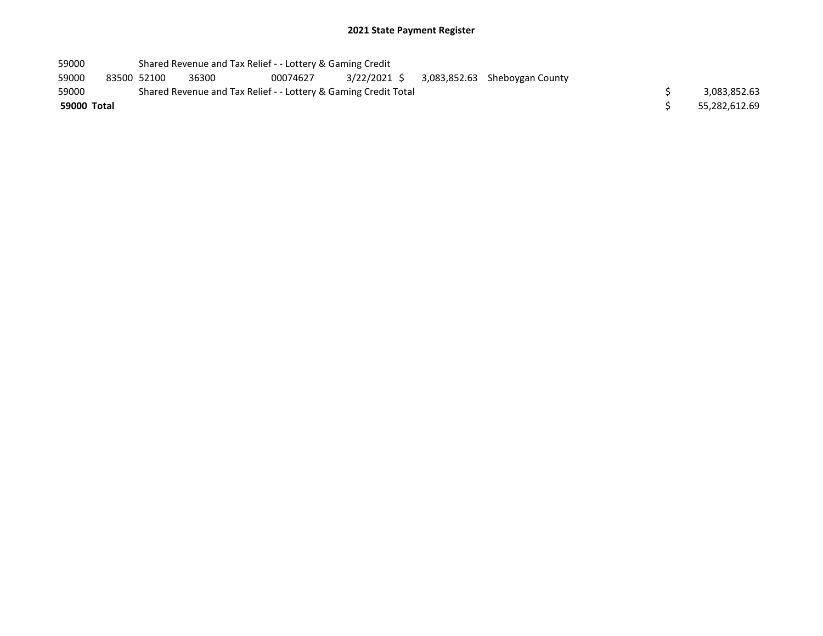| 59000       | Shared Revenue and Tax Relief - - Lottery & Gaming Credit |       |                                                                 |  |                                            |               |
|-------------|-----------------------------------------------------------|-------|-----------------------------------------------------------------|--|--------------------------------------------|---------------|
| 59000       | 83500 52100                                               | 36300 | 00074627                                                        |  | 3/22/2021 \$ 3,083,852.63 Sheboygan County |               |
| 59000       |                                                           |       | Shared Revenue and Tax Relief - - Lottery & Gaming Credit Total |  |                                            | 3,083,852.63  |
| 59000 Total |                                                           |       |                                                                 |  |                                            | 55.282.612.69 |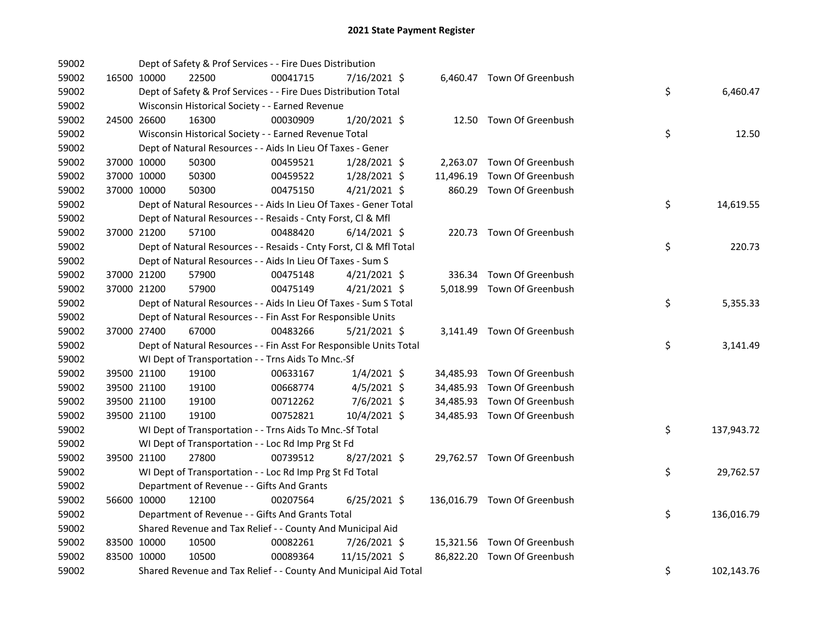| 59002 |             |             | Dept of Safety & Prof Services - - Fire Dues Distribution          |          |                |  |                              |    |            |
|-------|-------------|-------------|--------------------------------------------------------------------|----------|----------------|--|------------------------------|----|------------|
| 59002 |             | 16500 10000 | 22500                                                              | 00041715 | 7/16/2021 \$   |  | 6,460.47 Town Of Greenbush   |    |            |
| 59002 |             |             | Dept of Safety & Prof Services - - Fire Dues Distribution Total    |          |                |  |                              | \$ | 6,460.47   |
| 59002 |             |             | Wisconsin Historical Society - - Earned Revenue                    |          |                |  |                              |    |            |
| 59002 | 24500 26600 |             | 16300                                                              | 00030909 | 1/20/2021 \$   |  | 12.50 Town Of Greenbush      |    |            |
| 59002 |             |             | Wisconsin Historical Society - - Earned Revenue Total              |          |                |  |                              | \$ | 12.50      |
| 59002 |             |             | Dept of Natural Resources - - Aids In Lieu Of Taxes - Gener        |          |                |  |                              |    |            |
| 59002 | 37000 10000 |             | 50300                                                              | 00459521 | $1/28/2021$ \$ |  | 2,263.07 Town Of Greenbush   |    |            |
| 59002 | 37000 10000 |             | 50300                                                              | 00459522 | $1/28/2021$ \$ |  | 11,496.19 Town Of Greenbush  |    |            |
| 59002 | 37000 10000 |             | 50300                                                              | 00475150 | $4/21/2021$ \$ |  | 860.29 Town Of Greenbush     |    |            |
| 59002 |             |             | Dept of Natural Resources - - Aids In Lieu Of Taxes - Gener Total  |          |                |  |                              | \$ | 14,619.55  |
| 59002 |             |             | Dept of Natural Resources - - Resaids - Cnty Forst, Cl & Mfl       |          |                |  |                              |    |            |
| 59002 |             | 37000 21200 | 57100                                                              | 00488420 | $6/14/2021$ \$ |  | 220.73 Town Of Greenbush     |    |            |
| 59002 |             |             | Dept of Natural Resources - - Resaids - Cnty Forst, Cl & Mfl Total |          |                |  |                              | \$ | 220.73     |
| 59002 |             |             | Dept of Natural Resources - - Aids In Lieu Of Taxes - Sum S        |          |                |  |                              |    |            |
| 59002 |             | 37000 21200 | 57900                                                              | 00475148 | $4/21/2021$ \$ |  | 336.34 Town Of Greenbush     |    |            |
| 59002 | 37000 21200 |             | 57900                                                              | 00475149 | $4/21/2021$ \$ |  | 5,018.99 Town Of Greenbush   |    |            |
| 59002 |             |             | Dept of Natural Resources - - Aids In Lieu Of Taxes - Sum S Total  |          |                |  |                              | \$ | 5,355.33   |
| 59002 |             |             | Dept of Natural Resources - - Fin Asst For Responsible Units       |          |                |  |                              |    |            |
| 59002 | 37000 27400 |             | 67000                                                              | 00483266 | $5/21/2021$ \$ |  | 3,141.49 Town Of Greenbush   |    |            |
| 59002 |             |             | Dept of Natural Resources - - Fin Asst For Responsible Units Total |          |                |  |                              | \$ | 3,141.49   |
| 59002 |             |             | WI Dept of Transportation - - Trns Aids To Mnc.-Sf                 |          |                |  |                              |    |            |
| 59002 |             | 39500 21100 | 19100                                                              | 00633167 | $1/4/2021$ \$  |  | 34,485.93 Town Of Greenbush  |    |            |
| 59002 | 39500 21100 |             | 19100                                                              | 00668774 | $4/5/2021$ \$  |  | 34,485.93 Town Of Greenbush  |    |            |
| 59002 | 39500 21100 |             | 19100                                                              | 00712262 | $7/6/2021$ \$  |  | 34,485.93 Town Of Greenbush  |    |            |
| 59002 | 39500 21100 |             | 19100                                                              | 00752821 | 10/4/2021 \$   |  | 34,485.93 Town Of Greenbush  |    |            |
| 59002 |             |             | WI Dept of Transportation - - Trns Aids To Mnc.-Sf Total           |          |                |  |                              | \$ | 137,943.72 |
| 59002 |             |             | WI Dept of Transportation - - Loc Rd Imp Prg St Fd                 |          |                |  |                              |    |            |
| 59002 | 39500 21100 |             | 27800                                                              | 00739512 | 8/27/2021 \$   |  | 29,762.57 Town Of Greenbush  |    |            |
| 59002 |             |             | WI Dept of Transportation - - Loc Rd Imp Prg St Fd Total           |          |                |  |                              | \$ | 29,762.57  |
| 59002 |             |             | Department of Revenue - - Gifts And Grants                         |          |                |  |                              |    |            |
| 59002 | 56600 10000 |             | 12100                                                              | 00207564 | $6/25/2021$ \$ |  | 136,016.79 Town Of Greenbush |    |            |
| 59002 |             |             | Department of Revenue - - Gifts And Grants Total                   |          |                |  |                              | \$ | 136,016.79 |
| 59002 |             |             | Shared Revenue and Tax Relief - - County And Municipal Aid         |          |                |  |                              |    |            |
| 59002 |             | 83500 10000 | 10500                                                              | 00082261 | 7/26/2021 \$   |  | 15,321.56 Town Of Greenbush  |    |            |
| 59002 | 83500 10000 |             | 10500                                                              | 00089364 | 11/15/2021 \$  |  | 86,822.20 Town Of Greenbush  |    |            |
| 59002 |             |             | Shared Revenue and Tax Relief - - County And Municipal Aid Total   |          |                |  |                              | \$ | 102,143.76 |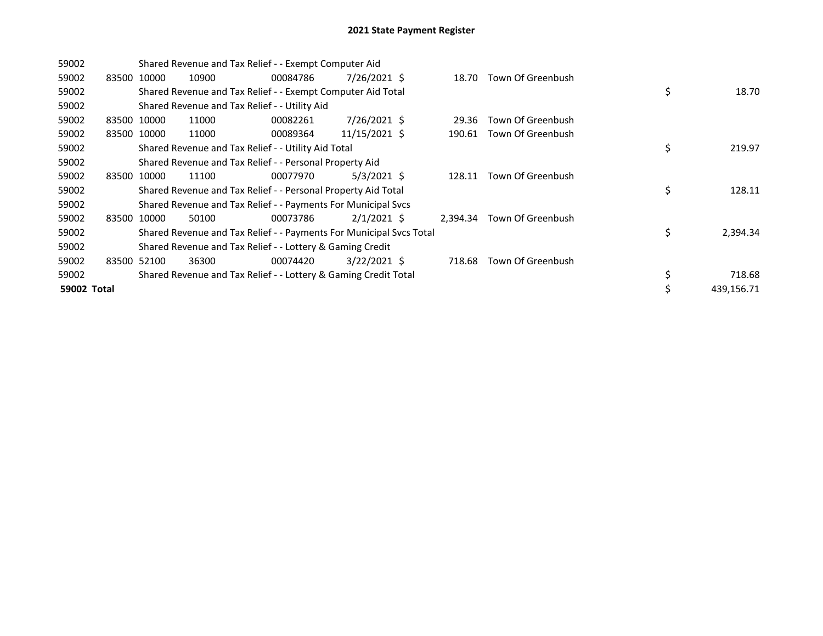| 59002       |       |             | Shared Revenue and Tax Relief - - Exempt Computer Aid |                                                                     |                |          |                   |                  |
|-------------|-------|-------------|-------------------------------------------------------|---------------------------------------------------------------------|----------------|----------|-------------------|------------------|
| 59002       |       | 83500 10000 | 10900                                                 | 00084786                                                            | 7/26/2021 \$   | 18.70    | Town Of Greenbush |                  |
| 59002       |       |             |                                                       | Shared Revenue and Tax Relief - - Exempt Computer Aid Total         |                |          |                   | \$<br>18.70      |
| 59002       |       |             |                                                       | Shared Revenue and Tax Relief - - Utility Aid                       |                |          |                   |                  |
| 59002       |       | 83500 10000 | 11000                                                 | 00082261                                                            | 7/26/2021 \$   | 29.36    | Town Of Greenbush |                  |
| 59002       |       | 83500 10000 | 11000                                                 | 00089364                                                            | 11/15/2021 \$  | 190.61   | Town Of Greenbush |                  |
| 59002       |       |             |                                                       | Shared Revenue and Tax Relief - - Utility Aid Total                 |                |          |                   | \$<br>219.97     |
| 59002       |       |             |                                                       | Shared Revenue and Tax Relief - - Personal Property Aid             |                |          |                   |                  |
| 59002       | 83500 | 10000       | 11100                                                 | 00077970                                                            | $5/3/2021$ \$  | 128.11   | Town Of Greenbush |                  |
| 59002       |       |             |                                                       | Shared Revenue and Tax Relief - - Personal Property Aid Total       |                |          |                   | \$<br>128.11     |
| 59002       |       |             |                                                       | Shared Revenue and Tax Relief - - Payments For Municipal Svcs       |                |          |                   |                  |
| 59002       |       | 83500 10000 | 50100                                                 | 00073786                                                            | $2/1/2021$ \$  | 2.394.34 | Town Of Greenbush |                  |
| 59002       |       |             |                                                       | Shared Revenue and Tax Relief - - Payments For Municipal Svcs Total |                |          |                   | \$<br>2,394.34   |
| 59002       |       |             |                                                       | Shared Revenue and Tax Relief - - Lottery & Gaming Credit           |                |          |                   |                  |
| 59002       |       | 83500 52100 | 36300                                                 | 00074420                                                            | $3/22/2021$ \$ | 718.68   | Town Of Greenbush |                  |
| 59002       |       |             |                                                       | Shared Revenue and Tax Relief - - Lottery & Gaming Credit Total     |                |          |                   | \$<br>718.68     |
| 59002 Total |       |             |                                                       |                                                                     |                |          |                   | \$<br>439,156.71 |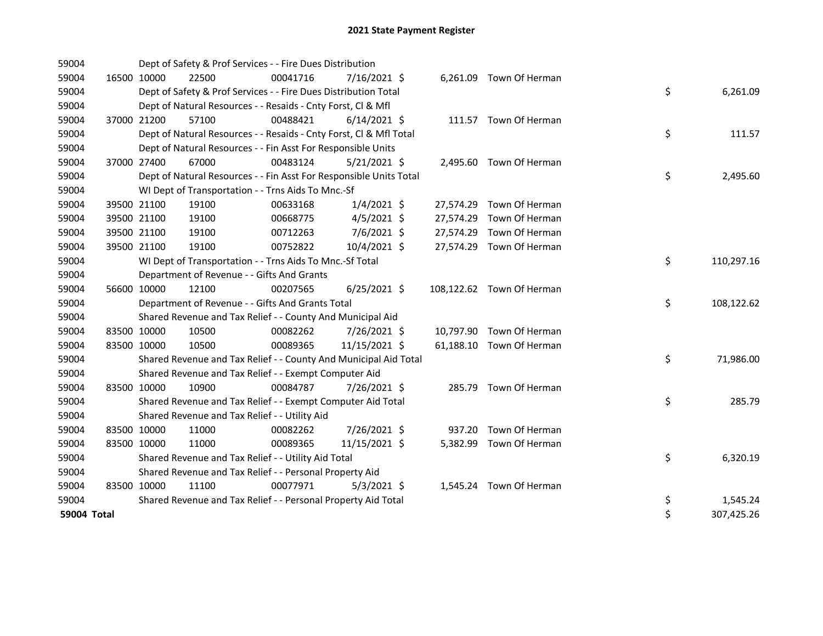| 59004       |             | Dept of Safety & Prof Services - - Fire Dues Distribution          |          |                |  |                           |    |            |
|-------------|-------------|--------------------------------------------------------------------|----------|----------------|--|---------------------------|----|------------|
| 59004       | 16500 10000 | 22500                                                              | 00041716 | 7/16/2021 \$   |  | 6,261.09 Town Of Herman   |    |            |
| 59004       |             | Dept of Safety & Prof Services - - Fire Dues Distribution Total    |          |                |  |                           | \$ | 6,261.09   |
| 59004       |             | Dept of Natural Resources - - Resaids - Cnty Forst, Cl & Mfl       |          |                |  |                           |    |            |
| 59004       | 37000 21200 | 57100                                                              | 00488421 | $6/14/2021$ \$ |  | 111.57 Town Of Herman     |    |            |
| 59004       |             | Dept of Natural Resources - - Resaids - Cnty Forst, Cl & Mfl Total |          |                |  |                           | \$ | 111.57     |
| 59004       |             | Dept of Natural Resources - - Fin Asst For Responsible Units       |          |                |  |                           |    |            |
| 59004       | 37000 27400 | 67000                                                              | 00483124 | $5/21/2021$ \$ |  | 2,495.60 Town Of Herman   |    |            |
| 59004       |             | Dept of Natural Resources - - Fin Asst For Responsible Units Total |          |                |  |                           | \$ | 2,495.60   |
| 59004       |             | WI Dept of Transportation - - Trns Aids To Mnc.-Sf                 |          |                |  |                           |    |            |
| 59004       | 39500 21100 | 19100                                                              | 00633168 | $1/4/2021$ \$  |  | 27,574.29 Town Of Herman  |    |            |
| 59004       | 39500 21100 | 19100                                                              | 00668775 | $4/5/2021$ \$  |  | 27,574.29 Town Of Herman  |    |            |
| 59004       | 39500 21100 | 19100                                                              | 00712263 | 7/6/2021 \$    |  | 27,574.29 Town Of Herman  |    |            |
| 59004       | 39500 21100 | 19100                                                              | 00752822 | 10/4/2021 \$   |  | 27,574.29 Town Of Herman  |    |            |
| 59004       |             | WI Dept of Transportation - - Trns Aids To Mnc.-Sf Total           |          |                |  |                           | \$ | 110,297.16 |
| 59004       |             | Department of Revenue - - Gifts And Grants                         |          |                |  |                           |    |            |
| 59004       | 56600 10000 | 12100                                                              | 00207565 | $6/25/2021$ \$ |  | 108,122.62 Town Of Herman |    |            |
| 59004       |             | Department of Revenue - - Gifts And Grants Total                   |          |                |  |                           | \$ | 108,122.62 |
| 59004       |             | Shared Revenue and Tax Relief - - County And Municipal Aid         |          |                |  |                           |    |            |
| 59004       | 83500 10000 | 10500                                                              | 00082262 | 7/26/2021 \$   |  | 10,797.90 Town Of Herman  |    |            |
| 59004       | 83500 10000 | 10500                                                              | 00089365 | 11/15/2021 \$  |  | 61,188.10 Town Of Herman  |    |            |
| 59004       |             | Shared Revenue and Tax Relief - - County And Municipal Aid Total   |          |                |  |                           | \$ | 71,986.00  |
| 59004       |             | Shared Revenue and Tax Relief - - Exempt Computer Aid              |          |                |  |                           |    |            |
| 59004       | 83500 10000 | 10900                                                              | 00084787 | 7/26/2021 \$   |  | 285.79 Town Of Herman     |    |            |
| 59004       |             | Shared Revenue and Tax Relief - - Exempt Computer Aid Total        |          |                |  |                           | \$ | 285.79     |
| 59004       |             | Shared Revenue and Tax Relief - - Utility Aid                      |          |                |  |                           |    |            |
| 59004       | 83500 10000 | 11000                                                              | 00082262 | 7/26/2021 \$   |  | 937.20 Town Of Herman     |    |            |
| 59004       | 83500 10000 | 11000                                                              | 00089365 | 11/15/2021 \$  |  | 5,382.99 Town Of Herman   |    |            |
| 59004       |             | Shared Revenue and Tax Relief - - Utility Aid Total                |          |                |  |                           | \$ | 6,320.19   |
| 59004       |             | Shared Revenue and Tax Relief - - Personal Property Aid            |          |                |  |                           |    |            |
| 59004       | 83500 10000 | 11100                                                              | 00077971 | $5/3/2021$ \$  |  | 1,545.24 Town Of Herman   |    |            |
| 59004       |             | Shared Revenue and Tax Relief - - Personal Property Aid Total      |          |                |  |                           | \$ | 1,545.24   |
| 59004 Total |             |                                                                    |          |                |  |                           | \$ | 307,425.26 |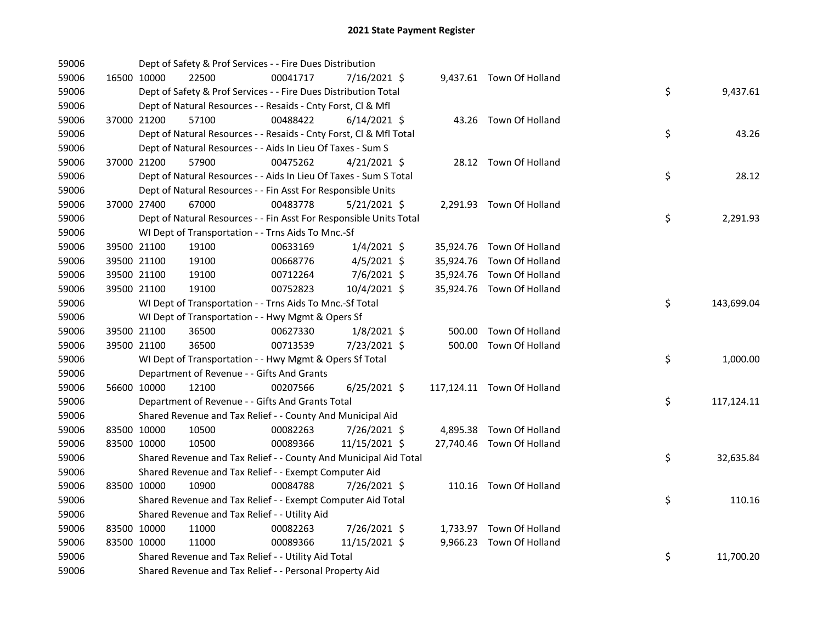| 59006 |             | Dept of Safety & Prof Services - - Fire Dues Distribution          |          |                |  |                            |    |            |
|-------|-------------|--------------------------------------------------------------------|----------|----------------|--|----------------------------|----|------------|
| 59006 | 16500 10000 | 22500                                                              | 00041717 | 7/16/2021 \$   |  | 9,437.61 Town Of Holland   |    |            |
| 59006 |             | Dept of Safety & Prof Services - - Fire Dues Distribution Total    |          |                |  |                            | \$ | 9,437.61   |
| 59006 |             | Dept of Natural Resources - - Resaids - Cnty Forst, Cl & Mfl       |          |                |  |                            |    |            |
| 59006 | 37000 21200 | 57100                                                              | 00488422 | $6/14/2021$ \$ |  | 43.26 Town Of Holland      |    |            |
| 59006 |             | Dept of Natural Resources - - Resaids - Cnty Forst, Cl & Mfl Total |          |                |  |                            | \$ | 43.26      |
| 59006 |             | Dept of Natural Resources - - Aids In Lieu Of Taxes - Sum S        |          |                |  |                            |    |            |
| 59006 | 37000 21200 | 57900                                                              | 00475262 | $4/21/2021$ \$ |  | 28.12 Town Of Holland      |    |            |
| 59006 |             | Dept of Natural Resources - - Aids In Lieu Of Taxes - Sum S Total  |          |                |  |                            | \$ | 28.12      |
| 59006 |             | Dept of Natural Resources - - Fin Asst For Responsible Units       |          |                |  |                            |    |            |
| 59006 | 37000 27400 | 67000                                                              | 00483778 | $5/21/2021$ \$ |  | 2,291.93 Town Of Holland   |    |            |
| 59006 |             | Dept of Natural Resources - - Fin Asst For Responsible Units Total |          |                |  |                            | \$ | 2,291.93   |
| 59006 |             | WI Dept of Transportation - - Trns Aids To Mnc.-Sf                 |          |                |  |                            |    |            |
| 59006 | 39500 21100 | 19100                                                              | 00633169 | $1/4/2021$ \$  |  | 35,924.76 Town Of Holland  |    |            |
| 59006 | 39500 21100 | 19100                                                              | 00668776 | $4/5/2021$ \$  |  | 35,924.76 Town Of Holland  |    |            |
| 59006 | 39500 21100 | 19100                                                              | 00712264 | 7/6/2021 \$    |  | 35,924.76 Town Of Holland  |    |            |
| 59006 | 39500 21100 | 19100                                                              | 00752823 | 10/4/2021 \$   |  | 35,924.76 Town Of Holland  |    |            |
| 59006 |             | WI Dept of Transportation - - Trns Aids To Mnc.-Sf Total           |          |                |  |                            | \$ | 143,699.04 |
| 59006 |             | WI Dept of Transportation - - Hwy Mgmt & Opers Sf                  |          |                |  |                            |    |            |
| 59006 | 39500 21100 | 36500                                                              | 00627330 | $1/8/2021$ \$  |  | 500.00 Town Of Holland     |    |            |
| 59006 | 39500 21100 | 36500                                                              | 00713539 | 7/23/2021 \$   |  | 500.00 Town Of Holland     |    |            |
| 59006 |             | WI Dept of Transportation - - Hwy Mgmt & Opers Sf Total            |          |                |  |                            | \$ | 1,000.00   |
| 59006 |             | Department of Revenue - - Gifts And Grants                         |          |                |  |                            |    |            |
| 59006 | 56600 10000 | 12100                                                              | 00207566 | $6/25/2021$ \$ |  | 117,124.11 Town Of Holland |    |            |
| 59006 |             | Department of Revenue - - Gifts And Grants Total                   |          |                |  |                            | \$ | 117,124.11 |
| 59006 |             | Shared Revenue and Tax Relief - - County And Municipal Aid         |          |                |  |                            |    |            |
| 59006 | 83500 10000 | 10500                                                              | 00082263 | 7/26/2021 \$   |  | 4,895.38 Town Of Holland   |    |            |
| 59006 | 83500 10000 | 10500                                                              | 00089366 | 11/15/2021 \$  |  | 27,740.46 Town Of Holland  |    |            |
| 59006 |             | Shared Revenue and Tax Relief - - County And Municipal Aid Total   |          |                |  |                            | \$ | 32,635.84  |
| 59006 |             | Shared Revenue and Tax Relief - - Exempt Computer Aid              |          |                |  |                            |    |            |
| 59006 | 83500 10000 | 10900                                                              | 00084788 | 7/26/2021 \$   |  | 110.16 Town Of Holland     |    |            |
| 59006 |             | Shared Revenue and Tax Relief - - Exempt Computer Aid Total        |          |                |  |                            | \$ | 110.16     |
| 59006 |             | Shared Revenue and Tax Relief - - Utility Aid                      |          |                |  |                            |    |            |
| 59006 | 83500 10000 | 11000                                                              | 00082263 | 7/26/2021 \$   |  | 1,733.97 Town Of Holland   |    |            |
| 59006 | 83500 10000 | 11000                                                              | 00089366 | 11/15/2021 \$  |  | 9,966.23 Town Of Holland   |    |            |
| 59006 |             | Shared Revenue and Tax Relief - - Utility Aid Total                |          |                |  |                            | \$ | 11,700.20  |
| 59006 |             | Shared Revenue and Tax Relief - - Personal Property Aid            |          |                |  |                            |    |            |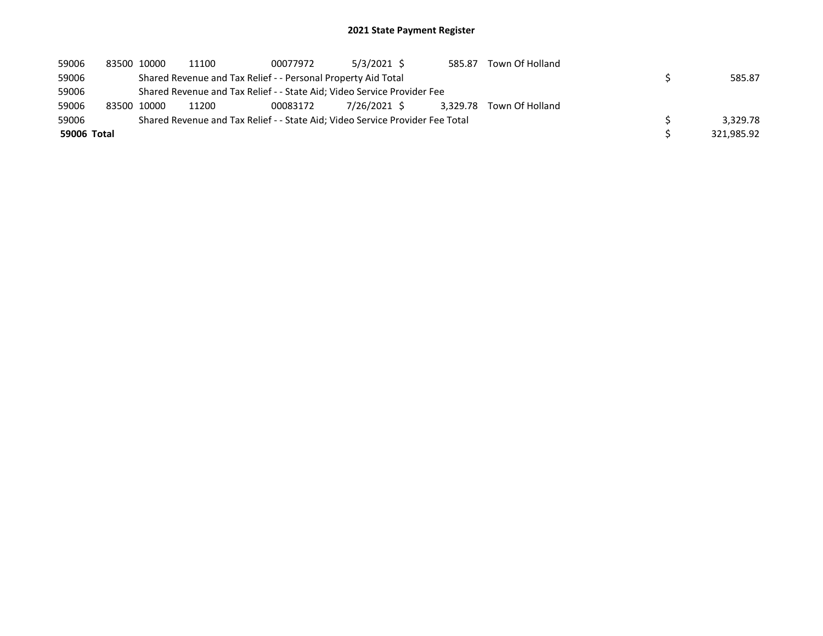| 59006       | 83500 10000 | 11100                                                         | 00077972 | 5/3/2021 \$                                                                   | 585.87   | Town Of Holland |            |
|-------------|-------------|---------------------------------------------------------------|----------|-------------------------------------------------------------------------------|----------|-----------------|------------|
| 59006       |             | Shared Revenue and Tax Relief - - Personal Property Aid Total |          |                                                                               |          |                 | 585.87     |
| 59006       |             |                                                               |          | Shared Revenue and Tax Relief - - State Aid; Video Service Provider Fee       |          |                 |            |
| 59006       | 83500 10000 | 11200                                                         | 00083172 | 7/26/2021 \$                                                                  | 3.329.78 | Town Of Holland |            |
| 59006       |             |                                                               |          | Shared Revenue and Tax Relief - - State Aid; Video Service Provider Fee Total |          |                 | 3.329.78   |
| 59006 Total |             |                                                               |          |                                                                               |          |                 | 321.985.92 |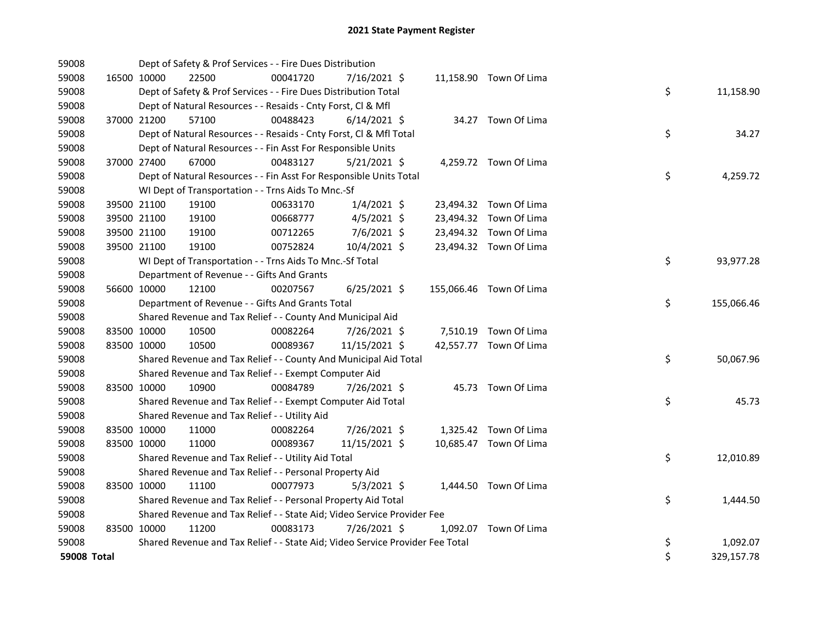| 59008       |             | Dept of Safety & Prof Services - - Fire Dues Distribution                     |          |                |  |                         |    |            |
|-------------|-------------|-------------------------------------------------------------------------------|----------|----------------|--|-------------------------|----|------------|
| 59008       | 16500 10000 | 22500                                                                         | 00041720 | 7/16/2021 \$   |  | 11,158.90 Town Of Lima  |    |            |
| 59008       |             | Dept of Safety & Prof Services - - Fire Dues Distribution Total               |          |                |  |                         | \$ | 11,158.90  |
| 59008       |             | Dept of Natural Resources - - Resaids - Cnty Forst, CI & Mfl                  |          |                |  |                         |    |            |
| 59008       | 37000 21200 | 57100                                                                         | 00488423 | $6/14/2021$ \$ |  | 34.27 Town Of Lima      |    |            |
| 59008       |             | Dept of Natural Resources - - Resaids - Cnty Forst, Cl & Mfl Total            |          |                |  |                         | \$ | 34.27      |
| 59008       |             | Dept of Natural Resources - - Fin Asst For Responsible Units                  |          |                |  |                         |    |            |
| 59008       | 37000 27400 | 67000                                                                         | 00483127 | $5/21/2021$ \$ |  | 4,259.72 Town Of Lima   |    |            |
| 59008       |             | Dept of Natural Resources - - Fin Asst For Responsible Units Total            |          |                |  |                         | \$ | 4,259.72   |
| 59008       |             | WI Dept of Transportation - - Trns Aids To Mnc.-Sf                            |          |                |  |                         |    |            |
| 59008       | 39500 21100 | 19100                                                                         | 00633170 | $1/4/2021$ \$  |  | 23,494.32 Town Of Lima  |    |            |
| 59008       | 39500 21100 | 19100                                                                         | 00668777 | $4/5/2021$ \$  |  | 23,494.32 Town Of Lima  |    |            |
| 59008       | 39500 21100 | 19100                                                                         | 00712265 | 7/6/2021 \$    |  | 23,494.32 Town Of Lima  |    |            |
| 59008       | 39500 21100 | 19100                                                                         | 00752824 | 10/4/2021 \$   |  | 23,494.32 Town Of Lima  |    |            |
| 59008       |             | WI Dept of Transportation - - Trns Aids To Mnc.-Sf Total                      |          |                |  |                         | \$ | 93,977.28  |
| 59008       |             | Department of Revenue - - Gifts And Grants                                    |          |                |  |                         |    |            |
| 59008       | 56600 10000 | 12100                                                                         | 00207567 | $6/25/2021$ \$ |  | 155,066.46 Town Of Lima |    |            |
| 59008       |             | Department of Revenue - - Gifts And Grants Total                              |          |                |  |                         | \$ | 155,066.46 |
| 59008       |             | Shared Revenue and Tax Relief - - County And Municipal Aid                    |          |                |  |                         |    |            |
| 59008       | 83500 10000 | 10500                                                                         | 00082264 | 7/26/2021 \$   |  | 7,510.19 Town Of Lima   |    |            |
| 59008       | 83500 10000 | 10500                                                                         | 00089367 | 11/15/2021 \$  |  | 42,557.77 Town Of Lima  |    |            |
| 59008       |             | Shared Revenue and Tax Relief - - County And Municipal Aid Total              |          |                |  |                         | \$ | 50,067.96  |
| 59008       |             | Shared Revenue and Tax Relief - - Exempt Computer Aid                         |          |                |  |                         |    |            |
| 59008       | 83500 10000 | 10900                                                                         | 00084789 | 7/26/2021 \$   |  | 45.73 Town Of Lima      |    |            |
| 59008       |             | Shared Revenue and Tax Relief - - Exempt Computer Aid Total                   |          |                |  |                         | \$ | 45.73      |
| 59008       |             | Shared Revenue and Tax Relief - - Utility Aid                                 |          |                |  |                         |    |            |
| 59008       | 83500 10000 | 11000                                                                         | 00082264 | 7/26/2021 \$   |  | 1,325.42 Town Of Lima   |    |            |
| 59008       | 83500 10000 | 11000                                                                         | 00089367 | 11/15/2021 \$  |  | 10,685.47 Town Of Lima  |    |            |
| 59008       |             | Shared Revenue and Tax Relief - - Utility Aid Total                           |          |                |  |                         | \$ | 12,010.89  |
| 59008       |             | Shared Revenue and Tax Relief - - Personal Property Aid                       |          |                |  |                         |    |            |
| 59008       | 83500 10000 | 11100                                                                         | 00077973 | $5/3/2021$ \$  |  | 1,444.50 Town Of Lima   |    |            |
| 59008       |             | Shared Revenue and Tax Relief - - Personal Property Aid Total                 |          |                |  |                         | \$ | 1,444.50   |
| 59008       |             | Shared Revenue and Tax Relief - - State Aid; Video Service Provider Fee       |          |                |  |                         |    |            |
| 59008       | 83500 10000 | 11200                                                                         | 00083173 | 7/26/2021 \$   |  | 1,092.07 Town Of Lima   |    |            |
| 59008       |             | Shared Revenue and Tax Relief - - State Aid; Video Service Provider Fee Total |          |                |  |                         | \$ | 1,092.07   |
| 59008 Total |             |                                                                               |          |                |  |                         | \$ | 329,157.78 |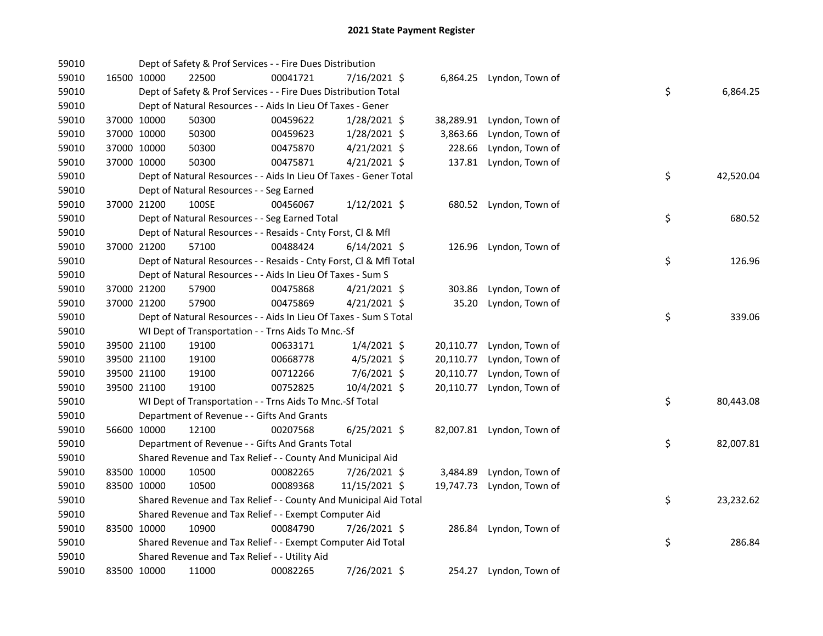| 59010 |             | Dept of Safety & Prof Services - - Fire Dues Distribution          |          |                |           |                           |    |           |
|-------|-------------|--------------------------------------------------------------------|----------|----------------|-----------|---------------------------|----|-----------|
| 59010 | 16500 10000 | 22500                                                              | 00041721 | 7/16/2021 \$   |           | 6,864.25 Lyndon, Town of  |    |           |
| 59010 |             | Dept of Safety & Prof Services - - Fire Dues Distribution Total    |          |                |           |                           | \$ | 6,864.25  |
| 59010 |             | Dept of Natural Resources - - Aids In Lieu Of Taxes - Gener        |          |                |           |                           |    |           |
| 59010 | 37000 10000 | 50300                                                              | 00459622 | 1/28/2021 \$   | 38,289.91 | Lyndon, Town of           |    |           |
| 59010 | 37000 10000 | 50300                                                              | 00459623 | 1/28/2021 \$   | 3,863.66  | Lyndon, Town of           |    |           |
| 59010 | 37000 10000 | 50300                                                              | 00475870 | $4/21/2021$ \$ | 228.66    | Lyndon, Town of           |    |           |
| 59010 | 37000 10000 | 50300                                                              | 00475871 | $4/21/2021$ \$ | 137.81    | Lyndon, Town of           |    |           |
| 59010 |             | Dept of Natural Resources - - Aids In Lieu Of Taxes - Gener Total  |          |                |           |                           | \$ | 42,520.04 |
| 59010 |             | Dept of Natural Resources - - Seg Earned                           |          |                |           |                           |    |           |
| 59010 | 37000 21200 | 100SE                                                              | 00456067 | $1/12/2021$ \$ |           | 680.52 Lyndon, Town of    |    |           |
| 59010 |             | Dept of Natural Resources - - Seg Earned Total                     |          |                |           |                           | \$ | 680.52    |
| 59010 |             | Dept of Natural Resources - - Resaids - Cnty Forst, Cl & Mfl       |          |                |           |                           |    |           |
| 59010 | 37000 21200 | 57100                                                              | 00488424 | $6/14/2021$ \$ |           | 126.96 Lyndon, Town of    |    |           |
| 59010 |             | Dept of Natural Resources - - Resaids - Cnty Forst, Cl & Mfl Total |          |                |           |                           | \$ | 126.96    |
| 59010 |             | Dept of Natural Resources - - Aids In Lieu Of Taxes - Sum S        |          |                |           |                           |    |           |
| 59010 | 37000 21200 | 57900                                                              | 00475868 | $4/21/2021$ \$ | 303.86    | Lyndon, Town of           |    |           |
| 59010 | 37000 21200 | 57900                                                              | 00475869 | $4/21/2021$ \$ | 35.20     | Lyndon, Town of           |    |           |
| 59010 |             | Dept of Natural Resources - - Aids In Lieu Of Taxes - Sum S Total  |          |                |           |                           | \$ | 339.06    |
| 59010 |             | WI Dept of Transportation - - Trns Aids To Mnc.-Sf                 |          |                |           |                           |    |           |
| 59010 | 39500 21100 | 19100                                                              | 00633171 | $1/4/2021$ \$  | 20,110.77 | Lyndon, Town of           |    |           |
| 59010 | 39500 21100 | 19100                                                              | 00668778 | $4/5/2021$ \$  | 20,110.77 | Lyndon, Town of           |    |           |
| 59010 | 39500 21100 | 19100                                                              | 00712266 | 7/6/2021 \$    | 20,110.77 | Lyndon, Town of           |    |           |
| 59010 | 39500 21100 | 19100                                                              | 00752825 | 10/4/2021 \$   | 20,110.77 | Lyndon, Town of           |    |           |
| 59010 |             | WI Dept of Transportation - - Trns Aids To Mnc.-Sf Total           |          |                |           |                           | \$ | 80,443.08 |
| 59010 |             | Department of Revenue - - Gifts And Grants                         |          |                |           |                           |    |           |
| 59010 | 56600 10000 | 12100                                                              | 00207568 | 6/25/2021 \$   |           | 82,007.81 Lyndon, Town of |    |           |
| 59010 |             | Department of Revenue - - Gifts And Grants Total                   |          |                |           |                           | \$ | 82,007.81 |
| 59010 |             | Shared Revenue and Tax Relief - - County And Municipal Aid         |          |                |           |                           |    |           |
| 59010 | 83500 10000 | 10500                                                              | 00082265 | 7/26/2021 \$   | 3,484.89  | Lyndon, Town of           |    |           |
| 59010 | 83500 10000 | 10500                                                              | 00089368 | 11/15/2021 \$  | 19,747.73 | Lyndon, Town of           |    |           |
| 59010 |             | Shared Revenue and Tax Relief - - County And Municipal Aid Total   |          |                |           |                           | \$ | 23,232.62 |
| 59010 |             | Shared Revenue and Tax Relief - - Exempt Computer Aid              |          |                |           |                           |    |           |
| 59010 | 83500 10000 | 10900                                                              | 00084790 | 7/26/2021 \$   |           | 286.84 Lyndon, Town of    |    |           |
| 59010 |             | Shared Revenue and Tax Relief - - Exempt Computer Aid Total        |          |                |           |                           | \$ | 286.84    |
| 59010 |             | Shared Revenue and Tax Relief - - Utility Aid                      |          |                |           |                           |    |           |
| 59010 | 83500 10000 | 11000                                                              | 00082265 | 7/26/2021 \$   |           | 254.27 Lyndon, Town of    |    |           |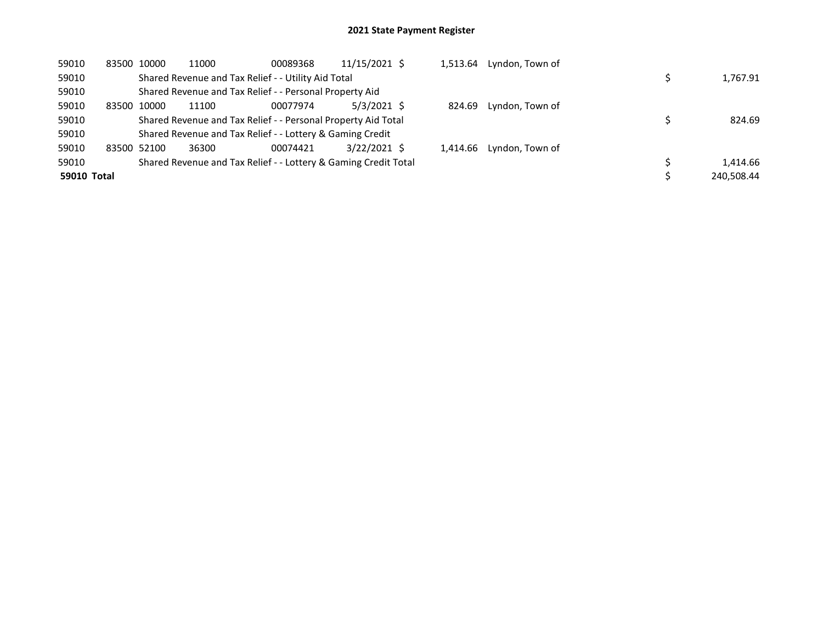| 59010       |             | 83500 10000 | 11000                                                           | 00089368 | 11/15/2021 \$ | 1,513.64 | Lyndon, Town of |            |
|-------------|-------------|-------------|-----------------------------------------------------------------|----------|---------------|----------|-----------------|------------|
| 59010       |             |             | Shared Revenue and Tax Relief - - Utility Aid Total             |          |               |          |                 | 1,767.91   |
| 59010       |             |             | Shared Revenue and Tax Relief - - Personal Property Aid         |          |               |          |                 |            |
| 59010       | 83500       | 10000       | 11100                                                           | 00077974 | $5/3/2021$ \$ | 824.69   | Lyndon, Town of |            |
| 59010       |             |             | Shared Revenue and Tax Relief - - Personal Property Aid Total   |          |               |          |                 | 824.69     |
| 59010       |             |             | Shared Revenue and Tax Relief - - Lottery & Gaming Credit       |          |               |          |                 |            |
| 59010       | 83500 52100 |             | 36300                                                           | 00074421 | 3/22/2021 \$  | 1.414.66 | Lyndon, Town of |            |
| 59010       |             |             | Shared Revenue and Tax Relief - - Lottery & Gaming Credit Total |          |               |          |                 | 1.414.66   |
| 59010 Total |             |             |                                                                 |          |               |          |                 | 240.508.44 |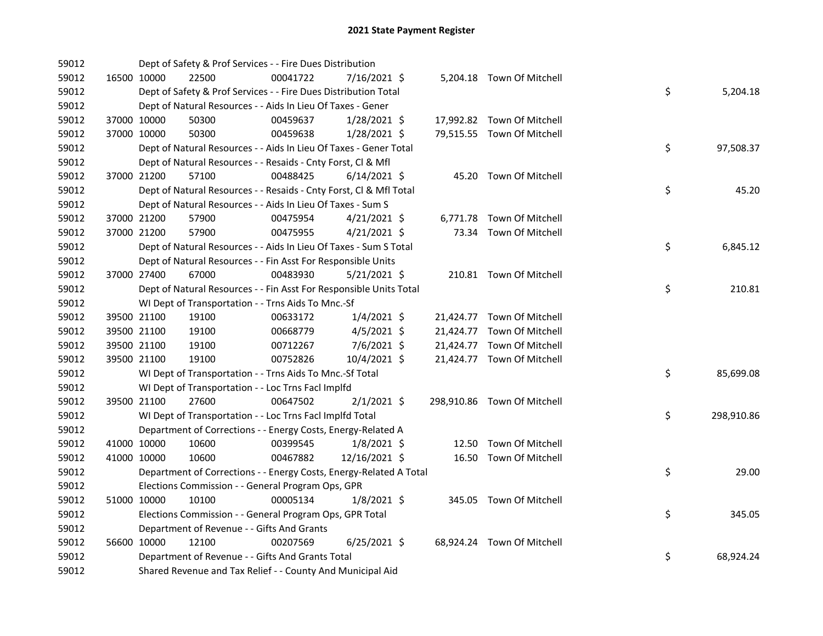| 59012 |             |             | Dept of Safety & Prof Services - - Fire Dues Distribution          |          |                |  |                             |    |            |
|-------|-------------|-------------|--------------------------------------------------------------------|----------|----------------|--|-----------------------------|----|------------|
| 59012 |             | 16500 10000 | 22500                                                              | 00041722 | 7/16/2021 \$   |  | 5,204.18 Town Of Mitchell   |    |            |
| 59012 |             |             | Dept of Safety & Prof Services - - Fire Dues Distribution Total    |          |                |  |                             | \$ | 5,204.18   |
| 59012 |             |             | Dept of Natural Resources - - Aids In Lieu Of Taxes - Gener        |          |                |  |                             |    |            |
| 59012 | 37000 10000 |             | 50300                                                              | 00459637 | 1/28/2021 \$   |  | 17,992.82 Town Of Mitchell  |    |            |
| 59012 | 37000 10000 |             | 50300                                                              | 00459638 | 1/28/2021 \$   |  | 79,515.55 Town Of Mitchell  |    |            |
| 59012 |             |             | Dept of Natural Resources - - Aids In Lieu Of Taxes - Gener Total  |          |                |  |                             | \$ | 97,508.37  |
| 59012 |             |             | Dept of Natural Resources - - Resaids - Cnty Forst, Cl & Mfl       |          |                |  |                             |    |            |
| 59012 | 37000 21200 |             | 57100                                                              | 00488425 | $6/14/2021$ \$ |  | 45.20 Town Of Mitchell      |    |            |
| 59012 |             |             | Dept of Natural Resources - - Resaids - Cnty Forst, Cl & Mfl Total |          |                |  |                             | \$ | 45.20      |
| 59012 |             |             | Dept of Natural Resources - - Aids In Lieu Of Taxes - Sum S        |          |                |  |                             |    |            |
| 59012 |             | 37000 21200 | 57900                                                              | 00475954 | $4/21/2021$ \$ |  | 6,771.78 Town Of Mitchell   |    |            |
| 59012 | 37000 21200 |             | 57900                                                              | 00475955 | $4/21/2021$ \$ |  | 73.34 Town Of Mitchell      |    |            |
| 59012 |             |             | Dept of Natural Resources - - Aids In Lieu Of Taxes - Sum S Total  |          |                |  |                             | \$ | 6,845.12   |
| 59012 |             |             | Dept of Natural Resources - - Fin Asst For Responsible Units       |          |                |  |                             |    |            |
| 59012 |             | 37000 27400 | 67000                                                              | 00483930 | $5/21/2021$ \$ |  | 210.81 Town Of Mitchell     |    |            |
| 59012 |             |             | Dept of Natural Resources - - Fin Asst For Responsible Units Total |          |                |  |                             | \$ | 210.81     |
| 59012 |             |             | WI Dept of Transportation - - Trns Aids To Mnc.-Sf                 |          |                |  |                             |    |            |
| 59012 |             | 39500 21100 | 19100                                                              | 00633172 | $1/4/2021$ \$  |  | 21,424.77 Town Of Mitchell  |    |            |
| 59012 | 39500 21100 |             | 19100                                                              | 00668779 | $4/5/2021$ \$  |  | 21,424.77 Town Of Mitchell  |    |            |
| 59012 | 39500 21100 |             | 19100                                                              | 00712267 | 7/6/2021 \$    |  | 21,424.77 Town Of Mitchell  |    |            |
| 59012 | 39500 21100 |             | 19100                                                              | 00752826 | 10/4/2021 \$   |  | 21,424.77 Town Of Mitchell  |    |            |
| 59012 |             |             | WI Dept of Transportation - - Trns Aids To Mnc.-Sf Total           |          |                |  |                             | \$ | 85,699.08  |
| 59012 |             |             | WI Dept of Transportation - - Loc Trns Facl Implfd                 |          |                |  |                             |    |            |
| 59012 |             | 39500 21100 | 27600                                                              | 00647502 | $2/1/2021$ \$  |  | 298,910.86 Town Of Mitchell |    |            |
| 59012 |             |             | WI Dept of Transportation - - Loc Trns Facl Implfd Total           |          |                |  |                             | \$ | 298,910.86 |
| 59012 |             |             | Department of Corrections - - Energy Costs, Energy-Related A       |          |                |  |                             |    |            |
| 59012 | 41000 10000 |             | 10600                                                              | 00399545 | $1/8/2021$ \$  |  | 12.50 Town Of Mitchell      |    |            |
| 59012 | 41000 10000 |             | 10600                                                              | 00467882 | 12/16/2021 \$  |  | 16.50 Town Of Mitchell      |    |            |
| 59012 |             |             | Department of Corrections - - Energy Costs, Energy-Related A Total |          |                |  |                             | \$ | 29.00      |
| 59012 |             |             | Elections Commission - - General Program Ops, GPR                  |          |                |  |                             |    |            |
| 59012 | 51000 10000 |             | 10100                                                              | 00005134 | $1/8/2021$ \$  |  | 345.05 Town Of Mitchell     |    |            |
| 59012 |             |             | Elections Commission - - General Program Ops, GPR Total            |          |                |  |                             | \$ | 345.05     |
| 59012 |             |             | Department of Revenue - - Gifts And Grants                         |          |                |  |                             |    |            |
| 59012 | 56600 10000 |             | 12100                                                              | 00207569 | $6/25/2021$ \$ |  | 68,924.24 Town Of Mitchell  |    |            |
| 59012 |             |             | Department of Revenue - - Gifts And Grants Total                   |          |                |  |                             | \$ | 68,924.24  |
| 59012 |             |             | Shared Revenue and Tax Relief - - County And Municipal Aid         |          |                |  |                             |    |            |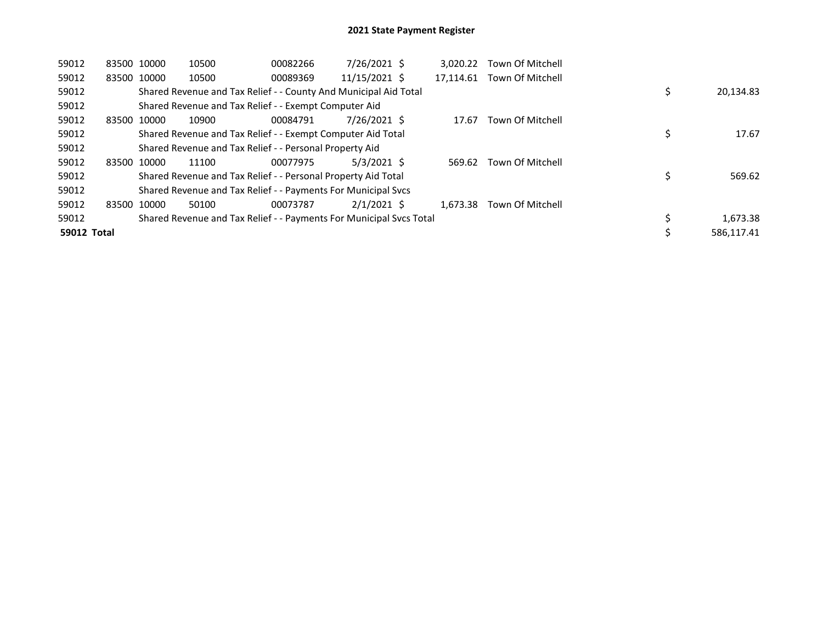| 59012              | 83500 10000 |       | 10500                                                               | 00082266 | 7/26/2021 \$  | 3.020.22  | Town Of Mitchell |            |
|--------------------|-------------|-------|---------------------------------------------------------------------|----------|---------------|-----------|------------------|------------|
| 59012              | 83500 10000 |       | 10500                                                               | 00089369 | 11/15/2021 \$ | 17.114.61 | Town Of Mitchell |            |
| 59012              |             |       | Shared Revenue and Tax Relief - - County And Municipal Aid Total    |          |               |           |                  | 20,134.83  |
| 59012              |             |       | Shared Revenue and Tax Relief - - Exempt Computer Aid               |          |               |           |                  |            |
| 59012              | 83500       | 10000 | 10900                                                               | 00084791 | 7/26/2021 \$  | 17.67     | Town Of Mitchell |            |
| 59012              |             |       | Shared Revenue and Tax Relief - - Exempt Computer Aid Total         |          |               |           |                  | 17.67      |
| 59012              |             |       | Shared Revenue and Tax Relief - - Personal Property Aid             |          |               |           |                  |            |
| 59012              | 83500 10000 |       | 11100                                                               | 00077975 | $5/3/2021$ \$ | 569.62    | Town Of Mitchell |            |
| 59012              |             |       | Shared Revenue and Tax Relief - - Personal Property Aid Total       |          |               |           |                  | 569.62     |
| 59012              |             |       | Shared Revenue and Tax Relief - - Payments For Municipal Svcs       |          |               |           |                  |            |
| 59012              | 83500       | 10000 | 50100                                                               | 00073787 | $2/1/2021$ \$ | 1.673.38  | Town Of Mitchell |            |
| 59012              |             |       | Shared Revenue and Tax Relief - - Payments For Municipal Svcs Total |          |               |           |                  | 1,673.38   |
| <b>59012 Total</b> |             |       |                                                                     |          |               |           |                  | 586,117.41 |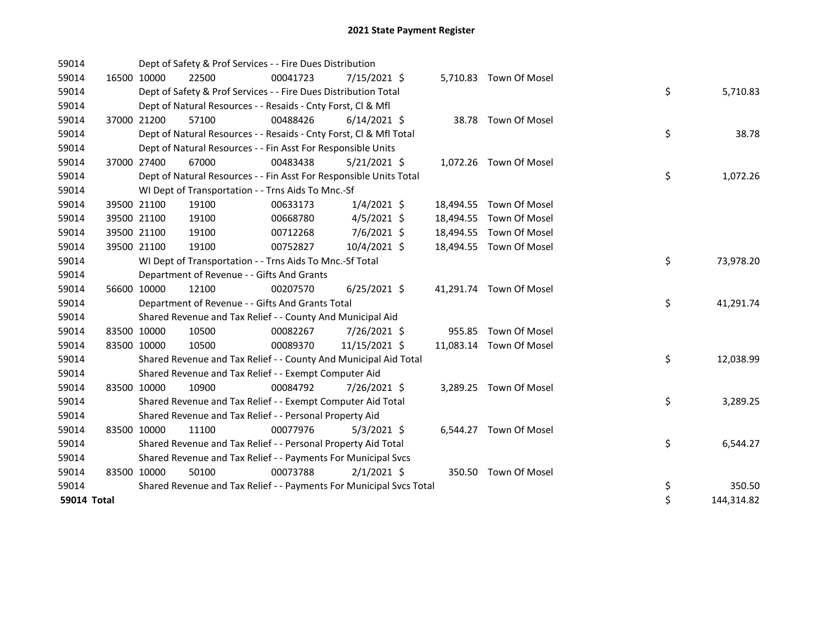| 59014       |             | Dept of Safety & Prof Services - - Fire Dues Distribution           |          |                |  |                         |    |            |
|-------------|-------------|---------------------------------------------------------------------|----------|----------------|--|-------------------------|----|------------|
| 59014       | 16500 10000 | 22500                                                               | 00041723 | $7/15/2021$ \$ |  | 5,710.83 Town Of Mosel  |    |            |
| 59014       |             | Dept of Safety & Prof Services - - Fire Dues Distribution Total     |          |                |  |                         | \$ | 5,710.83   |
| 59014       |             | Dept of Natural Resources - - Resaids - Cnty Forst, CI & Mfl        |          |                |  |                         |    |            |
| 59014       | 37000 21200 | 57100                                                               | 00488426 | $6/14/2021$ \$ |  | 38.78 Town Of Mosel     |    |            |
| 59014       |             | Dept of Natural Resources - - Resaids - Cnty Forst, Cl & Mfl Total  |          |                |  |                         | \$ | 38.78      |
| 59014       |             | Dept of Natural Resources - - Fin Asst For Responsible Units        |          |                |  |                         |    |            |
| 59014       | 37000 27400 | 67000                                                               | 00483438 | $5/21/2021$ \$ |  | 1,072.26 Town Of Mosel  |    |            |
| 59014       |             | Dept of Natural Resources - - Fin Asst For Responsible Units Total  |          |                |  |                         | \$ | 1,072.26   |
| 59014       |             | WI Dept of Transportation - - Trns Aids To Mnc.-Sf                  |          |                |  |                         |    |            |
| 59014       | 39500 21100 | 19100                                                               | 00633173 | 1/4/2021 \$    |  | 18,494.55 Town Of Mosel |    |            |
| 59014       | 39500 21100 | 19100                                                               | 00668780 | $4/5/2021$ \$  |  | 18,494.55 Town Of Mosel |    |            |
| 59014       | 39500 21100 | 19100                                                               | 00712268 | 7/6/2021 \$    |  | 18,494.55 Town Of Mosel |    |            |
| 59014       | 39500 21100 | 19100                                                               | 00752827 | 10/4/2021 \$   |  | 18,494.55 Town Of Mosel |    |            |
| 59014       |             | WI Dept of Transportation - - Trns Aids To Mnc.-Sf Total            |          |                |  |                         | \$ | 73,978.20  |
| 59014       |             | Department of Revenue - - Gifts And Grants                          |          |                |  |                         |    |            |
| 59014       | 56600 10000 | 12100                                                               | 00207570 | $6/25/2021$ \$ |  | 41,291.74 Town Of Mosel |    |            |
| 59014       |             | Department of Revenue - - Gifts And Grants Total                    |          |                |  |                         | \$ | 41,291.74  |
| 59014       |             | Shared Revenue and Tax Relief - - County And Municipal Aid          |          |                |  |                         |    |            |
| 59014       | 83500 10000 | 10500                                                               | 00082267 | 7/26/2021 \$   |  | 955.85 Town Of Mosel    |    |            |
| 59014       | 83500 10000 | 10500                                                               | 00089370 | 11/15/2021 \$  |  | 11,083.14 Town Of Mosel |    |            |
| 59014       |             | Shared Revenue and Tax Relief - - County And Municipal Aid Total    |          |                |  |                         | \$ | 12,038.99  |
| 59014       |             | Shared Revenue and Tax Relief - - Exempt Computer Aid               |          |                |  |                         |    |            |
| 59014       | 83500 10000 | 10900                                                               | 00084792 | 7/26/2021 \$   |  | 3,289.25 Town Of Mosel  |    |            |
| 59014       |             | Shared Revenue and Tax Relief - - Exempt Computer Aid Total         |          |                |  |                         | \$ | 3,289.25   |
| 59014       |             | Shared Revenue and Tax Relief - - Personal Property Aid             |          |                |  |                         |    |            |
| 59014       | 83500 10000 | 11100                                                               | 00077976 | $5/3/2021$ \$  |  | 6,544.27 Town Of Mosel  |    |            |
| 59014       |             | Shared Revenue and Tax Relief - - Personal Property Aid Total       |          |                |  |                         | \$ | 6,544.27   |
| 59014       |             | Shared Revenue and Tax Relief - - Payments For Municipal Svcs       |          |                |  |                         |    |            |
| 59014       | 83500 10000 | 50100                                                               | 00073788 | $2/1/2021$ \$  |  | 350.50 Town Of Mosel    |    |            |
| 59014       |             | Shared Revenue and Tax Relief - - Payments For Municipal Svcs Total |          |                |  |                         | \$ | 350.50     |
| 59014 Total |             |                                                                     |          |                |  |                         | \$ | 144,314.82 |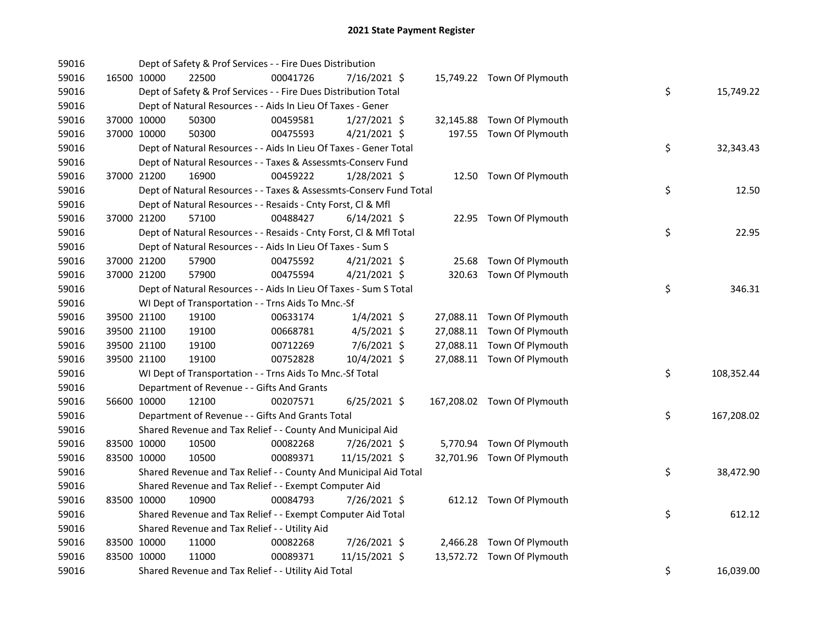| 59016 |             | Dept of Safety & Prof Services - - Fire Dues Distribution          |          |                |  |                             |    |            |
|-------|-------------|--------------------------------------------------------------------|----------|----------------|--|-----------------------------|----|------------|
| 59016 | 16500 10000 | 22500                                                              | 00041726 | 7/16/2021 \$   |  | 15,749.22 Town Of Plymouth  |    |            |
| 59016 |             | Dept of Safety & Prof Services - - Fire Dues Distribution Total    |          |                |  |                             | \$ | 15,749.22  |
| 59016 |             | Dept of Natural Resources - - Aids In Lieu Of Taxes - Gener        |          |                |  |                             |    |            |
| 59016 | 37000 10000 | 50300                                                              | 00459581 | $1/27/2021$ \$ |  | 32,145.88 Town Of Plymouth  |    |            |
| 59016 | 37000 10000 | 50300                                                              | 00475593 | $4/21/2021$ \$ |  | 197.55 Town Of Plymouth     |    |            |
| 59016 |             | Dept of Natural Resources - - Aids In Lieu Of Taxes - Gener Total  |          |                |  |                             | \$ | 32,343.43  |
| 59016 |             | Dept of Natural Resources - - Taxes & Assessmts-Conserv Fund       |          |                |  |                             |    |            |
| 59016 | 37000 21200 | 16900                                                              | 00459222 | $1/28/2021$ \$ |  | 12.50 Town Of Plymouth      |    |            |
| 59016 |             | Dept of Natural Resources - - Taxes & Assessmts-Conserv Fund Total |          |                |  |                             | \$ | 12.50      |
| 59016 |             | Dept of Natural Resources - - Resaids - Cnty Forst, Cl & Mfl       |          |                |  |                             |    |            |
| 59016 | 37000 21200 | 57100                                                              | 00488427 | $6/14/2021$ \$ |  | 22.95 Town Of Plymouth      |    |            |
| 59016 |             | Dept of Natural Resources - - Resaids - Cnty Forst, Cl & Mfl Total |          |                |  |                             | \$ | 22.95      |
| 59016 |             | Dept of Natural Resources - - Aids In Lieu Of Taxes - Sum S        |          |                |  |                             |    |            |
| 59016 | 37000 21200 | 57900                                                              | 00475592 | $4/21/2021$ \$ |  | 25.68 Town Of Plymouth      |    |            |
| 59016 | 37000 21200 | 57900                                                              | 00475594 | 4/21/2021 \$   |  | 320.63 Town Of Plymouth     |    |            |
| 59016 |             | Dept of Natural Resources - - Aids In Lieu Of Taxes - Sum S Total  |          |                |  |                             | \$ | 346.31     |
| 59016 |             | WI Dept of Transportation - - Trns Aids To Mnc.-Sf                 |          |                |  |                             |    |            |
| 59016 | 39500 21100 | 19100                                                              | 00633174 | $1/4/2021$ \$  |  | 27,088.11 Town Of Plymouth  |    |            |
| 59016 | 39500 21100 | 19100                                                              | 00668781 | $4/5/2021$ \$  |  | 27,088.11 Town Of Plymouth  |    |            |
| 59016 | 39500 21100 | 19100                                                              | 00712269 | 7/6/2021 \$    |  | 27,088.11 Town Of Plymouth  |    |            |
| 59016 | 39500 21100 | 19100                                                              | 00752828 | 10/4/2021 \$   |  | 27,088.11 Town Of Plymouth  |    |            |
| 59016 |             | WI Dept of Transportation - - Trns Aids To Mnc.-Sf Total           |          |                |  |                             | \$ | 108,352.44 |
| 59016 |             | Department of Revenue - - Gifts And Grants                         |          |                |  |                             |    |            |
| 59016 | 56600 10000 | 12100                                                              | 00207571 | $6/25/2021$ \$ |  | 167,208.02 Town Of Plymouth |    |            |
| 59016 |             | Department of Revenue - - Gifts And Grants Total                   |          |                |  |                             | \$ | 167,208.02 |
| 59016 |             | Shared Revenue and Tax Relief - - County And Municipal Aid         |          |                |  |                             |    |            |
| 59016 | 83500 10000 | 10500                                                              | 00082268 | 7/26/2021 \$   |  | 5,770.94 Town Of Plymouth   |    |            |
| 59016 | 83500 10000 | 10500                                                              | 00089371 | 11/15/2021 \$  |  | 32,701.96 Town Of Plymouth  |    |            |
| 59016 |             | Shared Revenue and Tax Relief - - County And Municipal Aid Total   |          |                |  |                             | \$ | 38,472.90  |
| 59016 |             | Shared Revenue and Tax Relief - - Exempt Computer Aid              |          |                |  |                             |    |            |
| 59016 | 83500 10000 | 10900                                                              | 00084793 | 7/26/2021 \$   |  | 612.12 Town Of Plymouth     |    |            |
| 59016 |             | Shared Revenue and Tax Relief - - Exempt Computer Aid Total        |          |                |  |                             | \$ | 612.12     |
| 59016 |             | Shared Revenue and Tax Relief - - Utility Aid                      |          |                |  |                             |    |            |
| 59016 | 83500 10000 | 11000                                                              | 00082268 | 7/26/2021 \$   |  | 2,466.28 Town Of Plymouth   |    |            |
| 59016 | 83500 10000 | 11000                                                              | 00089371 | 11/15/2021 \$  |  | 13,572.72 Town Of Plymouth  |    |            |
| 59016 |             | Shared Revenue and Tax Relief - - Utility Aid Total                |          |                |  |                             | \$ | 16,039.00  |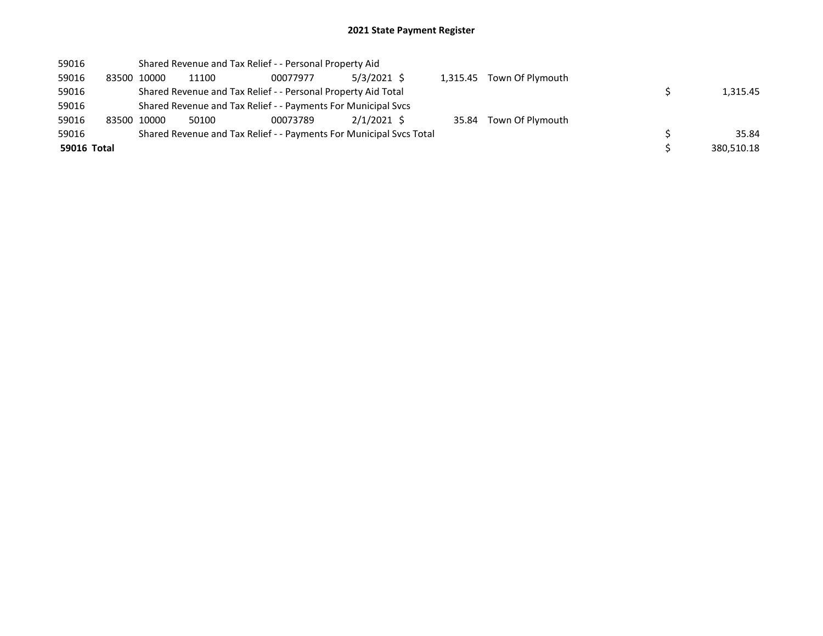| 59016       |             | Shared Revenue and Tax Relief - - Personal Property Aid             |          |               |  |                           |            |
|-------------|-------------|---------------------------------------------------------------------|----------|---------------|--|---------------------------|------------|
| 59016       | 83500 10000 | 11100                                                               | 00077977 | $5/3/2021$ \$ |  | 1,315.45 Town Of Plymouth |            |
| 59016       |             | Shared Revenue and Tax Relief - - Personal Property Aid Total       |          |               |  |                           | 1,315.45   |
| 59016       |             | Shared Revenue and Tax Relief - - Payments For Municipal Svcs       |          |               |  |                           |            |
| 59016       | 83500 10000 | 50100                                                               | 00073789 | $2/1/2021$ \$ |  | 35.84 Town Of Plymouth    |            |
| 59016       |             | Shared Revenue and Tax Relief - - Payments For Municipal Svcs Total |          |               |  |                           | 35.84      |
| 59016 Total |             |                                                                     |          |               |  |                           | 380.510.18 |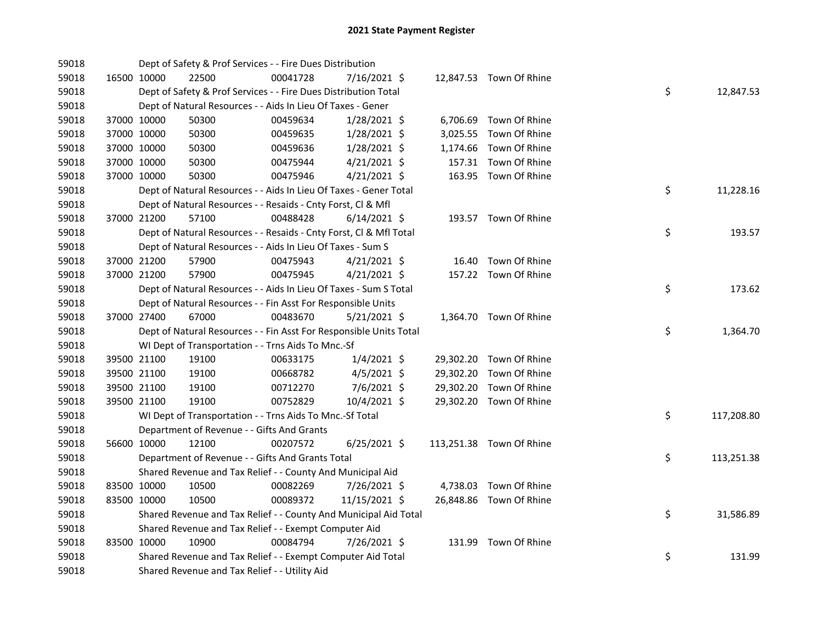| 59018 |             |             | Dept of Safety & Prof Services - - Fire Dues Distribution          |          |                |  |                          |    |            |
|-------|-------------|-------------|--------------------------------------------------------------------|----------|----------------|--|--------------------------|----|------------|
| 59018 | 16500 10000 |             | 22500                                                              | 00041728 | 7/16/2021 \$   |  | 12,847.53 Town Of Rhine  |    |            |
| 59018 |             |             | Dept of Safety & Prof Services - - Fire Dues Distribution Total    |          |                |  |                          | \$ | 12,847.53  |
| 59018 |             |             | Dept of Natural Resources - - Aids In Lieu Of Taxes - Gener        |          |                |  |                          |    |            |
| 59018 | 37000 10000 |             | 50300                                                              | 00459634 | 1/28/2021 \$   |  | 6,706.69 Town Of Rhine   |    |            |
| 59018 | 37000 10000 |             | 50300                                                              | 00459635 | $1/28/2021$ \$ |  | 3,025.55 Town Of Rhine   |    |            |
| 59018 | 37000 10000 |             | 50300                                                              | 00459636 | 1/28/2021 \$   |  | 1,174.66 Town Of Rhine   |    |            |
| 59018 | 37000 10000 |             | 50300                                                              | 00475944 | $4/21/2021$ \$ |  | 157.31 Town Of Rhine     |    |            |
| 59018 | 37000 10000 |             | 50300                                                              | 00475946 | $4/21/2021$ \$ |  | 163.95 Town Of Rhine     |    |            |
| 59018 |             |             | Dept of Natural Resources - - Aids In Lieu Of Taxes - Gener Total  |          |                |  |                          | \$ | 11,228.16  |
| 59018 |             |             | Dept of Natural Resources - - Resaids - Cnty Forst, Cl & Mfl       |          |                |  |                          |    |            |
| 59018 | 37000 21200 |             | 57100                                                              | 00488428 | $6/14/2021$ \$ |  | 193.57 Town Of Rhine     |    |            |
| 59018 |             |             | Dept of Natural Resources - - Resaids - Cnty Forst, Cl & Mfl Total |          |                |  |                          | \$ | 193.57     |
| 59018 |             |             | Dept of Natural Resources - - Aids In Lieu Of Taxes - Sum S        |          |                |  |                          |    |            |
| 59018 | 37000 21200 |             | 57900                                                              | 00475943 | $4/21/2021$ \$ |  | 16.40 Town Of Rhine      |    |            |
| 59018 | 37000 21200 |             | 57900                                                              | 00475945 | $4/21/2021$ \$ |  | 157.22 Town Of Rhine     |    |            |
| 59018 |             |             | Dept of Natural Resources - - Aids In Lieu Of Taxes - Sum S Total  |          |                |  |                          | \$ | 173.62     |
| 59018 |             |             | Dept of Natural Resources - - Fin Asst For Responsible Units       |          |                |  |                          |    |            |
| 59018 | 37000 27400 |             | 67000                                                              | 00483670 | $5/21/2021$ \$ |  | 1,364.70 Town Of Rhine   |    |            |
| 59018 |             |             | Dept of Natural Resources - - Fin Asst For Responsible Units Total |          |                |  |                          | \$ | 1,364.70   |
| 59018 |             |             | WI Dept of Transportation - - Trns Aids To Mnc.-Sf                 |          |                |  |                          |    |            |
| 59018 |             | 39500 21100 | 19100                                                              | 00633175 | $1/4/2021$ \$  |  | 29,302.20 Town Of Rhine  |    |            |
| 59018 |             | 39500 21100 | 19100                                                              | 00668782 | $4/5/2021$ \$  |  | 29,302.20 Town Of Rhine  |    |            |
| 59018 | 39500 21100 |             | 19100                                                              | 00712270 | 7/6/2021 \$    |  | 29,302.20 Town Of Rhine  |    |            |
| 59018 | 39500 21100 |             | 19100                                                              | 00752829 | 10/4/2021 \$   |  | 29,302.20 Town Of Rhine  |    |            |
| 59018 |             |             | WI Dept of Transportation - - Trns Aids To Mnc.-Sf Total           |          |                |  |                          | \$ | 117,208.80 |
| 59018 |             |             | Department of Revenue - - Gifts And Grants                         |          |                |  |                          |    |            |
| 59018 |             | 56600 10000 | 12100                                                              | 00207572 | $6/25/2021$ \$ |  | 113,251.38 Town Of Rhine |    |            |
| 59018 |             |             | Department of Revenue - - Gifts And Grants Total                   |          |                |  |                          | \$ | 113,251.38 |
| 59018 |             |             | Shared Revenue and Tax Relief - - County And Municipal Aid         |          |                |  |                          |    |            |
| 59018 |             | 83500 10000 | 10500                                                              | 00082269 | 7/26/2021 \$   |  | 4,738.03 Town Of Rhine   |    |            |
| 59018 | 83500 10000 |             | 10500                                                              | 00089372 | 11/15/2021 \$  |  | 26,848.86 Town Of Rhine  |    |            |
| 59018 |             |             | Shared Revenue and Tax Relief - - County And Municipal Aid Total   |          |                |  |                          | \$ | 31,586.89  |
| 59018 |             |             | Shared Revenue and Tax Relief - - Exempt Computer Aid              |          |                |  |                          |    |            |
| 59018 | 83500 10000 |             | 10900                                                              | 00084794 | 7/26/2021 \$   |  | 131.99 Town Of Rhine     |    |            |
| 59018 |             |             | Shared Revenue and Tax Relief - - Exempt Computer Aid Total        |          |                |  |                          | \$ | 131.99     |
| 59018 |             |             | Shared Revenue and Tax Relief - - Utility Aid                      |          |                |  |                          |    |            |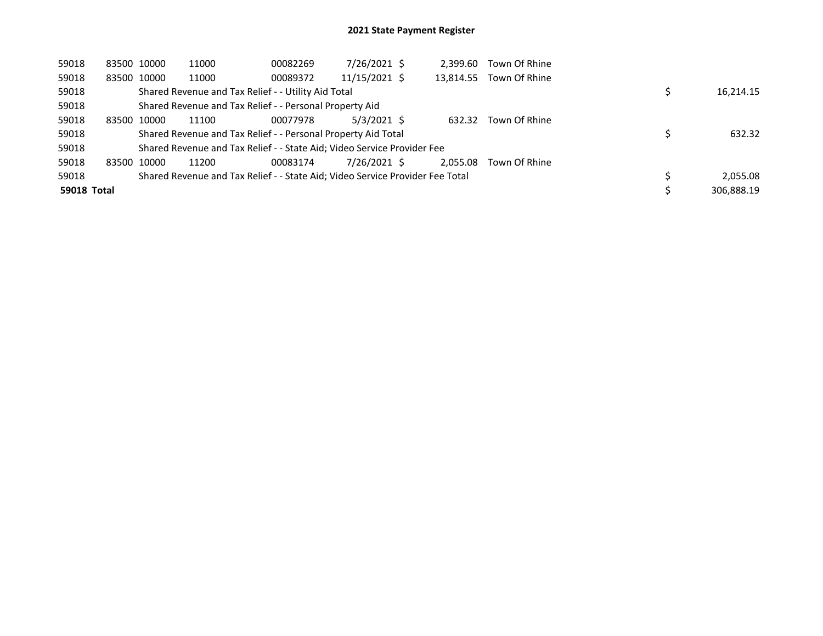| 59018              | 83500 10000 | 11000                                                                         | 00082269 | 7/26/2021 \$  | 2.399.60  | Town Of Rhine |  |            |
|--------------------|-------------|-------------------------------------------------------------------------------|----------|---------------|-----------|---------------|--|------------|
| 59018              | 83500 10000 | 11000                                                                         | 00089372 | 11/15/2021 \$ | 13,814.55 | Town Of Rhine |  |            |
| 59018              |             | Shared Revenue and Tax Relief - - Utility Aid Total                           |          |               |           |               |  | 16,214.15  |
| 59018              |             | Shared Revenue and Tax Relief - - Personal Property Aid                       |          |               |           |               |  |            |
| 59018              | 83500 10000 | 11100                                                                         | 00077978 | $5/3/2021$ \$ | 632.32    | Town Of Rhine |  |            |
| 59018              |             | Shared Revenue and Tax Relief - - Personal Property Aid Total                 |          |               |           |               |  | 632.32     |
| 59018              |             | Shared Revenue and Tax Relief - - State Aid; Video Service Provider Fee       |          |               |           |               |  |            |
| 59018              | 83500 10000 | 11200                                                                         | 00083174 | 7/26/2021 \$  | 2.055.08  | Town Of Rhine |  |            |
| 59018              |             | Shared Revenue and Tax Relief - - State Aid; Video Service Provider Fee Total |          |               |           |               |  | 2,055.08   |
| <b>59018 Total</b> |             |                                                                               |          |               |           |               |  | 306.888.19 |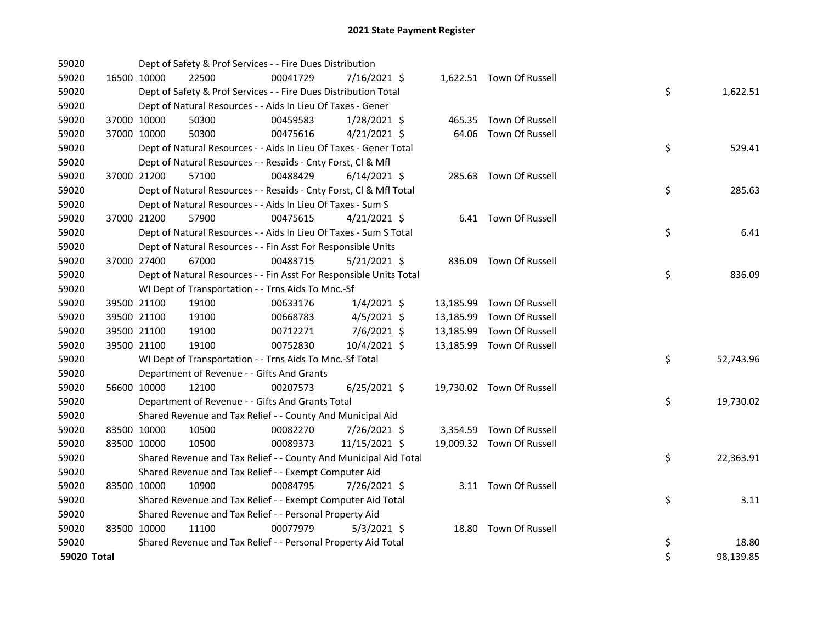| 59020       |             |             | Dept of Safety & Prof Services - - Fire Dues Distribution          |          |                |  |                           |    |           |
|-------------|-------------|-------------|--------------------------------------------------------------------|----------|----------------|--|---------------------------|----|-----------|
| 59020       | 16500 10000 |             | 22500                                                              | 00041729 | 7/16/2021 \$   |  | 1,622.51 Town Of Russell  |    |           |
| 59020       |             |             | Dept of Safety & Prof Services - - Fire Dues Distribution Total    |          |                |  |                           | \$ | 1,622.51  |
| 59020       |             |             | Dept of Natural Resources - - Aids In Lieu Of Taxes - Gener        |          |                |  |                           |    |           |
| 59020       |             | 37000 10000 | 50300                                                              | 00459583 | $1/28/2021$ \$ |  | 465.35 Town Of Russell    |    |           |
| 59020       |             | 37000 10000 | 50300                                                              | 00475616 | $4/21/2021$ \$ |  | 64.06 Town Of Russell     |    |           |
| 59020       |             |             | Dept of Natural Resources - - Aids In Lieu Of Taxes - Gener Total  |          |                |  |                           | \$ | 529.41    |
| 59020       |             |             | Dept of Natural Resources - - Resaids - Cnty Forst, Cl & Mfl       |          |                |  |                           |    |           |
| 59020       |             | 37000 21200 | 57100                                                              | 00488429 | $6/14/2021$ \$ |  | 285.63 Town Of Russell    |    |           |
| 59020       |             |             | Dept of Natural Resources - - Resaids - Cnty Forst, Cl & Mfl Total |          |                |  |                           | \$ | 285.63    |
| 59020       |             |             | Dept of Natural Resources - - Aids In Lieu Of Taxes - Sum S        |          |                |  |                           |    |           |
| 59020       |             | 37000 21200 | 57900                                                              | 00475615 | $4/21/2021$ \$ |  | 6.41 Town Of Russell      |    |           |
| 59020       |             |             | Dept of Natural Resources - - Aids In Lieu Of Taxes - Sum S Total  |          |                |  |                           | \$ | 6.41      |
| 59020       |             |             | Dept of Natural Resources - - Fin Asst For Responsible Units       |          |                |  |                           |    |           |
| 59020       |             | 37000 27400 | 67000                                                              | 00483715 | $5/21/2021$ \$ |  | 836.09 Town Of Russell    |    |           |
| 59020       |             |             | Dept of Natural Resources - - Fin Asst For Responsible Units Total |          |                |  |                           | \$ | 836.09    |
| 59020       |             |             | WI Dept of Transportation - - Trns Aids To Mnc.-Sf                 |          |                |  |                           |    |           |
| 59020       |             | 39500 21100 | 19100                                                              | 00633176 | $1/4/2021$ \$  |  | 13,185.99 Town Of Russell |    |           |
| 59020       |             | 39500 21100 | 19100                                                              | 00668783 | $4/5/2021$ \$  |  | 13,185.99 Town Of Russell |    |           |
| 59020       | 39500 21100 |             | 19100                                                              | 00712271 | 7/6/2021 \$    |  | 13,185.99 Town Of Russell |    |           |
| 59020       |             | 39500 21100 | 19100                                                              | 00752830 | 10/4/2021 \$   |  | 13,185.99 Town Of Russell |    |           |
| 59020       |             |             | WI Dept of Transportation - - Trns Aids To Mnc.-Sf Total           |          |                |  |                           | \$ | 52,743.96 |
| 59020       |             |             | Department of Revenue - - Gifts And Grants                         |          |                |  |                           |    |           |
| 59020       | 56600 10000 |             | 12100                                                              | 00207573 | $6/25/2021$ \$ |  | 19,730.02 Town Of Russell |    |           |
| 59020       |             |             | Department of Revenue - - Gifts And Grants Total                   |          |                |  |                           | \$ | 19,730.02 |
| 59020       |             |             | Shared Revenue and Tax Relief - - County And Municipal Aid         |          |                |  |                           |    |           |
| 59020       | 83500 10000 |             | 10500                                                              | 00082270 | 7/26/2021 \$   |  | 3,354.59 Town Of Russell  |    |           |
| 59020       | 83500 10000 |             | 10500                                                              | 00089373 | 11/15/2021 \$  |  | 19,009.32 Town Of Russell |    |           |
| 59020       |             |             | Shared Revenue and Tax Relief - - County And Municipal Aid Total   |          |                |  |                           | \$ | 22,363.91 |
| 59020       |             |             | Shared Revenue and Tax Relief - - Exempt Computer Aid              |          |                |  |                           |    |           |
| 59020       | 83500 10000 |             | 10900                                                              | 00084795 | 7/26/2021 \$   |  | 3.11 Town Of Russell      |    |           |
| 59020       |             |             | Shared Revenue and Tax Relief - - Exempt Computer Aid Total        |          |                |  |                           | \$ | 3.11      |
| 59020       |             |             | Shared Revenue and Tax Relief - - Personal Property Aid            |          |                |  |                           |    |           |
| 59020       | 83500 10000 |             | 11100                                                              | 00077979 | 5/3/2021 \$    |  | 18.80 Town Of Russell     |    |           |
| 59020       |             |             | Shared Revenue and Tax Relief - - Personal Property Aid Total      |          |                |  |                           | \$ | 18.80     |
| 59020 Total |             |             |                                                                    |          |                |  |                           | \$ | 98,139.85 |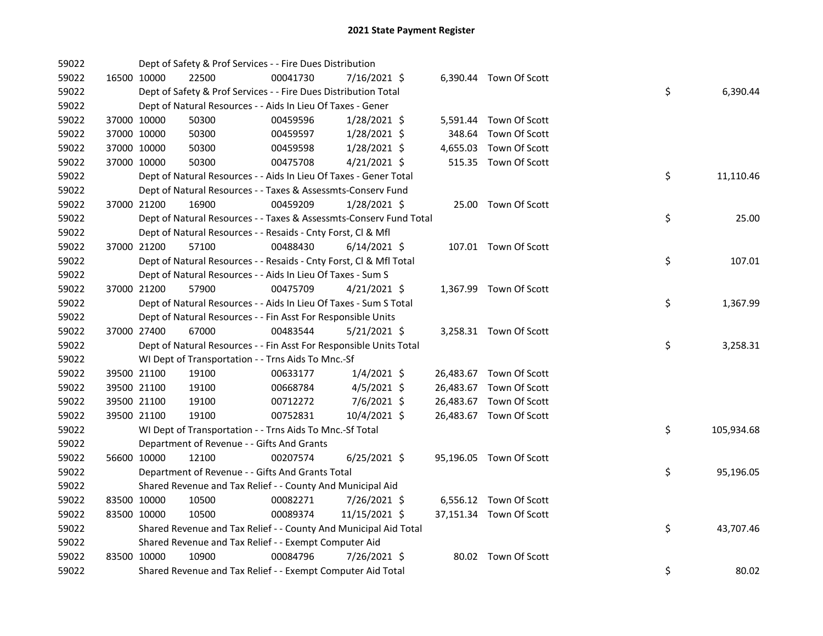| 59022 |             |             | Dept of Safety & Prof Services - - Fire Dues Distribution          |          |                |        |                         |    |            |
|-------|-------------|-------------|--------------------------------------------------------------------|----------|----------------|--------|-------------------------|----|------------|
| 59022 |             | 16500 10000 | 22500                                                              | 00041730 | 7/16/2021 \$   |        | 6,390.44 Town Of Scott  |    |            |
| 59022 |             |             | Dept of Safety & Prof Services - - Fire Dues Distribution Total    |          |                |        |                         | \$ | 6,390.44   |
| 59022 |             |             | Dept of Natural Resources - - Aids In Lieu Of Taxes - Gener        |          |                |        |                         |    |            |
| 59022 |             | 37000 10000 | 50300                                                              | 00459596 | 1/28/2021 \$   |        | 5,591.44 Town Of Scott  |    |            |
| 59022 | 37000 10000 |             | 50300                                                              | 00459597 | $1/28/2021$ \$ | 348.64 | Town Of Scott           |    |            |
| 59022 |             | 37000 10000 | 50300                                                              | 00459598 | $1/28/2021$ \$ |        | 4,655.03 Town Of Scott  |    |            |
| 59022 |             | 37000 10000 | 50300                                                              | 00475708 | $4/21/2021$ \$ |        | 515.35 Town Of Scott    |    |            |
| 59022 |             |             | Dept of Natural Resources - - Aids In Lieu Of Taxes - Gener Total  |          |                |        |                         | \$ | 11,110.46  |
| 59022 |             |             | Dept of Natural Resources - - Taxes & Assessmts-Conserv Fund       |          |                |        |                         |    |            |
| 59022 |             | 37000 21200 | 16900                                                              | 00459209 | $1/28/2021$ \$ |        | 25.00 Town Of Scott     |    |            |
| 59022 |             |             | Dept of Natural Resources - - Taxes & Assessmts-Conserv Fund Total |          |                |        |                         | \$ | 25.00      |
| 59022 |             |             | Dept of Natural Resources - - Resaids - Cnty Forst, Cl & Mfl       |          |                |        |                         |    |            |
| 59022 |             | 37000 21200 | 57100                                                              | 00488430 | $6/14/2021$ \$ |        | 107.01 Town Of Scott    |    |            |
| 59022 |             |             | Dept of Natural Resources - - Resaids - Cnty Forst, Cl & Mfl Total |          |                |        |                         | \$ | 107.01     |
| 59022 |             |             | Dept of Natural Resources - - Aids In Lieu Of Taxes - Sum S        |          |                |        |                         |    |            |
| 59022 |             | 37000 21200 | 57900                                                              | 00475709 | 4/21/2021 \$   |        | 1,367.99 Town Of Scott  |    |            |
| 59022 |             |             | Dept of Natural Resources - - Aids In Lieu Of Taxes - Sum S Total  |          |                |        |                         | \$ | 1,367.99   |
| 59022 |             |             | Dept of Natural Resources - - Fin Asst For Responsible Units       |          |                |        |                         |    |            |
| 59022 |             | 37000 27400 | 67000                                                              | 00483544 | $5/21/2021$ \$ |        | 3,258.31 Town Of Scott  |    |            |
| 59022 |             |             | Dept of Natural Resources - - Fin Asst For Responsible Units Total |          |                |        |                         | \$ | 3,258.31   |
| 59022 |             |             | WI Dept of Transportation - - Trns Aids To Mnc.-Sf                 |          |                |        |                         |    |            |
| 59022 |             | 39500 21100 | 19100                                                              | 00633177 | $1/4/2021$ \$  |        | 26,483.67 Town Of Scott |    |            |
| 59022 |             | 39500 21100 | 19100                                                              | 00668784 | $4/5/2021$ \$  |        | 26,483.67 Town Of Scott |    |            |
| 59022 |             | 39500 21100 | 19100                                                              | 00712272 | 7/6/2021 \$    |        | 26,483.67 Town Of Scott |    |            |
| 59022 |             | 39500 21100 | 19100                                                              | 00752831 | 10/4/2021 \$   |        | 26,483.67 Town Of Scott |    |            |
| 59022 |             |             | WI Dept of Transportation - - Trns Aids To Mnc.-Sf Total           |          |                |        |                         | \$ | 105,934.68 |
| 59022 |             |             | Department of Revenue - - Gifts And Grants                         |          |                |        |                         |    |            |
| 59022 |             | 56600 10000 | 12100                                                              | 00207574 | $6/25/2021$ \$ |        | 95,196.05 Town Of Scott |    |            |
| 59022 |             |             | Department of Revenue - - Gifts And Grants Total                   |          |                |        |                         | \$ | 95,196.05  |
| 59022 |             |             | Shared Revenue and Tax Relief - - County And Municipal Aid         |          |                |        |                         |    |            |
| 59022 |             | 83500 10000 | 10500                                                              | 00082271 | 7/26/2021 \$   |        | 6,556.12 Town Of Scott  |    |            |
| 59022 | 83500 10000 |             | 10500                                                              | 00089374 | 11/15/2021 \$  |        | 37,151.34 Town Of Scott |    |            |
| 59022 |             |             | Shared Revenue and Tax Relief - - County And Municipal Aid Total   |          |                |        |                         | \$ | 43,707.46  |
| 59022 |             |             | Shared Revenue and Tax Relief - - Exempt Computer Aid              |          |                |        |                         |    |            |
| 59022 | 83500 10000 |             | 10900                                                              | 00084796 | 7/26/2021 \$   |        | 80.02 Town Of Scott     |    |            |
| 59022 |             |             | Shared Revenue and Tax Relief - - Exempt Computer Aid Total        |          |                |        |                         | \$ | 80.02      |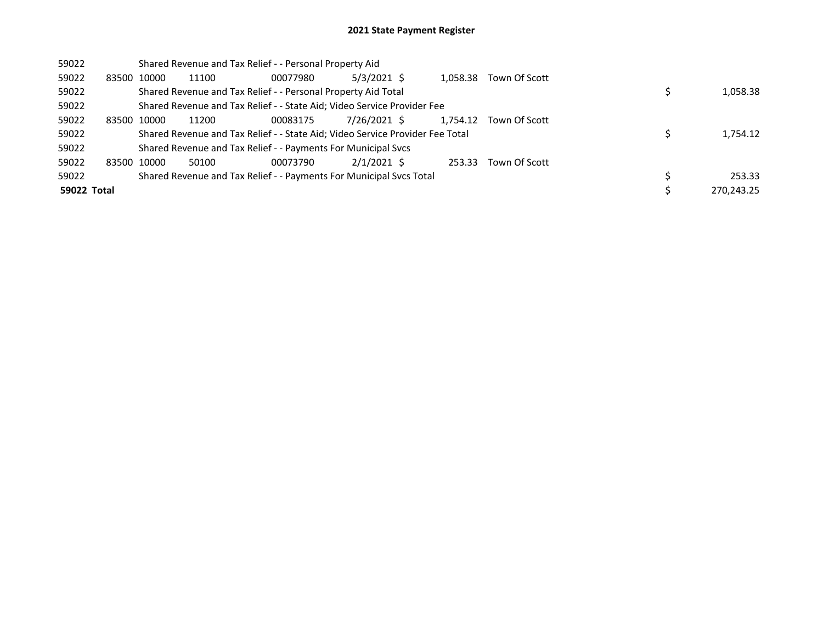| 59022       |             | Shared Revenue and Tax Relief - - Personal Property Aid                       |          |               |          |               |            |
|-------------|-------------|-------------------------------------------------------------------------------|----------|---------------|----------|---------------|------------|
| 59022       | 83500 10000 | 11100                                                                         | 00077980 | $5/3/2021$ \$ | 1,058.38 | Town Of Scott |            |
| 59022       |             | Shared Revenue and Tax Relief - - Personal Property Aid Total                 |          |               |          |               | 1,058.38   |
| 59022       |             | Shared Revenue and Tax Relief - - State Aid; Video Service Provider Fee       |          |               |          |               |            |
| 59022       | 83500 10000 | 11200                                                                         | 00083175 | 7/26/2021 \$  | 1,754.12 | Town Of Scott |            |
| 59022       |             | Shared Revenue and Tax Relief - - State Aid; Video Service Provider Fee Total |          |               |          |               | 1,754.12   |
| 59022       |             | Shared Revenue and Tax Relief - - Payments For Municipal Svcs                 |          |               |          |               |            |
| 59022       | 83500 10000 | 50100                                                                         | 00073790 | $2/1/2021$ \$ | 253.33   | Town Of Scott |            |
| 59022       |             | Shared Revenue and Tax Relief - - Payments For Municipal Svcs Total           |          |               |          |               | 253.33     |
| 59022 Total |             |                                                                               |          |               |          |               | 270.243.25 |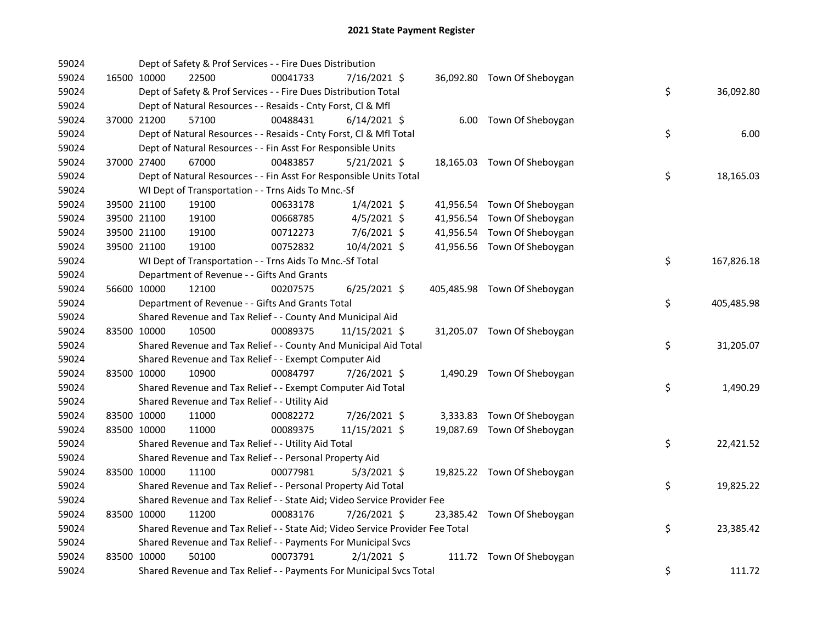| 59024 |             | Dept of Safety & Prof Services - - Fire Dues Distribution                     |          |                |  |                              |                  |
|-------|-------------|-------------------------------------------------------------------------------|----------|----------------|--|------------------------------|------------------|
| 59024 |             | 16500 10000<br>22500                                                          | 00041733 | 7/16/2021 \$   |  | 36,092.80 Town Of Sheboygan  |                  |
| 59024 |             | Dept of Safety & Prof Services - - Fire Dues Distribution Total               |          |                |  |                              | \$<br>36,092.80  |
| 59024 |             | Dept of Natural Resources - - Resaids - Cnty Forst, Cl & Mfl                  |          |                |  |                              |                  |
| 59024 |             | 37000 21200<br>57100                                                          | 00488431 | $6/14/2021$ \$ |  | 6.00 Town Of Sheboygan       |                  |
| 59024 |             | Dept of Natural Resources - - Resaids - Cnty Forst, Cl & Mfl Total            |          |                |  |                              | \$<br>6.00       |
| 59024 |             | Dept of Natural Resources - - Fin Asst For Responsible Units                  |          |                |  |                              |                  |
| 59024 |             | 37000 27400<br>67000                                                          | 00483857 | $5/21/2021$ \$ |  | 18,165.03 Town Of Sheboygan  |                  |
| 59024 |             | Dept of Natural Resources - - Fin Asst For Responsible Units Total            |          |                |  |                              | \$<br>18,165.03  |
| 59024 |             | WI Dept of Transportation - - Trns Aids To Mnc.-Sf                            |          |                |  |                              |                  |
| 59024 |             | 39500 21100<br>19100                                                          | 00633178 | $1/4/2021$ \$  |  | 41,956.54 Town Of Sheboygan  |                  |
| 59024 |             | 39500 21100<br>19100                                                          | 00668785 | $4/5/2021$ \$  |  | 41,956.54 Town Of Sheboygan  |                  |
| 59024 |             | 39500 21100<br>19100                                                          | 00712273 | 7/6/2021 \$    |  | 41,956.54 Town Of Sheboygan  |                  |
| 59024 |             | 39500 21100<br>19100                                                          | 00752832 | 10/4/2021 \$   |  | 41,956.56 Town Of Sheboygan  |                  |
| 59024 |             | WI Dept of Transportation - - Trns Aids To Mnc.-Sf Total                      |          |                |  |                              | \$<br>167,826.18 |
| 59024 |             | Department of Revenue - - Gifts And Grants                                    |          |                |  |                              |                  |
| 59024 | 56600 10000 | 12100                                                                         | 00207575 | $6/25/2021$ \$ |  | 405,485.98 Town Of Sheboygan |                  |
| 59024 |             | Department of Revenue - - Gifts And Grants Total                              |          |                |  |                              | \$<br>405,485.98 |
| 59024 |             | Shared Revenue and Tax Relief - - County And Municipal Aid                    |          |                |  |                              |                  |
| 59024 |             | 83500 10000<br>10500                                                          | 00089375 | 11/15/2021 \$  |  | 31,205.07 Town Of Sheboygan  |                  |
| 59024 |             | Shared Revenue and Tax Relief - - County And Municipal Aid Total              |          |                |  |                              | \$<br>31,205.07  |
| 59024 |             | Shared Revenue and Tax Relief - - Exempt Computer Aid                         |          |                |  |                              |                  |
| 59024 | 83500 10000 | 10900                                                                         | 00084797 | 7/26/2021 \$   |  | 1,490.29 Town Of Sheboygan   |                  |
| 59024 |             | Shared Revenue and Tax Relief - - Exempt Computer Aid Total                   |          |                |  |                              | \$<br>1,490.29   |
| 59024 |             | Shared Revenue and Tax Relief - - Utility Aid                                 |          |                |  |                              |                  |
| 59024 | 83500 10000 | 11000                                                                         | 00082272 | 7/26/2021 \$   |  | 3,333.83 Town Of Sheboygan   |                  |
| 59024 | 83500 10000 | 11000                                                                         | 00089375 | 11/15/2021 \$  |  | 19,087.69 Town Of Sheboygan  |                  |
| 59024 |             | Shared Revenue and Tax Relief - - Utility Aid Total                           |          |                |  |                              | \$<br>22,421.52  |
| 59024 |             | Shared Revenue and Tax Relief - - Personal Property Aid                       |          |                |  |                              |                  |
| 59024 |             | 83500 10000<br>11100                                                          | 00077981 | $5/3/2021$ \$  |  | 19,825.22 Town Of Sheboygan  |                  |
| 59024 |             | Shared Revenue and Tax Relief - - Personal Property Aid Total                 |          |                |  |                              | \$<br>19,825.22  |
| 59024 |             | Shared Revenue and Tax Relief - - State Aid; Video Service Provider Fee       |          |                |  |                              |                  |
| 59024 | 83500 10000 | 11200                                                                         | 00083176 | 7/26/2021 \$   |  | 23,385.42 Town Of Sheboygan  |                  |
| 59024 |             | Shared Revenue and Tax Relief - - State Aid; Video Service Provider Fee Total |          |                |  |                              | \$<br>23,385.42  |
| 59024 |             | Shared Revenue and Tax Relief - - Payments For Municipal Svcs                 |          |                |  |                              |                  |
| 59024 | 83500 10000 | 50100                                                                         | 00073791 | $2/1/2021$ \$  |  | 111.72 Town Of Sheboygan     |                  |
| 59024 |             | Shared Revenue and Tax Relief - - Payments For Municipal Svcs Total           |          |                |  |                              | \$<br>111.72     |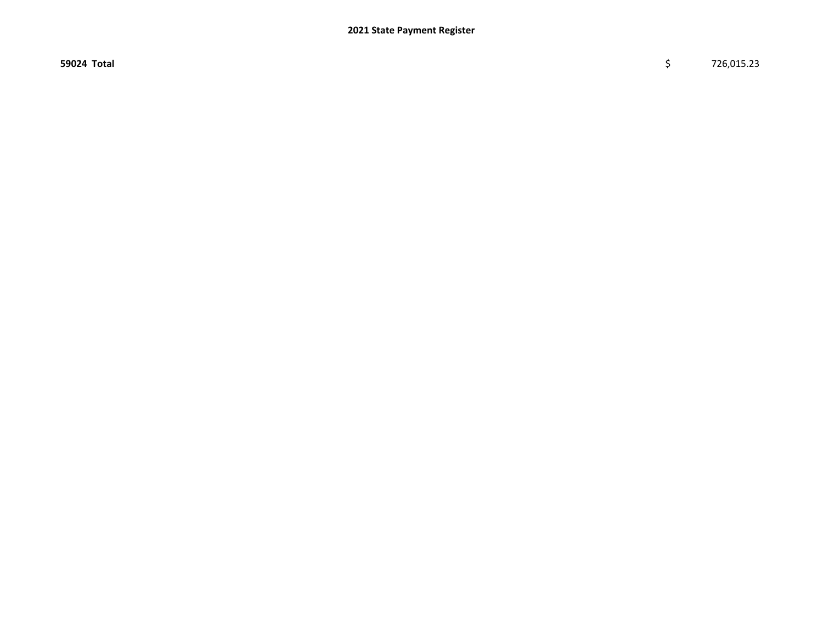$59024$  Total  $\zeta$  726,015.23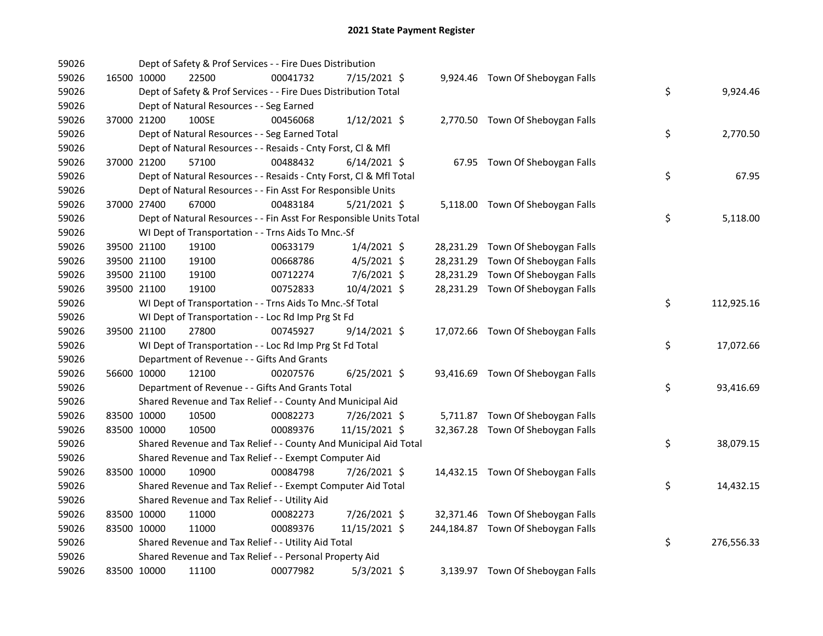| 59026 |             | Dept of Safety & Prof Services - - Fire Dues Distribution          |          |                |  |                                    |    |            |
|-------|-------------|--------------------------------------------------------------------|----------|----------------|--|------------------------------------|----|------------|
| 59026 | 16500 10000 | 22500                                                              | 00041732 | 7/15/2021 \$   |  | 9,924.46 Town Of Sheboygan Falls   |    |            |
| 59026 |             | Dept of Safety & Prof Services - - Fire Dues Distribution Total    |          |                |  |                                    | \$ | 9,924.46   |
| 59026 |             | Dept of Natural Resources - - Seg Earned                           |          |                |  |                                    |    |            |
| 59026 | 37000 21200 | 100SE                                                              | 00456068 | $1/12/2021$ \$ |  | 2,770.50 Town Of Sheboygan Falls   |    |            |
| 59026 |             | Dept of Natural Resources - - Seg Earned Total                     |          |                |  |                                    | \$ | 2,770.50   |
| 59026 |             | Dept of Natural Resources - - Resaids - Cnty Forst, Cl & Mfl       |          |                |  |                                    |    |            |
| 59026 | 37000 21200 | 57100                                                              | 00488432 | $6/14/2021$ \$ |  | 67.95 Town Of Sheboygan Falls      |    |            |
| 59026 |             | Dept of Natural Resources - - Resaids - Cnty Forst, Cl & Mfl Total |          |                |  |                                    | \$ | 67.95      |
| 59026 |             | Dept of Natural Resources - - Fin Asst For Responsible Units       |          |                |  |                                    |    |            |
| 59026 | 37000 27400 | 67000                                                              | 00483184 | $5/21/2021$ \$ |  | 5,118.00 Town Of Sheboygan Falls   |    |            |
| 59026 |             | Dept of Natural Resources - - Fin Asst For Responsible Units Total |          |                |  |                                    | \$ | 5,118.00   |
| 59026 |             | WI Dept of Transportation - - Trns Aids To Mnc.-Sf                 |          |                |  |                                    |    |            |
| 59026 | 39500 21100 | 19100                                                              | 00633179 | $1/4/2021$ \$  |  | 28,231.29 Town Of Sheboygan Falls  |    |            |
| 59026 | 39500 21100 | 19100                                                              | 00668786 | $4/5/2021$ \$  |  | 28,231.29 Town Of Sheboygan Falls  |    |            |
| 59026 | 39500 21100 | 19100                                                              | 00712274 | 7/6/2021 \$    |  | 28,231.29 Town Of Sheboygan Falls  |    |            |
| 59026 | 39500 21100 | 19100                                                              | 00752833 | 10/4/2021 \$   |  | 28,231.29 Town Of Sheboygan Falls  |    |            |
| 59026 |             | WI Dept of Transportation - - Trns Aids To Mnc.-Sf Total           |          |                |  |                                    | \$ | 112,925.16 |
| 59026 |             | WI Dept of Transportation - - Loc Rd Imp Prg St Fd                 |          |                |  |                                    |    |            |
| 59026 | 39500 21100 | 27800                                                              | 00745927 | 9/14/2021 \$   |  | 17,072.66 Town Of Sheboygan Falls  |    |            |
| 59026 |             | WI Dept of Transportation - - Loc Rd Imp Prg St Fd Total           |          |                |  |                                    | \$ | 17,072.66  |
| 59026 |             | Department of Revenue - - Gifts And Grants                         |          |                |  |                                    |    |            |
| 59026 | 56600 10000 | 12100                                                              | 00207576 | $6/25/2021$ \$ |  | 93,416.69 Town Of Sheboygan Falls  |    |            |
| 59026 |             | Department of Revenue - - Gifts And Grants Total                   |          |                |  |                                    | \$ | 93,416.69  |
| 59026 |             | Shared Revenue and Tax Relief - - County And Municipal Aid         |          |                |  |                                    |    |            |
| 59026 | 83500 10000 | 10500                                                              | 00082273 | 7/26/2021 \$   |  | 5,711.87 Town Of Sheboygan Falls   |    |            |
| 59026 | 83500 10000 | 10500                                                              | 00089376 | 11/15/2021 \$  |  | 32,367.28 Town Of Sheboygan Falls  |    |            |
| 59026 |             | Shared Revenue and Tax Relief - - County And Municipal Aid Total   |          |                |  |                                    | \$ | 38,079.15  |
| 59026 |             | Shared Revenue and Tax Relief - - Exempt Computer Aid              |          |                |  |                                    |    |            |
| 59026 | 83500 10000 | 10900                                                              | 00084798 | 7/26/2021 \$   |  | 14,432.15 Town Of Sheboygan Falls  |    |            |
| 59026 |             | Shared Revenue and Tax Relief - - Exempt Computer Aid Total        |          |                |  |                                    | \$ | 14,432.15  |
| 59026 |             | Shared Revenue and Tax Relief - - Utility Aid                      |          |                |  |                                    |    |            |
| 59026 | 83500 10000 | 11000                                                              | 00082273 | 7/26/2021 \$   |  | 32,371.46 Town Of Sheboygan Falls  |    |            |
| 59026 | 83500 10000 | 11000                                                              | 00089376 | 11/15/2021 \$  |  | 244,184.87 Town Of Sheboygan Falls |    |            |
| 59026 |             | Shared Revenue and Tax Relief - - Utility Aid Total                |          |                |  |                                    | \$ | 276,556.33 |
| 59026 |             | Shared Revenue and Tax Relief - - Personal Property Aid            |          |                |  |                                    |    |            |
| 59026 | 83500 10000 | 11100                                                              | 00077982 | $5/3/2021$ \$  |  | 3,139.97 Town Of Sheboygan Falls   |    |            |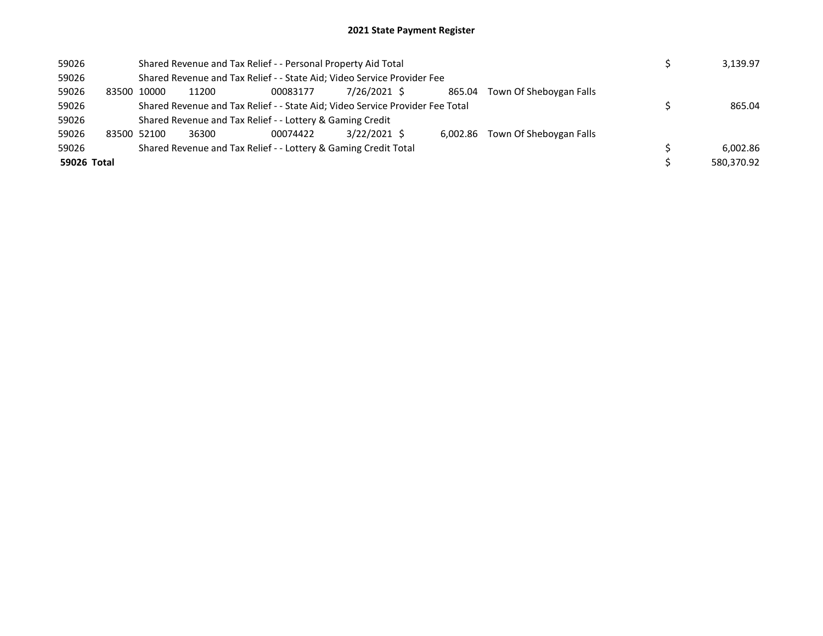| 59026       |       |             | Shared Revenue and Tax Relief - - Personal Property Aid Total                 |                                                                         | 3,139.97     |        |                                  |            |
|-------------|-------|-------------|-------------------------------------------------------------------------------|-------------------------------------------------------------------------|--------------|--------|----------------------------------|------------|
| 59026       |       |             |                                                                               | Shared Revenue and Tax Relief - - State Aid; Video Service Provider Fee |              |        |                                  |            |
| 59026       | 83500 | 10000       | 11200                                                                         | 00083177                                                                | 7/26/2021 \$ | 865.04 | Town Of Sheboygan Falls          |            |
| 59026       |       |             | Shared Revenue and Tax Relief - - State Aid; Video Service Provider Fee Total |                                                                         | 865.04       |        |                                  |            |
| 59026       |       |             |                                                                               | Shared Revenue and Tax Relief - - Lottery & Gaming Credit               |              |        |                                  |            |
| 59026       |       | 83500 52100 | 36300                                                                         | 00074422                                                                | 3/22/2021 \$ |        | 6,002.86 Town Of Sheboygan Falls |            |
| 59026       |       |             |                                                                               | Shared Revenue and Tax Relief - - Lottery & Gaming Credit Total         |              |        |                                  | 6.002.86   |
| 59026 Total |       |             |                                                                               |                                                                         |              |        |                                  | 580.370.92 |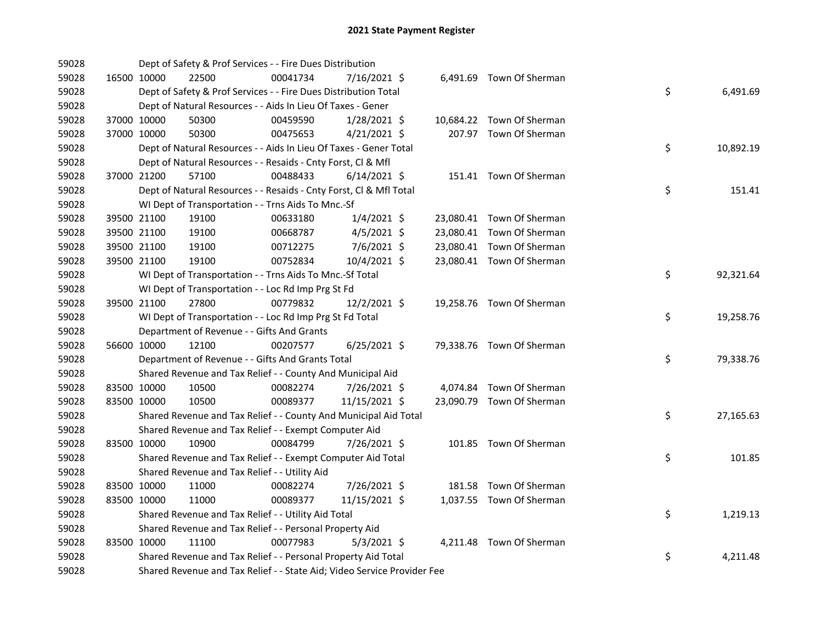| 59028 |             | Dept of Safety & Prof Services - - Fire Dues Distribution               |          |                |  |                           |    |           |
|-------|-------------|-------------------------------------------------------------------------|----------|----------------|--|---------------------------|----|-----------|
| 59028 | 16500 10000 | 22500                                                                   | 00041734 | 7/16/2021 \$   |  | 6,491.69 Town Of Sherman  |    |           |
| 59028 |             | Dept of Safety & Prof Services - - Fire Dues Distribution Total         |          |                |  |                           | \$ | 6,491.69  |
| 59028 |             | Dept of Natural Resources - - Aids In Lieu Of Taxes - Gener             |          |                |  |                           |    |           |
| 59028 | 37000 10000 | 50300                                                                   | 00459590 | 1/28/2021 \$   |  | 10,684.22 Town Of Sherman |    |           |
| 59028 | 37000 10000 | 50300                                                                   | 00475653 | $4/21/2021$ \$ |  | 207.97 Town Of Sherman    |    |           |
| 59028 |             | Dept of Natural Resources - - Aids In Lieu Of Taxes - Gener Total       |          |                |  |                           | \$ | 10,892.19 |
| 59028 |             | Dept of Natural Resources - - Resaids - Cnty Forst, Cl & Mfl            |          |                |  |                           |    |           |
| 59028 | 37000 21200 | 57100                                                                   | 00488433 | $6/14/2021$ \$ |  | 151.41 Town Of Sherman    |    |           |
| 59028 |             | Dept of Natural Resources - - Resaids - Cnty Forst, Cl & Mfl Total      |          |                |  |                           | \$ | 151.41    |
| 59028 |             | WI Dept of Transportation - - Trns Aids To Mnc.-Sf                      |          |                |  |                           |    |           |
| 59028 | 39500 21100 | 19100                                                                   | 00633180 | $1/4/2021$ \$  |  | 23,080.41 Town Of Sherman |    |           |
| 59028 | 39500 21100 | 19100                                                                   | 00668787 | $4/5/2021$ \$  |  | 23,080.41 Town Of Sherman |    |           |
| 59028 | 39500 21100 | 19100                                                                   | 00712275 | 7/6/2021 \$    |  | 23,080.41 Town Of Sherman |    |           |
| 59028 | 39500 21100 | 19100                                                                   | 00752834 | 10/4/2021 \$   |  | 23,080.41 Town Of Sherman |    |           |
| 59028 |             | WI Dept of Transportation - - Trns Aids To Mnc.-Sf Total                |          |                |  |                           | \$ | 92,321.64 |
| 59028 |             | WI Dept of Transportation - - Loc Rd Imp Prg St Fd                      |          |                |  |                           |    |           |
| 59028 | 39500 21100 | 27800                                                                   | 00779832 | $12/2/2021$ \$ |  | 19,258.76 Town Of Sherman |    |           |
| 59028 |             | WI Dept of Transportation - - Loc Rd Imp Prg St Fd Total                |          |                |  |                           | \$ | 19,258.76 |
| 59028 |             | Department of Revenue - - Gifts And Grants                              |          |                |  |                           |    |           |
| 59028 | 56600 10000 | 12100                                                                   | 00207577 | $6/25/2021$ \$ |  | 79,338.76 Town Of Sherman |    |           |
| 59028 |             | Department of Revenue - - Gifts And Grants Total                        |          |                |  |                           | \$ | 79,338.76 |
| 59028 |             | Shared Revenue and Tax Relief - - County And Municipal Aid              |          |                |  |                           |    |           |
| 59028 | 83500 10000 | 10500                                                                   | 00082274 | 7/26/2021 \$   |  | 4,074.84 Town Of Sherman  |    |           |
| 59028 | 83500 10000 | 10500                                                                   | 00089377 | 11/15/2021 \$  |  | 23,090.79 Town Of Sherman |    |           |
| 59028 |             | Shared Revenue and Tax Relief - - County And Municipal Aid Total        |          |                |  |                           | \$ | 27,165.63 |
| 59028 |             | Shared Revenue and Tax Relief - - Exempt Computer Aid                   |          |                |  |                           |    |           |
| 59028 | 83500 10000 | 10900                                                                   | 00084799 | 7/26/2021 \$   |  | 101.85 Town Of Sherman    |    |           |
| 59028 |             | Shared Revenue and Tax Relief - - Exempt Computer Aid Total             |          |                |  |                           | \$ | 101.85    |
| 59028 |             | Shared Revenue and Tax Relief - - Utility Aid                           |          |                |  |                           |    |           |
| 59028 | 83500 10000 | 11000                                                                   | 00082274 | 7/26/2021 \$   |  | 181.58 Town Of Sherman    |    |           |
| 59028 | 83500 10000 | 11000                                                                   | 00089377 | 11/15/2021 \$  |  | 1,037.55 Town Of Sherman  |    |           |
| 59028 |             | Shared Revenue and Tax Relief - - Utility Aid Total                     |          |                |  |                           | \$ | 1,219.13  |
| 59028 |             | Shared Revenue and Tax Relief - - Personal Property Aid                 |          |                |  |                           |    |           |
| 59028 | 83500 10000 | 11100                                                                   | 00077983 | $5/3/2021$ \$  |  | 4,211.48 Town Of Sherman  |    |           |
| 59028 |             | Shared Revenue and Tax Relief - - Personal Property Aid Total           |          |                |  |                           | \$ | 4,211.48  |
| 59028 |             | Shared Revenue and Tax Relief - - State Aid; Video Service Provider Fee |          |                |  |                           |    |           |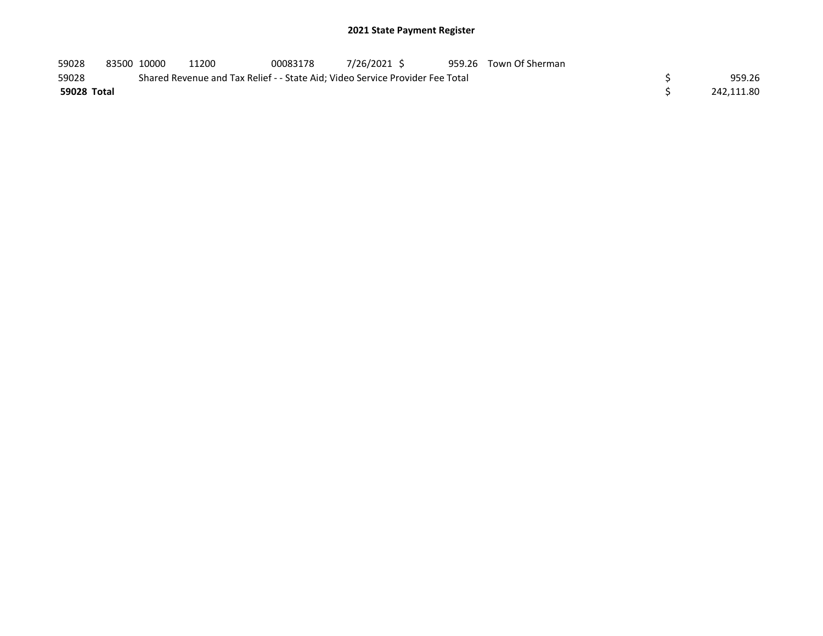| 59028       | 83500 10000 | 11200 | 00083178 | 7/26/2021 \$                                                                  | 959.26 Town Of Sherman |            |
|-------------|-------------|-------|----------|-------------------------------------------------------------------------------|------------------------|------------|
| 59028       |             |       |          | Shared Revenue and Tax Relief - - State Aid; Video Service Provider Fee Total |                        | 959.26     |
| 59028 Total |             |       |          |                                                                               |                        | 242.111.80 |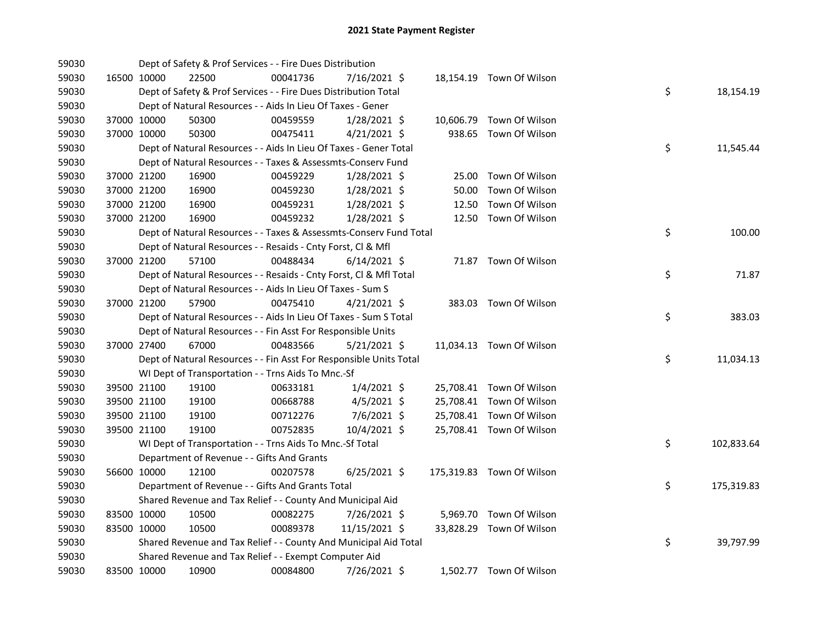| 59030 |             |             | Dept of Safety & Prof Services - - Fire Dues Distribution          |          |                |       |                           |    |            |
|-------|-------------|-------------|--------------------------------------------------------------------|----------|----------------|-------|---------------------------|----|------------|
| 59030 |             | 16500 10000 | 22500                                                              | 00041736 | 7/16/2021 \$   |       | 18,154.19 Town Of Wilson  |    |            |
| 59030 |             |             | Dept of Safety & Prof Services - - Fire Dues Distribution Total    |          |                |       |                           | \$ | 18,154.19  |
| 59030 |             |             | Dept of Natural Resources - - Aids In Lieu Of Taxes - Gener        |          |                |       |                           |    |            |
| 59030 |             | 37000 10000 | 50300                                                              | 00459559 | $1/28/2021$ \$ |       | 10,606.79 Town Of Wilson  |    |            |
| 59030 | 37000 10000 |             | 50300                                                              | 00475411 | $4/21/2021$ \$ |       | 938.65 Town Of Wilson     |    |            |
| 59030 |             |             | Dept of Natural Resources - - Aids In Lieu Of Taxes - Gener Total  |          |                |       |                           | \$ | 11,545.44  |
| 59030 |             |             | Dept of Natural Resources - - Taxes & Assessmts-Conserv Fund       |          |                |       |                           |    |            |
| 59030 |             | 37000 21200 | 16900                                                              | 00459229 | $1/28/2021$ \$ | 25.00 | Town Of Wilson            |    |            |
| 59030 |             | 37000 21200 | 16900                                                              | 00459230 | $1/28/2021$ \$ | 50.00 | Town Of Wilson            |    |            |
| 59030 |             | 37000 21200 | 16900                                                              | 00459231 | 1/28/2021 \$   | 12.50 | Town Of Wilson            |    |            |
| 59030 |             | 37000 21200 | 16900                                                              | 00459232 | 1/28/2021 \$   |       | 12.50 Town Of Wilson      |    |            |
| 59030 |             |             | Dept of Natural Resources - - Taxes & Assessmts-Conserv Fund Total |          |                |       |                           | \$ | 100.00     |
| 59030 |             |             | Dept of Natural Resources - - Resaids - Cnty Forst, Cl & Mfl       |          |                |       |                           |    |            |
| 59030 |             | 37000 21200 | 57100                                                              | 00488434 | $6/14/2021$ \$ |       | 71.87 Town Of Wilson      |    |            |
| 59030 |             |             | Dept of Natural Resources - - Resaids - Cnty Forst, Cl & Mfl Total |          |                |       |                           | \$ | 71.87      |
| 59030 |             |             | Dept of Natural Resources - - Aids In Lieu Of Taxes - Sum S        |          |                |       |                           |    |            |
| 59030 |             | 37000 21200 | 57900                                                              | 00475410 | $4/21/2021$ \$ |       | 383.03 Town Of Wilson     |    |            |
| 59030 |             |             | Dept of Natural Resources - - Aids In Lieu Of Taxes - Sum S Total  |          |                |       |                           | \$ | 383.03     |
| 59030 |             |             | Dept of Natural Resources - - Fin Asst For Responsible Units       |          |                |       |                           |    |            |
| 59030 |             | 37000 27400 | 67000                                                              | 00483566 | $5/21/2021$ \$ |       | 11,034.13 Town Of Wilson  |    |            |
| 59030 |             |             | Dept of Natural Resources - - Fin Asst For Responsible Units Total |          |                |       |                           | \$ | 11,034.13  |
| 59030 |             |             | WI Dept of Transportation - - Trns Aids To Mnc.-Sf                 |          |                |       |                           |    |            |
| 59030 |             | 39500 21100 | 19100                                                              | 00633181 | $1/4/2021$ \$  |       | 25,708.41 Town Of Wilson  |    |            |
| 59030 |             | 39500 21100 | 19100                                                              | 00668788 | $4/5/2021$ \$  |       | 25,708.41 Town Of Wilson  |    |            |
| 59030 |             | 39500 21100 | 19100                                                              | 00712276 | $7/6/2021$ \$  |       | 25,708.41 Town Of Wilson  |    |            |
| 59030 |             | 39500 21100 | 19100                                                              | 00752835 | 10/4/2021 \$   |       | 25,708.41 Town Of Wilson  |    |            |
| 59030 |             |             | WI Dept of Transportation - - Trns Aids To Mnc.-Sf Total           |          |                |       |                           | \$ | 102,833.64 |
| 59030 |             |             | Department of Revenue - - Gifts And Grants                         |          |                |       |                           |    |            |
| 59030 |             | 56600 10000 | 12100                                                              | 00207578 | $6/25/2021$ \$ |       | 175,319.83 Town Of Wilson |    |            |
| 59030 |             |             | Department of Revenue - - Gifts And Grants Total                   |          |                |       |                           | \$ | 175,319.83 |
| 59030 |             |             | Shared Revenue and Tax Relief - - County And Municipal Aid         |          |                |       |                           |    |            |
| 59030 |             | 83500 10000 | 10500                                                              | 00082275 | $7/26/2021$ \$ |       | 5,969.70 Town Of Wilson   |    |            |
| 59030 | 83500 10000 |             | 10500                                                              | 00089378 | 11/15/2021 \$  |       | 33,828.29 Town Of Wilson  |    |            |
| 59030 |             |             | Shared Revenue and Tax Relief - - County And Municipal Aid Total   |          |                |       |                           | \$ | 39,797.99  |
| 59030 |             |             | Shared Revenue and Tax Relief - - Exempt Computer Aid              |          |                |       |                           |    |            |
| 59030 |             | 83500 10000 | 10900                                                              | 00084800 | 7/26/2021 \$   |       | 1,502.77 Town Of Wilson   |    |            |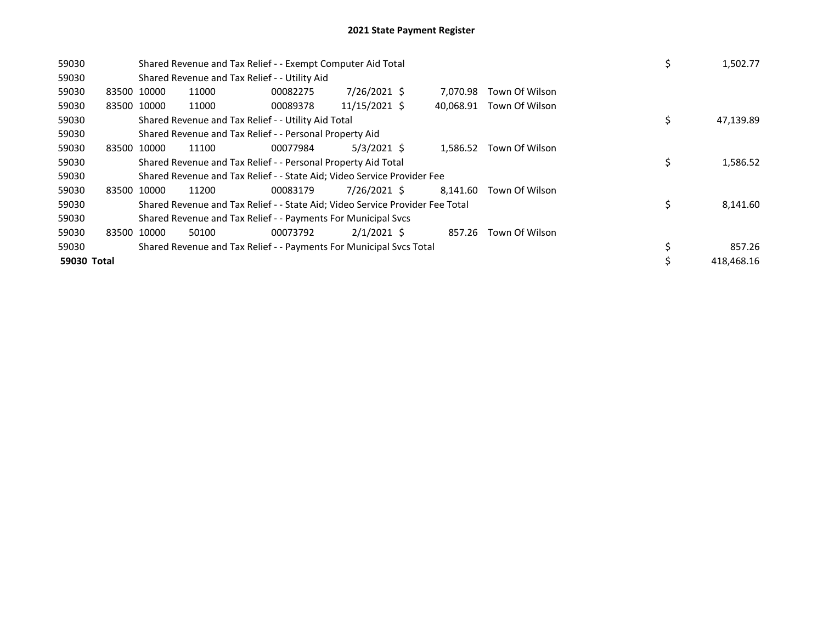| 59030       |             | Shared Revenue and Tax Relief - - Exempt Computer Aid Total<br>Shared Revenue and Tax Relief - - Utility Aid |                                                                               |          |               |  |           |                       |    | 1,502.77   |
|-------------|-------------|--------------------------------------------------------------------------------------------------------------|-------------------------------------------------------------------------------|----------|---------------|--|-----------|-----------------------|----|------------|
| 59030       |             |                                                                                                              |                                                                               |          |               |  |           |                       |    |            |
| 59030       | 83500 10000 |                                                                                                              | 11000                                                                         | 00082275 | 7/26/2021 \$  |  | 7.070.98  | Town Of Wilson        |    |            |
| 59030       | 83500 10000 |                                                                                                              | 11000                                                                         | 00089378 | 11/15/2021 \$ |  | 40.068.91 | Town Of Wilson        |    |            |
| 59030       |             |                                                                                                              | Shared Revenue and Tax Relief - - Utility Aid Total                           |          |               |  |           |                       | \$ | 47,139.89  |
| 59030       |             |                                                                                                              | Shared Revenue and Tax Relief - - Personal Property Aid                       |          |               |  |           |                       |    |            |
| 59030       |             | 83500 10000                                                                                                  | 11100                                                                         | 00077984 | $5/3/2021$ \$ |  | 1,586.52  | Town Of Wilson        |    |            |
| 59030       |             |                                                                                                              | Shared Revenue and Tax Relief - - Personal Property Aid Total                 |          |               |  |           |                       | \$ | 1,586.52   |
| 59030       |             |                                                                                                              | Shared Revenue and Tax Relief - - State Aid; Video Service Provider Fee       |          |               |  |           |                       |    |            |
| 59030       |             | 83500 10000                                                                                                  | 11200                                                                         | 00083179 | 7/26/2021 \$  |  | 8.141.60  | Town Of Wilson        |    |            |
| 59030       |             |                                                                                                              | Shared Revenue and Tax Relief - - State Aid; Video Service Provider Fee Total |          |               |  |           |                       | Ś  | 8,141.60   |
| 59030       |             |                                                                                                              | Shared Revenue and Tax Relief - - Payments For Municipal Svcs                 |          |               |  |           |                       |    |            |
| 59030       |             | 83500 10000                                                                                                  | 50100                                                                         | 00073792 | $2/1/2021$ \$ |  |           | 857.26 Town Of Wilson |    |            |
| 59030       |             |                                                                                                              | Shared Revenue and Tax Relief - - Payments For Municipal Svcs Total           |          |               |  |           |                       |    | 857.26     |
| 59030 Total |             |                                                                                                              |                                                                               |          |               |  |           |                       |    | 418.468.16 |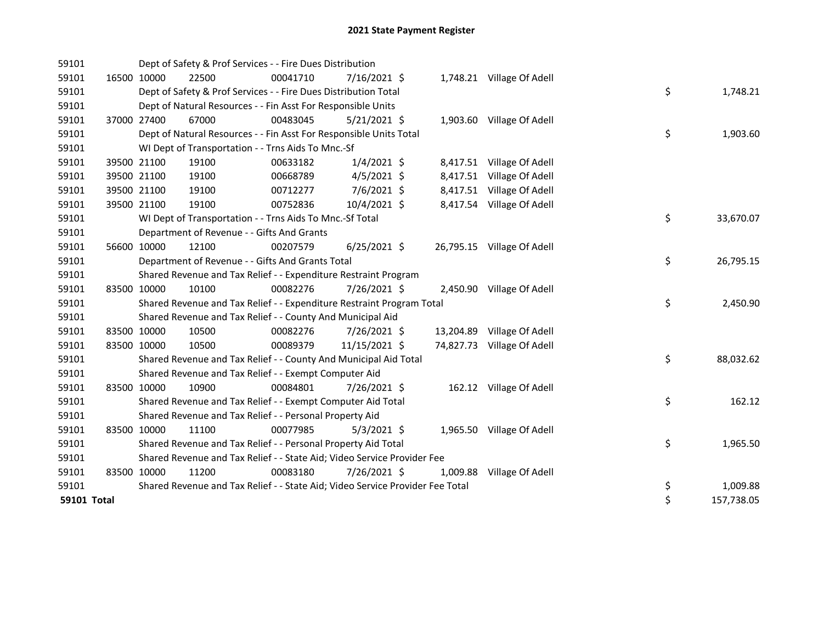| 59101       |             | Dept of Safety & Prof Services - - Fire Dues Distribution                     |          |                |          |                            |    |            |
|-------------|-------------|-------------------------------------------------------------------------------|----------|----------------|----------|----------------------------|----|------------|
| 59101       | 16500 10000 | 22500                                                                         | 00041710 | 7/16/2021 \$   |          | 1,748.21 Village Of Adell  |    |            |
| 59101       |             | Dept of Safety & Prof Services - - Fire Dues Distribution Total               |          |                |          |                            | \$ | 1,748.21   |
| 59101       |             | Dept of Natural Resources - - Fin Asst For Responsible Units                  |          |                |          |                            |    |            |
| 59101       | 37000 27400 | 67000                                                                         | 00483045 | $5/21/2021$ \$ |          | 1,903.60 Village Of Adell  |    |            |
| 59101       |             | Dept of Natural Resources - - Fin Asst For Responsible Units Total            |          |                |          |                            | \$ | 1,903.60   |
| 59101       |             | WI Dept of Transportation - - Trns Aids To Mnc.-Sf                            |          |                |          |                            |    |            |
| 59101       | 39500 21100 | 19100                                                                         | 00633182 | $1/4/2021$ \$  |          | 8,417.51 Village Of Adell  |    |            |
| 59101       | 39500 21100 | 19100                                                                         | 00668789 | $4/5/2021$ \$  |          | 8,417.51 Village Of Adell  |    |            |
| 59101       | 39500 21100 | 19100                                                                         | 00712277 | $7/6/2021$ \$  |          | 8,417.51 Village Of Adell  |    |            |
| 59101       | 39500 21100 | 19100                                                                         | 00752836 | 10/4/2021 \$   |          | 8,417.54 Village Of Adell  |    |            |
| 59101       |             | WI Dept of Transportation - - Trns Aids To Mnc.-Sf Total                      |          |                |          |                            | \$ | 33,670.07  |
| 59101       |             | Department of Revenue - - Gifts And Grants                                    |          |                |          |                            |    |            |
| 59101       | 56600 10000 | 12100                                                                         | 00207579 | $6/25/2021$ \$ |          | 26,795.15 Village Of Adell |    |            |
| 59101       |             | Department of Revenue - - Gifts And Grants Total                              |          |                |          |                            | \$ | 26,795.15  |
| 59101       |             | Shared Revenue and Tax Relief - - Expenditure Restraint Program               |          |                |          |                            |    |            |
| 59101       | 83500 10000 | 10100                                                                         | 00082276 | 7/26/2021 \$   |          | 2,450.90 Village Of Adell  |    |            |
| 59101       |             | Shared Revenue and Tax Relief - - Expenditure Restraint Program Total         |          |                |          |                            | \$ | 2,450.90   |
| 59101       |             | Shared Revenue and Tax Relief - - County And Municipal Aid                    |          |                |          |                            |    |            |
| 59101       | 83500 10000 | 10500                                                                         | 00082276 | 7/26/2021 \$   |          | 13,204.89 Village Of Adell |    |            |
| 59101       | 83500 10000 | 10500                                                                         | 00089379 | 11/15/2021 \$  |          | 74,827.73 Village Of Adell |    |            |
| 59101       |             | Shared Revenue and Tax Relief - - County And Municipal Aid Total              |          |                |          |                            | \$ | 88,032.62  |
| 59101       |             | Shared Revenue and Tax Relief - - Exempt Computer Aid                         |          |                |          |                            |    |            |
| 59101       | 83500 10000 | 10900                                                                         | 00084801 | 7/26/2021 \$   |          | 162.12 Village Of Adell    |    |            |
| 59101       |             | Shared Revenue and Tax Relief - - Exempt Computer Aid Total                   |          |                |          |                            | \$ | 162.12     |
| 59101       |             | Shared Revenue and Tax Relief - - Personal Property Aid                       |          |                |          |                            |    |            |
| 59101       | 83500 10000 | 11100                                                                         | 00077985 | $5/3/2021$ \$  |          | 1,965.50 Village Of Adell  |    |            |
| 59101       |             | Shared Revenue and Tax Relief - - Personal Property Aid Total                 |          |                |          |                            | \$ | 1,965.50   |
| 59101       |             | Shared Revenue and Tax Relief - - State Aid; Video Service Provider Fee       |          |                |          |                            |    |            |
| 59101       | 83500 10000 | 11200                                                                         | 00083180 | 7/26/2021 \$   | 1,009.88 | Village Of Adell           |    |            |
| 59101       |             | Shared Revenue and Tax Relief - - State Aid; Video Service Provider Fee Total |          |                |          |                            | \$ | 1,009.88   |
| 59101 Total |             |                                                                               |          |                |          |                            | \$ | 157,738.05 |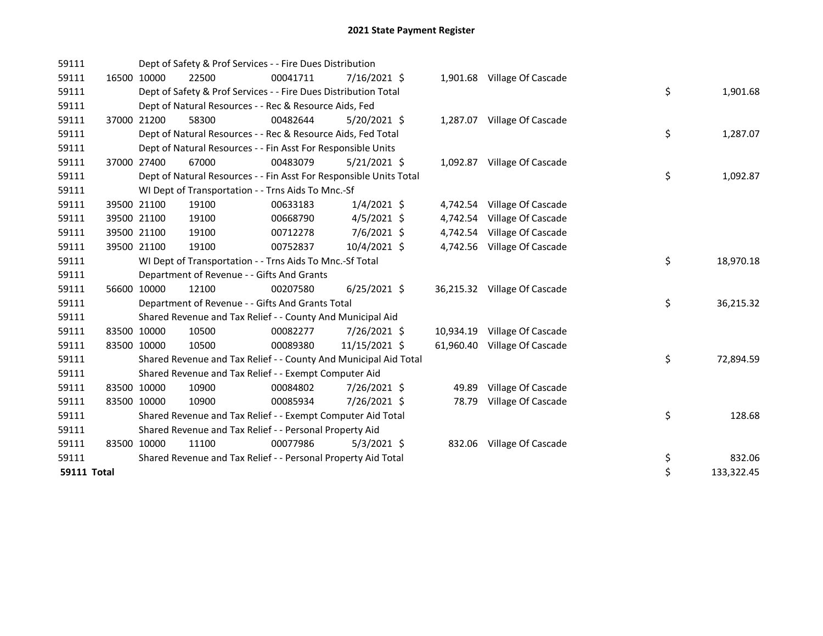| 59111       |             | Dept of Safety & Prof Services - - Fire Dues Distribution          |          |                |           |                              |    |            |
|-------------|-------------|--------------------------------------------------------------------|----------|----------------|-----------|------------------------------|----|------------|
| 59111       | 16500 10000 | 22500                                                              | 00041711 | $7/16/2021$ \$ |           | 1,901.68 Village Of Cascade  |    |            |
| 59111       |             | Dept of Safety & Prof Services - - Fire Dues Distribution Total    |          |                |           |                              | \$ | 1,901.68   |
| 59111       |             | Dept of Natural Resources - - Rec & Resource Aids, Fed             |          |                |           |                              |    |            |
| 59111       | 37000 21200 | 58300                                                              | 00482644 | 5/20/2021 \$   |           | 1,287.07 Village Of Cascade  |    |            |
| 59111       |             | Dept of Natural Resources - - Rec & Resource Aids, Fed Total       |          |                |           |                              | \$ | 1,287.07   |
| 59111       |             | Dept of Natural Resources - - Fin Asst For Responsible Units       |          |                |           |                              |    |            |
| 59111       | 37000 27400 | 67000                                                              | 00483079 | $5/21/2021$ \$ |           | 1,092.87 Village Of Cascade  |    |            |
| 59111       |             | Dept of Natural Resources - - Fin Asst For Responsible Units Total |          |                |           |                              | \$ | 1,092.87   |
| 59111       |             | WI Dept of Transportation - - Trns Aids To Mnc.-Sf                 |          |                |           |                              |    |            |
| 59111       | 39500 21100 | 19100                                                              | 00633183 | $1/4/2021$ \$  |           | 4,742.54 Village Of Cascade  |    |            |
| 59111       | 39500 21100 | 19100                                                              | 00668790 | $4/5/2021$ \$  | 4,742.54  | Village Of Cascade           |    |            |
| 59111       | 39500 21100 | 19100                                                              | 00712278 | 7/6/2021 \$    | 4,742.54  | Village Of Cascade           |    |            |
| 59111       | 39500 21100 | 19100                                                              | 00752837 | 10/4/2021 \$   |           | 4,742.56 Village Of Cascade  |    |            |
| 59111       |             | WI Dept of Transportation - - Trns Aids To Mnc.-Sf Total           |          |                |           |                              | \$ | 18,970.18  |
| 59111       |             | Department of Revenue - - Gifts And Grants                         |          |                |           |                              |    |            |
| 59111       | 56600 10000 | 12100                                                              | 00207580 | $6/25/2021$ \$ |           | 36,215.32 Village Of Cascade |    |            |
| 59111       |             | Department of Revenue - - Gifts And Grants Total                   |          |                |           |                              | \$ | 36,215.32  |
| 59111       |             | Shared Revenue and Tax Relief - - County And Municipal Aid         |          |                |           |                              |    |            |
| 59111       | 83500 10000 | 10500                                                              | 00082277 | 7/26/2021 \$   | 10,934.19 | Village Of Cascade           |    |            |
| 59111       | 83500 10000 | 10500                                                              | 00089380 | 11/15/2021 \$  | 61,960.40 | Village Of Cascade           |    |            |
| 59111       |             | Shared Revenue and Tax Relief - - County And Municipal Aid Total   |          |                |           |                              | \$ | 72,894.59  |
| 59111       |             | Shared Revenue and Tax Relief - - Exempt Computer Aid              |          |                |           |                              |    |            |
| 59111       | 83500 10000 | 10900                                                              | 00084802 | 7/26/2021 \$   | 49.89     | Village Of Cascade           |    |            |
| 59111       | 83500 10000 | 10900                                                              | 00085934 | 7/26/2021 \$   | 78.79     | Village Of Cascade           |    |            |
| 59111       |             | Shared Revenue and Tax Relief - - Exempt Computer Aid Total        |          |                |           |                              | \$ | 128.68     |
| 59111       |             | Shared Revenue and Tax Relief - - Personal Property Aid            |          |                |           |                              |    |            |
| 59111       | 83500 10000 | 11100                                                              | 00077986 | $5/3/2021$ \$  |           | 832.06 Village Of Cascade    |    |            |
| 59111       |             | Shared Revenue and Tax Relief - - Personal Property Aid Total      |          |                |           |                              | \$ | 832.06     |
| 59111 Total |             |                                                                    |          |                |           |                              | \$ | 133,322.45 |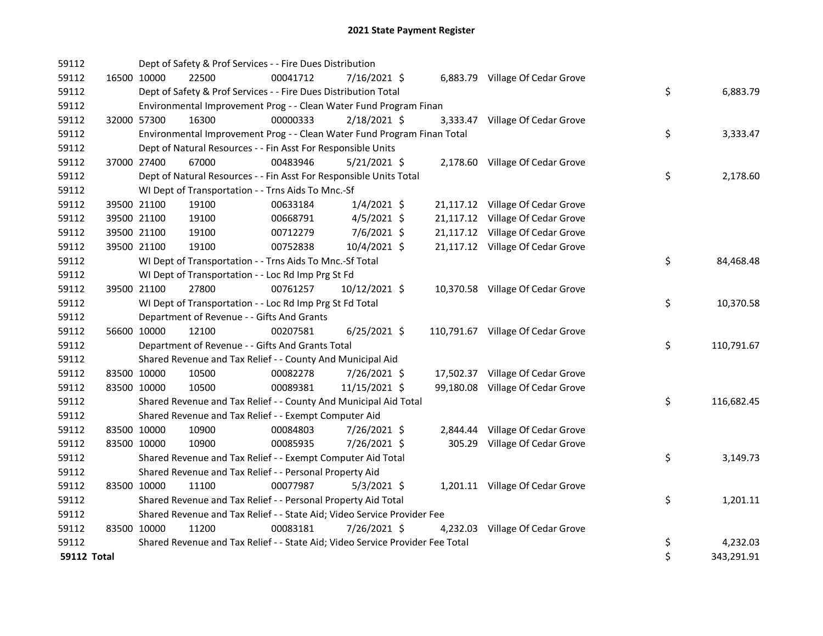| 59112       |             | Dept of Safety & Prof Services - - Fire Dues Distribution                     |          |                |  |                                   |    |            |
|-------------|-------------|-------------------------------------------------------------------------------|----------|----------------|--|-----------------------------------|----|------------|
| 59112       | 16500 10000 | 22500                                                                         | 00041712 | 7/16/2021 \$   |  | 6,883.79 Village Of Cedar Grove   |    |            |
| 59112       |             | Dept of Safety & Prof Services - - Fire Dues Distribution Total               |          |                |  |                                   | \$ | 6,883.79   |
| 59112       |             | Environmental Improvement Prog - - Clean Water Fund Program Finan             |          |                |  |                                   |    |            |
| 59112       | 32000 57300 | 16300                                                                         | 00000333 | 2/18/2021 \$   |  | 3,333.47 Village Of Cedar Grove   |    |            |
| 59112       |             | Environmental Improvement Prog - - Clean Water Fund Program Finan Total       |          |                |  |                                   | \$ | 3,333.47   |
| 59112       |             | Dept of Natural Resources - - Fin Asst For Responsible Units                  |          |                |  |                                   |    |            |
| 59112       | 37000 27400 | 67000                                                                         | 00483946 | $5/21/2021$ \$ |  | 2,178.60 Village Of Cedar Grove   |    |            |
| 59112       |             | Dept of Natural Resources - - Fin Asst For Responsible Units Total            |          |                |  |                                   | \$ | 2,178.60   |
| 59112       |             | WI Dept of Transportation - - Trns Aids To Mnc.-Sf                            |          |                |  |                                   |    |            |
| 59112       | 39500 21100 | 19100                                                                         | 00633184 | $1/4/2021$ \$  |  | 21,117.12 Village Of Cedar Grove  |    |            |
| 59112       | 39500 21100 | 19100                                                                         | 00668791 | $4/5/2021$ \$  |  | 21,117.12 Village Of Cedar Grove  |    |            |
| 59112       | 39500 21100 | 19100                                                                         | 00712279 | 7/6/2021 \$    |  | 21,117.12 Village Of Cedar Grove  |    |            |
| 59112       | 39500 21100 | 19100                                                                         | 00752838 | 10/4/2021 \$   |  | 21,117.12 Village Of Cedar Grove  |    |            |
| 59112       |             | WI Dept of Transportation - - Trns Aids To Mnc.-Sf Total                      |          |                |  |                                   | \$ | 84,468.48  |
| 59112       |             | WI Dept of Transportation - - Loc Rd Imp Prg St Fd                            |          |                |  |                                   |    |            |
| 59112       | 39500 21100 | 27800                                                                         | 00761257 | 10/12/2021 \$  |  | 10,370.58 Village Of Cedar Grove  |    |            |
| 59112       |             | WI Dept of Transportation - - Loc Rd Imp Prg St Fd Total                      |          |                |  |                                   | \$ | 10,370.58  |
| 59112       |             | Department of Revenue - - Gifts And Grants                                    |          |                |  |                                   |    |            |
| 59112       | 56600 10000 | 12100                                                                         | 00207581 | $6/25/2021$ \$ |  | 110,791.67 Village Of Cedar Grove |    |            |
| 59112       |             | Department of Revenue - - Gifts And Grants Total                              |          |                |  |                                   | \$ | 110,791.67 |
| 59112       |             | Shared Revenue and Tax Relief - - County And Municipal Aid                    |          |                |  |                                   |    |            |
| 59112       | 83500 10000 | 10500                                                                         | 00082278 | 7/26/2021 \$   |  | 17,502.37 Village Of Cedar Grove  |    |            |
| 59112       | 83500 10000 | 10500                                                                         | 00089381 | 11/15/2021 \$  |  | 99,180.08 Village Of Cedar Grove  |    |            |
| 59112       |             | Shared Revenue and Tax Relief - - County And Municipal Aid Total              |          |                |  |                                   | \$ | 116,682.45 |
| 59112       |             | Shared Revenue and Tax Relief - - Exempt Computer Aid                         |          |                |  |                                   |    |            |
| 59112       | 83500 10000 | 10900                                                                         | 00084803 | 7/26/2021 \$   |  | 2,844.44 Village Of Cedar Grove   |    |            |
| 59112       | 83500 10000 | 10900                                                                         | 00085935 | 7/26/2021 \$   |  | 305.29 Village Of Cedar Grove     |    |            |
| 59112       |             | Shared Revenue and Tax Relief - - Exempt Computer Aid Total                   |          |                |  |                                   | \$ | 3,149.73   |
| 59112       |             | Shared Revenue and Tax Relief - - Personal Property Aid                       |          |                |  |                                   |    |            |
| 59112       | 83500 10000 | 11100                                                                         | 00077987 | $5/3/2021$ \$  |  | 1,201.11 Village Of Cedar Grove   |    |            |
| 59112       |             | Shared Revenue and Tax Relief - - Personal Property Aid Total                 |          |                |  |                                   | \$ | 1,201.11   |
| 59112       |             | Shared Revenue and Tax Relief - - State Aid; Video Service Provider Fee       |          |                |  |                                   |    |            |
| 59112       | 83500 10000 | 11200                                                                         | 00083181 | 7/26/2021 \$   |  | 4,232.03 Village Of Cedar Grove   |    |            |
| 59112       |             | Shared Revenue and Tax Relief - - State Aid; Video Service Provider Fee Total |          |                |  |                                   | \$ | 4,232.03   |
| 59112 Total |             |                                                                               |          |                |  |                                   | \$ | 343,291.91 |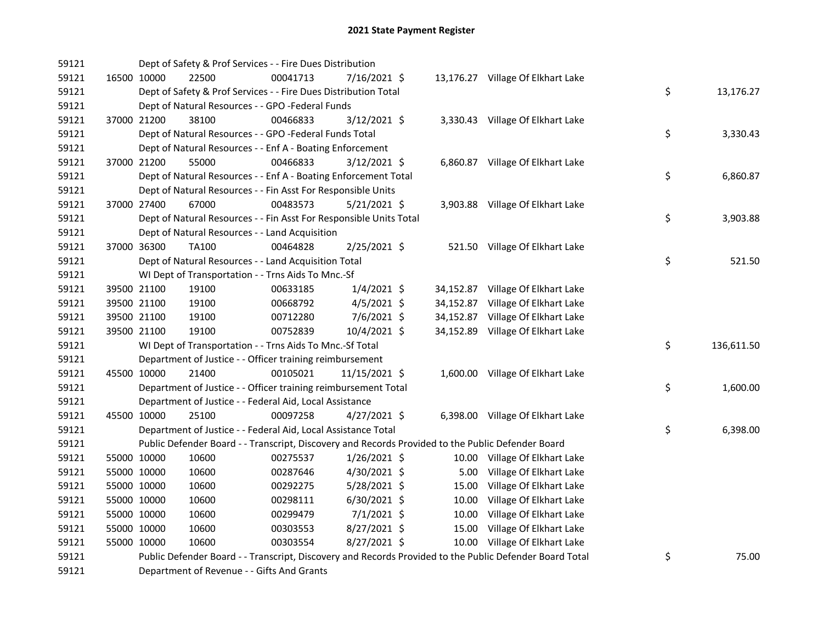| 59121 |             | Dept of Safety & Prof Services - - Fire Dues Distribution                                               |          |                |           |                                   |    |            |
|-------|-------------|---------------------------------------------------------------------------------------------------------|----------|----------------|-----------|-----------------------------------|----|------------|
| 59121 | 16500 10000 | 22500                                                                                                   | 00041713 | 7/16/2021 \$   |           | 13,176.27 Village Of Elkhart Lake |    |            |
| 59121 |             | Dept of Safety & Prof Services - - Fire Dues Distribution Total                                         |          |                |           |                                   | \$ | 13,176.27  |
| 59121 |             | Dept of Natural Resources - - GPO -Federal Funds                                                        |          |                |           |                                   |    |            |
| 59121 | 37000 21200 | 38100                                                                                                   | 00466833 | 3/12/2021 \$   |           | 3,330.43 Village Of Elkhart Lake  |    |            |
| 59121 |             | Dept of Natural Resources - - GPO -Federal Funds Total                                                  |          |                |           |                                   | \$ | 3,330.43   |
| 59121 |             | Dept of Natural Resources - - Enf A - Boating Enforcement                                               |          |                |           |                                   |    |            |
| 59121 | 37000 21200 | 55000                                                                                                   | 00466833 | $3/12/2021$ \$ |           | 6,860.87 Village Of Elkhart Lake  |    |            |
| 59121 |             | Dept of Natural Resources - - Enf A - Boating Enforcement Total                                         |          |                |           |                                   | \$ | 6,860.87   |
| 59121 |             | Dept of Natural Resources - - Fin Asst For Responsible Units                                            |          |                |           |                                   |    |            |
| 59121 | 37000 27400 | 67000                                                                                                   | 00483573 | $5/21/2021$ \$ |           | 3,903.88 Village Of Elkhart Lake  |    |            |
| 59121 |             | Dept of Natural Resources - - Fin Asst For Responsible Units Total                                      |          |                |           |                                   | \$ | 3,903.88   |
| 59121 |             | Dept of Natural Resources - - Land Acquisition                                                          |          |                |           |                                   |    |            |
| 59121 | 37000 36300 | <b>TA100</b>                                                                                            | 00464828 | 2/25/2021 \$   |           | 521.50 Village Of Elkhart Lake    |    |            |
| 59121 |             | Dept of Natural Resources - - Land Acquisition Total                                                    |          |                |           |                                   | \$ | 521.50     |
| 59121 |             | WI Dept of Transportation - - Trns Aids To Mnc.-Sf                                                      |          |                |           |                                   |    |            |
| 59121 | 39500 21100 | 19100                                                                                                   | 00633185 | $1/4/2021$ \$  |           | 34,152.87 Village Of Elkhart Lake |    |            |
| 59121 | 39500 21100 | 19100                                                                                                   | 00668792 | $4/5/2021$ \$  | 34,152.87 | Village Of Elkhart Lake           |    |            |
| 59121 | 39500 21100 | 19100                                                                                                   | 00712280 | 7/6/2021 \$    | 34,152.87 | Village Of Elkhart Lake           |    |            |
| 59121 | 39500 21100 | 19100                                                                                                   | 00752839 | 10/4/2021 \$   |           | 34,152.89 Village Of Elkhart Lake |    |            |
| 59121 |             | WI Dept of Transportation - - Trns Aids To Mnc.-Sf Total                                                |          |                |           |                                   | \$ | 136,611.50 |
| 59121 |             | Department of Justice - - Officer training reimbursement                                                |          |                |           |                                   |    |            |
| 59121 | 45500 10000 | 21400                                                                                                   | 00105021 | 11/15/2021 \$  |           | 1,600.00 Village Of Elkhart Lake  |    |            |
| 59121 |             | Department of Justice - - Officer training reimbursement Total                                          |          |                |           |                                   | \$ | 1,600.00   |
| 59121 |             | Department of Justice - - Federal Aid, Local Assistance                                                 |          |                |           |                                   |    |            |
| 59121 | 45500 10000 | 25100                                                                                                   | 00097258 | $4/27/2021$ \$ |           | 6,398.00 Village Of Elkhart Lake  |    |            |
| 59121 |             | Department of Justice - - Federal Aid, Local Assistance Total                                           |          |                |           |                                   | \$ | 6,398.00   |
| 59121 |             | Public Defender Board - - Transcript, Discovery and Records Provided to the Public Defender Board       |          |                |           |                                   |    |            |
| 59121 | 55000 10000 | 10600                                                                                                   | 00275537 | $1/26/2021$ \$ |           | 10.00 Village Of Elkhart Lake     |    |            |
| 59121 | 55000 10000 | 10600                                                                                                   | 00287646 | $4/30/2021$ \$ |           | 5.00 Village Of Elkhart Lake      |    |            |
| 59121 | 55000 10000 | 10600                                                                                                   | 00292275 | 5/28/2021 \$   |           | 15.00 Village Of Elkhart Lake     |    |            |
| 59121 | 55000 10000 | 10600                                                                                                   | 00298111 | $6/30/2021$ \$ |           | 10.00 Village Of Elkhart Lake     |    |            |
| 59121 | 55000 10000 | 10600                                                                                                   | 00299479 | $7/1/2021$ \$  |           | 10.00 Village Of Elkhart Lake     |    |            |
| 59121 | 55000 10000 | 10600                                                                                                   | 00303553 | $8/27/2021$ \$ |           | 15.00 Village Of Elkhart Lake     |    |            |
| 59121 | 55000 10000 | 10600                                                                                                   | 00303554 | 8/27/2021 \$   |           | 10.00 Village Of Elkhart Lake     |    |            |
| 59121 |             | Public Defender Board - - Transcript, Discovery and Records Provided to the Public Defender Board Total |          |                |           |                                   | \$ | 75.00      |
| 59121 |             | Department of Revenue - - Gifts And Grants                                                              |          |                |           |                                   |    |            |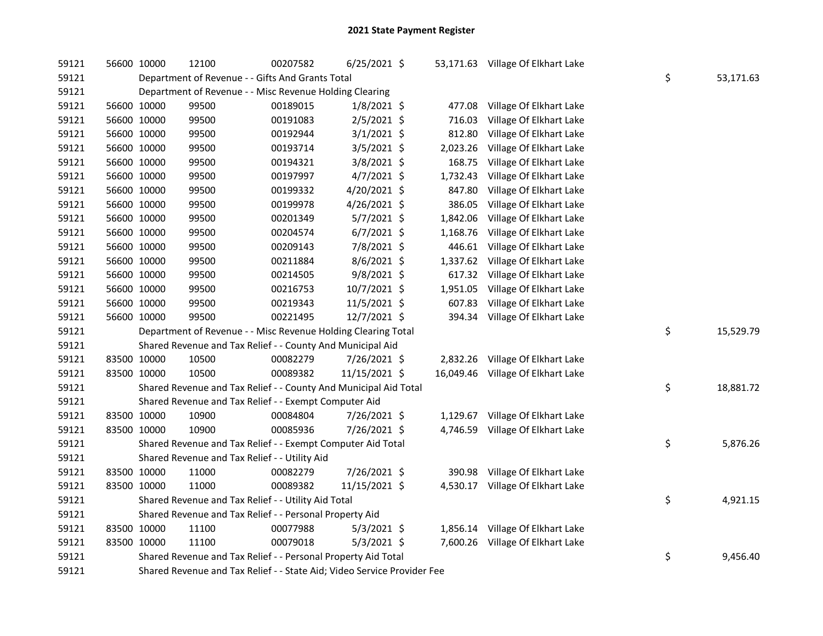| 59121 | 56600 10000 | 12100                                                                   | 00207582 | $6/25/2021$ \$ |          | 53,171.63 Village Of Elkhart Lake |    |           |
|-------|-------------|-------------------------------------------------------------------------|----------|----------------|----------|-----------------------------------|----|-----------|
| 59121 |             | Department of Revenue - - Gifts And Grants Total                        |          |                |          |                                   | \$ | 53,171.63 |
| 59121 |             | Department of Revenue - - Misc Revenue Holding Clearing                 |          |                |          |                                   |    |           |
| 59121 | 56600 10000 | 99500                                                                   | 00189015 | $1/8/2021$ \$  | 477.08   | Village Of Elkhart Lake           |    |           |
| 59121 | 56600 10000 | 99500                                                                   | 00191083 | $2/5/2021$ \$  | 716.03   | Village Of Elkhart Lake           |    |           |
| 59121 | 56600 10000 | 99500                                                                   | 00192944 | $3/1/2021$ \$  | 812.80   | Village Of Elkhart Lake           |    |           |
| 59121 | 56600 10000 | 99500                                                                   | 00193714 | $3/5/2021$ \$  | 2,023.26 | Village Of Elkhart Lake           |    |           |
| 59121 | 56600 10000 | 99500                                                                   | 00194321 | $3/8/2021$ \$  | 168.75   | Village Of Elkhart Lake           |    |           |
| 59121 | 56600 10000 | 99500                                                                   | 00197997 | $4/7/2021$ \$  | 1,732.43 | Village Of Elkhart Lake           |    |           |
| 59121 | 56600 10000 | 99500                                                                   | 00199332 | 4/20/2021 \$   | 847.80   | Village Of Elkhart Lake           |    |           |
| 59121 | 56600 10000 | 99500                                                                   | 00199978 | 4/26/2021 \$   | 386.05   | Village Of Elkhart Lake           |    |           |
| 59121 | 56600 10000 | 99500                                                                   | 00201349 | $5/7/2021$ \$  | 1,842.06 | Village Of Elkhart Lake           |    |           |
| 59121 | 56600 10000 | 99500                                                                   | 00204574 | $6/7/2021$ \$  | 1,168.76 | Village Of Elkhart Lake           |    |           |
| 59121 | 56600 10000 | 99500                                                                   | 00209143 | 7/8/2021 \$    | 446.61   | Village Of Elkhart Lake           |    |           |
| 59121 | 56600 10000 | 99500                                                                   | 00211884 | $8/6/2021$ \$  |          | 1,337.62 Village Of Elkhart Lake  |    |           |
| 59121 | 56600 10000 | 99500                                                                   | 00214505 | $9/8/2021$ \$  |          | 617.32 Village Of Elkhart Lake    |    |           |
| 59121 | 56600 10000 | 99500                                                                   | 00216753 | 10/7/2021 \$   | 1,951.05 | Village Of Elkhart Lake           |    |           |
| 59121 | 56600 10000 | 99500                                                                   | 00219343 | 11/5/2021 \$   | 607.83   | Village Of Elkhart Lake           |    |           |
| 59121 | 56600 10000 | 99500                                                                   | 00221495 | 12/7/2021 \$   |          | 394.34 Village Of Elkhart Lake    |    |           |
| 59121 |             | Department of Revenue - - Misc Revenue Holding Clearing Total           |          |                |          |                                   | \$ | 15,529.79 |
| 59121 |             | Shared Revenue and Tax Relief - - County And Municipal Aid              |          |                |          |                                   |    |           |
| 59121 | 83500 10000 | 10500                                                                   | 00082279 | 7/26/2021 \$   |          | 2,832.26 Village Of Elkhart Lake  |    |           |
| 59121 | 83500 10000 | 10500                                                                   | 00089382 | 11/15/2021 \$  |          | 16,049.46 Village Of Elkhart Lake |    |           |
| 59121 |             | Shared Revenue and Tax Relief - - County And Municipal Aid Total        |          |                |          |                                   | \$ | 18,881.72 |
| 59121 |             | Shared Revenue and Tax Relief - - Exempt Computer Aid                   |          |                |          |                                   |    |           |
| 59121 | 83500 10000 | 10900                                                                   | 00084804 | 7/26/2021 \$   |          | 1,129.67 Village Of Elkhart Lake  |    |           |
| 59121 | 83500 10000 | 10900                                                                   | 00085936 | 7/26/2021 \$   |          | 4,746.59 Village Of Elkhart Lake  |    |           |
| 59121 |             | Shared Revenue and Tax Relief - - Exempt Computer Aid Total             |          |                |          |                                   | \$ | 5,876.26  |
| 59121 |             | Shared Revenue and Tax Relief - - Utility Aid                           |          |                |          |                                   |    |           |
| 59121 | 83500 10000 | 11000                                                                   | 00082279 | 7/26/2021 \$   |          | 390.98 Village Of Elkhart Lake    |    |           |
| 59121 | 83500 10000 | 11000                                                                   | 00089382 | 11/15/2021 \$  |          | 4,530.17 Village Of Elkhart Lake  |    |           |
| 59121 |             | Shared Revenue and Tax Relief - - Utility Aid Total                     |          |                |          |                                   | \$ | 4,921.15  |
| 59121 |             | Shared Revenue and Tax Relief - - Personal Property Aid                 |          |                |          |                                   |    |           |
| 59121 | 83500 10000 | 11100                                                                   | 00077988 | $5/3/2021$ \$  |          | 1,856.14 Village Of Elkhart Lake  |    |           |
| 59121 | 83500 10000 | 11100                                                                   | 00079018 | $5/3/2021$ \$  |          | 7,600.26 Village Of Elkhart Lake  |    |           |
| 59121 |             | Shared Revenue and Tax Relief - - Personal Property Aid Total           |          |                |          |                                   | \$ | 9,456.40  |
| 59121 |             | Shared Revenue and Tax Relief - - State Aid; Video Service Provider Fee |          |                |          |                                   |    |           |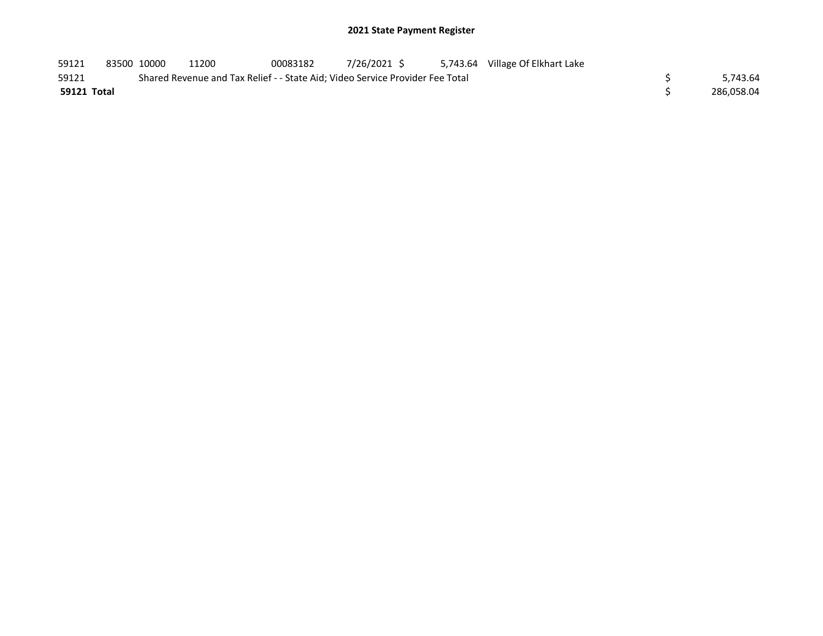| 59121       | 83500 10000 | 11200 | 00083182                                                                      | 7/26/2021 \$ | 5,743.64 Village Of Elkhart Lake |            |
|-------------|-------------|-------|-------------------------------------------------------------------------------|--------------|----------------------------------|------------|
| 59121       |             |       | Shared Revenue and Tax Relief - - State Aid; Video Service Provider Fee Total |              |                                  | 5,743.64   |
| 59121 Total |             |       |                                                                               |              |                                  | 286.058.04 |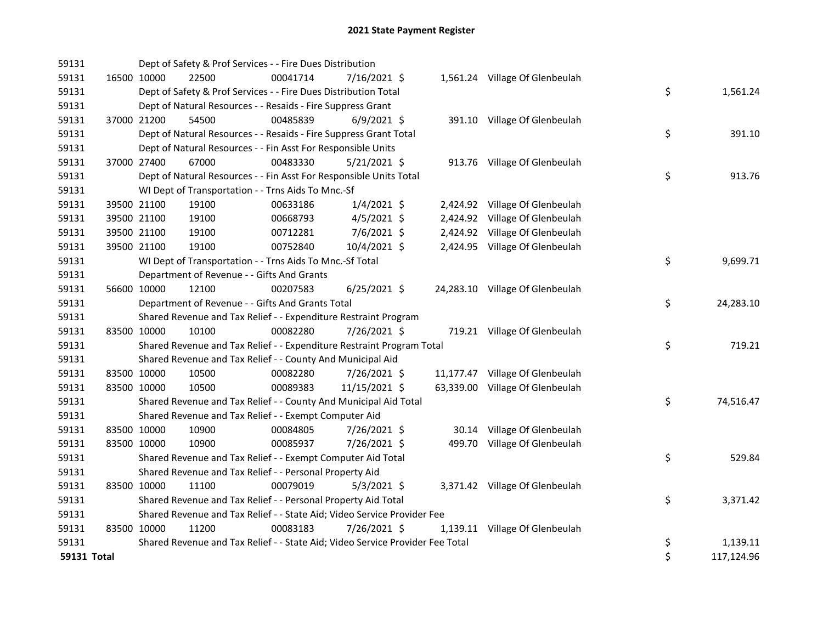| 59131              | Dept of Safety & Prof Services - - Fire Dues Distribution                     |          |                |                                 |                  |
|--------------------|-------------------------------------------------------------------------------|----------|----------------|---------------------------------|------------------|
| 59131              | 16500 10000<br>22500                                                          | 00041714 | 7/16/2021 \$   | 1,561.24 Village Of Glenbeulah  |                  |
| 59131              | Dept of Safety & Prof Services - - Fire Dues Distribution Total               |          |                |                                 | \$<br>1,561.24   |
| 59131              | Dept of Natural Resources - - Resaids - Fire Suppress Grant                   |          |                |                                 |                  |
| 59131              | 37000 21200<br>54500                                                          | 00485839 | $6/9/2021$ \$  | 391.10 Village Of Glenbeulah    |                  |
| 59131              | Dept of Natural Resources - - Resaids - Fire Suppress Grant Total             |          |                |                                 | \$<br>391.10     |
| 59131              | Dept of Natural Resources - - Fin Asst For Responsible Units                  |          |                |                                 |                  |
| 59131              | 37000 27400<br>67000                                                          | 00483330 | $5/21/2021$ \$ | 913.76 Village Of Glenbeulah    |                  |
| 59131              | Dept of Natural Resources - - Fin Asst For Responsible Units Total            |          |                |                                 | \$<br>913.76     |
| 59131              | WI Dept of Transportation - - Trns Aids To Mnc.-Sf                            |          |                |                                 |                  |
| 59131              | 39500 21100<br>19100                                                          | 00633186 | $1/4/2021$ \$  | 2,424.92 Village Of Glenbeulah  |                  |
| 59131              | 39500 21100<br>19100                                                          | 00668793 | $4/5/2021$ \$  | 2,424.92 Village Of Glenbeulah  |                  |
| 59131              | 39500 21100<br>19100                                                          | 00712281 | 7/6/2021 \$    | 2,424.92 Village Of Glenbeulah  |                  |
| 59131              | 39500 21100<br>19100                                                          | 00752840 | 10/4/2021 \$   | 2,424.95 Village Of Glenbeulah  |                  |
| 59131              | WI Dept of Transportation - - Trns Aids To Mnc.-Sf Total                      |          |                |                                 | \$<br>9,699.71   |
| 59131              | Department of Revenue - - Gifts And Grants                                    |          |                |                                 |                  |
| 59131              | 56600 10000<br>12100                                                          | 00207583 | $6/25/2021$ \$ | 24,283.10 Village Of Glenbeulah |                  |
| 59131              | Department of Revenue - - Gifts And Grants Total                              |          |                |                                 | \$<br>24,283.10  |
| 59131              | Shared Revenue and Tax Relief - - Expenditure Restraint Program               |          |                |                                 |                  |
| 59131              | 83500 10000<br>10100                                                          | 00082280 | 7/26/2021 \$   | 719.21 Village Of Glenbeulah    |                  |
| 59131              | Shared Revenue and Tax Relief - - Expenditure Restraint Program Total         |          |                |                                 | \$<br>719.21     |
| 59131              | Shared Revenue and Tax Relief - - County And Municipal Aid                    |          |                |                                 |                  |
| 59131              | 83500 10000<br>10500                                                          | 00082280 | 7/26/2021 \$   | 11,177.47 Village Of Glenbeulah |                  |
| 59131              | 83500 10000<br>10500                                                          | 00089383 | 11/15/2021 \$  | 63,339.00 Village Of Glenbeulah |                  |
| 59131              | Shared Revenue and Tax Relief - - County And Municipal Aid Total              |          |                |                                 | \$<br>74,516.47  |
| 59131              | Shared Revenue and Tax Relief - - Exempt Computer Aid                         |          |                |                                 |                  |
| 59131              | 83500 10000<br>10900                                                          | 00084805 | 7/26/2021 \$   | 30.14 Village Of Glenbeulah     |                  |
| 59131              | 83500 10000<br>10900                                                          | 00085937 | 7/26/2021 \$   | 499.70 Village Of Glenbeulah    |                  |
| 59131              | Shared Revenue and Tax Relief - - Exempt Computer Aid Total                   |          |                |                                 | \$<br>529.84     |
| 59131              | Shared Revenue and Tax Relief - - Personal Property Aid                       |          |                |                                 |                  |
| 59131              | 83500 10000<br>11100                                                          | 00079019 | $5/3/2021$ \$  | 3,371.42 Village Of Glenbeulah  |                  |
| 59131              | Shared Revenue and Tax Relief - - Personal Property Aid Total                 |          |                |                                 | \$<br>3,371.42   |
| 59131              | Shared Revenue and Tax Relief - - State Aid; Video Service Provider Fee       |          |                |                                 |                  |
| 59131              | 83500 10000<br>11200                                                          | 00083183 | 7/26/2021 \$   | 1,139.11 Village Of Glenbeulah  |                  |
| 59131              | Shared Revenue and Tax Relief - - State Aid; Video Service Provider Fee Total |          |                |                                 | \$<br>1,139.11   |
| <b>59131 Total</b> |                                                                               |          |                |                                 | \$<br>117,124.96 |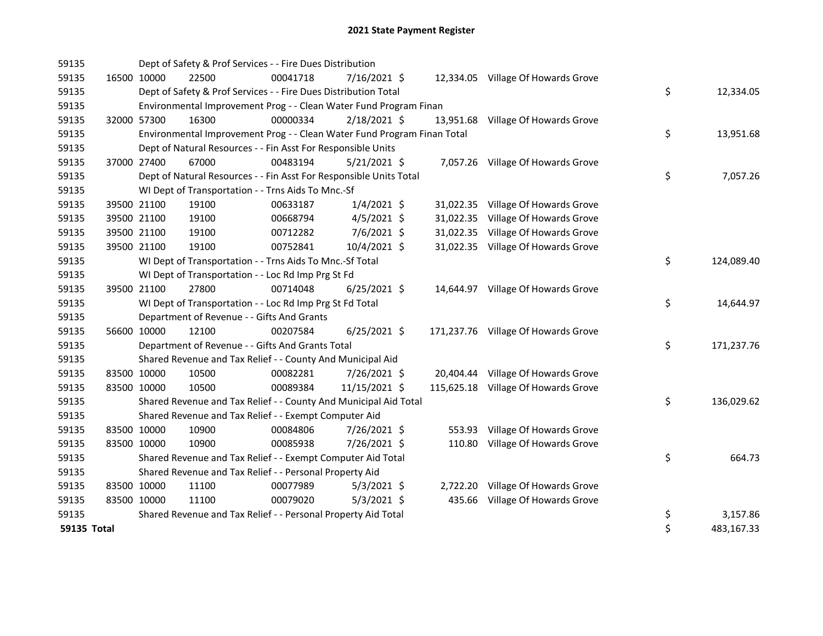| 59135       |             |             | Dept of Safety & Prof Services - - Fire Dues Distribution               |          |                |           |                                     |    |            |
|-------------|-------------|-------------|-------------------------------------------------------------------------|----------|----------------|-----------|-------------------------------------|----|------------|
| 59135       |             | 16500 10000 | 22500                                                                   | 00041718 | $7/16/2021$ \$ |           | 12,334.05 Village Of Howards Grove  |    |            |
| 59135       |             |             | Dept of Safety & Prof Services - - Fire Dues Distribution Total         |          |                |           |                                     | \$ | 12,334.05  |
| 59135       |             |             | Environmental Improvement Prog - - Clean Water Fund Program Finan       |          |                |           |                                     |    |            |
| 59135       |             | 32000 57300 | 16300                                                                   | 00000334 | 2/18/2021 \$   |           | 13,951.68 Village Of Howards Grove  |    |            |
| 59135       |             |             | Environmental Improvement Prog - - Clean Water Fund Program Finan Total |          |                |           |                                     | \$ | 13,951.68  |
| 59135       |             |             | Dept of Natural Resources - - Fin Asst For Responsible Units            |          |                |           |                                     |    |            |
| 59135       |             | 37000 27400 | 67000                                                                   | 00483194 | $5/21/2021$ \$ |           | 7,057.26 Village Of Howards Grove   |    |            |
| 59135       |             |             | Dept of Natural Resources - - Fin Asst For Responsible Units Total      |          |                |           |                                     | \$ | 7,057.26   |
| 59135       |             |             | WI Dept of Transportation - - Trns Aids To Mnc.-Sf                      |          |                |           |                                     |    |            |
| 59135       |             | 39500 21100 | 19100                                                                   | 00633187 | $1/4/2021$ \$  |           | 31,022.35 Village Of Howards Grove  |    |            |
| 59135       |             | 39500 21100 | 19100                                                                   | 00668794 | $4/5/2021$ \$  | 31,022.35 | Village Of Howards Grove            |    |            |
| 59135       |             | 39500 21100 | 19100                                                                   | 00712282 | 7/6/2021 \$    |           | 31,022.35 Village Of Howards Grove  |    |            |
| 59135       |             | 39500 21100 | 19100                                                                   | 00752841 | 10/4/2021 \$   |           | 31,022.35 Village Of Howards Grove  |    |            |
| 59135       |             |             | WI Dept of Transportation - - Trns Aids To Mnc.-Sf Total                |          |                |           |                                     | \$ | 124,089.40 |
| 59135       |             |             | WI Dept of Transportation - - Loc Rd Imp Prg St Fd                      |          |                |           |                                     |    |            |
| 59135       |             | 39500 21100 | 27800                                                                   | 00714048 | $6/25/2021$ \$ |           | 14,644.97 Village Of Howards Grove  |    |            |
| 59135       |             |             | WI Dept of Transportation - - Loc Rd Imp Prg St Fd Total                |          |                |           |                                     | \$ | 14,644.97  |
| 59135       |             |             | Department of Revenue - - Gifts And Grants                              |          |                |           |                                     |    |            |
| 59135       |             | 56600 10000 | 12100                                                                   | 00207584 | $6/25/2021$ \$ |           | 171,237.76 Village Of Howards Grove |    |            |
| 59135       |             |             | Department of Revenue - - Gifts And Grants Total                        |          |                |           |                                     | \$ | 171,237.76 |
| 59135       |             |             | Shared Revenue and Tax Relief - - County And Municipal Aid              |          |                |           |                                     |    |            |
| 59135       | 83500 10000 |             | 10500                                                                   | 00082281 | 7/26/2021 \$   |           | 20,404.44 Village Of Howards Grove  |    |            |
| 59135       | 83500 10000 |             | 10500                                                                   | 00089384 | 11/15/2021 \$  |           | 115,625.18 Village Of Howards Grove |    |            |
| 59135       |             |             | Shared Revenue and Tax Relief - - County And Municipal Aid Total        |          |                |           |                                     | \$ | 136,029.62 |
| 59135       |             |             | Shared Revenue and Tax Relief - - Exempt Computer Aid                   |          |                |           |                                     |    |            |
| 59135       | 83500 10000 |             | 10900                                                                   | 00084806 | 7/26/2021 \$   | 553.93    | Village Of Howards Grove            |    |            |
| 59135       | 83500 10000 |             | 10900                                                                   | 00085938 | 7/26/2021 \$   |           | 110.80 Village Of Howards Grove     |    |            |
| 59135       |             |             | Shared Revenue and Tax Relief - - Exempt Computer Aid Total             |          |                |           |                                     | \$ | 664.73     |
| 59135       |             |             | Shared Revenue and Tax Relief - - Personal Property Aid                 |          |                |           |                                     |    |            |
| 59135       | 83500 10000 |             | 11100                                                                   | 00077989 | $5/3/2021$ \$  | 2,722.20  | Village Of Howards Grove            |    |            |
| 59135       | 83500 10000 |             | 11100                                                                   | 00079020 | $5/3/2021$ \$  | 435.66    | Village Of Howards Grove            |    |            |
| 59135       |             |             | Shared Revenue and Tax Relief - - Personal Property Aid Total           |          |                |           |                                     | \$ | 3,157.86   |
| 59135 Total |             |             |                                                                         |          |                |           |                                     | \$ | 483,167.33 |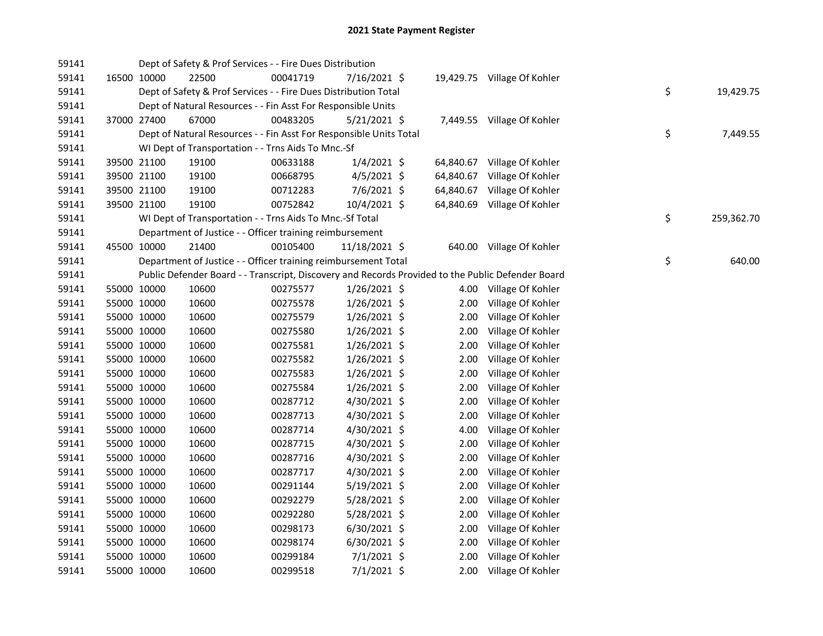| 59141 |             | Dept of Safety & Prof Services - - Fire Dues Distribution          |          |                |           |                                                                                                   |                  |
|-------|-------------|--------------------------------------------------------------------|----------|----------------|-----------|---------------------------------------------------------------------------------------------------|------------------|
| 59141 | 16500 10000 | 22500                                                              | 00041719 | 7/16/2021 \$   |           | 19,429.75 Village Of Kohler                                                                       |                  |
| 59141 |             | Dept of Safety & Prof Services - - Fire Dues Distribution Total    |          |                |           |                                                                                                   | \$<br>19,429.75  |
| 59141 |             | Dept of Natural Resources - - Fin Asst For Responsible Units       |          |                |           |                                                                                                   |                  |
| 59141 | 37000 27400 | 67000                                                              | 00483205 | $5/21/2021$ \$ |           | 7,449.55 Village Of Kohler                                                                        |                  |
| 59141 |             | Dept of Natural Resources - - Fin Asst For Responsible Units Total |          |                |           |                                                                                                   | \$<br>7,449.55   |
| 59141 |             | WI Dept of Transportation - - Trns Aids To Mnc.-Sf                 |          |                |           |                                                                                                   |                  |
| 59141 | 39500 21100 | 19100                                                              | 00633188 | $1/4/2021$ \$  | 64,840.67 | Village Of Kohler                                                                                 |                  |
| 59141 | 39500 21100 | 19100                                                              | 00668795 | $4/5/2021$ \$  | 64,840.67 | Village Of Kohler                                                                                 |                  |
| 59141 | 39500 21100 | 19100                                                              | 00712283 | $7/6/2021$ \$  | 64,840.67 | Village Of Kohler                                                                                 |                  |
| 59141 | 39500 21100 | 19100                                                              | 00752842 | 10/4/2021 \$   | 64,840.69 | Village Of Kohler                                                                                 |                  |
| 59141 |             | WI Dept of Transportation - - Trns Aids To Mnc.-Sf Total           |          |                |           |                                                                                                   | \$<br>259,362.70 |
| 59141 |             | Department of Justice - - Officer training reimbursement           |          |                |           |                                                                                                   |                  |
| 59141 | 45500 10000 | 21400                                                              | 00105400 | 11/18/2021 \$  |           | 640.00 Village Of Kohler                                                                          |                  |
| 59141 |             | Department of Justice - - Officer training reimbursement Total     |          |                |           |                                                                                                   | \$<br>640.00     |
| 59141 |             |                                                                    |          |                |           | Public Defender Board - - Transcript, Discovery and Records Provided to the Public Defender Board |                  |
| 59141 | 55000 10000 | 10600                                                              | 00275577 | $1/26/2021$ \$ |           | 4.00 Village Of Kohler                                                                            |                  |
| 59141 | 55000 10000 | 10600                                                              | 00275578 | $1/26/2021$ \$ | 2.00      | Village Of Kohler                                                                                 |                  |
| 59141 | 55000 10000 | 10600                                                              | 00275579 | $1/26/2021$ \$ | 2.00      | Village Of Kohler                                                                                 |                  |
| 59141 | 55000 10000 | 10600                                                              | 00275580 | $1/26/2021$ \$ | 2.00      | Village Of Kohler                                                                                 |                  |
| 59141 | 55000 10000 | 10600                                                              | 00275581 | $1/26/2021$ \$ | 2.00      | Village Of Kohler                                                                                 |                  |
| 59141 | 55000 10000 | 10600                                                              | 00275582 | $1/26/2021$ \$ | 2.00      | Village Of Kohler                                                                                 |                  |
| 59141 | 55000 10000 | 10600                                                              | 00275583 | 1/26/2021 \$   | 2.00      | Village Of Kohler                                                                                 |                  |
| 59141 | 55000 10000 | 10600                                                              | 00275584 | $1/26/2021$ \$ | 2.00      | Village Of Kohler                                                                                 |                  |
| 59141 | 55000 10000 | 10600                                                              | 00287712 | 4/30/2021 \$   | 2.00      | Village Of Kohler                                                                                 |                  |
| 59141 | 55000 10000 | 10600                                                              | 00287713 | 4/30/2021 \$   | 2.00      | Village Of Kohler                                                                                 |                  |
| 59141 | 55000 10000 | 10600                                                              | 00287714 | 4/30/2021 \$   | 4.00      | Village Of Kohler                                                                                 |                  |
| 59141 | 55000 10000 | 10600                                                              | 00287715 | 4/30/2021 \$   | 2.00      | Village Of Kohler                                                                                 |                  |
| 59141 | 55000 10000 | 10600                                                              | 00287716 | 4/30/2021 \$   | 2.00      | Village Of Kohler                                                                                 |                  |
| 59141 | 55000 10000 | 10600                                                              | 00287717 | 4/30/2021 \$   | 2.00      | Village Of Kohler                                                                                 |                  |
| 59141 | 55000 10000 | 10600                                                              | 00291144 | 5/19/2021 \$   | 2.00      | Village Of Kohler                                                                                 |                  |
| 59141 | 55000 10000 | 10600                                                              | 00292279 | 5/28/2021 \$   | 2.00      | Village Of Kohler                                                                                 |                  |
| 59141 | 55000 10000 | 10600                                                              | 00292280 | $5/28/2021$ \$ | 2.00      | Village Of Kohler                                                                                 |                  |
| 59141 | 55000 10000 | 10600                                                              | 00298173 | $6/30/2021$ \$ | 2.00      | Village Of Kohler                                                                                 |                  |
| 59141 | 55000 10000 | 10600                                                              | 00298174 | 6/30/2021 \$   | 2.00      | Village Of Kohler                                                                                 |                  |
| 59141 | 55000 10000 | 10600                                                              | 00299184 | $7/1/2021$ \$  | 2.00      | Village Of Kohler                                                                                 |                  |
| 59141 | 55000 10000 | 10600                                                              | 00299518 | $7/1/2021$ \$  | 2.00      | Village Of Kohler                                                                                 |                  |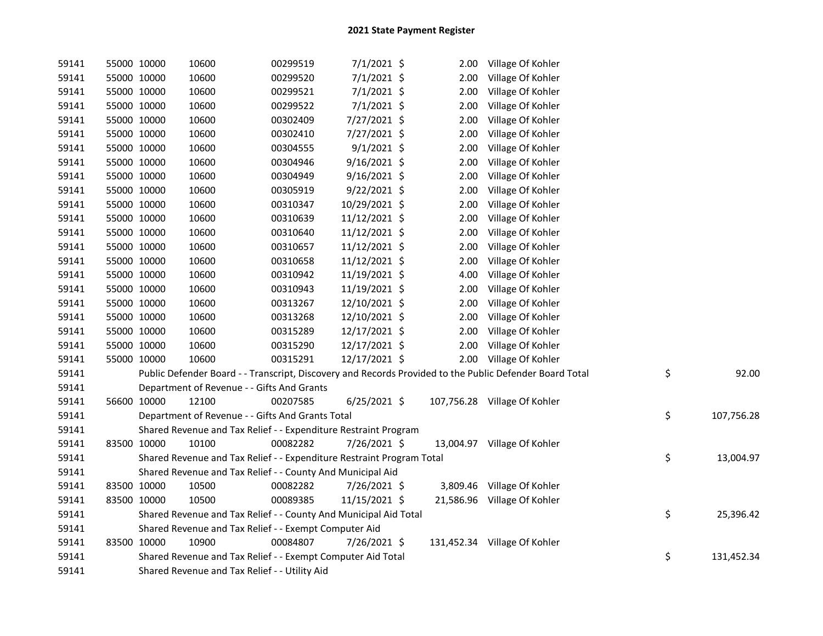| 59141 | 55000 10000 | 10600                                                                 | 00299519 | 7/1/2021 \$    | 2.00 | Village Of Kohler                                                                                       |                  |
|-------|-------------|-----------------------------------------------------------------------|----------|----------------|------|---------------------------------------------------------------------------------------------------------|------------------|
| 59141 | 55000 10000 | 10600                                                                 | 00299520 | 7/1/2021 \$    | 2.00 | Village Of Kohler                                                                                       |                  |
| 59141 | 55000 10000 | 10600                                                                 | 00299521 | $7/1/2021$ \$  | 2.00 | Village Of Kohler                                                                                       |                  |
| 59141 | 55000 10000 | 10600                                                                 | 00299522 | $7/1/2021$ \$  | 2.00 | Village Of Kohler                                                                                       |                  |
| 59141 | 55000 10000 | 10600                                                                 | 00302409 | 7/27/2021 \$   | 2.00 | Village Of Kohler                                                                                       |                  |
| 59141 | 55000 10000 | 10600                                                                 | 00302410 | 7/27/2021 \$   | 2.00 | Village Of Kohler                                                                                       |                  |
| 59141 | 55000 10000 | 10600                                                                 | 00304555 | $9/1/2021$ \$  | 2.00 | Village Of Kohler                                                                                       |                  |
| 59141 | 55000 10000 | 10600                                                                 | 00304946 | $9/16/2021$ \$ | 2.00 | Village Of Kohler                                                                                       |                  |
| 59141 | 55000 10000 | 10600                                                                 | 00304949 | $9/16/2021$ \$ | 2.00 | Village Of Kohler                                                                                       |                  |
| 59141 | 55000 10000 | 10600                                                                 | 00305919 | $9/22/2021$ \$ | 2.00 | Village Of Kohler                                                                                       |                  |
| 59141 | 55000 10000 | 10600                                                                 | 00310347 | 10/29/2021 \$  | 2.00 | Village Of Kohler                                                                                       |                  |
| 59141 | 55000 10000 | 10600                                                                 | 00310639 | 11/12/2021 \$  | 2.00 | Village Of Kohler                                                                                       |                  |
| 59141 | 55000 10000 | 10600                                                                 | 00310640 | 11/12/2021 \$  | 2.00 | Village Of Kohler                                                                                       |                  |
| 59141 | 55000 10000 | 10600                                                                 | 00310657 | 11/12/2021 \$  | 2.00 | Village Of Kohler                                                                                       |                  |
| 59141 | 55000 10000 | 10600                                                                 | 00310658 | 11/12/2021 \$  | 2.00 | Village Of Kohler                                                                                       |                  |
| 59141 | 55000 10000 | 10600                                                                 | 00310942 | 11/19/2021 \$  | 4.00 | Village Of Kohler                                                                                       |                  |
| 59141 | 55000 10000 | 10600                                                                 | 00310943 | 11/19/2021 \$  | 2.00 | Village Of Kohler                                                                                       |                  |
| 59141 | 55000 10000 | 10600                                                                 | 00313267 | 12/10/2021 \$  | 2.00 | Village Of Kohler                                                                                       |                  |
| 59141 | 55000 10000 | 10600                                                                 | 00313268 | 12/10/2021 \$  | 2.00 | Village Of Kohler                                                                                       |                  |
| 59141 | 55000 10000 | 10600                                                                 | 00315289 | 12/17/2021 \$  | 2.00 | Village Of Kohler                                                                                       |                  |
| 59141 | 55000 10000 | 10600                                                                 | 00315290 | 12/17/2021 \$  | 2.00 | Village Of Kohler                                                                                       |                  |
| 59141 | 55000 10000 | 10600                                                                 | 00315291 | 12/17/2021 \$  | 2.00 | Village Of Kohler                                                                                       |                  |
| 59141 |             |                                                                       |          |                |      | Public Defender Board - - Transcript, Discovery and Records Provided to the Public Defender Board Total | \$<br>92.00      |
| 59141 |             | Department of Revenue - - Gifts And Grants                            |          |                |      |                                                                                                         |                  |
| 59141 | 56600 10000 | 12100                                                                 | 00207585 | $6/25/2021$ \$ |      | 107,756.28 Village Of Kohler                                                                            |                  |
| 59141 |             | Department of Revenue - - Gifts And Grants Total                      |          |                |      |                                                                                                         | \$<br>107,756.28 |
| 59141 |             | Shared Revenue and Tax Relief - - Expenditure Restraint Program       |          |                |      |                                                                                                         |                  |
| 59141 | 83500 10000 | 10100                                                                 | 00082282 | 7/26/2021 \$   |      | 13,004.97 Village Of Kohler                                                                             |                  |
| 59141 |             | Shared Revenue and Tax Relief - - Expenditure Restraint Program Total |          |                |      |                                                                                                         | \$<br>13,004.97  |
| 59141 |             | Shared Revenue and Tax Relief - - County And Municipal Aid            |          |                |      |                                                                                                         |                  |
| 59141 | 83500 10000 | 10500                                                                 | 00082282 | 7/26/2021 \$   |      | 3,809.46 Village Of Kohler                                                                              |                  |
| 59141 | 83500 10000 | 10500                                                                 | 00089385 | 11/15/2021 \$  |      | 21,586.96 Village Of Kohler                                                                             |                  |
| 59141 |             | Shared Revenue and Tax Relief - - County And Municipal Aid Total      |          |                |      |                                                                                                         | \$<br>25,396.42  |
| 59141 |             | Shared Revenue and Tax Relief - - Exempt Computer Aid                 |          |                |      |                                                                                                         |                  |
| 59141 | 83500 10000 | 10900                                                                 | 00084807 | 7/26/2021 \$   |      | 131,452.34 Village Of Kohler                                                                            |                  |
| 59141 |             | Shared Revenue and Tax Relief - - Exempt Computer Aid Total           |          |                |      |                                                                                                         | \$<br>131,452.34 |
| 59141 |             | Shared Revenue and Tax Relief - - Utility Aid                         |          |                |      |                                                                                                         |                  |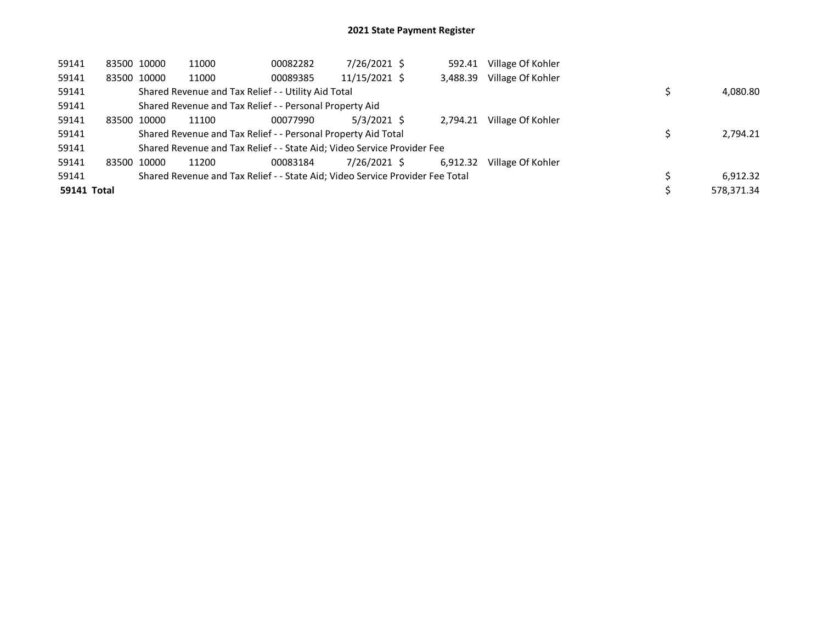| 59141              |       | 83500 10000 | 11000 | 00082282                                                                      | 7/26/2021 \$  | 592.41   | Village Of Kohler |            |
|--------------------|-------|-------------|-------|-------------------------------------------------------------------------------|---------------|----------|-------------------|------------|
| 59141              |       | 83500 10000 | 11000 | 00089385                                                                      | 11/15/2021 \$ | 3,488.39 | Village Of Kohler |            |
| 59141              |       |             |       | Shared Revenue and Tax Relief - - Utility Aid Total                           |               |          |                   | 4,080.80   |
| 59141              |       |             |       | Shared Revenue and Tax Relief - - Personal Property Aid                       |               |          |                   |            |
| 59141              |       | 83500 10000 | 11100 | 00077990                                                                      | $5/3/2021$ \$ | 2.794.21 | Village Of Kohler |            |
| 59141              |       |             |       | Shared Revenue and Tax Relief - - Personal Property Aid Total                 |               |          |                   | 2,794.21   |
| 59141              |       |             |       | Shared Revenue and Tax Relief - - State Aid; Video Service Provider Fee       |               |          |                   |            |
| 59141              | 83500 | 10000       | 11200 | 00083184                                                                      | 7/26/2021 \$  | 6.912.32 | Village Of Kohler |            |
| 59141              |       |             |       | Shared Revenue and Tax Relief - - State Aid; Video Service Provider Fee Total |               |          |                   | 6.912.32   |
| <b>59141 Total</b> |       |             |       |                                                                               |               |          |                   | 578,371.34 |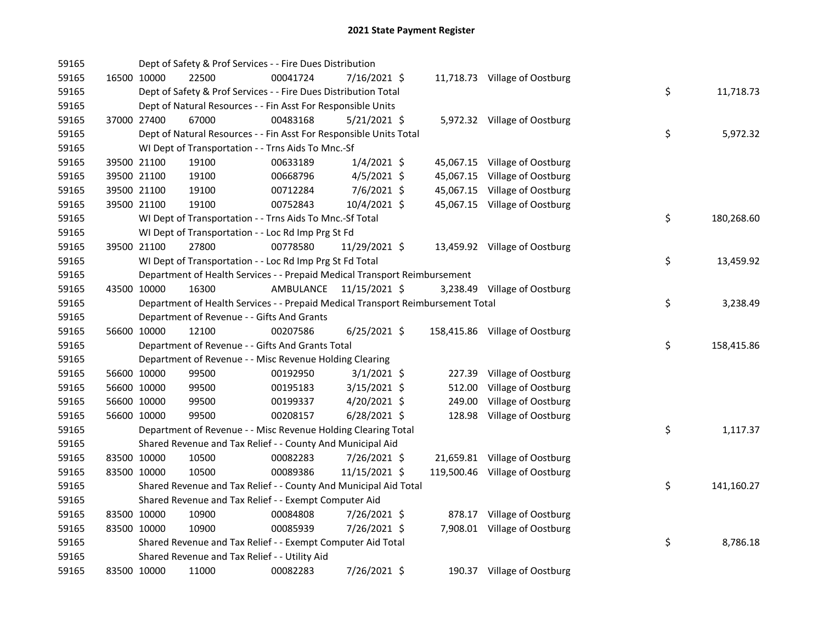| 59165 |             | Dept of Safety & Prof Services - - Fire Dues Distribution                       |           |                |        |                                |    |            |
|-------|-------------|---------------------------------------------------------------------------------|-----------|----------------|--------|--------------------------------|----|------------|
| 59165 | 16500 10000 | 22500                                                                           | 00041724  | 7/16/2021 \$   |        | 11,718.73 Village of Oostburg  |    |            |
| 59165 |             | Dept of Safety & Prof Services - - Fire Dues Distribution Total                 |           |                |        |                                | \$ | 11,718.73  |
| 59165 |             | Dept of Natural Resources - - Fin Asst For Responsible Units                    |           |                |        |                                |    |            |
| 59165 | 37000 27400 | 67000                                                                           | 00483168  | $5/21/2021$ \$ |        | 5,972.32 Village of Oostburg   |    |            |
| 59165 |             | Dept of Natural Resources - - Fin Asst For Responsible Units Total              |           |                |        |                                | \$ | 5,972.32   |
| 59165 |             | WI Dept of Transportation - - Trns Aids To Mnc.-Sf                              |           |                |        |                                |    |            |
| 59165 | 39500 21100 | 19100                                                                           | 00633189  | $1/4/2021$ \$  |        | 45,067.15 Village of Oostburg  |    |            |
| 59165 | 39500 21100 | 19100                                                                           | 00668796  | $4/5/2021$ \$  |        | 45,067.15 Village of Oostburg  |    |            |
| 59165 | 39500 21100 | 19100                                                                           | 00712284  | $7/6/2021$ \$  |        | 45,067.15 Village of Oostburg  |    |            |
| 59165 | 39500 21100 | 19100                                                                           | 00752843  | 10/4/2021 \$   |        | 45,067.15 Village of Oostburg  |    |            |
| 59165 |             | WI Dept of Transportation - - Trns Aids To Mnc.-Sf Total                        |           |                |        |                                | \$ | 180,268.60 |
| 59165 |             | WI Dept of Transportation - - Loc Rd Imp Prg St Fd                              |           |                |        |                                |    |            |
| 59165 | 39500 21100 | 27800                                                                           | 00778580  | 11/29/2021 \$  |        | 13,459.92 Village of Oostburg  |    |            |
| 59165 |             | WI Dept of Transportation - - Loc Rd Imp Prg St Fd Total                        |           |                |        |                                | \$ | 13,459.92  |
| 59165 |             | Department of Health Services - - Prepaid Medical Transport Reimbursement       |           |                |        |                                |    |            |
| 59165 | 43500 10000 | 16300                                                                           | AMBULANCE | 11/15/2021 \$  |        | 3,238.49 Village of Oostburg   |    |            |
| 59165 |             | Department of Health Services - - Prepaid Medical Transport Reimbursement Total |           |                |        |                                | \$ | 3,238.49   |
| 59165 |             | Department of Revenue - - Gifts And Grants                                      |           |                |        |                                |    |            |
| 59165 | 56600 10000 | 12100                                                                           | 00207586  | $6/25/2021$ \$ |        | 158,415.86 Village of Oostburg |    |            |
| 59165 |             | Department of Revenue - - Gifts And Grants Total                                |           |                |        |                                | \$ | 158,415.86 |
| 59165 |             | Department of Revenue - - Misc Revenue Holding Clearing                         |           |                |        |                                |    |            |
| 59165 | 56600 10000 | 99500                                                                           | 00192950  | $3/1/2021$ \$  |        | 227.39 Village of Oostburg     |    |            |
| 59165 | 56600 10000 | 99500                                                                           | 00195183  | 3/15/2021 \$   | 512.00 | Village of Oostburg            |    |            |
| 59165 | 56600 10000 | 99500                                                                           | 00199337  | 4/20/2021 \$   | 249.00 | Village of Oostburg            |    |            |
| 59165 | 56600 10000 | 99500                                                                           | 00208157  | $6/28/2021$ \$ |        | 128.98 Village of Oostburg     |    |            |
| 59165 |             | Department of Revenue - - Misc Revenue Holding Clearing Total                   |           |                |        |                                | \$ | 1,117.37   |
| 59165 |             | Shared Revenue and Tax Relief - - County And Municipal Aid                      |           |                |        |                                |    |            |
| 59165 | 83500 10000 | 10500                                                                           | 00082283  | 7/26/2021 \$   |        | 21,659.81 Village of Oostburg  |    |            |
| 59165 | 83500 10000 | 10500                                                                           | 00089386  | 11/15/2021 \$  |        | 119,500.46 Village of Oostburg |    |            |
| 59165 |             | Shared Revenue and Tax Relief - - County And Municipal Aid Total                |           |                |        |                                | \$ | 141,160.27 |
| 59165 |             | Shared Revenue and Tax Relief - - Exempt Computer Aid                           |           |                |        |                                |    |            |
| 59165 | 83500 10000 | 10900                                                                           | 00084808  | 7/26/2021 \$   |        | 878.17 Village of Oostburg     |    |            |
| 59165 | 83500 10000 | 10900                                                                           | 00085939  | 7/26/2021 \$   |        | 7,908.01 Village of Oostburg   |    |            |
| 59165 |             | Shared Revenue and Tax Relief - - Exempt Computer Aid Total                     |           |                |        |                                | \$ | 8,786.18   |
| 59165 |             | Shared Revenue and Tax Relief - - Utility Aid                                   |           |                |        |                                |    |            |
| 59165 | 83500 10000 | 11000                                                                           | 00082283  | 7/26/2021 \$   |        | 190.37 Village of Oostburg     |    |            |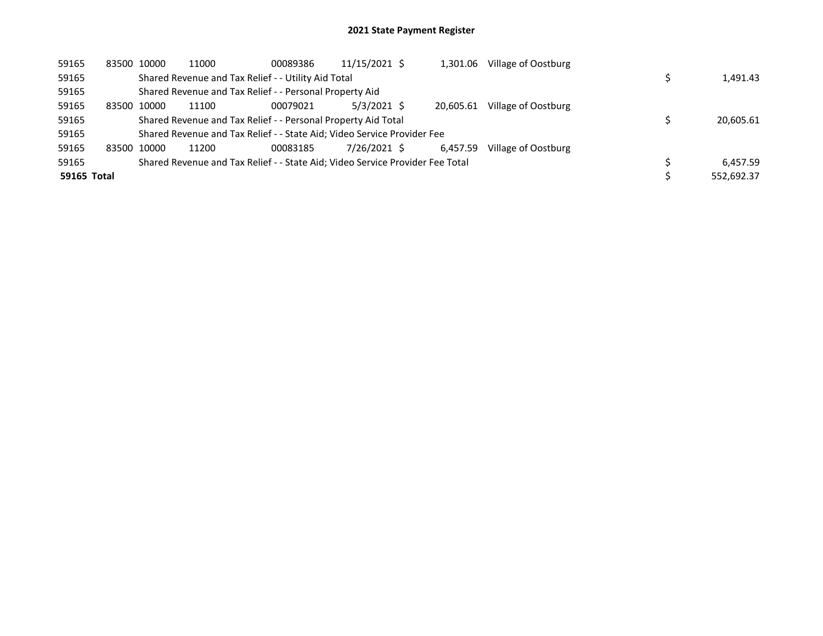| 59165       | 83500 10000 | 11000 | 00089386                                                                      | 11/15/2021 \$ | 1,301.06  | Village of Oostburg |            |
|-------------|-------------|-------|-------------------------------------------------------------------------------|---------------|-----------|---------------------|------------|
| 59165       |             |       | Shared Revenue and Tax Relief - - Utility Aid Total                           |               |           |                     | 1,491.43   |
| 59165       |             |       | Shared Revenue and Tax Relief - - Personal Property Aid                       |               |           |                     |            |
| 59165       | 83500 10000 | 11100 | 00079021                                                                      | 5/3/2021 \$   | 20.605.61 | Village of Oostburg |            |
| 59165       |             |       | Shared Revenue and Tax Relief - - Personal Property Aid Total                 |               |           |                     | 20,605.61  |
| 59165       |             |       | Shared Revenue and Tax Relief - - State Aid; Video Service Provider Fee       |               |           |                     |            |
| 59165       | 83500 10000 | 11200 | 00083185                                                                      | 7/26/2021 \$  | 6.457.59  | Village of Oostburg |            |
| 59165       |             |       | Shared Revenue and Tax Relief - - State Aid; Video Service Provider Fee Total |               |           |                     | 6.457.59   |
| 59165 Total |             |       |                                                                               |               |           |                     | 552.692.37 |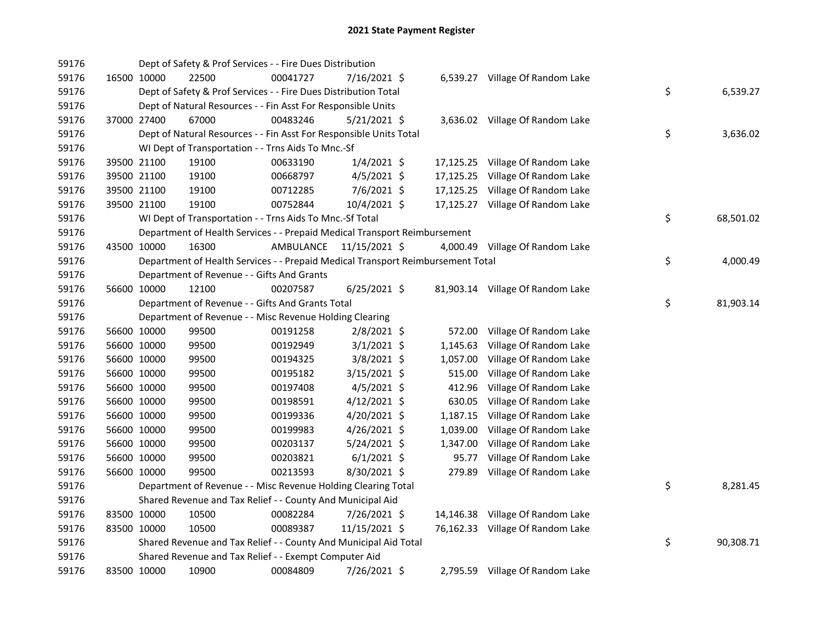| 59176 |             | Dept of Safety & Prof Services - - Fire Dues Distribution                       |           |                |          |                                  |    |           |
|-------|-------------|---------------------------------------------------------------------------------|-----------|----------------|----------|----------------------------------|----|-----------|
| 59176 | 16500 10000 | 22500                                                                           | 00041727  | 7/16/2021 \$   |          | 6,539.27 Village Of Random Lake  |    |           |
| 59176 |             | Dept of Safety & Prof Services - - Fire Dues Distribution Total                 |           |                |          |                                  | \$ | 6,539.27  |
| 59176 |             | Dept of Natural Resources - - Fin Asst For Responsible Units                    |           |                |          |                                  |    |           |
| 59176 | 37000 27400 | 67000                                                                           | 00483246  | $5/21/2021$ \$ |          | 3,636.02 Village Of Random Lake  |    |           |
| 59176 |             | Dept of Natural Resources - - Fin Asst For Responsible Units Total              |           |                |          |                                  | \$ | 3,636.02  |
| 59176 |             | WI Dept of Transportation - - Trns Aids To Mnc.-Sf                              |           |                |          |                                  |    |           |
| 59176 | 39500 21100 | 19100                                                                           | 00633190  | $1/4/2021$ \$  |          | 17,125.25 Village Of Random Lake |    |           |
| 59176 | 39500 21100 | 19100                                                                           | 00668797  | $4/5/2021$ \$  |          | 17,125.25 Village Of Random Lake |    |           |
| 59176 | 39500 21100 | 19100                                                                           | 00712285  | $7/6/2021$ \$  |          | 17,125.25 Village Of Random Lake |    |           |
| 59176 | 39500 21100 | 19100                                                                           | 00752844  | 10/4/2021 \$   |          | 17,125.27 Village Of Random Lake |    |           |
| 59176 |             | WI Dept of Transportation - - Trns Aids To Mnc.-Sf Total                        |           |                |          |                                  | \$ | 68,501.02 |
| 59176 |             | Department of Health Services - - Prepaid Medical Transport Reimbursement       |           |                |          |                                  |    |           |
| 59176 | 43500 10000 | 16300                                                                           | AMBULANCE | 11/15/2021 \$  |          | 4,000.49 Village Of Random Lake  |    |           |
| 59176 |             | Department of Health Services - - Prepaid Medical Transport Reimbursement Total |           |                |          |                                  | \$ | 4,000.49  |
| 59176 |             | Department of Revenue - - Gifts And Grants                                      |           |                |          |                                  |    |           |
| 59176 | 56600 10000 | 12100                                                                           | 00207587  | $6/25/2021$ \$ |          | 81,903.14 Village Of Random Lake |    |           |
| 59176 |             | Department of Revenue - - Gifts And Grants Total                                |           |                |          |                                  | \$ | 81,903.14 |
| 59176 |             | Department of Revenue - - Misc Revenue Holding Clearing                         |           |                |          |                                  |    |           |
| 59176 | 56600 10000 | 99500                                                                           | 00191258  | 2/8/2021 \$    | 572.00   | Village Of Random Lake           |    |           |
| 59176 | 56600 10000 | 99500                                                                           | 00192949  | $3/1/2021$ \$  | 1,145.63 | Village Of Random Lake           |    |           |
| 59176 | 56600 10000 | 99500                                                                           | 00194325  | 3/8/2021 \$    | 1,057.00 | Village Of Random Lake           |    |           |
| 59176 | 56600 10000 | 99500                                                                           | 00195182  | 3/15/2021 \$   | 515.00   | Village Of Random Lake           |    |           |
| 59176 | 56600 10000 | 99500                                                                           | 00197408  | $4/5/2021$ \$  | 412.96   | Village Of Random Lake           |    |           |
| 59176 | 56600 10000 | 99500                                                                           | 00198591  | $4/12/2021$ \$ | 630.05   | Village Of Random Lake           |    |           |
| 59176 | 56600 10000 | 99500                                                                           | 00199336  | $4/20/2021$ \$ |          | 1,187.15 Village Of Random Lake  |    |           |
| 59176 | 56600 10000 | 99500                                                                           | 00199983  | 4/26/2021 \$   | 1,039.00 | Village Of Random Lake           |    |           |
| 59176 | 56600 10000 | 99500                                                                           | 00203137  | $5/24/2021$ \$ | 1,347.00 | Village Of Random Lake           |    |           |
| 59176 | 56600 10000 | 99500                                                                           | 00203821  | $6/1/2021$ \$  | 95.77    | Village Of Random Lake           |    |           |
| 59176 | 56600 10000 | 99500                                                                           | 00213593  | 8/30/2021 \$   |          | 279.89 Village Of Random Lake    |    |           |
| 59176 |             | Department of Revenue - - Misc Revenue Holding Clearing Total                   |           |                |          |                                  | \$ | 8,281.45  |
| 59176 |             | Shared Revenue and Tax Relief - - County And Municipal Aid                      |           |                |          |                                  |    |           |
| 59176 | 83500 10000 | 10500                                                                           | 00082284  | 7/26/2021 \$   |          | 14,146.38 Village Of Random Lake |    |           |
| 59176 | 83500 10000 | 10500                                                                           | 00089387  | 11/15/2021 \$  |          | 76,162.33 Village Of Random Lake |    |           |
| 59176 |             | Shared Revenue and Tax Relief - - County And Municipal Aid Total                |           |                |          |                                  | \$ | 90,308.71 |
| 59176 |             | Shared Revenue and Tax Relief - - Exempt Computer Aid                           |           |                |          |                                  |    |           |
| 59176 | 83500 10000 | 10900                                                                           | 00084809  | 7/26/2021 \$   |          | 2,795.59 Village Of Random Lake  |    |           |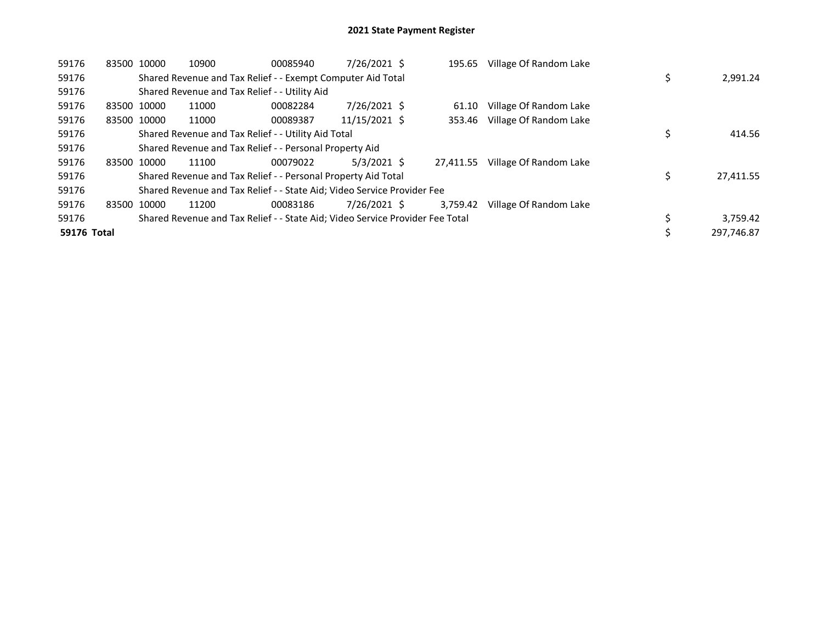| 59176       |       | 83500 10000 | 10900                                                                         | 00085940 | 7/26/2021 \$  | 195.65    | Village Of Random Lake |            |           |
|-------------|-------|-------------|-------------------------------------------------------------------------------|----------|---------------|-----------|------------------------|------------|-----------|
| 59176       |       |             | Shared Revenue and Tax Relief - - Exempt Computer Aid Total                   |          |               |           |                        |            | 2,991.24  |
| 59176       |       |             | Shared Revenue and Tax Relief - - Utility Aid                                 |          |               |           |                        |            |           |
| 59176       |       | 83500 10000 | 11000                                                                         | 00082284 | 7/26/2021 \$  | 61.10     | Village Of Random Lake |            |           |
| 59176       |       | 83500 10000 | 11000                                                                         | 00089387 | 11/15/2021 \$ | 353.46    | Village Of Random Lake |            |           |
| 59176       |       |             | Shared Revenue and Tax Relief - - Utility Aid Total                           |          |               |           |                        |            | 414.56    |
| 59176       |       |             | Shared Revenue and Tax Relief - - Personal Property Aid                       |          |               |           |                        |            |           |
| 59176       |       | 83500 10000 | 11100                                                                         | 00079022 | $5/3/2021$ \$ | 27.411.55 | Village Of Random Lake |            |           |
| 59176       |       |             | Shared Revenue and Tax Relief - - Personal Property Aid Total                 |          |               |           |                        |            | 27,411.55 |
| 59176       |       |             | Shared Revenue and Tax Relief - - State Aid; Video Service Provider Fee       |          |               |           |                        |            |           |
| 59176       | 83500 | 10000       | 11200                                                                         | 00083186 | 7/26/2021 \$  | 3,759.42  | Village Of Random Lake |            |           |
| 59176       |       |             | Shared Revenue and Tax Relief - - State Aid; Video Service Provider Fee Total |          |               |           |                        |            | 3,759.42  |
| 59176 Total |       |             |                                                                               |          |               |           |                        | 297.746.87 |           |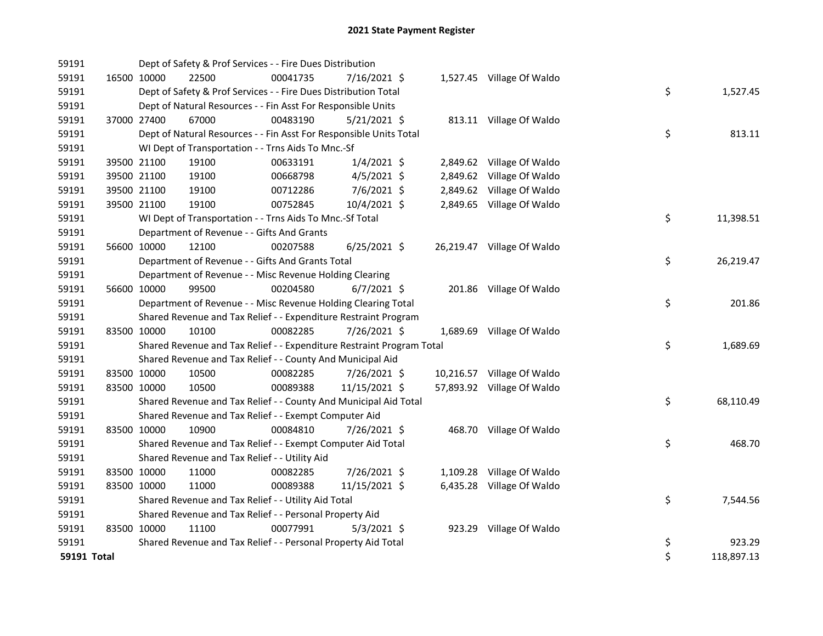| 59191 |             | Dept of Safety & Prof Services - - Fire Dues Distribution             |          |                |                            |                  |
|-------|-------------|-----------------------------------------------------------------------|----------|----------------|----------------------------|------------------|
| 59191 |             | 16500 10000<br>22500                                                  | 00041735 | 7/16/2021 \$   | 1,527.45 Village Of Waldo  |                  |
| 59191 |             | Dept of Safety & Prof Services - - Fire Dues Distribution Total       |          |                |                            | \$<br>1,527.45   |
| 59191 |             | Dept of Natural Resources - - Fin Asst For Responsible Units          |          |                |                            |                  |
| 59191 |             | 37000 27400<br>67000                                                  | 00483190 | $5/21/2021$ \$ | 813.11 Village Of Waldo    |                  |
| 59191 |             | Dept of Natural Resources - - Fin Asst For Responsible Units Total    |          |                |                            | \$<br>813.11     |
| 59191 |             | WI Dept of Transportation - - Trns Aids To Mnc.-Sf                    |          |                |                            |                  |
| 59191 |             | 39500 21100<br>19100                                                  | 00633191 | $1/4/2021$ \$  | 2,849.62 Village Of Waldo  |                  |
| 59191 |             | 19100<br>39500 21100                                                  | 00668798 | $4/5/2021$ \$  | 2,849.62 Village Of Waldo  |                  |
| 59191 |             | 39500 21100<br>19100                                                  | 00712286 | 7/6/2021 \$    | 2,849.62 Village Of Waldo  |                  |
| 59191 |             | 39500 21100<br>19100                                                  | 00752845 | 10/4/2021 \$   | 2,849.65 Village Of Waldo  |                  |
| 59191 |             | WI Dept of Transportation - - Trns Aids To Mnc.-Sf Total              |          |                |                            | \$<br>11,398.51  |
| 59191 |             | Department of Revenue - - Gifts And Grants                            |          |                |                            |                  |
| 59191 |             | 56600 10000<br>12100                                                  | 00207588 | $6/25/2021$ \$ | 26,219.47 Village Of Waldo |                  |
| 59191 |             | Department of Revenue - - Gifts And Grants Total                      |          |                |                            | \$<br>26,219.47  |
| 59191 |             | Department of Revenue - - Misc Revenue Holding Clearing               |          |                |                            |                  |
| 59191 |             | 56600 10000<br>99500                                                  | 00204580 | $6/7/2021$ \$  | 201.86 Village Of Waldo    |                  |
| 59191 |             | Department of Revenue - - Misc Revenue Holding Clearing Total         |          |                |                            | \$<br>201.86     |
| 59191 |             | Shared Revenue and Tax Relief - - Expenditure Restraint Program       |          |                |                            |                  |
| 59191 |             | 83500 10000<br>10100                                                  | 00082285 | 7/26/2021 \$   | 1,689.69 Village Of Waldo  |                  |
| 59191 |             | Shared Revenue and Tax Relief - - Expenditure Restraint Program Total |          |                |                            | \$<br>1,689.69   |
| 59191 |             | Shared Revenue and Tax Relief - - County And Municipal Aid            |          |                |                            |                  |
| 59191 |             | 83500 10000<br>10500                                                  | 00082285 | 7/26/2021 \$   | 10,216.57 Village Of Waldo |                  |
| 59191 |             | 83500 10000<br>10500                                                  | 00089388 | 11/15/2021 \$  | 57,893.92 Village Of Waldo |                  |
| 59191 |             | Shared Revenue and Tax Relief - - County And Municipal Aid Total      |          |                |                            | \$<br>68,110.49  |
| 59191 |             | Shared Revenue and Tax Relief - - Exempt Computer Aid                 |          |                |                            |                  |
| 59191 |             | 83500 10000<br>10900                                                  | 00084810 | 7/26/2021 \$   | 468.70 Village Of Waldo    |                  |
| 59191 |             | Shared Revenue and Tax Relief - - Exempt Computer Aid Total           |          |                |                            | \$<br>468.70     |
| 59191 |             | Shared Revenue and Tax Relief - - Utility Aid                         |          |                |                            |                  |
| 59191 |             | 11000<br>83500 10000                                                  | 00082285 | 7/26/2021 \$   | 1,109.28 Village Of Waldo  |                  |
| 59191 |             | 83500 10000<br>11000                                                  | 00089388 | 11/15/2021 \$  | 6,435.28 Village Of Waldo  |                  |
| 59191 |             | Shared Revenue and Tax Relief - - Utility Aid Total                   |          |                |                            | \$<br>7,544.56   |
| 59191 |             | Shared Revenue and Tax Relief - - Personal Property Aid               |          |                |                            |                  |
| 59191 |             | 83500 10000<br>11100                                                  | 00077991 | $5/3/2021$ \$  | 923.29 Village Of Waldo    |                  |
| 59191 |             | Shared Revenue and Tax Relief - - Personal Property Aid Total         |          |                |                            | \$<br>923.29     |
|       | 59191 Total |                                                                       |          |                |                            | \$<br>118,897.13 |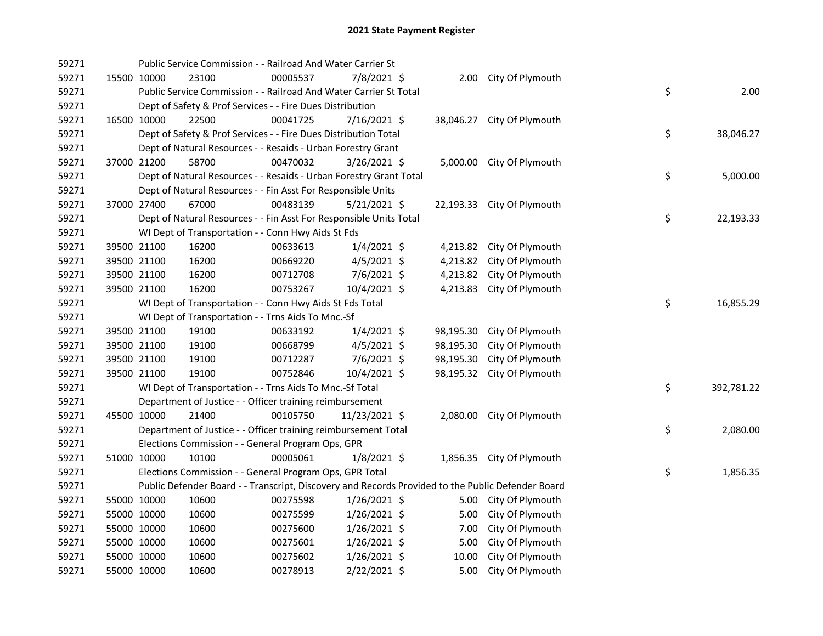| 59271 |             |             | Public Service Commission - - Railroad And Water Carrier St           |          |                |           |                                                                                                   |    |            |
|-------|-------------|-------------|-----------------------------------------------------------------------|----------|----------------|-----------|---------------------------------------------------------------------------------------------------|----|------------|
| 59271 |             | 15500 10000 | 23100                                                                 | 00005537 | 7/8/2021 \$    |           | 2.00 City Of Plymouth                                                                             |    |            |
| 59271 |             |             | Public Service Commission - - Railroad And Water Carrier St Total     |          |                |           |                                                                                                   | \$ | 2.00       |
| 59271 |             |             | Dept of Safety & Prof Services - - Fire Dues Distribution             |          |                |           |                                                                                                   |    |            |
| 59271 |             | 16500 10000 | 22500                                                                 | 00041725 | $7/16/2021$ \$ |           | 38,046.27 City Of Plymouth                                                                        |    |            |
| 59271 |             |             | Dept of Safety & Prof Services - - Fire Dues Distribution Total       |          |                |           |                                                                                                   | \$ | 38,046.27  |
| 59271 |             |             |                                                                       |          |                |           |                                                                                                   |    |            |
| 59271 |             | 37000 21200 | Dept of Natural Resources - - Resaids - Urban Forestry Grant<br>58700 | 00470032 |                |           |                                                                                                   |    |            |
| 59271 |             |             |                                                                       |          | 3/26/2021 \$   |           | 5,000.00 City Of Plymouth                                                                         |    |            |
| 59271 |             |             | Dept of Natural Resources - - Resaids - Urban Forestry Grant Total    |          |                |           |                                                                                                   | \$ | 5,000.00   |
|       |             |             | Dept of Natural Resources - - Fin Asst For Responsible Units<br>67000 | 00483139 |                |           |                                                                                                   |    |            |
| 59271 |             | 37000 27400 |                                                                       |          | $5/21/2021$ \$ |           | 22,193.33 City Of Plymouth                                                                        |    |            |
| 59271 |             |             | Dept of Natural Resources - - Fin Asst For Responsible Units Total    |          |                |           |                                                                                                   | \$ | 22,193.33  |
| 59271 |             |             | WI Dept of Transportation - - Conn Hwy Aids St Fds                    |          |                |           |                                                                                                   |    |            |
| 59271 |             | 39500 21100 | 16200                                                                 | 00633613 | $1/4/2021$ \$  |           | 4,213.82 City Of Plymouth                                                                         |    |            |
| 59271 |             | 39500 21100 | 16200                                                                 | 00669220 | $4/5/2021$ \$  | 4,213.82  | City Of Plymouth                                                                                  |    |            |
| 59271 |             | 39500 21100 | 16200                                                                 | 00712708 | 7/6/2021 \$    | 4,213.82  | City Of Plymouth                                                                                  |    |            |
| 59271 | 39500 21100 |             | 16200                                                                 | 00753267 | 10/4/2021 \$   | 4,213.83  | City Of Plymouth                                                                                  |    |            |
| 59271 |             |             | WI Dept of Transportation - - Conn Hwy Aids St Fds Total              |          |                |           |                                                                                                   | \$ | 16,855.29  |
| 59271 |             |             | WI Dept of Transportation - - Trns Aids To Mnc.-Sf                    |          |                |           |                                                                                                   |    |            |
| 59271 |             | 39500 21100 | 19100                                                                 | 00633192 | $1/4/2021$ \$  | 98,195.30 | City Of Plymouth                                                                                  |    |            |
| 59271 |             | 39500 21100 | 19100                                                                 | 00668799 | $4/5/2021$ \$  | 98,195.30 | City Of Plymouth                                                                                  |    |            |
| 59271 |             | 39500 21100 | 19100                                                                 | 00712287 | 7/6/2021 \$    | 98,195.30 | City Of Plymouth                                                                                  |    |            |
| 59271 |             | 39500 21100 | 19100                                                                 | 00752846 | $10/4/2021$ \$ |           | 98,195.32 City Of Plymouth                                                                        |    |            |
| 59271 |             |             | WI Dept of Transportation - - Trns Aids To Mnc.-Sf Total              |          |                |           |                                                                                                   | \$ | 392,781.22 |
| 59271 |             |             | Department of Justice - - Officer training reimbursement              |          |                |           |                                                                                                   |    |            |
| 59271 |             | 45500 10000 | 21400                                                                 | 00105750 | 11/23/2021 \$  |           | 2,080.00 City Of Plymouth                                                                         |    |            |
| 59271 |             |             | Department of Justice - - Officer training reimbursement Total        |          |                |           |                                                                                                   | \$ | 2,080.00   |
| 59271 |             |             | Elections Commission - - General Program Ops, GPR                     |          |                |           |                                                                                                   |    |            |
| 59271 |             | 51000 10000 | 10100                                                                 | 00005061 | $1/8/2021$ \$  |           | 1,856.35 City Of Plymouth                                                                         |    |            |
| 59271 |             |             | Elections Commission - - General Program Ops, GPR Total               |          |                |           |                                                                                                   | \$ | 1,856.35   |
| 59271 |             |             |                                                                       |          |                |           | Public Defender Board - - Transcript, Discovery and Records Provided to the Public Defender Board |    |            |
| 59271 |             | 55000 10000 | 10600                                                                 | 00275598 | $1/26/2021$ \$ |           | 5.00 City Of Plymouth                                                                             |    |            |
| 59271 |             | 55000 10000 | 10600                                                                 | 00275599 | $1/26/2021$ \$ | 5.00      | City Of Plymouth                                                                                  |    |            |
| 59271 |             | 55000 10000 | 10600                                                                 | 00275600 | $1/26/2021$ \$ | 7.00      | City Of Plymouth                                                                                  |    |            |
| 59271 |             | 55000 10000 | 10600                                                                 | 00275601 | $1/26/2021$ \$ | 5.00      | City Of Plymouth                                                                                  |    |            |
| 59271 |             | 55000 10000 | 10600                                                                 | 00275602 | $1/26/2021$ \$ | 10.00     | City Of Plymouth                                                                                  |    |            |
| 59271 |             | 55000 10000 | 10600                                                                 | 00278913 | 2/22/2021 \$   | 5.00      | City Of Plymouth                                                                                  |    |            |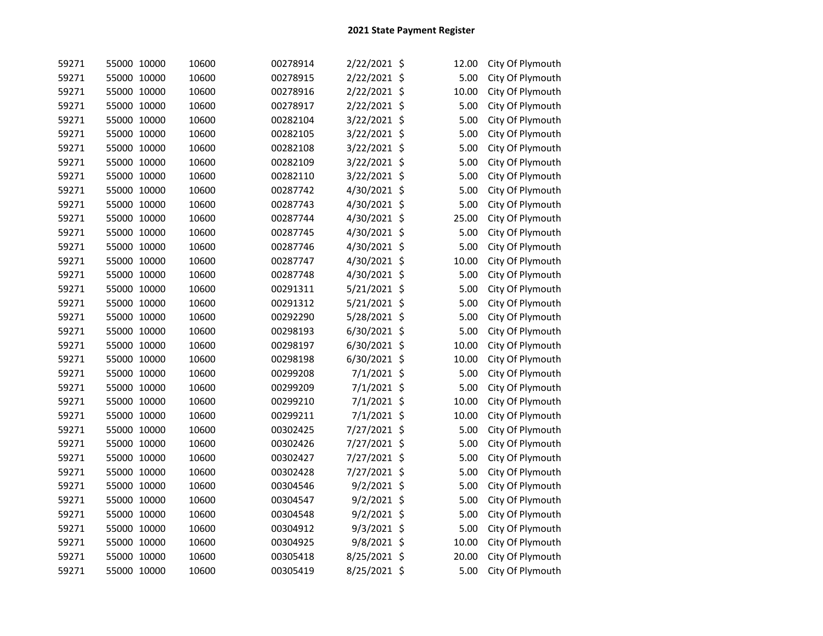| 59271 | 55000 10000 | 10600 | 00278914 | 2/22/2021 \$  | 12.00 | City Of Plymouth |
|-------|-------------|-------|----------|---------------|-------|------------------|
| 59271 | 55000 10000 | 10600 | 00278915 | 2/22/2021 \$  | 5.00  | City Of Plymouth |
| 59271 | 55000 10000 | 10600 | 00278916 | 2/22/2021 \$  | 10.00 | City Of Plymouth |
| 59271 | 55000 10000 | 10600 | 00278917 | 2/22/2021 \$  | 5.00  | City Of Plymouth |
| 59271 | 55000 10000 | 10600 | 00282104 | 3/22/2021 \$  | 5.00  | City Of Plymouth |
| 59271 | 55000 10000 | 10600 | 00282105 | 3/22/2021 \$  | 5.00  | City Of Plymouth |
| 59271 | 55000 10000 | 10600 | 00282108 | 3/22/2021 \$  | 5.00  | City Of Plymouth |
| 59271 | 55000 10000 | 10600 | 00282109 | 3/22/2021 \$  | 5.00  | City Of Plymouth |
| 59271 | 55000 10000 | 10600 | 00282110 | 3/22/2021 \$  | 5.00  | City Of Plymouth |
| 59271 | 55000 10000 | 10600 | 00287742 | 4/30/2021 \$  | 5.00  | City Of Plymouth |
| 59271 | 55000 10000 | 10600 | 00287743 | 4/30/2021 \$  | 5.00  | City Of Plymouth |
| 59271 | 55000 10000 | 10600 | 00287744 | 4/30/2021 \$  | 25.00 | City Of Plymouth |
| 59271 | 55000 10000 | 10600 | 00287745 | 4/30/2021 \$  | 5.00  | City Of Plymouth |
| 59271 | 55000 10000 | 10600 | 00287746 | 4/30/2021 \$  | 5.00  | City Of Plymouth |
| 59271 | 55000 10000 | 10600 | 00287747 | 4/30/2021 \$  | 10.00 | City Of Plymouth |
| 59271 | 55000 10000 | 10600 | 00287748 | 4/30/2021 \$  | 5.00  | City Of Plymouth |
| 59271 | 55000 10000 | 10600 | 00291311 | 5/21/2021 \$  | 5.00  | City Of Plymouth |
| 59271 | 55000 10000 | 10600 | 00291312 | 5/21/2021 \$  | 5.00  | City Of Plymouth |
| 59271 | 55000 10000 | 10600 | 00292290 | 5/28/2021 \$  | 5.00  | City Of Plymouth |
| 59271 | 55000 10000 | 10600 | 00298193 | 6/30/2021 \$  | 5.00  | City Of Plymouth |
| 59271 | 55000 10000 | 10600 | 00298197 | 6/30/2021 \$  | 10.00 | City Of Plymouth |
| 59271 | 55000 10000 | 10600 | 00298198 | 6/30/2021 \$  | 10.00 | City Of Plymouth |
| 59271 | 55000 10000 | 10600 | 00299208 | 7/1/2021 \$   | 5.00  | City Of Plymouth |
| 59271 | 55000 10000 | 10600 | 00299209 | 7/1/2021 \$   | 5.00  | City Of Plymouth |
| 59271 | 55000 10000 | 10600 | 00299210 | 7/1/2021 \$   | 10.00 | City Of Plymouth |
| 59271 | 55000 10000 | 10600 | 00299211 | 7/1/2021 \$   | 10.00 | City Of Plymouth |
| 59271 | 55000 10000 | 10600 | 00302425 | 7/27/2021 \$  | 5.00  | City Of Plymouth |
| 59271 | 55000 10000 | 10600 | 00302426 | 7/27/2021 \$  | 5.00  | City Of Plymouth |
| 59271 | 55000 10000 | 10600 | 00302427 | 7/27/2021 \$  | 5.00  | City Of Plymouth |
| 59271 | 55000 10000 | 10600 | 00302428 | 7/27/2021 \$  | 5.00  | City Of Plymouth |
| 59271 | 55000 10000 | 10600 | 00304546 | 9/2/2021 \$   | 5.00  | City Of Plymouth |
| 59271 | 55000 10000 | 10600 | 00304547 | 9/2/2021 \$   | 5.00  | City Of Plymouth |
| 59271 | 55000 10000 | 10600 | 00304548 | $9/2/2021$ \$ | 5.00  | City Of Plymouth |
| 59271 | 55000 10000 | 10600 | 00304912 | 9/3/2021 \$   | 5.00  | City Of Plymouth |
| 59271 | 55000 10000 | 10600 | 00304925 | 9/8/2021 \$   | 10.00 | City Of Plymouth |
| 59271 | 55000 10000 | 10600 | 00305418 | 8/25/2021 \$  | 20.00 | City Of Plymouth |
| 59271 | 55000 10000 | 10600 | 00305419 | 8/25/2021 \$  | 5.00  | City Of Plymouth |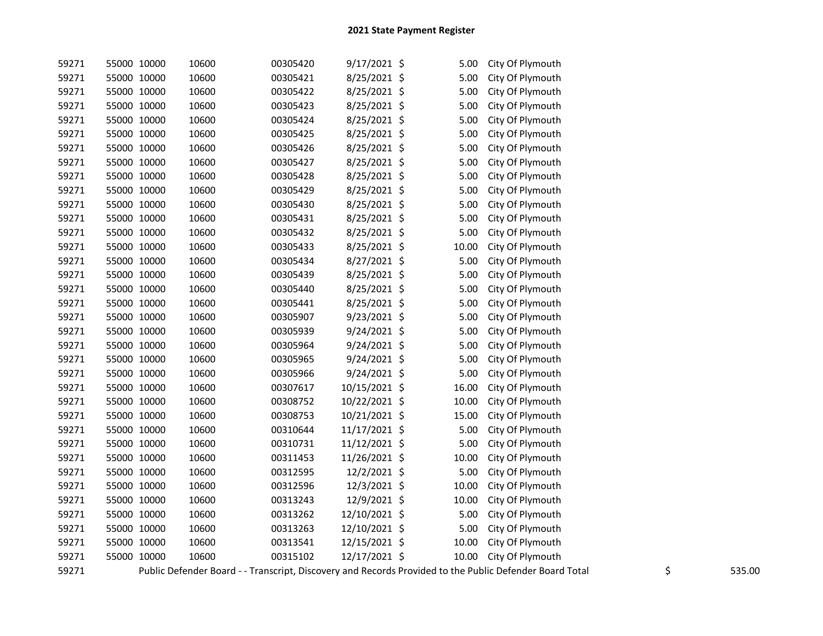| 59271 | 55000 10000 | 10600 | 00305420 | $9/17/2021$ \$ | 5.00  | City Of Plymouth                                                                                        |    |        |
|-------|-------------|-------|----------|----------------|-------|---------------------------------------------------------------------------------------------------------|----|--------|
| 59271 | 55000 10000 | 10600 | 00305421 | 8/25/2021 \$   | 5.00  | City Of Plymouth                                                                                        |    |        |
| 59271 | 55000 10000 | 10600 | 00305422 | 8/25/2021 \$   | 5.00  | City Of Plymouth                                                                                        |    |        |
| 59271 | 55000 10000 | 10600 | 00305423 | 8/25/2021 \$   | 5.00  | City Of Plymouth                                                                                        |    |        |
| 59271 | 55000 10000 | 10600 | 00305424 | 8/25/2021 \$   | 5.00  | City Of Plymouth                                                                                        |    |        |
| 59271 | 55000 10000 | 10600 | 00305425 | 8/25/2021 \$   | 5.00  | City Of Plymouth                                                                                        |    |        |
| 59271 | 55000 10000 | 10600 | 00305426 | 8/25/2021 \$   | 5.00  | City Of Plymouth                                                                                        |    |        |
| 59271 | 55000 10000 | 10600 | 00305427 | 8/25/2021 \$   | 5.00  | City Of Plymouth                                                                                        |    |        |
| 59271 | 55000 10000 | 10600 | 00305428 | 8/25/2021 \$   | 5.00  | City Of Plymouth                                                                                        |    |        |
| 59271 | 55000 10000 | 10600 | 00305429 | 8/25/2021 \$   | 5.00  | City Of Plymouth                                                                                        |    |        |
| 59271 | 55000 10000 | 10600 | 00305430 | 8/25/2021 \$   | 5.00  | City Of Plymouth                                                                                        |    |        |
| 59271 | 55000 10000 | 10600 | 00305431 | 8/25/2021 \$   | 5.00  | City Of Plymouth                                                                                        |    |        |
| 59271 | 55000 10000 | 10600 | 00305432 | 8/25/2021 \$   | 5.00  | City Of Plymouth                                                                                        |    |        |
| 59271 | 55000 10000 | 10600 | 00305433 | 8/25/2021 \$   | 10.00 | City Of Plymouth                                                                                        |    |        |
| 59271 | 55000 10000 | 10600 | 00305434 | 8/27/2021 \$   | 5.00  | City Of Plymouth                                                                                        |    |        |
| 59271 | 55000 10000 | 10600 | 00305439 | 8/25/2021 \$   | 5.00  | City Of Plymouth                                                                                        |    |        |
| 59271 | 55000 10000 | 10600 | 00305440 | 8/25/2021 \$   | 5.00  | City Of Plymouth                                                                                        |    |        |
| 59271 | 55000 10000 | 10600 | 00305441 | 8/25/2021 \$   | 5.00  | City Of Plymouth                                                                                        |    |        |
| 59271 | 55000 10000 | 10600 | 00305907 | 9/23/2021 \$   | 5.00  | City Of Plymouth                                                                                        |    |        |
| 59271 | 55000 10000 | 10600 | 00305939 | 9/24/2021 \$   | 5.00  | City Of Plymouth                                                                                        |    |        |
| 59271 | 55000 10000 | 10600 | 00305964 | 9/24/2021 \$   | 5.00  | City Of Plymouth                                                                                        |    |        |
| 59271 | 55000 10000 | 10600 | 00305965 | $9/24/2021$ \$ | 5.00  | City Of Plymouth                                                                                        |    |        |
| 59271 | 55000 10000 | 10600 | 00305966 | 9/24/2021 \$   | 5.00  | City Of Plymouth                                                                                        |    |        |
| 59271 | 55000 10000 | 10600 | 00307617 | 10/15/2021 \$  | 16.00 | City Of Plymouth                                                                                        |    |        |
| 59271 | 55000 10000 | 10600 | 00308752 | 10/22/2021 \$  | 10.00 | City Of Plymouth                                                                                        |    |        |
| 59271 | 55000 10000 | 10600 | 00308753 | 10/21/2021 \$  | 15.00 | City Of Plymouth                                                                                        |    |        |
| 59271 | 55000 10000 | 10600 | 00310644 | 11/17/2021 \$  | 5.00  | City Of Plymouth                                                                                        |    |        |
| 59271 | 55000 10000 | 10600 | 00310731 | 11/12/2021 \$  | 5.00  | City Of Plymouth                                                                                        |    |        |
| 59271 | 55000 10000 | 10600 | 00311453 | 11/26/2021 \$  | 10.00 | City Of Plymouth                                                                                        |    |        |
| 59271 | 55000 10000 | 10600 | 00312595 | 12/2/2021 \$   | 5.00  | City Of Plymouth                                                                                        |    |        |
| 59271 | 55000 10000 | 10600 | 00312596 | 12/3/2021 \$   | 10.00 | City Of Plymouth                                                                                        |    |        |
| 59271 | 55000 10000 | 10600 | 00313243 | 12/9/2021 \$   | 10.00 | City Of Plymouth                                                                                        |    |        |
| 59271 | 55000 10000 | 10600 | 00313262 | 12/10/2021 \$  | 5.00  | City Of Plymouth                                                                                        |    |        |
| 59271 | 55000 10000 | 10600 | 00313263 | 12/10/2021 \$  | 5.00  | City Of Plymouth                                                                                        |    |        |
| 59271 | 55000 10000 | 10600 | 00313541 | 12/15/2021 \$  | 10.00 | City Of Plymouth                                                                                        |    |        |
| 59271 | 55000 10000 | 10600 | 00315102 | 12/17/2021 \$  | 10.00 | City Of Plymouth                                                                                        |    |        |
| 59271 |             |       |          |                |       | Public Defender Board - - Transcript, Discovery and Records Provided to the Public Defender Board Total | \$ | 535.00 |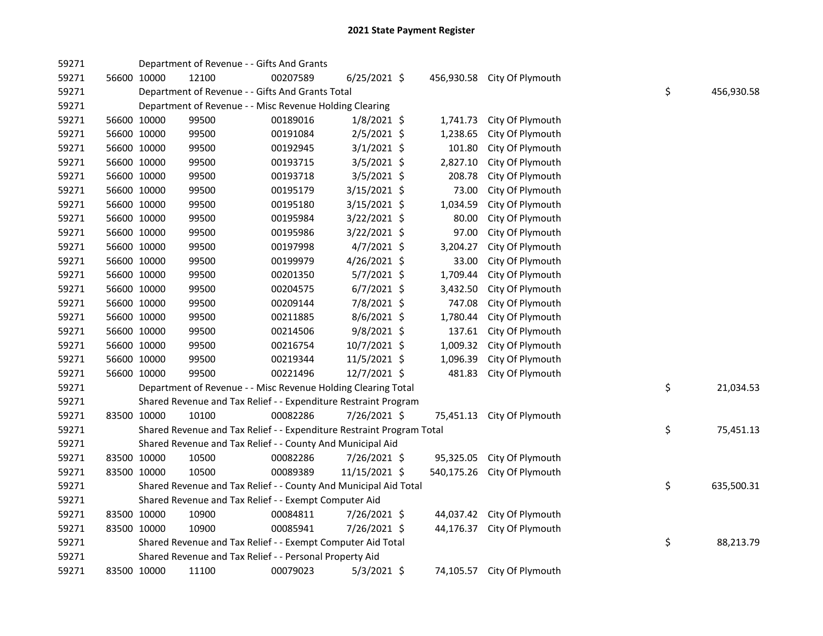| 59271 |             | Department of Revenue - - Gifts And Grants                            |          |                |            |                            |    |            |
|-------|-------------|-----------------------------------------------------------------------|----------|----------------|------------|----------------------------|----|------------|
| 59271 | 56600 10000 | 12100                                                                 | 00207589 | $6/25/2021$ \$ | 456,930.58 | City Of Plymouth           |    |            |
| 59271 |             | Department of Revenue - - Gifts And Grants Total                      |          |                |            |                            | \$ | 456,930.58 |
| 59271 |             | Department of Revenue - - Misc Revenue Holding Clearing               |          |                |            |                            |    |            |
| 59271 | 56600 10000 | 99500                                                                 | 00189016 | $1/8/2021$ \$  | 1,741.73   | City Of Plymouth           |    |            |
| 59271 | 56600 10000 | 99500                                                                 | 00191084 | $2/5/2021$ \$  | 1,238.65   | City Of Plymouth           |    |            |
| 59271 | 56600 10000 | 99500                                                                 | 00192945 | $3/1/2021$ \$  | 101.80     | City Of Plymouth           |    |            |
| 59271 | 56600 10000 | 99500                                                                 | 00193715 | $3/5/2021$ \$  | 2,827.10   | City Of Plymouth           |    |            |
| 59271 | 56600 10000 | 99500                                                                 | 00193718 | 3/5/2021 \$    | 208.78     | City Of Plymouth           |    |            |
| 59271 | 56600 10000 | 99500                                                                 | 00195179 | $3/15/2021$ \$ | 73.00      | City Of Plymouth           |    |            |
| 59271 | 56600 10000 | 99500                                                                 | 00195180 | $3/15/2021$ \$ | 1,034.59   | City Of Plymouth           |    |            |
| 59271 | 56600 10000 | 99500                                                                 | 00195984 | 3/22/2021 \$   | 80.00      | City Of Plymouth           |    |            |
| 59271 | 56600 10000 | 99500                                                                 | 00195986 | 3/22/2021 \$   | 97.00      | City Of Plymouth           |    |            |
| 59271 | 56600 10000 | 99500                                                                 | 00197998 | $4/7/2021$ \$  | 3,204.27   | City Of Plymouth           |    |            |
| 59271 | 56600 10000 | 99500                                                                 | 00199979 | $4/26/2021$ \$ | 33.00      | City Of Plymouth           |    |            |
| 59271 | 56600 10000 | 99500                                                                 | 00201350 | 5/7/2021 \$    | 1,709.44   | City Of Plymouth           |    |            |
| 59271 | 56600 10000 | 99500                                                                 | 00204575 | $6/7/2021$ \$  | 3,432.50   | City Of Plymouth           |    |            |
| 59271 | 56600 10000 | 99500                                                                 | 00209144 | 7/8/2021 \$    | 747.08     | City Of Plymouth           |    |            |
| 59271 | 56600 10000 | 99500                                                                 | 00211885 | 8/6/2021 \$    | 1,780.44   | City Of Plymouth           |    |            |
| 59271 | 56600 10000 | 99500                                                                 | 00214506 | 9/8/2021 \$    | 137.61     | City Of Plymouth           |    |            |
| 59271 | 56600 10000 | 99500                                                                 | 00216754 | 10/7/2021 \$   | 1,009.32   | City Of Plymouth           |    |            |
| 59271 | 56600 10000 | 99500                                                                 | 00219344 | 11/5/2021 \$   | 1,096.39   | City Of Plymouth           |    |            |
| 59271 | 56600 10000 | 99500                                                                 | 00221496 | 12/7/2021 \$   | 481.83     | City Of Plymouth           |    |            |
| 59271 |             | Department of Revenue - - Misc Revenue Holding Clearing Total         |          |                |            |                            | \$ | 21,034.53  |
| 59271 |             | Shared Revenue and Tax Relief - - Expenditure Restraint Program       |          |                |            |                            |    |            |
| 59271 | 83500 10000 | 10100                                                                 | 00082286 | 7/26/2021 \$   | 75,451.13  | City Of Plymouth           |    |            |
| 59271 |             | Shared Revenue and Tax Relief - - Expenditure Restraint Program Total |          |                |            |                            | \$ | 75,451.13  |
| 59271 |             | Shared Revenue and Tax Relief - - County And Municipal Aid            |          |                |            |                            |    |            |
| 59271 | 83500 10000 | 10500                                                                 | 00082286 | 7/26/2021 \$   | 95,325.05  | City Of Plymouth           |    |            |
| 59271 | 83500 10000 | 10500                                                                 | 00089389 | 11/15/2021 \$  | 540,175.26 | City Of Plymouth           |    |            |
| 59271 |             | Shared Revenue and Tax Relief - - County And Municipal Aid Total      |          |                |            |                            | \$ | 635,500.31 |
| 59271 |             | Shared Revenue and Tax Relief - - Exempt Computer Aid                 |          |                |            |                            |    |            |
| 59271 | 83500 10000 | 10900                                                                 | 00084811 | 7/26/2021 \$   |            | 44,037.42 City Of Plymouth |    |            |
| 59271 | 83500 10000 | 10900                                                                 | 00085941 | 7/26/2021 \$   | 44,176.37  | City Of Plymouth           |    |            |
| 59271 |             | Shared Revenue and Tax Relief - - Exempt Computer Aid Total           |          |                |            |                            | \$ | 88,213.79  |
| 59271 |             | Shared Revenue and Tax Relief - - Personal Property Aid               |          |                |            |                            |    |            |
| 59271 | 83500 10000 | 11100                                                                 | 00079023 | $5/3/2021$ \$  |            | 74,105.57 City Of Plymouth |    |            |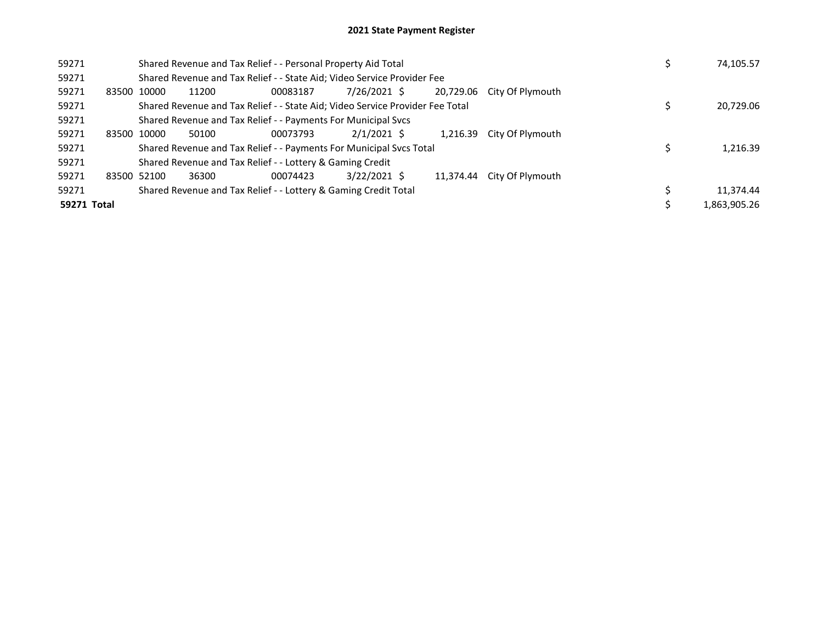| 59271       |             | Shared Revenue and Tax Relief - - Personal Property Aid Total | 74,105.57                                                                     |                |           |                  |              |
|-------------|-------------|---------------------------------------------------------------|-------------------------------------------------------------------------------|----------------|-----------|------------------|--------------|
| 59271       |             |                                                               | Shared Revenue and Tax Relief - - State Aid; Video Service Provider Fee       |                |           |                  |              |
| 59271       | 83500 10000 | 11200                                                         | 00083187                                                                      | 7/26/2021 \$   | 20,729.06 | City Of Plymouth |              |
| 59271       |             |                                                               | Shared Revenue and Tax Relief - - State Aid; Video Service Provider Fee Total |                |           |                  | 20,729.06    |
| 59271       |             |                                                               | Shared Revenue and Tax Relief - - Payments For Municipal Svcs                 |                |           |                  |              |
| 59271       | 83500 10000 | 50100                                                         | 00073793                                                                      | $2/1/2021$ \$  | 1.216.39  | City Of Plymouth |              |
| 59271       |             |                                                               | Shared Revenue and Tax Relief - - Payments For Municipal Svcs Total           |                |           |                  | 1,216.39     |
| 59271       |             |                                                               | Shared Revenue and Tax Relief - - Lottery & Gaming Credit                     |                |           |                  |              |
| 59271       | 83500 52100 | 36300                                                         | 00074423                                                                      | $3/22/2021$ \$ | 11.374.44 | City Of Plymouth |              |
| 59271       |             |                                                               | Shared Revenue and Tax Relief - - Lottery & Gaming Credit Total               |                |           |                  | 11,374.44    |
| 59271 Total |             |                                                               |                                                                               |                |           |                  | 1,863,905.26 |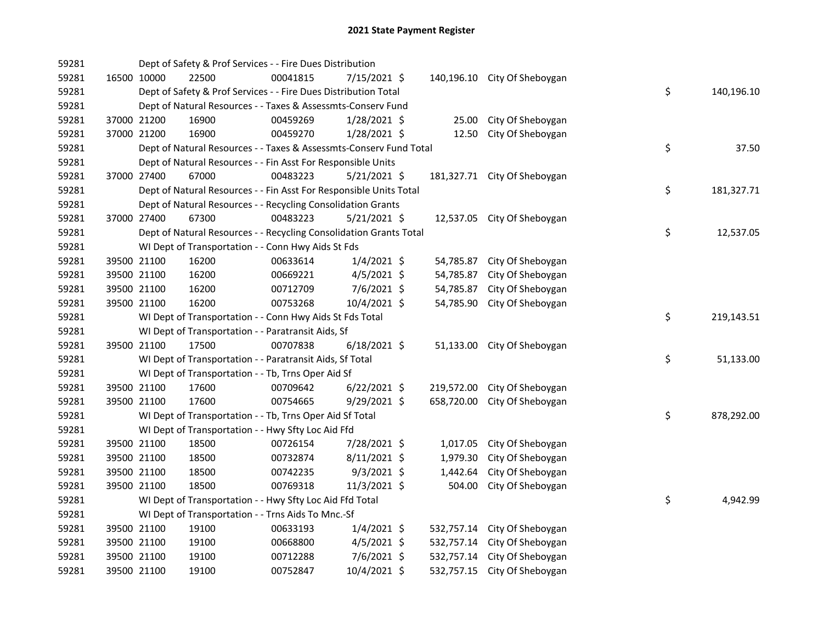| 59281 |             | Dept of Safety & Prof Services - - Fire Dues Distribution          |          |                |            |                              |    |            |
|-------|-------------|--------------------------------------------------------------------|----------|----------------|------------|------------------------------|----|------------|
| 59281 | 16500 10000 | 22500                                                              | 00041815 | 7/15/2021 \$   |            | 140,196.10 City Of Sheboygan |    |            |
| 59281 |             | Dept of Safety & Prof Services - - Fire Dues Distribution Total    |          |                |            |                              | \$ | 140,196.10 |
| 59281 |             | Dept of Natural Resources - - Taxes & Assessmts-Conserv Fund       |          |                |            |                              |    |            |
| 59281 | 37000 21200 | 16900                                                              | 00459269 | 1/28/2021 \$   | 25.00      | City Of Sheboygan            |    |            |
| 59281 | 37000 21200 | 16900                                                              | 00459270 | $1/28/2021$ \$ | 12.50      | City Of Sheboygan            |    |            |
| 59281 |             | Dept of Natural Resources - - Taxes & Assessmts-Conserv Fund Total |          |                |            |                              | \$ | 37.50      |
| 59281 |             | Dept of Natural Resources - - Fin Asst For Responsible Units       |          |                |            |                              |    |            |
| 59281 | 37000 27400 | 67000                                                              | 00483223 | $5/21/2021$ \$ |            | 181,327.71 City Of Sheboygan |    |            |
| 59281 |             | Dept of Natural Resources - - Fin Asst For Responsible Units Total |          |                |            |                              | \$ | 181,327.71 |
| 59281 |             | Dept of Natural Resources - - Recycling Consolidation Grants       |          |                |            |                              |    |            |
| 59281 | 37000 27400 | 67300                                                              | 00483223 | 5/21/2021 \$   |            | 12,537.05 City Of Sheboygan  |    |            |
| 59281 |             | Dept of Natural Resources - - Recycling Consolidation Grants Total |          |                |            |                              | \$ | 12,537.05  |
| 59281 |             | WI Dept of Transportation - - Conn Hwy Aids St Fds                 |          |                |            |                              |    |            |
| 59281 | 39500 21100 | 16200                                                              | 00633614 | $1/4/2021$ \$  | 54,785.87  | City Of Sheboygan            |    |            |
| 59281 | 39500 21100 | 16200                                                              | 00669221 | $4/5/2021$ \$  | 54,785.87  | City Of Sheboygan            |    |            |
| 59281 | 39500 21100 | 16200                                                              | 00712709 | $7/6/2021$ \$  | 54,785.87  | City Of Sheboygan            |    |            |
| 59281 | 39500 21100 | 16200                                                              | 00753268 | 10/4/2021 \$   |            | 54,785.90 City Of Sheboygan  |    |            |
| 59281 |             | WI Dept of Transportation - - Conn Hwy Aids St Fds Total           |          |                |            |                              | \$ | 219,143.51 |
| 59281 |             | WI Dept of Transportation - - Paratransit Aids, Sf                 |          |                |            |                              |    |            |
| 59281 | 39500 21100 | 17500                                                              | 00707838 | $6/18/2021$ \$ |            | 51,133.00 City Of Sheboygan  |    |            |
| 59281 |             | WI Dept of Transportation - - Paratransit Aids, Sf Total           |          |                |            |                              | \$ | 51,133.00  |
| 59281 |             | WI Dept of Transportation - - Tb, Trns Oper Aid Sf                 |          |                |            |                              |    |            |
| 59281 | 39500 21100 | 17600                                                              | 00709642 | $6/22/2021$ \$ | 219,572.00 | City Of Sheboygan            |    |            |
| 59281 | 39500 21100 | 17600                                                              | 00754665 | $9/29/2021$ \$ | 658,720.00 | City Of Sheboygan            |    |            |
| 59281 |             | WI Dept of Transportation - - Tb, Trns Oper Aid Sf Total           |          |                |            |                              | \$ | 878,292.00 |
| 59281 |             | WI Dept of Transportation - - Hwy Sfty Loc Aid Ffd                 |          |                |            |                              |    |            |
| 59281 | 39500 21100 | 18500                                                              | 00726154 | 7/28/2021 \$   | 1,017.05   | City Of Sheboygan            |    |            |
| 59281 | 39500 21100 | 18500                                                              | 00732874 | $8/11/2021$ \$ | 1,979.30   | City Of Sheboygan            |    |            |
| 59281 | 39500 21100 | 18500                                                              | 00742235 | $9/3/2021$ \$  | 1,442.64   | City Of Sheboygan            |    |            |
| 59281 | 39500 21100 | 18500                                                              | 00769318 | 11/3/2021 \$   | 504.00     | City Of Sheboygan            |    |            |
| 59281 |             | WI Dept of Transportation - - Hwy Sfty Loc Aid Ffd Total           |          |                |            |                              | \$ | 4,942.99   |
| 59281 |             | WI Dept of Transportation - - Trns Aids To Mnc.-Sf                 |          |                |            |                              |    |            |
| 59281 | 39500 21100 | 19100                                                              | 00633193 | $1/4/2021$ \$  |            | 532,757.14 City Of Sheboygan |    |            |
| 59281 | 39500 21100 | 19100                                                              | 00668800 | $4/5/2021$ \$  |            | 532,757.14 City Of Sheboygan |    |            |
| 59281 | 39500 21100 | 19100                                                              | 00712288 | $7/6/2021$ \$  |            | 532,757.14 City Of Sheboygan |    |            |
| 59281 | 39500 21100 | 19100                                                              | 00752847 | 10/4/2021 \$   |            | 532,757.15 City Of Sheboygan |    |            |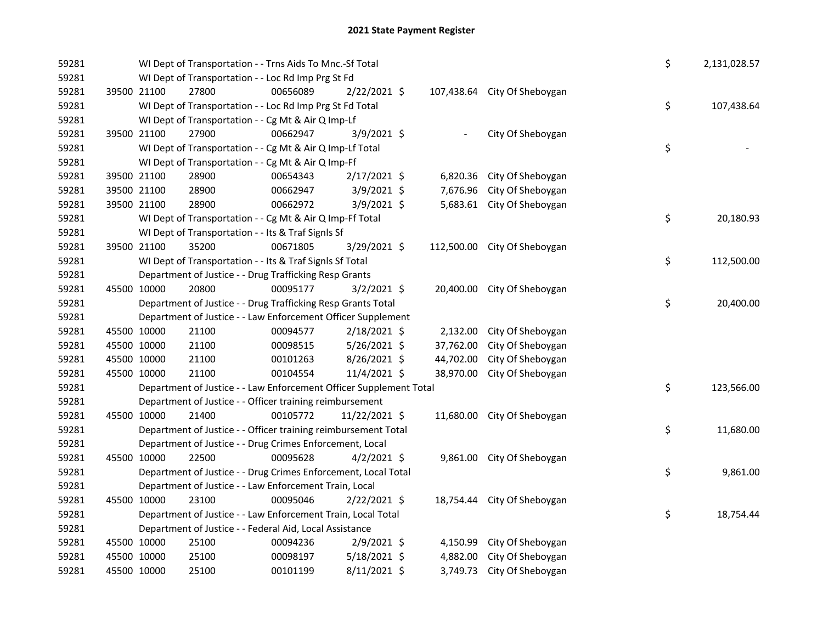| 59281 |             |             | WI Dept of Transportation - - Trns Aids To Mnc.-Sf Total           |          |                |           |                              | \$ | 2,131,028.57 |
|-------|-------------|-------------|--------------------------------------------------------------------|----------|----------------|-----------|------------------------------|----|--------------|
| 59281 |             |             | WI Dept of Transportation - - Loc Rd Imp Prg St Fd                 |          |                |           |                              |    |              |
| 59281 | 39500 21100 |             | 27800                                                              | 00656089 | 2/22/2021 \$   |           | 107,438.64 City Of Sheboygan |    |              |
| 59281 |             |             | WI Dept of Transportation - - Loc Rd Imp Prg St Fd Total           |          |                |           |                              | \$ | 107,438.64   |
| 59281 |             |             | WI Dept of Transportation - - Cg Mt & Air Q Imp-Lf                 |          |                |           |                              |    |              |
| 59281 |             | 39500 21100 | 27900                                                              | 00662947 | 3/9/2021 \$    |           | City Of Sheboygan            |    |              |
| 59281 |             |             | WI Dept of Transportation - - Cg Mt & Air Q Imp-Lf Total           |          |                |           |                              | \$ |              |
| 59281 |             |             | WI Dept of Transportation - - Cg Mt & Air Q Imp-Ff                 |          |                |           |                              |    |              |
| 59281 |             | 39500 21100 | 28900                                                              | 00654343 | 2/17/2021 \$   | 6,820.36  | City Of Sheboygan            |    |              |
| 59281 |             | 39500 21100 | 28900                                                              | 00662947 | 3/9/2021 \$    | 7,676.96  | City Of Sheboygan            |    |              |
| 59281 |             | 39500 21100 | 28900                                                              | 00662972 | 3/9/2021 \$    |           | 5,683.61 City Of Sheboygan   |    |              |
| 59281 |             |             | WI Dept of Transportation - - Cg Mt & Air Q Imp-Ff Total           |          |                |           |                              | \$ | 20,180.93    |
| 59281 |             |             | WI Dept of Transportation - - Its & Traf SignIs Sf                 |          |                |           |                              |    |              |
| 59281 |             | 39500 21100 | 35200                                                              | 00671805 | 3/29/2021 \$   |           | 112,500.00 City Of Sheboygan |    |              |
| 59281 |             |             | WI Dept of Transportation - - Its & Traf SignIs Sf Total           |          |                |           |                              | \$ | 112,500.00   |
| 59281 |             |             | Department of Justice - - Drug Trafficking Resp Grants             |          |                |           |                              |    |              |
| 59281 | 45500 10000 |             | 20800                                                              | 00095177 | $3/2/2021$ \$  |           | 20,400.00 City Of Sheboygan  |    |              |
| 59281 |             |             | Department of Justice - - Drug Trafficking Resp Grants Total       |          |                |           |                              | \$ | 20,400.00    |
| 59281 |             |             | Department of Justice - - Law Enforcement Officer Supplement       |          |                |           |                              |    |              |
| 59281 | 45500 10000 |             | 21100                                                              | 00094577 | 2/18/2021 \$   | 2,132.00  | City Of Sheboygan            |    |              |
| 59281 | 45500 10000 |             | 21100                                                              | 00098515 | $5/26/2021$ \$ | 37,762.00 | City Of Sheboygan            |    |              |
| 59281 | 45500 10000 |             | 21100                                                              | 00101263 | 8/26/2021 \$   | 44,702.00 | City Of Sheboygan            |    |              |
| 59281 | 45500 10000 |             | 21100                                                              | 00104554 | 11/4/2021 \$   | 38,970.00 | City Of Sheboygan            |    |              |
| 59281 |             |             | Department of Justice - - Law Enforcement Officer Supplement Total |          |                |           |                              | \$ | 123,566.00   |
| 59281 |             |             | Department of Justice - - Officer training reimbursement           |          |                |           |                              |    |              |
| 59281 | 45500 10000 |             | 21400                                                              | 00105772 | 11/22/2021 \$  |           | 11,680.00 City Of Sheboygan  |    |              |
| 59281 |             |             | Department of Justice - - Officer training reimbursement Total     |          |                |           |                              | \$ | 11,680.00    |
| 59281 |             |             | Department of Justice - - Drug Crimes Enforcement, Local           |          |                |           |                              |    |              |
| 59281 | 45500 10000 |             | 22500                                                              | 00095628 | $4/2/2021$ \$  |           | 9,861.00 City Of Sheboygan   |    |              |
| 59281 |             |             | Department of Justice - - Drug Crimes Enforcement, Local Total     |          |                |           |                              | \$ | 9,861.00     |
| 59281 |             |             | Department of Justice - - Law Enforcement Train, Local             |          |                |           |                              |    |              |
| 59281 | 45500 10000 |             | 23100                                                              | 00095046 | 2/22/2021 \$   |           | 18,754.44 City Of Sheboygan  |    |              |
| 59281 |             |             | Department of Justice - - Law Enforcement Train, Local Total       |          |                |           |                              | \$ | 18,754.44    |
| 59281 |             |             | Department of Justice - - Federal Aid, Local Assistance            |          |                |           |                              |    |              |
| 59281 | 45500 10000 |             | 25100                                                              | 00094236 | 2/9/2021 \$    | 4,150.99  | City Of Sheboygan            |    |              |
| 59281 | 45500 10000 |             | 25100                                                              | 00098197 | 5/18/2021 \$   | 4,882.00  | City Of Sheboygan            |    |              |
| 59281 | 45500 10000 |             | 25100                                                              | 00101199 | 8/11/2021 \$   |           | 3,749.73 City Of Sheboygan   |    |              |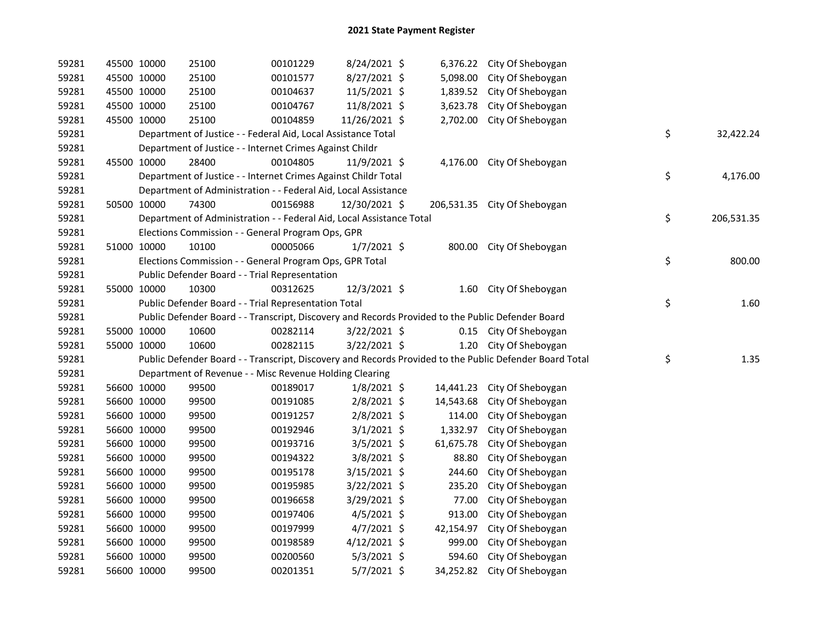| 59281 | 45500 10000 | 25100                                                                | 00101229 | 8/24/2021 \$   |           | 6,376.22 City Of Sheboygan                                                                              |                  |
|-------|-------------|----------------------------------------------------------------------|----------|----------------|-----------|---------------------------------------------------------------------------------------------------------|------------------|
| 59281 | 45500 10000 | 25100                                                                | 00101577 | 8/27/2021 \$   | 5,098.00  | City Of Sheboygan                                                                                       |                  |
| 59281 | 45500 10000 | 25100                                                                | 00104637 | $11/5/2021$ \$ | 1,839.52  | City Of Sheboygan                                                                                       |                  |
| 59281 | 45500 10000 | 25100                                                                | 00104767 | 11/8/2021 \$   | 3,623.78  | City Of Sheboygan                                                                                       |                  |
| 59281 | 45500 10000 | 25100                                                                | 00104859 | 11/26/2021 \$  | 2,702.00  | City Of Sheboygan                                                                                       |                  |
| 59281 |             | Department of Justice - - Federal Aid, Local Assistance Total        |          |                |           |                                                                                                         | \$<br>32,422.24  |
| 59281 |             | Department of Justice - - Internet Crimes Against Childr             |          |                |           |                                                                                                         |                  |
| 59281 | 45500 10000 | 28400                                                                | 00104805 | 11/9/2021 \$   |           | 4,176.00 City Of Sheboygan                                                                              |                  |
| 59281 |             | Department of Justice - - Internet Crimes Against Childr Total       |          |                |           |                                                                                                         | \$<br>4,176.00   |
| 59281 |             | Department of Administration - - Federal Aid, Local Assistance       |          |                |           |                                                                                                         |                  |
| 59281 | 50500 10000 | 74300                                                                | 00156988 | 12/30/2021 \$  |           | 206,531.35 City Of Sheboygan                                                                            |                  |
| 59281 |             | Department of Administration - - Federal Aid, Local Assistance Total |          |                |           |                                                                                                         | \$<br>206,531.35 |
| 59281 |             | Elections Commission - - General Program Ops, GPR                    |          |                |           |                                                                                                         |                  |
| 59281 | 51000 10000 | 10100                                                                | 00005066 | $1/7/2021$ \$  | 800.00    | City Of Sheboygan                                                                                       |                  |
| 59281 |             | Elections Commission - - General Program Ops, GPR Total              |          |                |           |                                                                                                         | \$<br>800.00     |
| 59281 |             | Public Defender Board - - Trial Representation                       |          |                |           |                                                                                                         |                  |
| 59281 | 55000 10000 | 10300                                                                | 00312625 | 12/3/2021 \$   |           | 1.60 City Of Sheboygan                                                                                  |                  |
| 59281 |             | Public Defender Board - - Trial Representation Total                 |          |                |           |                                                                                                         | \$<br>1.60       |
| 59281 |             |                                                                      |          |                |           | Public Defender Board - - Transcript, Discovery and Records Provided to the Public Defender Board       |                  |
| 59281 | 55000 10000 | 10600                                                                | 00282114 | $3/22/2021$ \$ |           | 0.15 City Of Sheboygan                                                                                  |                  |
| 59281 | 55000 10000 | 10600                                                                | 00282115 | 3/22/2021 \$   |           | 1.20 City Of Sheboygan                                                                                  |                  |
| 59281 |             |                                                                      |          |                |           | Public Defender Board - - Transcript, Discovery and Records Provided to the Public Defender Board Total | \$<br>1.35       |
| 59281 |             | Department of Revenue - - Misc Revenue Holding Clearing              |          |                |           |                                                                                                         |                  |
| 59281 | 56600 10000 | 99500                                                                | 00189017 | $1/8/2021$ \$  | 14,441.23 | City Of Sheboygan                                                                                       |                  |
| 59281 | 56600 10000 | 99500                                                                | 00191085 | $2/8/2021$ \$  | 14,543.68 | City Of Sheboygan                                                                                       |                  |
| 59281 | 56600 10000 | 99500                                                                | 00191257 | 2/8/2021 \$    | 114.00    | City Of Sheboygan                                                                                       |                  |
| 59281 | 56600 10000 | 99500                                                                | 00192946 | $3/1/2021$ \$  | 1,332.97  | City Of Sheboygan                                                                                       |                  |
| 59281 | 56600 10000 | 99500                                                                | 00193716 | $3/5/2021$ \$  | 61,675.78 | City Of Sheboygan                                                                                       |                  |
| 59281 | 56600 10000 | 99500                                                                | 00194322 | $3/8/2021$ \$  | 88.80     | City Of Sheboygan                                                                                       |                  |
| 59281 | 56600 10000 | 99500                                                                | 00195178 | 3/15/2021 \$   | 244.60    | City Of Sheboygan                                                                                       |                  |
| 59281 | 56600 10000 | 99500                                                                | 00195985 | 3/22/2021 \$   | 235.20    | City Of Sheboygan                                                                                       |                  |
| 59281 | 56600 10000 | 99500                                                                | 00196658 | 3/29/2021 \$   | 77.00     | City Of Sheboygan                                                                                       |                  |
| 59281 | 56600 10000 | 99500                                                                | 00197406 | $4/5/2021$ \$  | 913.00    | City Of Sheboygan                                                                                       |                  |
| 59281 | 56600 10000 | 99500                                                                | 00197999 | $4/7/2021$ \$  | 42,154.97 | City Of Sheboygan                                                                                       |                  |
| 59281 | 56600 10000 | 99500                                                                | 00198589 | $4/12/2021$ \$ | 999.00    | City Of Sheboygan                                                                                       |                  |
| 59281 | 56600 10000 | 99500                                                                | 00200560 | $5/3/2021$ \$  | 594.60    | City Of Sheboygan                                                                                       |                  |
| 59281 | 56600 10000 | 99500                                                                | 00201351 | $5/7/2021$ \$  | 34,252.82 | City Of Sheboygan                                                                                       |                  |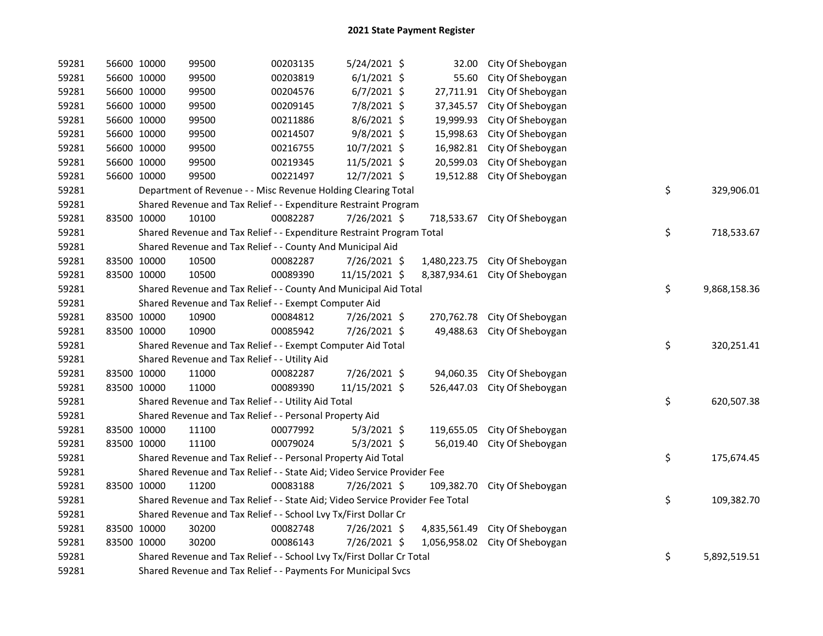| 59281 | 56600 10000 | 99500                                                                         | 00203135 | 5/24/2021 \$   | 32.00        | City Of Sheboygan |    |              |
|-------|-------------|-------------------------------------------------------------------------------|----------|----------------|--------------|-------------------|----|--------------|
| 59281 | 56600 10000 | 99500                                                                         | 00203819 | $6/1/2021$ \$  | 55.60        | City Of Sheboygan |    |              |
| 59281 | 56600 10000 | 99500                                                                         | 00204576 | $6/7/2021$ \$  | 27,711.91    | City Of Sheboygan |    |              |
| 59281 | 56600 10000 | 99500                                                                         | 00209145 | 7/8/2021 \$    | 37,345.57    | City Of Sheboygan |    |              |
| 59281 | 56600 10000 | 99500                                                                         | 00211886 | 8/6/2021 \$    | 19,999.93    | City Of Sheboygan |    |              |
| 59281 | 56600 10000 | 99500                                                                         | 00214507 | 9/8/2021 \$    | 15,998.63    | City Of Sheboygan |    |              |
| 59281 | 56600 10000 | 99500                                                                         | 00216755 | 10/7/2021 \$   | 16,982.81    | City Of Sheboygan |    |              |
| 59281 | 56600 10000 | 99500                                                                         | 00219345 | $11/5/2021$ \$ | 20,599.03    | City Of Sheboygan |    |              |
| 59281 | 56600 10000 | 99500                                                                         | 00221497 | 12/7/2021 \$   | 19,512.88    | City Of Sheboygan |    |              |
| 59281 |             | Department of Revenue - - Misc Revenue Holding Clearing Total                 |          |                |              |                   | \$ | 329,906.01   |
| 59281 |             | Shared Revenue and Tax Relief - - Expenditure Restraint Program               |          |                |              |                   |    |              |
| 59281 | 83500 10000 | 10100                                                                         | 00082287 | 7/26/2021 \$   | 718,533.67   | City Of Sheboygan |    |              |
| 59281 |             | Shared Revenue and Tax Relief - - Expenditure Restraint Program Total         |          |                |              |                   | \$ | 718,533.67   |
| 59281 |             | Shared Revenue and Tax Relief - - County And Municipal Aid                    |          |                |              |                   |    |              |
| 59281 | 83500 10000 | 10500                                                                         | 00082287 | 7/26/2021 \$   | 1,480,223.75 | City Of Sheboygan |    |              |
| 59281 | 83500 10000 | 10500                                                                         | 00089390 | 11/15/2021 \$  | 8,387,934.61 | City Of Sheboygan |    |              |
| 59281 |             | Shared Revenue and Tax Relief - - County And Municipal Aid Total              |          |                |              |                   | \$ | 9,868,158.36 |
| 59281 |             | Shared Revenue and Tax Relief - - Exempt Computer Aid                         |          |                |              |                   |    |              |
| 59281 | 83500 10000 | 10900                                                                         | 00084812 | 7/26/2021 \$   | 270,762.78   | City Of Sheboygan |    |              |
| 59281 | 83500 10000 | 10900                                                                         | 00085942 | 7/26/2021 \$   | 49,488.63    | City Of Sheboygan |    |              |
| 59281 |             | Shared Revenue and Tax Relief - - Exempt Computer Aid Total                   |          |                |              |                   | \$ | 320,251.41   |
| 59281 |             | Shared Revenue and Tax Relief - - Utility Aid                                 |          |                |              |                   |    |              |
| 59281 | 83500 10000 | 11000                                                                         | 00082287 | 7/26/2021 \$   | 94,060.35    | City Of Sheboygan |    |              |
| 59281 | 83500 10000 | 11000                                                                         | 00089390 | 11/15/2021 \$  | 526,447.03   | City Of Sheboygan |    |              |
| 59281 |             | Shared Revenue and Tax Relief - - Utility Aid Total                           |          |                |              |                   | \$ | 620,507.38   |
| 59281 |             | Shared Revenue and Tax Relief - - Personal Property Aid                       |          |                |              |                   |    |              |
| 59281 | 83500 10000 | 11100                                                                         | 00077992 | $5/3/2021$ \$  | 119,655.05   | City Of Sheboygan |    |              |
| 59281 | 83500 10000 | 11100                                                                         | 00079024 | $5/3/2021$ \$  | 56,019.40    | City Of Sheboygan |    |              |
| 59281 |             | Shared Revenue and Tax Relief - - Personal Property Aid Total                 |          |                |              |                   | \$ | 175,674.45   |
| 59281 |             | Shared Revenue and Tax Relief - - State Aid; Video Service Provider Fee       |          |                |              |                   |    |              |
| 59281 | 83500 10000 | 11200                                                                         | 00083188 | 7/26/2021 \$   | 109,382.70   | City Of Sheboygan |    |              |
| 59281 |             | Shared Revenue and Tax Relief - - State Aid; Video Service Provider Fee Total |          |                |              |                   | \$ | 109,382.70   |
| 59281 |             | Shared Revenue and Tax Relief - - School Lvy Tx/First Dollar Cr               |          |                |              |                   |    |              |
| 59281 | 83500 10000 | 30200                                                                         | 00082748 | 7/26/2021 \$   | 4,835,561.49 | City Of Sheboygan |    |              |
| 59281 | 83500 10000 | 30200                                                                         | 00086143 | 7/26/2021 \$   | 1,056,958.02 | City Of Sheboygan |    |              |
| 59281 |             | Shared Revenue and Tax Relief - - School Lvy Tx/First Dollar Cr Total         |          |                |              |                   | \$ | 5,892,519.51 |
| 59281 |             | Shared Revenue and Tax Relief - - Payments For Municipal Svcs                 |          |                |              |                   |    |              |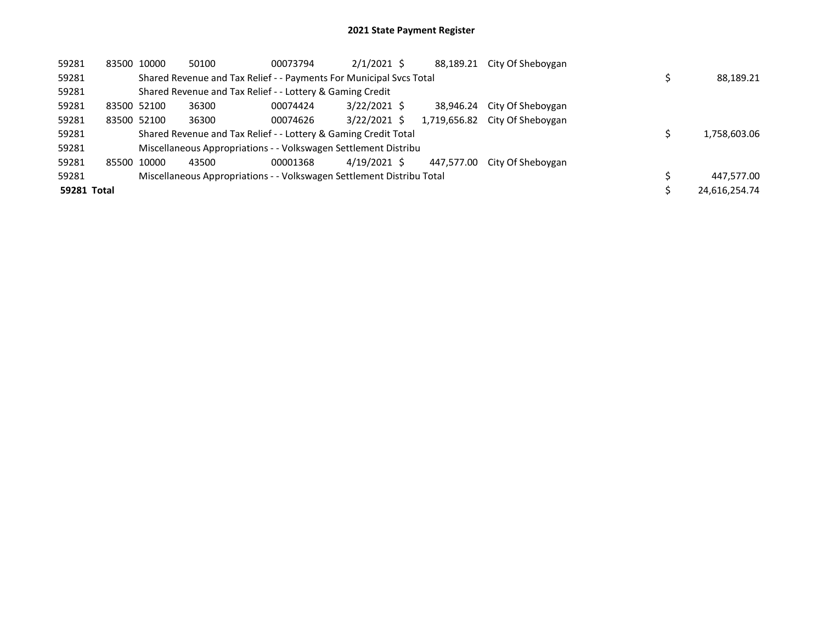| 59281       | 83500 10000                                                         | 50100 | 00073794                                                              | $2/1/2021$ \$  |  | 88,189.21    | City Of Sheboygan |  |               |
|-------------|---------------------------------------------------------------------|-------|-----------------------------------------------------------------------|----------------|--|--------------|-------------------|--|---------------|
| 59281       | Shared Revenue and Tax Relief - - Payments For Municipal Svcs Total |       |                                                                       |                |  |              |                   |  | 88,189.21     |
| 59281       | Shared Revenue and Tax Relief - - Lottery & Gaming Credit           |       |                                                                       |                |  |              |                   |  |               |
| 59281       | 83500 52100                                                         | 36300 | 00074424                                                              | $3/22/2021$ \$ |  | 38.946.24    | City Of Sheboygan |  |               |
| 59281       | 83500 52100                                                         | 36300 | 00074626                                                              | $3/22/2021$ \$ |  | 1,719,656.82 | City Of Sheboygan |  |               |
| 59281       | Shared Revenue and Tax Relief - - Lottery & Gaming Credit Total     |       |                                                                       |                |  |              |                   |  | 1,758,603.06  |
| 59281       | Miscellaneous Appropriations - - Volkswagen Settlement Distribu     |       |                                                                       |                |  |              |                   |  |               |
| 59281       | 85500 10000                                                         | 43500 | 00001368                                                              | 4/19/2021 \$   |  | 447.577.00   | City Of Shebovgan |  |               |
| 59281       |                                                                     |       | Miscellaneous Appropriations - - Volkswagen Settlement Distribu Total |                |  |              |                   |  | 447.577.00    |
| 59281 Total |                                                                     |       |                                                                       |                |  |              |                   |  | 24,616,254.74 |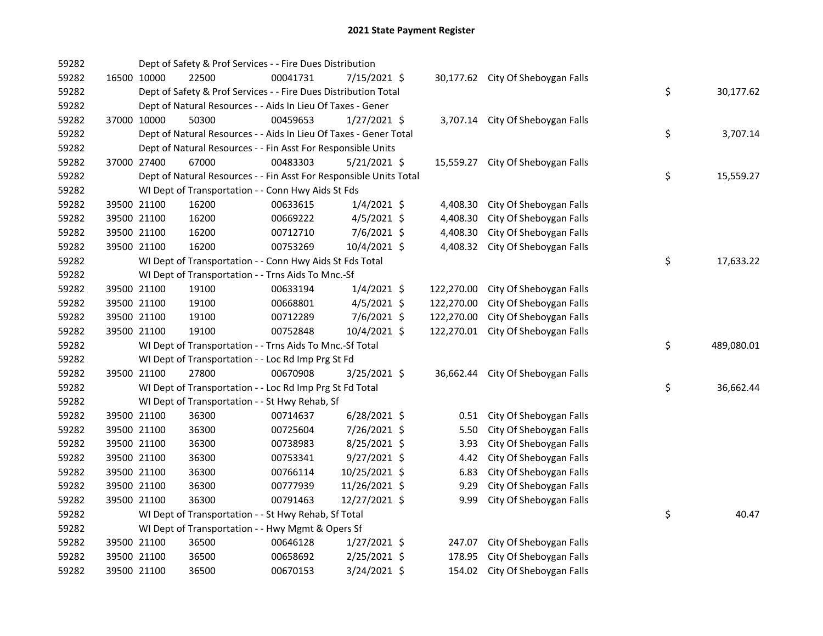| 59282 |             | Dept of Safety & Prof Services - - Fire Dues Distribution          |          |                |            |                                   |    |            |
|-------|-------------|--------------------------------------------------------------------|----------|----------------|------------|-----------------------------------|----|------------|
| 59282 | 16500 10000 | 22500                                                              | 00041731 | 7/15/2021 \$   |            | 30,177.62 City Of Sheboygan Falls |    |            |
| 59282 |             | Dept of Safety & Prof Services - - Fire Dues Distribution Total    |          |                |            |                                   | \$ | 30,177.62  |
| 59282 |             | Dept of Natural Resources - - Aids In Lieu Of Taxes - Gener        |          |                |            |                                   |    |            |
| 59282 | 37000 10000 | 50300                                                              | 00459653 | $1/27/2021$ \$ |            | 3,707.14 City Of Sheboygan Falls  |    |            |
| 59282 |             | Dept of Natural Resources - - Aids In Lieu Of Taxes - Gener Total  |          |                |            |                                   | \$ | 3,707.14   |
| 59282 |             | Dept of Natural Resources - - Fin Asst For Responsible Units       |          |                |            |                                   |    |            |
| 59282 | 37000 27400 | 67000                                                              | 00483303 | $5/21/2021$ \$ |            | 15,559.27 City Of Sheboygan Falls |    |            |
| 59282 |             | Dept of Natural Resources - - Fin Asst For Responsible Units Total |          |                |            |                                   | \$ | 15,559.27  |
| 59282 |             | WI Dept of Transportation - - Conn Hwy Aids St Fds                 |          |                |            |                                   |    |            |
| 59282 | 39500 21100 | 16200                                                              | 00633615 | $1/4/2021$ \$  | 4,408.30   | City Of Sheboygan Falls           |    |            |
| 59282 | 39500 21100 | 16200                                                              | 00669222 | $4/5/2021$ \$  | 4,408.30   | City Of Sheboygan Falls           |    |            |
| 59282 | 39500 21100 | 16200                                                              | 00712710 | 7/6/2021 \$    | 4,408.30   | City Of Sheboygan Falls           |    |            |
| 59282 | 39500 21100 | 16200                                                              | 00753269 | 10/4/2021 \$   | 4,408.32   | City Of Sheboygan Falls           |    |            |
| 59282 |             | WI Dept of Transportation - - Conn Hwy Aids St Fds Total           |          |                |            |                                   | \$ | 17,633.22  |
| 59282 |             | WI Dept of Transportation - - Trns Aids To Mnc.-Sf                 |          |                |            |                                   |    |            |
| 59282 | 39500 21100 | 19100                                                              | 00633194 | $1/4/2021$ \$  | 122,270.00 | City Of Sheboygan Falls           |    |            |
| 59282 | 39500 21100 | 19100                                                              | 00668801 | $4/5/2021$ \$  | 122,270.00 | City Of Sheboygan Falls           |    |            |
| 59282 | 39500 21100 | 19100                                                              | 00712289 | 7/6/2021 \$    | 122,270.00 | City Of Sheboygan Falls           |    |            |
| 59282 | 39500 21100 | 19100                                                              | 00752848 | 10/4/2021 \$   | 122,270.01 | City Of Sheboygan Falls           |    |            |
| 59282 |             | WI Dept of Transportation - - Trns Aids To Mnc.-Sf Total           |          |                |            |                                   | \$ | 489,080.01 |
| 59282 |             | WI Dept of Transportation - - Loc Rd Imp Prg St Fd                 |          |                |            |                                   |    |            |
| 59282 | 39500 21100 | 27800                                                              | 00670908 | $3/25/2021$ \$ |            | 36,662.44 City Of Sheboygan Falls |    |            |
| 59282 |             | WI Dept of Transportation - - Loc Rd Imp Prg St Fd Total           |          |                |            |                                   | \$ | 36,662.44  |
| 59282 |             | WI Dept of Transportation - - St Hwy Rehab, Sf                     |          |                |            |                                   |    |            |
| 59282 | 39500 21100 | 36300                                                              | 00714637 | $6/28/2021$ \$ |            | 0.51 City Of Sheboygan Falls      |    |            |
| 59282 | 39500 21100 | 36300                                                              | 00725604 | 7/26/2021 \$   | 5.50       | City Of Sheboygan Falls           |    |            |
| 59282 | 39500 21100 | 36300                                                              | 00738983 | 8/25/2021 \$   | 3.93       | City Of Sheboygan Falls           |    |            |
| 59282 | 39500 21100 | 36300                                                              | 00753341 | 9/27/2021 \$   | 4.42       | City Of Sheboygan Falls           |    |            |
| 59282 | 39500 21100 | 36300                                                              | 00766114 | 10/25/2021 \$  | 6.83       | City Of Sheboygan Falls           |    |            |
| 59282 | 39500 21100 | 36300                                                              | 00777939 | 11/26/2021 \$  | 9.29       | City Of Sheboygan Falls           |    |            |
| 59282 | 39500 21100 | 36300                                                              | 00791463 | 12/27/2021 \$  | 9.99       | City Of Sheboygan Falls           |    |            |
| 59282 |             | WI Dept of Transportation - - St Hwy Rehab, Sf Total               |          |                |            |                                   | \$ | 40.47      |
| 59282 |             | WI Dept of Transportation - - Hwy Mgmt & Opers Sf                  |          |                |            |                                   |    |            |
| 59282 | 39500 21100 | 36500                                                              | 00646128 | $1/27/2021$ \$ | 247.07     | City Of Sheboygan Falls           |    |            |
| 59282 | 39500 21100 | 36500                                                              | 00658692 | $2/25/2021$ \$ | 178.95     | City Of Sheboygan Falls           |    |            |
| 59282 | 39500 21100 | 36500                                                              | 00670153 | 3/24/2021 \$   |            | 154.02 City Of Sheboygan Falls    |    |            |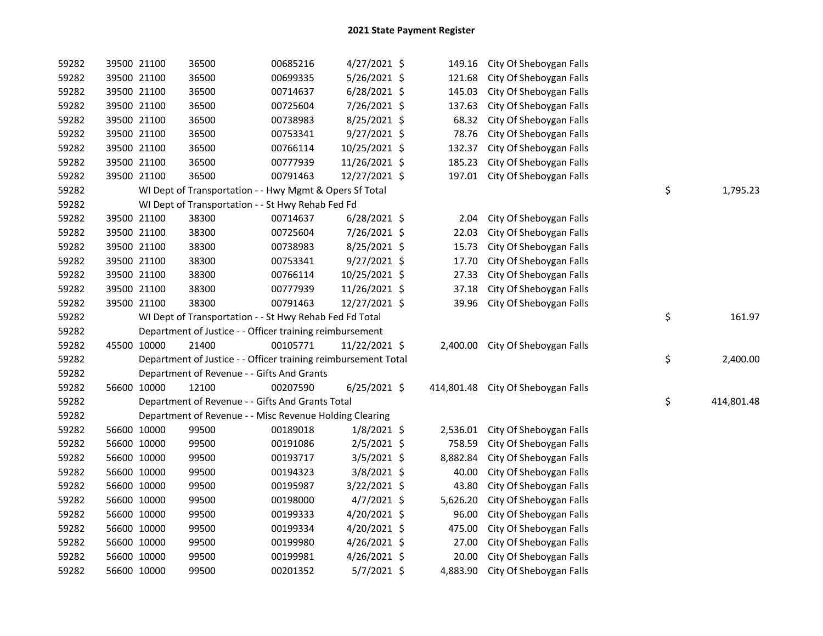| 59282 |             | 39500 21100 | 36500                                                          | 00685216 | $4/27/2021$ \$ | 149.16   | City Of Sheboygan Falls            |                  |
|-------|-------------|-------------|----------------------------------------------------------------|----------|----------------|----------|------------------------------------|------------------|
| 59282 |             | 39500 21100 | 36500                                                          | 00699335 | 5/26/2021 \$   | 121.68   | City Of Sheboygan Falls            |                  |
| 59282 |             | 39500 21100 | 36500                                                          | 00714637 | $6/28/2021$ \$ | 145.03   | City Of Sheboygan Falls            |                  |
| 59282 |             | 39500 21100 | 36500                                                          | 00725604 | 7/26/2021 \$   | 137.63   | City Of Sheboygan Falls            |                  |
| 59282 |             | 39500 21100 | 36500                                                          | 00738983 | 8/25/2021 \$   | 68.32    | City Of Sheboygan Falls            |                  |
| 59282 |             | 39500 21100 | 36500                                                          | 00753341 | 9/27/2021 \$   | 78.76    | City Of Sheboygan Falls            |                  |
| 59282 |             | 39500 21100 | 36500                                                          | 00766114 | 10/25/2021 \$  | 132.37   | City Of Sheboygan Falls            |                  |
| 59282 |             | 39500 21100 | 36500                                                          | 00777939 | 11/26/2021 \$  | 185.23   | City Of Sheboygan Falls            |                  |
| 59282 | 39500 21100 |             | 36500                                                          | 00791463 | 12/27/2021 \$  | 197.01   | City Of Sheboygan Falls            |                  |
| 59282 |             |             | WI Dept of Transportation - - Hwy Mgmt & Opers Sf Total        |          |                |          |                                    | \$<br>1,795.23   |
| 59282 |             |             | WI Dept of Transportation - - St Hwy Rehab Fed Fd              |          |                |          |                                    |                  |
| 59282 |             | 39500 21100 | 38300                                                          | 00714637 | $6/28/2021$ \$ | 2.04     | City Of Sheboygan Falls            |                  |
| 59282 |             | 39500 21100 | 38300                                                          | 00725604 | 7/26/2021 \$   | 22.03    | City Of Sheboygan Falls            |                  |
| 59282 |             | 39500 21100 | 38300                                                          | 00738983 | 8/25/2021 \$   | 15.73    | City Of Sheboygan Falls            |                  |
| 59282 |             | 39500 21100 | 38300                                                          | 00753341 | $9/27/2021$ \$ | 17.70    | City Of Sheboygan Falls            |                  |
| 59282 |             | 39500 21100 | 38300                                                          | 00766114 | 10/25/2021 \$  | 27.33    | City Of Sheboygan Falls            |                  |
| 59282 |             | 39500 21100 | 38300                                                          | 00777939 | 11/26/2021 \$  | 37.18    | City Of Sheboygan Falls            |                  |
| 59282 | 39500 21100 |             | 38300                                                          | 00791463 | 12/27/2021 \$  | 39.96    | City Of Sheboygan Falls            |                  |
| 59282 |             |             | WI Dept of Transportation - - St Hwy Rehab Fed Fd Total        |          |                |          |                                    | \$<br>161.97     |
| 59282 |             |             | Department of Justice - - Officer training reimbursement       |          |                |          |                                    |                  |
| 59282 | 45500 10000 |             | 21400                                                          | 00105771 | 11/22/2021 \$  | 2,400.00 | City Of Sheboygan Falls            |                  |
| 59282 |             |             | Department of Justice - - Officer training reimbursement Total |          |                |          |                                    | \$<br>2,400.00   |
| 59282 |             |             | Department of Revenue - - Gifts And Grants                     |          |                |          |                                    |                  |
| 59282 |             | 56600 10000 | 12100                                                          | 00207590 | $6/25/2021$ \$ |          | 414,801.48 City Of Sheboygan Falls |                  |
| 59282 |             |             | Department of Revenue - - Gifts And Grants Total               |          |                |          |                                    | \$<br>414,801.48 |
| 59282 |             |             | Department of Revenue - - Misc Revenue Holding Clearing        |          |                |          |                                    |                  |
| 59282 |             | 56600 10000 | 99500                                                          | 00189018 | $1/8/2021$ \$  | 2,536.01 | City Of Sheboygan Falls            |                  |
| 59282 |             | 56600 10000 | 99500                                                          | 00191086 | $2/5/2021$ \$  | 758.59   | City Of Sheboygan Falls            |                  |
| 59282 |             | 56600 10000 | 99500                                                          | 00193717 | $3/5/2021$ \$  | 8,882.84 | City Of Sheboygan Falls            |                  |
| 59282 |             | 56600 10000 | 99500                                                          | 00194323 | 3/8/2021 \$    | 40.00    | City Of Sheboygan Falls            |                  |
| 59282 |             | 56600 10000 | 99500                                                          | 00195987 | $3/22/2021$ \$ | 43.80    | City Of Sheboygan Falls            |                  |
| 59282 |             | 56600 10000 | 99500                                                          | 00198000 | $4/7/2021$ \$  | 5,626.20 | City Of Sheboygan Falls            |                  |
| 59282 |             | 56600 10000 | 99500                                                          | 00199333 | 4/20/2021 \$   | 96.00    | City Of Sheboygan Falls            |                  |
| 59282 |             | 56600 10000 | 99500                                                          | 00199334 | 4/20/2021 \$   | 475.00   | City Of Sheboygan Falls            |                  |
| 59282 | 56600 10000 |             | 99500                                                          | 00199980 | $4/26/2021$ \$ | 27.00    | City Of Sheboygan Falls            |                  |
| 59282 | 56600 10000 |             | 99500                                                          | 00199981 | $4/26/2021$ \$ | 20.00    | City Of Sheboygan Falls            |                  |
| 59282 | 56600 10000 |             | 99500                                                          | 00201352 | 5/7/2021 \$    | 4,883.90 | City Of Sheboygan Falls            |                  |